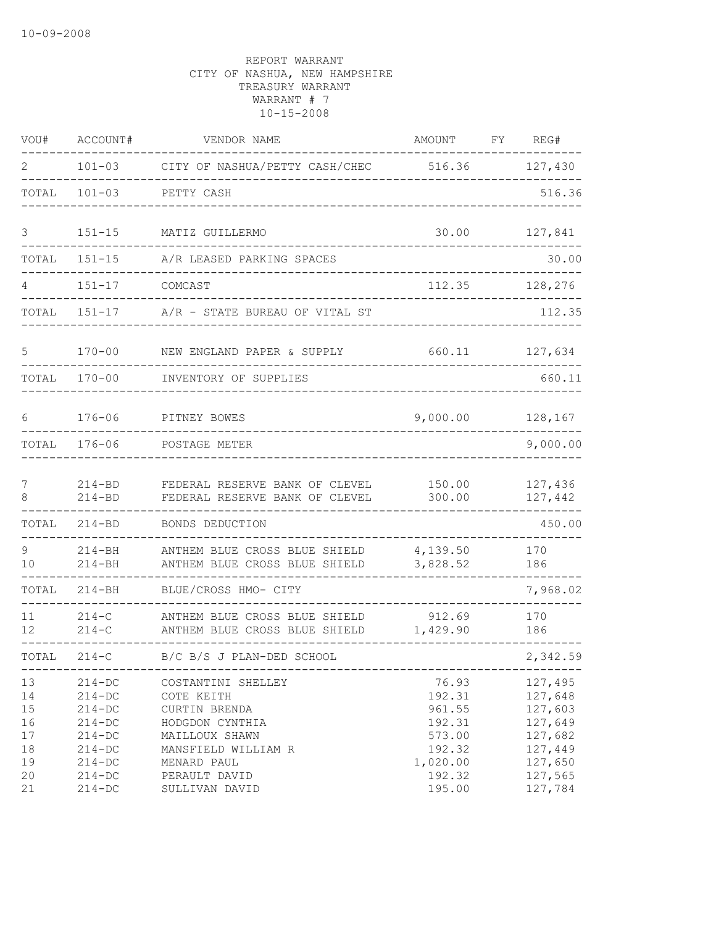| VOU#                                         | ACCOUNT#                                                                                                     | VENDOR NAME                                                                                                                                   | AMOUNT                                                                        | FY | REG#                                                                                 |
|----------------------------------------------|--------------------------------------------------------------------------------------------------------------|-----------------------------------------------------------------------------------------------------------------------------------------------|-------------------------------------------------------------------------------|----|--------------------------------------------------------------------------------------|
| 2                                            | $101 - 03$                                                                                                   | CITY OF NASHUA/PETTY CASH/CHEC 516.36                                                                                                         |                                                                               |    | 127,430                                                                              |
| TOTAL                                        | $101 - 03$                                                                                                   | PETTY CASH                                                                                                                                    |                                                                               |    | 516.36                                                                               |
| 3                                            | $151 - 15$                                                                                                   | MATIZ GUILLERMO                                                                                                                               | 30.00                                                                         |    | 127,841                                                                              |
| TOTAL                                        | $151 - 15$                                                                                                   | A/R LEASED PARKING SPACES                                                                                                                     |                                                                               |    | 30.00                                                                                |
| 4                                            | $151 - 17$                                                                                                   | COMCAST                                                                                                                                       | 112.35                                                                        |    | 128,276                                                                              |
| TOTAL                                        | $151 - 17$                                                                                                   | A/R - STATE BUREAU OF VITAL ST                                                                                                                |                                                                               |    | 112.35                                                                               |
| 5                                            | $170 - 00$                                                                                                   | NEW ENGLAND PAPER & SUPPLY                                                                                                                    | 660.11                                                                        |    | 127,634                                                                              |
| TOTAL                                        | $170 - 00$                                                                                                   | INVENTORY OF SUPPLIES                                                                                                                         |                                                                               |    | 660.11                                                                               |
| 6                                            | $176 - 06$                                                                                                   | PITNEY BOWES                                                                                                                                  | 9,000.00                                                                      |    | 128,167                                                                              |
| TOTAL                                        | $176 - 06$                                                                                                   | POSTAGE METER                                                                                                                                 |                                                                               |    | 9,000.00                                                                             |
| 7<br>8                                       | $214 - BD$<br>$214 - BD$                                                                                     | FEDERAL RESERVE BANK OF CLEVEL<br>FEDERAL RESERVE BANK OF CLEVEL                                                                              | 150.00<br>300.00                                                              |    | 127,436<br>127,442                                                                   |
| TOTAL                                        | $214 - BD$                                                                                                   | BONDS DEDUCTION                                                                                                                               |                                                                               |    | 450.00                                                                               |
| 9<br>10                                      | $214 - BH$<br>$214 - BH$                                                                                     | ANTHEM BLUE CROSS BLUE SHIELD<br>ANTHEM BLUE CROSS BLUE SHIELD                                                                                | 4,139.50<br>3,828.52                                                          |    | 170<br>186                                                                           |
| TOTAL                                        | $214 - BH$                                                                                                   | BLUE/CROSS HMO- CITY                                                                                                                          |                                                                               |    | 7,968.02                                                                             |
| 11<br>12                                     | $214-C$<br>$214 - C$                                                                                         | ANTHEM BLUE CROSS BLUE SHIELD<br>ANTHEM BLUE CROSS BLUE SHIELD                                                                                | 912.69<br>1,429.90                                                            |    | 170<br>186                                                                           |
| TOTAL                                        | $214-C$                                                                                                      | B/C B/S J PLAN-DED SCHOOL<br>____________________________________                                                                             |                                                                               |    | 2,342.59                                                                             |
| 13<br>14<br>15<br>16<br>17<br>18<br>19<br>20 | $214 - DC$<br>$214 - DC$<br>$214 - DC$<br>$214 - DC$<br>$214 - DC$<br>$214 - DC$<br>$214 - DC$<br>$214 - DC$ | COSTANTINI SHELLEY<br>COTE KEITH<br>CURTIN BRENDA<br>HODGDON CYNTHIA<br>MAILLOUX SHAWN<br>MANSFIELD WILLIAM R<br>MENARD PAUL<br>PERAULT DAVID | 76.93<br>192.31<br>961.55<br>192.31<br>573.00<br>192.32<br>1,020.00<br>192.32 |    | 127,495<br>127,648<br>127,603<br>127,649<br>127,682<br>127,449<br>127,650<br>127,565 |
| 21                                           | $214 - DC$                                                                                                   | SULLIVAN DAVID                                                                                                                                | 195.00                                                                        |    | 127,784                                                                              |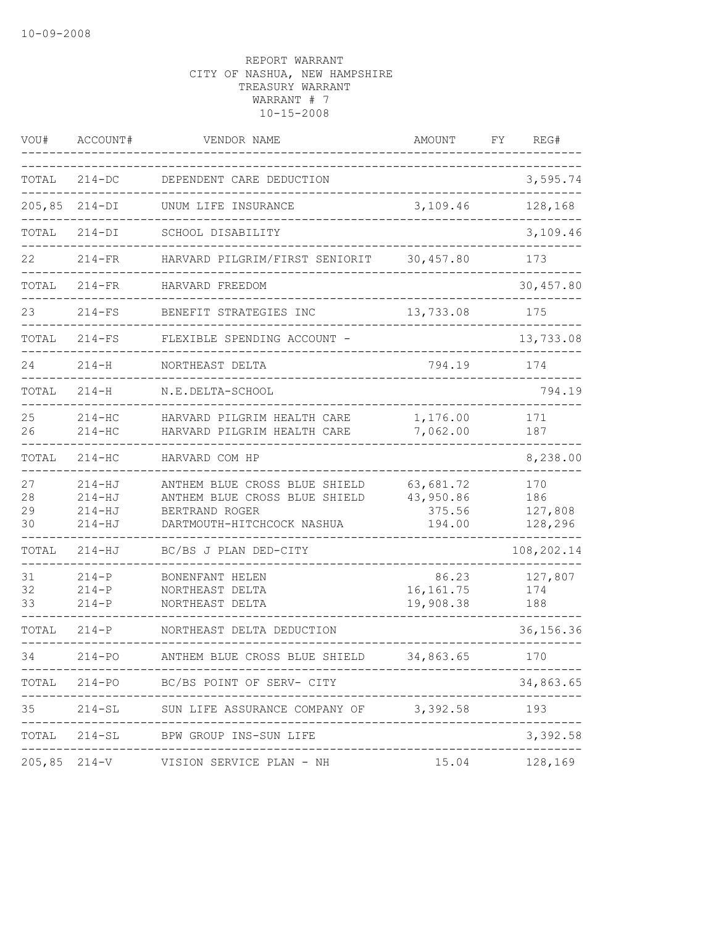| VOU#                 | ACCOUNT#                                             | VENDOR NAME                                                                                                    | AMOUNT                                     | FΥ | REG#                             |
|----------------------|------------------------------------------------------|----------------------------------------------------------------------------------------------------------------|--------------------------------------------|----|----------------------------------|
| TOTAL                | $214-DC$                                             | DEPENDENT CARE DEDUCTION                                                                                       |                                            |    | 3,595.74                         |
| 205,85               | $214-DI$                                             | UNUM LIFE INSURANCE                                                                                            | 3,109.46                                   |    | 128,168                          |
| TOTAL                | $214-DI$                                             | SCHOOL DISABILITY                                                                                              |                                            |    | 3,109.46                         |
| 22                   | $214-FR$                                             | HARVARD PILGRIM/FIRST SENIORIT                                                                                 | 30,457.80                                  |    | 173                              |
| TOTAL                | $214-FR$                                             | HARVARD FREEDOM                                                                                                |                                            |    | 30,457.80                        |
| 23                   | $214-FS$                                             | BENEFIT STRATEGIES INC                                                                                         | 13,733.08                                  |    | 175                              |
| TOTAL                | $214-FS$                                             | FLEXIBLE SPENDING ACCOUNT -                                                                                    |                                            |    | 13,733.08                        |
| 24                   | $214 - H$                                            | NORTHEAST DELTA                                                                                                | 794.19                                     |    | 174                              |
| TOTAL                | $214 - H$                                            | N.E.DELTA-SCHOOL                                                                                               |                                            |    | 794.19                           |
| 25<br>26             | $214-HC$<br>$214 - HC$                               | HARVARD PILGRIM HEALTH CARE<br>HARVARD PILGRIM HEALTH CARE                                                     | 1,176.00<br>7,062.00                       |    | 171<br>187                       |
| TOTAL                | $214 - HC$                                           | HARVARD COM HP                                                                                                 |                                            |    | 8,238.00                         |
| 27<br>28<br>29<br>30 | $214 - HJ$<br>$214 - HJ$<br>$214 - HJ$<br>$214 - HJ$ | ANTHEM BLUE CROSS BLUE SHIELD<br>ANTHEM BLUE CROSS BLUE SHIELD<br>BERTRAND ROGER<br>DARTMOUTH-HITCHCOCK NASHUA | 63,681.72<br>43,950.86<br>375.56<br>194.00 |    | 170<br>186<br>127,808<br>128,296 |
| TOTAL                | $214 - HJ$                                           | BC/BS J PLAN DED-CITY                                                                                          |                                            |    | 108,202.14                       |
| 31<br>32<br>33       | $214-P$<br>$214 - P$<br>$214-P$                      | BONENFANT HELEN<br>NORTHEAST DELTA<br>NORTHEAST DELTA                                                          | 86.23<br>16, 161.75<br>19,908.38           |    | 127,807<br>174<br>188            |
| TOTAL                | $214-P$                                              | NORTHEAST DELTA DEDUCTION                                                                                      |                                            |    | 36, 156. 36                      |
| 34                   | $214 - PO$                                           | ANTHEM BLUE CROSS BLUE SHIELD                                                                                  | 34,863.65                                  |    | 170                              |
|                      |                                                      | TOTAL 214-PO BC/BS POINT OF SERV- CITY                                                                         | _____________                              |    | 34,863.65                        |
|                      |                                                      | 35 214-SL SUN LIFE ASSURANCE COMPANY OF 3,392.58                                                               |                                            |    | 193                              |
|                      |                                                      | TOTAL 214-SL BPW GROUP INS-SUN LIFE                                                                            |                                            |    | 3,392.58                         |
|                      |                                                      | 205,85 214-V VISION SERVICE PLAN - NH                                                                          |                                            |    | 15.04 128,169                    |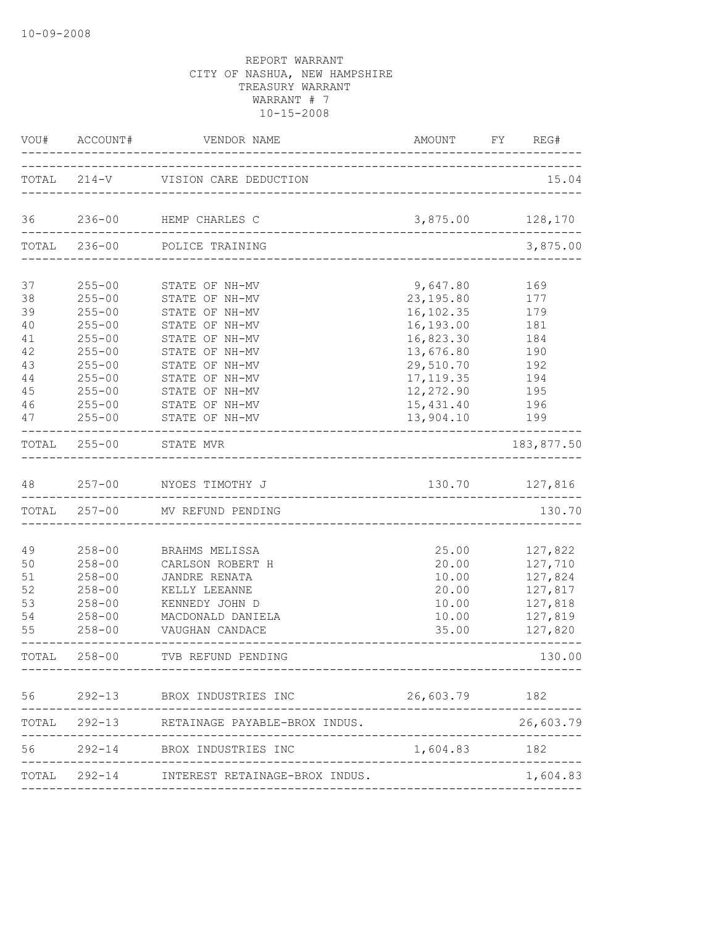|                                                              | VOU# ACCOUNT#                                                                                                                            | VENDOR NAME<br>______________                                                                                                                                                    | AMOUNT FY REG#                                                                                                                   |                                                                           |
|--------------------------------------------------------------|------------------------------------------------------------------------------------------------------------------------------------------|----------------------------------------------------------------------------------------------------------------------------------------------------------------------------------|----------------------------------------------------------------------------------------------------------------------------------|---------------------------------------------------------------------------|
|                                                              |                                                                                                                                          | TOTAL 214-V VISION CARE DEDUCTION                                                                                                                                                | ____________________________________                                                                                             | 15.04                                                                     |
| 36                                                           |                                                                                                                                          | 236-00 HEMP CHARLES C                                                                                                                                                            | 3,875.00 128,170                                                                                                                 |                                                                           |
|                                                              | TOTAL 236-00                                                                                                                             | POLICE TRAINING                                                                                                                                                                  |                                                                                                                                  | 3,875.00                                                                  |
| 37<br>38<br>39<br>40<br>41<br>42<br>43<br>$4\,4$<br>45<br>46 | $255 - 00$<br>$255 - 00$<br>$255 - 00$<br>$255 - 00$<br>$255 - 00$<br>$255 - 00$<br>$255 - 00$<br>$255 - 00$<br>$255 - 00$<br>$255 - 00$ | STATE OF NH-MV<br>STATE OF NH-MV<br>STATE OF NH-MV<br>STATE OF NH-MV<br>STATE OF NH-MV<br>STATE OF NH-MV<br>STATE OF NH-MV<br>STATE OF NH-MV<br>STATE OF NH-MV<br>STATE OF NH-MV | 9,647.80<br>23, 195.80<br>16, 102.35<br>16,193.00<br>16,823.30<br>13,676.80<br>29,510.70<br>17, 119.35<br>12,272.90<br>15,431.40 | 169<br>177<br>179<br>181<br>184<br>190<br>192<br>194<br>195<br>196        |
| 47                                                           | $255 - 00$                                                                                                                               | STATE OF NH-MV                                                                                                                                                                   | 13,904.10                                                                                                                        | 199                                                                       |
|                                                              | TOTAL 255-00                                                                                                                             | STATE MVR                                                                                                                                                                        |                                                                                                                                  | 183,877.50                                                                |
| 48                                                           |                                                                                                                                          | 257-00 NYOES TIMOTHY J                                                                                                                                                           | 130.70                                                                                                                           | 127,816                                                                   |
|                                                              | TOTAL 257-00                                                                                                                             | MV REFUND PENDING                                                                                                                                                                |                                                                                                                                  | 130.70                                                                    |
| 49<br>50<br>51<br>52<br>53<br>54<br>55                       | $258 - 00$<br>$258 - 00$<br>$258 - 00$<br>$258 - 00$<br>$258 - 00$<br>$258 - 00$<br>$258 - 00$                                           | BRAHMS MELISSA<br>CARLSON ROBERT H<br>JANDRE RENATA<br>KELLY LEEANNE<br>KENNEDY JOHN D<br>MACDONALD DANIELA<br>VAUGHAN CANDACE                                                   | 25.00<br>20.00<br>10.00<br>20.00<br>10.00<br>10.00<br>35.00                                                                      | 127,822<br>127,710<br>127,824<br>127,817<br>127,818<br>127,819<br>127,820 |
|                                                              | TOTAL 258-00                                                                                                                             | TVB REFUND PENDING                                                                                                                                                               |                                                                                                                                  | 130.00                                                                    |
|                                                              |                                                                                                                                          | 56 292-13 BROX INDUSTRIES INC 26,603.79 182                                                                                                                                      |                                                                                                                                  |                                                                           |
|                                                              |                                                                                                                                          | TOTAL 292-13 RETAINAGE PAYABLE-BROX INDUS.                                                                                                                                       |                                                                                                                                  | 26,603.79                                                                 |
|                                                              |                                                                                                                                          |                                                                                                                                                                                  |                                                                                                                                  |                                                                           |
|                                                              |                                                                                                                                          | TOTAL 292-14 INTEREST RETAINAGE-BROX INDUS.                                                                                                                                      |                                                                                                                                  | 1,604.83                                                                  |
|                                                              |                                                                                                                                          |                                                                                                                                                                                  |                                                                                                                                  |                                                                           |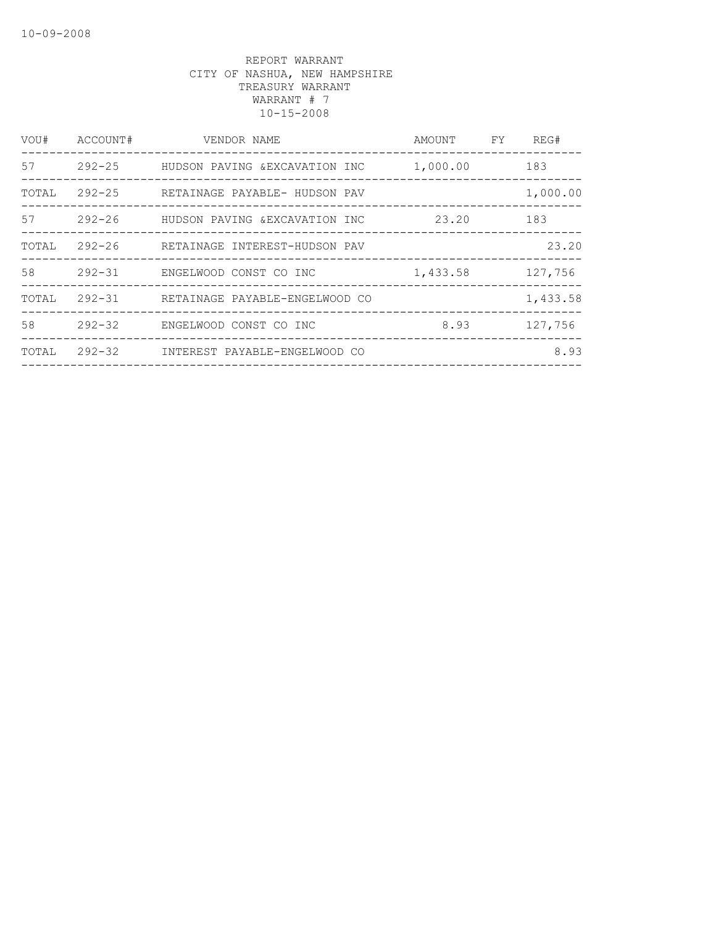| VOU#  | ACCOUNT#   | VENDOR NAME                    | AMOUNT   | FY | REG#     |
|-------|------------|--------------------------------|----------|----|----------|
| 57    | $292 - 25$ | HUDSON PAVING &EXCAVATION INC  | 1,000.00 |    | 183      |
| TOTAL | $292 - 25$ | RETAINAGE PAYABLE- HUDSON PAV  |          |    | 1,000.00 |
| 57    | $292 - 26$ | HUDSON PAVING & EXCAVATION INC | 23.20    |    | 183      |
| TOTAL | 292-26     | RETAINAGE INTEREST-HUDSON PAV  |          |    | 23.20    |
| 58    | $292 - 31$ | ENGELWOOD CONST CO INC         | 1,433.58 |    | 127,756  |
| TOTAL | $292 - 31$ | RETAINAGE PAYABLE-ENGELWOOD CO |          |    | 1,433.58 |
| 58    | $292 - 32$ | ENGELWOOD CONST CO INC         | 8.93     |    | 127,756  |
| TOTAL | $292 - 32$ | INTEREST PAYABLE-ENGELWOOD CO  |          |    | 8.93     |
|       |            |                                |          |    |          |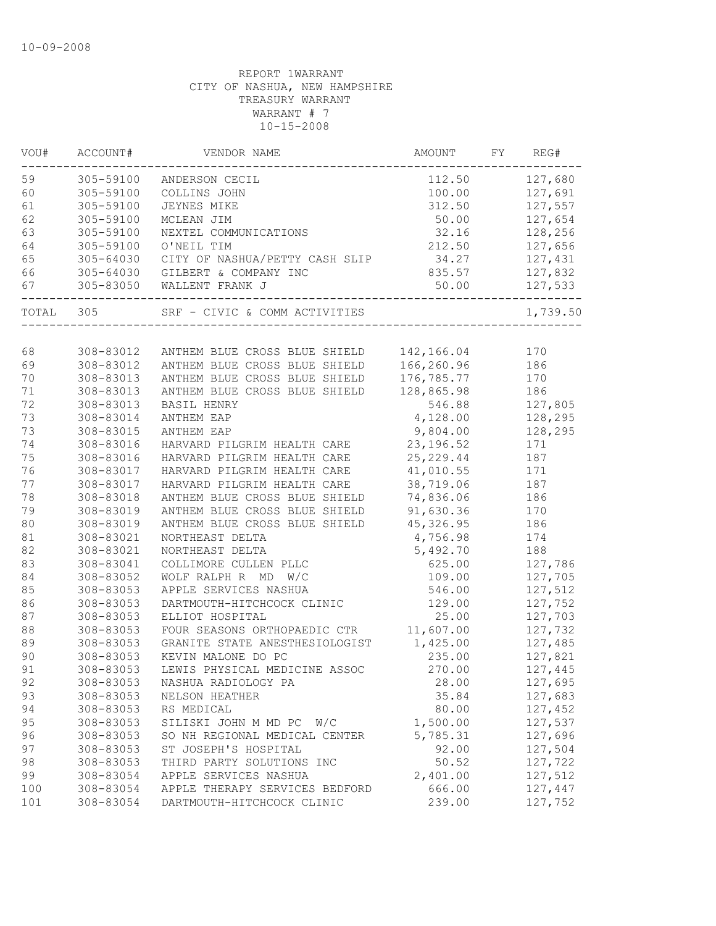| VOU#  | ACCOUNT#                                         | VENDOR NAME                                 | AMOUNT     | FY | REG#     |
|-------|--------------------------------------------------|---------------------------------------------|------------|----|----------|
| 59    | 305-59100                                        | ANDERSON CECIL                              | 112.50     |    | 127,680  |
| 60    | 305-59100                                        | COLLINS JOHN                                | 100.00     |    | 127,691  |
| 61    | 305-59100                                        | <b>JEYNES MIKE</b>                          | 312.50     |    | 127,557  |
| 62    | 305-59100                                        | MCLEAN JIM                                  | 50.00      |    | 127,654  |
| 63    | 305-59100                                        | NEXTEL COMMUNICATIONS                       | 32.16      |    | 128,256  |
| 64    | 305-59100                                        | O'NEIL TIM                                  | 212.50     |    | 127,656  |
| 65    | $305 - 64030$                                    | CITY OF NASHUA/PETTY CASH SLIP              | 34.27      |    | 127,431  |
| 66    |                                                  | 305-64030 GILBERT & COMPANY INC             | 835.57     |    | 127,832  |
| 67    | 305-83050<br>. _ _ _ _ _ _ _ _ _ _ _ _ _ _ _ _ _ | WALLENT FRANK J<br>________________________ | 50.00      |    | 127,533  |
| TOTAL | 305                                              | SRF - CIVIC & COMM ACTIVITIES               |            |    | 1,739.50 |
|       |                                                  |                                             |            |    |          |
| 68    | 308-83012                                        | ANTHEM BLUE CROSS BLUE SHIELD               | 142,166.04 |    | 170      |
| 69    | 308-83012                                        | ANTHEM BLUE CROSS BLUE SHIELD               | 166,260.96 |    | 186      |
| $70$  | 308-83013                                        | ANTHEM BLUE CROSS BLUE SHIELD               | 176,785.77 |    | 170      |
| 71    | 308-83013                                        | ANTHEM BLUE CROSS BLUE SHIELD               | 128,865.98 |    | 186      |
| 72    | 308-83013                                        | <b>BASIL HENRY</b>                          | 546.88     |    | 127,805  |
| 73    | 308-83014                                        | ANTHEM EAP                                  | 4,128.00   |    | 128,295  |
| 73    | 308-83015                                        | ANTHEM EAP                                  | 9,804.00   |    | 128,295  |
| 74    | 308-83016                                        | HARVARD PILGRIM HEALTH CARE                 | 23, 196.52 |    | 171      |
| 75    | 308-83016                                        | HARVARD PILGRIM HEALTH CARE                 | 25, 229.44 |    | 187      |
| 76    | 308-83017                                        | HARVARD PILGRIM HEALTH CARE                 | 41,010.55  |    | 171      |
| 77    | 308-83017                                        | HARVARD PILGRIM HEALTH CARE                 | 38,719.06  |    | 187      |
| 78    | 308-83018                                        | ANTHEM BLUE CROSS BLUE SHIELD               | 74,836.06  |    | 186      |
| 79    | 308-83019                                        | ANTHEM BLUE CROSS BLUE SHIELD               | 91,630.36  |    | 170      |
| 80    | 308-83019                                        | ANTHEM BLUE CROSS BLUE SHIELD               | 45, 326.95 |    | 186      |
| 81    | 308-83021                                        | NORTHEAST DELTA                             | 4,756.98   |    | 174      |
| 82    | 308-83021                                        | NORTHEAST DELTA                             | 5,492.70   |    | 188      |
| 83    | 308-83041                                        | COLLIMORE CULLEN PLLC                       | 625.00     |    | 127,786  |
| 84    | 308-83052                                        | WOLF RALPH R MD<br>W/C                      | 109.00     |    | 127,705  |
| 85    | 308-83053                                        | APPLE SERVICES NASHUA                       | 546.00     |    | 127,512  |
| 86    | 308-83053                                        | DARTMOUTH-HITCHCOCK CLINIC                  | 129.00     |    | 127,752  |
| 87    | 308-83053                                        | ELLIOT HOSPITAL                             | 25.00      |    | 127,703  |
| 88    | 308-83053                                        | FOUR SEASONS ORTHOPAEDIC CTR                | 11,607.00  |    | 127,732  |
| 89    | 308-83053                                        | GRANITE STATE ANESTHESIOLOGIST              | 1,425.00   |    | 127,485  |
| 90    | 308-83053                                        | KEVIN MALONE DO PC                          | 235.00     |    | 127,821  |
| 91    | 308-83053                                        | LEWIS PHYSICAL MEDICINE ASSOC               | 270.00     |    | 127,445  |
| 92    | 308-83053                                        | NASHUA RADIOLOGY PA                         | 28.00      |    | 127,695  |
| 93    | 308-83053                                        | NELSON HEATHER                              | 35.84      |    | 127,683  |
| 94    | 308-83053                                        | RS MEDICAL                                  | 80.00      |    | 127,452  |
| 95    | 308-83053                                        | SILISKI JOHN M MD PC W/C                    | 1,500.00   |    | 127,537  |
| 96    | 308-83053                                        | SO NH REGIONAL MEDICAL CENTER               | 5,785.31   |    | 127,696  |
| 97    | 308-83053                                        | ST JOSEPH'S HOSPITAL                        | 92.00      |    | 127,504  |
| 98    | 308-83053                                        | THIRD PARTY SOLUTIONS INC                   | 50.52      |    | 127,722  |
| 99    | 308-83054                                        | APPLE SERVICES NASHUA                       | 2,401.00   |    | 127,512  |
| 100   | 308-83054                                        | APPLE THERAPY SERVICES BEDFORD              | 666.00     |    | 127,447  |
| 101   | 308-83054                                        | DARTMOUTH-HITCHCOCK CLINIC                  | 239.00     |    | 127,752  |
|       |                                                  |                                             |            |    |          |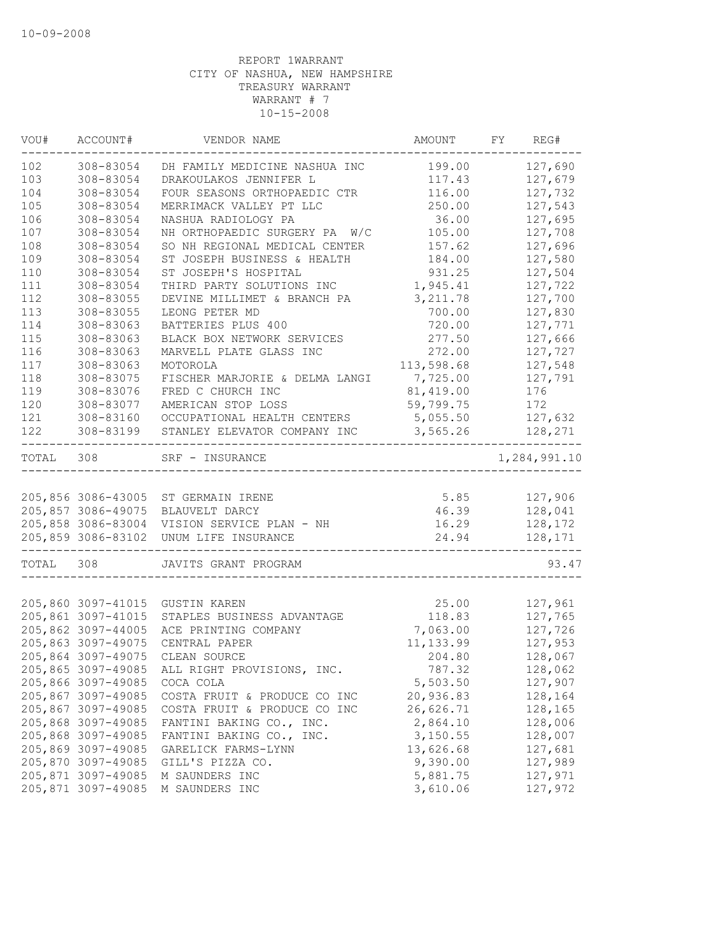| VOU#  | ACCOUNT#           | VENDOR NAME                    | AMOUNT     | FY | REG#         |
|-------|--------------------|--------------------------------|------------|----|--------------|
| 102   | 308-83054          | DH FAMILY MEDICINE NASHUA INC  | 199.00     |    | 127,690      |
| 103   | 308-83054          | DRAKOULAKOS JENNIFER L         | 117.43     |    | 127,679      |
| 104   | 308-83054          | FOUR SEASONS ORTHOPAEDIC CTR   | 116.00     |    | 127,732      |
| 105   | 308-83054          | MERRIMACK VALLEY PT LLC        | 250.00     |    | 127,543      |
| 106   | 308-83054          | NASHUA RADIOLOGY PA            | 36.00      |    | 127,695      |
| 107   | 308-83054          | NH ORTHOPAEDIC SURGERY PA W/C  | 105.00     |    | 127,708      |
| 108   | 308-83054          | SO NH REGIONAL MEDICAL CENTER  | 157.62     |    | 127,696      |
| 109   | 308-83054          | ST JOSEPH BUSINESS & HEALTH    | 184.00     |    | 127,580      |
| 110   | 308-83054          | ST JOSEPH'S HOSPITAL           | 931.25     |    | 127,504      |
| 111   | 308-83054          | THIRD PARTY SOLUTIONS INC      | 1,945.41   |    | 127,722      |
| 112   | 308-83055          | DEVINE MILLIMET & BRANCH PA    | 3, 211.78  |    | 127,700      |
| 113   | 308-83055          | LEONG PETER MD                 | 700.00     |    | 127,830      |
| 114   | 308-83063          | BATTERIES PLUS 400             | 720.00     |    | 127,771      |
| 115   | 308-83063          | BLACK BOX NETWORK SERVICES     | 277.50     |    | 127,666      |
| 116   | 308-83063          | MARVELL PLATE GLASS INC        | 272.00     |    | 127,727      |
| 117   | 308-83063          | MOTOROLA                       | 113,598.68 |    | 127,548      |
| 118   | 308-83075          | FISCHER MARJORIE & DELMA LANGI | 7,725.00   |    | 127,791      |
| 119   | 308-83076          | FRED C CHURCH INC              | 81,419.00  |    | 176          |
| 120   | 308-83077          | AMERICAN STOP LOSS             | 59,799.75  |    | 172          |
| 121   | 308-83160          | OCCUPATIONAL HEALTH CENTERS    | 5,055.50   |    | 127,632      |
| 122   | 308-83199          | STANLEY ELEVATOR COMPANY INC   | 3,565.26   |    | 128,271      |
| TOTAL | 308                | SRF - INSURANCE                |            |    | 1,284,991.10 |
|       |                    |                                |            |    |              |
|       | 205,856 3086-43005 | ST GERMAIN IRENE               | 5.85       |    | 127,906      |
|       | 205,857 3086-49075 | BLAUVELT DARCY                 | 46.39      |    | 128,041      |
|       | 205,858 3086-83004 | VISION SERVICE PLAN - NH       | 16.29      |    | 128,172      |
|       | 205,859 3086-83102 | UNUM LIFE INSURANCE            | 24.94      |    | 128,171      |
| TOTAL | 308                | JAVITS GRANT PROGRAM           |            |    | 93.47        |
|       |                    |                                |            |    |              |
|       | 205,860 3097-41015 | GUSTIN KAREN                   | 25.00      |    | 127,961      |
|       | 205,861 3097-41015 | STAPLES BUSINESS ADVANTAGE     | 118.83     |    | 127,765      |
|       | 205,862 3097-44005 | ACE PRINTING COMPANY           | 7,063.00   |    | 127,726      |
|       | 205,863 3097-49075 | CENTRAL PAPER                  | 11, 133.99 |    | 127,953      |
|       | 205,864 3097-49075 | CLEAN SOURCE                   | 204.80     |    | 128,067      |
|       | 205,865 3097-49085 | ALL RIGHT PROVISIONS, INC.     | 787.32     |    | 128,062      |
|       | 205,866 3097-49085 | COCA COLA                      | 5,503.50   |    | 127,907      |
|       | 205,867 3097-49085 | COSTA FRUIT & PRODUCE CO INC   | 20,936.83  |    | 128,164      |
|       | 205,867 3097-49085 | COSTA FRUIT & PRODUCE CO INC   | 26,626.71  |    | 128,165      |
|       | 205,868 3097-49085 | FANTINI BAKING CO., INC.       | 2,864.10   |    | 128,006      |
|       | 205,868 3097-49085 | FANTINI BAKING CO., INC.       | 3,150.55   |    | 128,007      |
|       | 205,869 3097-49085 | GARELICK FARMS-LYNN            | 13,626.68  |    | 127,681      |
|       | 205,870 3097-49085 | GILL'S PIZZA CO.               | 9,390.00   |    | 127,989      |
|       | 205,871 3097-49085 | M SAUNDERS INC                 | 5,881.75   |    | 127,971      |
|       | 205,871 3097-49085 | M SAUNDERS INC                 | 3,610.06   |    | 127,972      |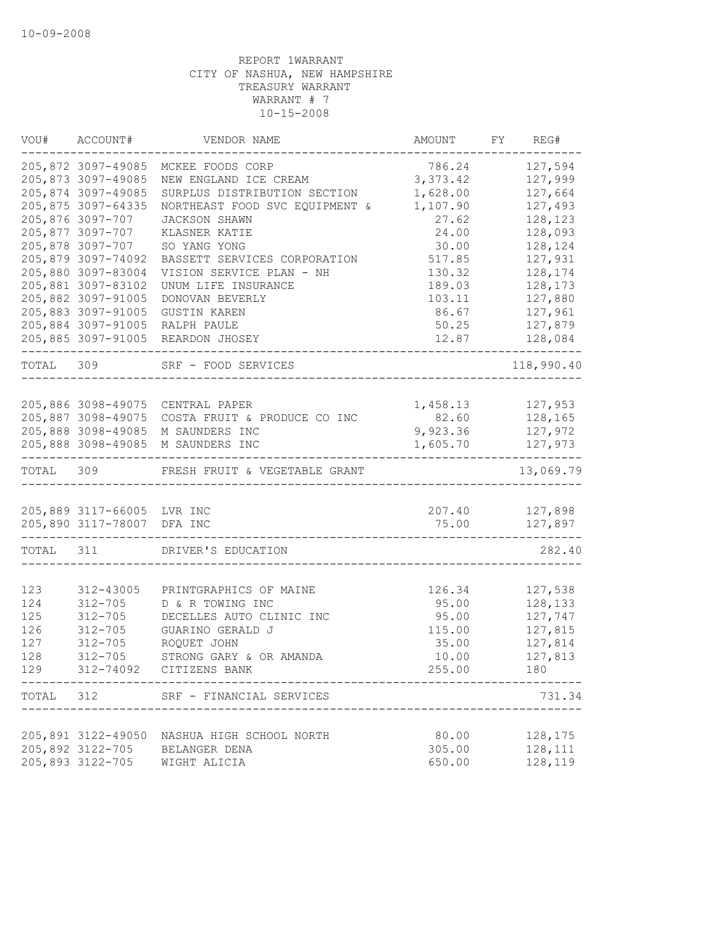| VOU#      | ACCOUNT#                                                 | VENDOR NAME                    | AMOUNT          | REG#<br>FY         |
|-----------|----------------------------------------------------------|--------------------------------|-----------------|--------------------|
|           | 205,872 3097-49085                                       | MCKEE FOODS CORP               | 786.24          | 127,594            |
|           | 205,873 3097-49085                                       | NEW ENGLAND ICE CREAM          | 3,373.42        | 127,999            |
|           | 205,874 3097-49085                                       | SURPLUS DISTRIBUTION SECTION   | 1,628.00        | 127,664            |
|           | 205,875 3097-64335                                       | NORTHEAST FOOD SVC EQUIPMENT & | 1,107.90        | 127,493            |
|           | 205,876 3097-707                                         | <b>JACKSON SHAWN</b>           | 27.62           | 128,123            |
|           | 205,877 3097-707                                         | KLASNER KATIE                  | 24.00           | 128,093            |
|           | 205,878 3097-707                                         | SO YANG YONG                   | 30.00           | 128,124            |
|           | 205,879 3097-74092                                       | BASSETT SERVICES CORPORATION   | 517.85          | 127,931            |
|           | 205,880 3097-83004                                       | VISION SERVICE PLAN - NH       | 130.32          | 128,174            |
|           | 205,881 3097-83102                                       | UNUM LIFE INSURANCE            | 189.03          | 128,173            |
|           | 205,882 3097-91005                                       | DONOVAN BEVERLY                | 103.11          | 127,880            |
|           | 205,883 3097-91005                                       | <b>GUSTIN KAREN</b>            | 86.67           | 127,961            |
|           | 205,884 3097-91005                                       | RALPH PAULE                    | 50.25           | 127,879            |
|           | 205,885 3097-91005                                       | REARDON JHOSEY                 | 12.87           | 128,084            |
| TOTAL 309 |                                                          | SRF - FOOD SERVICES            |                 | 118,990.40         |
|           |                                                          |                                |                 |                    |
|           | 205,886 3098-49075                                       | CENTRAL PAPER                  | 1,458.13        | 127,953            |
|           | 205,887 3098-49075                                       | COSTA FRUIT & PRODUCE CO INC   | 82.60           | 128,165            |
|           | 205,888 3098-49085                                       | M SAUNDERS INC                 | 9,923.36        | 127,972            |
|           | 205,888 3098-49085                                       | M SAUNDERS INC                 | 1,605.70        | 127,973            |
| TOTAL 309 |                                                          | FRESH FRUIT & VEGETABLE GRANT  |                 | 13,069.79          |
|           |                                                          |                                |                 |                    |
|           | 205,889 3117-66005 LVR INC<br>205,890 3117-78007 DFA INC |                                | 207.40<br>75.00 | 127,898<br>127,897 |
|           |                                                          |                                |                 |                    |
| TOTAL 311 |                                                          | DRIVER'S EDUCATION             |                 | 282.40             |
|           |                                                          |                                |                 |                    |
| 123       | 312-43005                                                | PRINTGRAPHICS OF MAINE         | 126.34          | 127,538            |
| 124       | $312 - 705$                                              | D & R TOWING INC               | 95.00           | 128,133            |
| 125       | $312 - 705$                                              | DECELLES AUTO CLINIC INC       | 95.00           | 127,747            |
| 126       | $312 - 705$                                              | GUARINO GERALD J               | 115.00          | 127,815            |
| 127       | $312 - 705$                                              | ROQUET JOHN                    | 35.00           | 127,814            |
| 128       | $312 - 705$                                              | STRONG GARY & OR AMANDA        | 10.00           | 127,813            |
| 129       |                                                          | 312-74092 CITIZENS BANK        | 255.00          | 180                |
| TOTAL     | 312                                                      | SRF - FINANCIAL SERVICES       |                 | 731.34             |
|           |                                                          |                                |                 |                    |
|           | 205,891 3122-49050                                       | NASHUA HIGH SCHOOL NORTH       | 80.00           | 128,175            |
|           | 205,892 3122-705                                         | BELANGER DENA                  | 305.00          | 128,111            |
|           | 205,893 3122-705                                         | WIGHT ALICIA                   | 650.00          | 128,119            |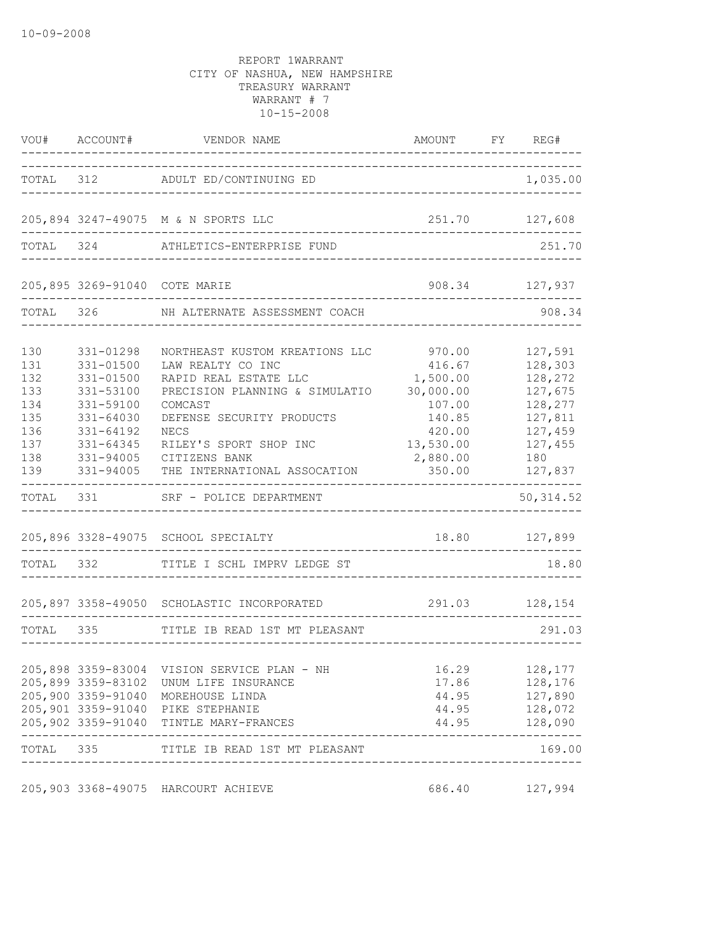| VOU#                                                               | ACCOUNT#                                                                                                                           | VENDOR NAME                                                                                                                                                                                                                                      | AMOUNT FY REG#                                                                                             |                                                                                                        |
|--------------------------------------------------------------------|------------------------------------------------------------------------------------------------------------------------------------|--------------------------------------------------------------------------------------------------------------------------------------------------------------------------------------------------------------------------------------------------|------------------------------------------------------------------------------------------------------------|--------------------------------------------------------------------------------------------------------|
|                                                                    |                                                                                                                                    | TOTAL 312 ADULT ED/CONTINUING ED                                                                                                                                                                                                                 |                                                                                                            | 1,035.00                                                                                               |
|                                                                    |                                                                                                                                    | 205,894 3247-49075 M & N SPORTS LLC                                                                                                                                                                                                              | 251.70 127,608                                                                                             |                                                                                                        |
|                                                                    |                                                                                                                                    | TOTAL 324 ATHLETICS-ENTERPRISE FUND                                                                                                                                                                                                              |                                                                                                            | 251.70                                                                                                 |
|                                                                    |                                                                                                                                    | 205,895 3269-91040 COTE MARIE                                                                                                                                                                                                                    |                                                                                                            | 908.34 127,937                                                                                         |
| TOTAL 326                                                          |                                                                                                                                    | NH ALTERNATE ASSESSMENT COACH                                                                                                                                                                                                                    |                                                                                                            | 908.34                                                                                                 |
| 130<br>131<br>132<br>133<br>134<br>135<br>136<br>137<br>138<br>139 | 331-01298<br>331-01500<br>331-01500<br>331-53100<br>331-59100<br>331-64030<br>331-64192<br>$331 - 64345$<br>331-94005<br>331-94005 | NORTHEAST KUSTOM KREATIONS LLC<br>LAW REALTY CO INC<br>RAPID REAL ESTATE LLC<br>PRECISION PLANNING & SIMULATIO<br>COMCAST<br>DEFENSE SECURITY PRODUCTS<br><b>NECS</b><br>RILEY'S SPORT SHOP INC<br>CITIZENS BANK<br>THE INTERNATIONAL ASSOCATION | 970.00<br>416.67<br>1,500.00<br>30,000.00<br>107.00<br>140.85<br>420.00<br>13,530.00<br>2,880.00<br>350.00 | 127,591<br>128,303<br>128,272<br>127,675<br>128,277<br>127,811<br>127,459<br>127,455<br>180<br>127,837 |
| TOTAL                                                              | 331 331                                                                                                                            | SRF - POLICE DEPARTMENT                                                                                                                                                                                                                          |                                                                                                            | 50, 314.52                                                                                             |
| TOTAL 332                                                          |                                                                                                                                    | 205,896 3328-49075 SCHOOL SPECIALTY<br>TITLE I SCHL IMPRV LEDGE ST                                                                                                                                                                               | 18.80 127,899                                                                                              | 18.80                                                                                                  |
|                                                                    |                                                                                                                                    | 205,897 3358-49050 SCHOLASTIC INCORPORATED                                                                                                                                                                                                       |                                                                                                            | 291.03 128,154                                                                                         |
| TOTAL                                                              | 335                                                                                                                                | TITLE IB READ 1ST MT PLEASANT                                                                                                                                                                                                                    |                                                                                                            | 291.03                                                                                                 |
|                                                                    |                                                                                                                                    | 205,898 3359-83004 VISION SERVICE PLAN - NH<br>205,899 3359-83102 UNUM LIFE INSURANCE<br>205,900 3359-91040 MOREHOUSE LINDA<br>205,901 3359-91040 PIKE STEPHANIE<br>205,902 3359-91040 TINTLE MARY-FRANCES                                       | 16.29<br>17.86                                                                                             | 128,177<br>128,176<br>44.95 127,890<br>44.95 128,072<br>44.95 128,090                                  |
| TOTAL 335                                                          |                                                                                                                                    | TITLE IB READ 1ST MT PLEASANT                                                                                                                                                                                                                    |                                                                                                            | -----------<br>169.00                                                                                  |
|                                                                    |                                                                                                                                    | 205,903 3368-49075 HARCOURT ACHIEVE                                                                                                                                                                                                              | 686.40                                                                                                     | 127,994                                                                                                |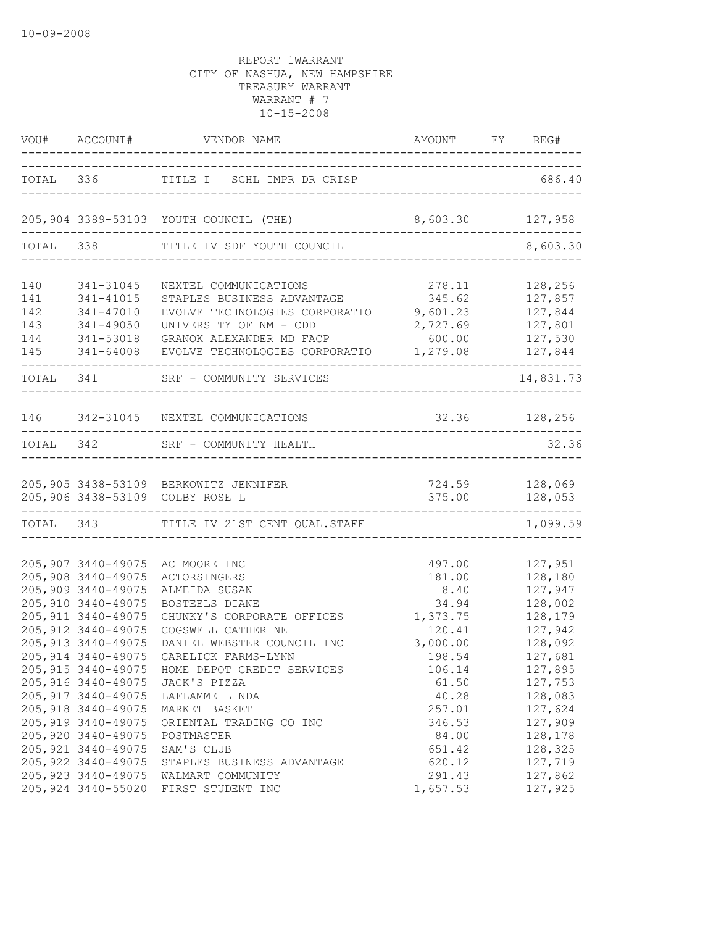|                                        | VOU# ACCOUNT#                                                                                                                      | VENDOR NAME AMOUNT                                                                                                                                                                                                                   | AMOUNT FY REG#                                                              |                                                                                      |
|----------------------------------------|------------------------------------------------------------------------------------------------------------------------------------|--------------------------------------------------------------------------------------------------------------------------------------------------------------------------------------------------------------------------------------|-----------------------------------------------------------------------------|--------------------------------------------------------------------------------------|
|                                        |                                                                                                                                    | TOTAL 336 TITLE I SCHL IMPR DR CRISP                                                                                                                                                                                                 |                                                                             | 686.40                                                                               |
|                                        |                                                                                                                                    | 205,904 3389-53103 YOUTH COUNCIL (THE)                                                                                                                                                                                               | 8,603.30                                                                    | 127,958                                                                              |
|                                        | TOTAL 338                                                                                                                          | TITLE IV SDF YOUTH COUNCIL                                                                                                                                                                                                           |                                                                             | 8,603.30                                                                             |
| 140<br>141<br>142<br>143<br>144<br>145 | 341-31045<br>341-41015<br>341-47010<br>341-49050<br>341-53018<br>341-64008                                                         | NEXTEL COMMUNICATIONS<br>STAPLES BUSINESS ADVANTAGE<br>EVOLVE TECHNOLOGIES CORPORATIO<br>UNIVERSITY OF NM - CDD<br>GRANOK ALEXANDER MD FACP<br>EVOLVE TECHNOLOGIES CORPORATIO                                                        | 278.11<br>345.62<br>9,601.23<br>2,727.69<br>600.00<br>1,279.08              | 128,256<br>127,857<br>127,844<br>127,801<br>127,530<br>127,844                       |
| TOTAL 341                              |                                                                                                                                    | SRF - COMMUNITY SERVICES                                                                                                                                                                                                             |                                                                             | 14,831.73                                                                            |
|                                        |                                                                                                                                    | 146 342-31045 NEXTEL COMMUNICATIONS                                                                                                                                                                                                  | 32.36 128,256                                                               |                                                                                      |
| TOTAL 342                              |                                                                                                                                    | SRF - COMMUNITY HEALTH<br>-----------------------                                                                                                                                                                                    |                                                                             | 32.36                                                                                |
|                                        |                                                                                                                                    | 205,905 3438-53109 BERKOWITZ JENNIFER<br>205,906 3438-53109 COLBY ROSE L                                                                                                                                                             | 375.00                                                                      | 724.59 128,069<br>128,053                                                            |
|                                        |                                                                                                                                    | TOTAL 343 TITLE IV 21ST CENT QUAL.STAFF                                                                                                                                                                                              |                                                                             | 1,099.59                                                                             |
|                                        | 205,907 3440-49075<br>205,908 3440-49075<br>205,909 3440-49075<br>205,910 3440-49075<br>205, 911 3440-49075<br>205, 912 3440-49075 | AC MOORE INC<br>ACTORSINGERS<br>ALMEIDA SUSAN<br>BOSTEELS DIANE<br>CHUNKY'S CORPORATE OFFICES<br>COGSWELL CATHERINE                                                                                                                  | 497.00<br>181.00<br>8.40<br>34.94<br>1,373.75<br>120.41                     | 127,951<br>128,180<br>127,947<br>128,002<br>128,179<br>127,942                       |
|                                        | 205, 913 3440-49075<br>205, 917 3440-49075<br>205, 918 3440-49075<br>205, 919 3440-49075<br>205,920 3440-49075                     | DANIEL WEBSTER COUNCIL INC<br>205,914 3440-49075 GARELICK FARMS-LYNN<br>205,915 3440-49075 HOME DEPOT CREDIT SERVICES<br>205,916 3440-49075 JACK'S PIZZA<br>LAFLAMME LINDA<br>MARKET BASKET<br>ORIENTAL TRADING CO INC<br>POSTMASTER | 3,000.00<br>198.54<br>106.14<br>61.50<br>40.28<br>257.01<br>346.53<br>84.00 | 128,092<br>127,681<br>127,895<br>127,753<br>128,083<br>127,624<br>127,909<br>128,178 |
|                                        | 205, 921 3440-49075<br>205, 922 3440-49075<br>205, 923 3440-49075<br>205,924 3440-55020                                            | SAM'S CLUB<br>STAPLES BUSINESS ADVANTAGE<br>WALMART COMMUNITY<br>FIRST STUDENT INC                                                                                                                                                   | 651.42<br>620.12<br>291.43<br>1,657.53                                      | 128,325<br>127,719<br>127,862<br>127,925                                             |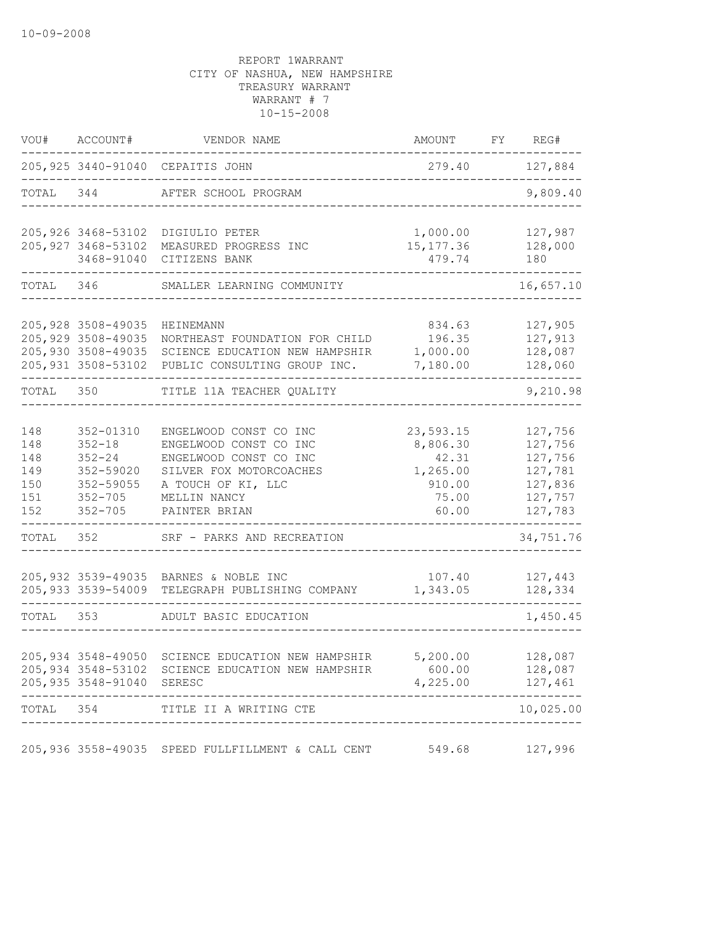| VOU#                                          | ACCOUNT#                                                                                      | VENDOR NAME                                                                                                                                                  | AMOUNT                                                                 | FY REG#                                                                   |
|-----------------------------------------------|-----------------------------------------------------------------------------------------------|--------------------------------------------------------------------------------------------------------------------------------------------------------------|------------------------------------------------------------------------|---------------------------------------------------------------------------|
|                                               |                                                                                               | 205, 925 3440-91040 CEPAITIS JOHN                                                                                                                            | 279.40                                                                 | 127,884                                                                   |
| TOTAL 344                                     |                                                                                               | AFTER SCHOOL PROGRAM                                                                                                                                         |                                                                        | 9,809.40                                                                  |
|                                               | 3468-91040                                                                                    | 205,926 3468-53102 DIGIULIO PETER<br>205, 927 3468-53102 MEASURED PROGRESS INC<br>CITIZENS BANK                                                              | 1,000.00<br>15, 177.36<br>479.74                                       | 127,987<br>128,000<br>180                                                 |
| TOTAL 346                                     |                                                                                               | SMALLER LEARNING COMMUNITY                                                                                                                                   |                                                                        | 16,657.10                                                                 |
|                                               | 205, 928 3508-49035<br>205, 929 3508-49035<br>205,930 3508-49035                              | <b>HEINEMANN</b><br>NORTHEAST FOUNDATION FOR CHILD<br>SCIENCE EDUCATION NEW HAMPSHIR<br>205,931 3508-53102 PUBLIC CONSULTING GROUP INC.                      | 834.63<br>196.35<br>1,000.00<br>7,180.00                               | 127,905<br>127,913<br>128,087<br>128,060                                  |
| TOTAL 350                                     |                                                                                               | TITLE 11A TEACHER QUALITY                                                                                                                                    |                                                                        | 9,210.98                                                                  |
| 148<br>148<br>148<br>149<br>150<br>151<br>152 | 352-01310<br>$352 - 18$<br>$352 - 24$<br>352-59020<br>352-59055<br>$352 - 705$<br>$352 - 705$ | ENGELWOOD CONST CO INC<br>ENGELWOOD CONST CO INC<br>ENGELWOOD CONST CO INC<br>SILVER FOX MOTORCOACHES<br>A TOUCH OF KI, LLC<br>MELLIN NANCY<br>PAINTER BRIAN | 23,593.15<br>8,806.30<br>42.31<br>1,265.00<br>910.00<br>75.00<br>60.00 | 127,756<br>127,756<br>127,756<br>127,781<br>127,836<br>127,757<br>127,783 |
| TOTAL                                         | 352                                                                                           | SRF - PARKS AND RECREATION                                                                                                                                   |                                                                        | 34,751.76                                                                 |
|                                               |                                                                                               | 205,932 3539-49035 BARNES & NOBLE INC<br>205,933 3539-54009 TELEGRAPH PUBLISHING COMPANY                                                                     | 107.40<br>1,343.05                                                     | 127,443<br>128,334                                                        |
| TOTAL 353                                     |                                                                                               | ADULT BASIC EDUCATION                                                                                                                                        |                                                                        | 1,450.45                                                                  |
|                                               | 205,935 3548-91040 SERESC                                                                     | 205,934 3548-49050 SCIENCE EDUCATION NEW HAMPSHIR<br>205,934 3548-53102 SCIENCE EDUCATION NEW HAMPSHIR 600.00 128,087                                        | 5,200.00<br>4, 225.00 127, 461                                         | 128,087<br>___________                                                    |
| TOTAL 354                                     |                                                                                               | TITLE II A WRITING CTE                                                                                                                                       |                                                                        | 10,025.00                                                                 |
|                                               |                                                                                               | 205,936 3558-49035 SPEED FULLFILLMENT & CALL CENT 549.68 127,996                                                                                             |                                                                        |                                                                           |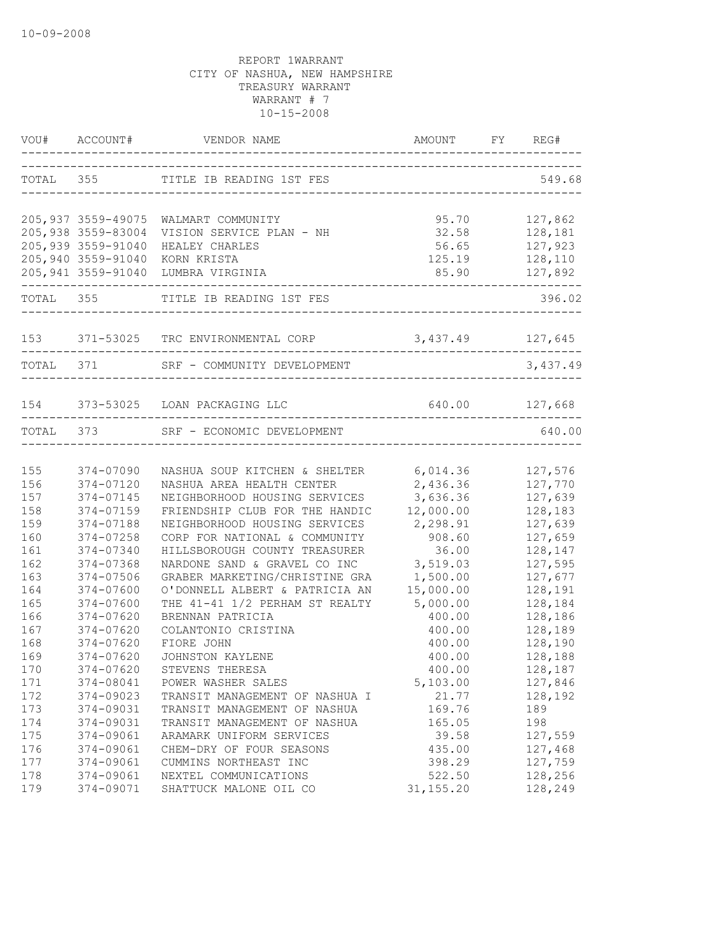|     |                    | VOU# ACCOUNT# VENDOR NAME AMOUNT FY RE                        |                                                                          | FY REG#  |
|-----|--------------------|---------------------------------------------------------------|--------------------------------------------------------------------------|----------|
|     |                    | TOTAL 355 TITLE IB READING 1ST FES                            | ___________________________________<br>_________________________________ | 549.68   |
|     |                    | 205,937 3559-49075 WALMART COMMUNITY                          | 95.70                                                                    | 127,862  |
|     | 205,938 3559-83004 | VISION SERVICE PLAN - NH                                      | 32.58                                                                    | 128,181  |
|     | 205,939 3559-91040 | HEALEY CHARLES                                                | 56.65                                                                    | 127,923  |
|     | 205,940 3559-91040 | KORN KRISTA                                                   | 125.19                                                                   | 128,110  |
|     |                    | 205,941 3559-91040 LUMBRA VIRGINIA                            |                                                                          |          |
|     |                    | TOTAL 355 TITLE IB READING 1ST FES<br>----------------------- |                                                                          | 396.02   |
|     |                    | 153 371-53025 TRC ENVIRONMENTAL CORP 3,437.49 127,645         |                                                                          |          |
|     |                    |                                                               |                                                                          |          |
|     | TOTAL 371          | SRF - COMMUNITY DEVELOPMENT                                   |                                                                          | 3,437.49 |
|     |                    | 154 373-53025 LOAN PACKAGING LLC                              | 640.00 127,668                                                           |          |
|     |                    | TOTAL 373 SRF - ECONOMIC DEVELOPMENT                          |                                                                          | 640.00   |
|     |                    |                                                               | ---------------------                                                    |          |
| 155 | 374-07090          | NASHUA SOUP KITCHEN & SHELTER                                 | 6,014.36                                                                 | 127,576  |
| 156 | 374-07120          | NASHUA AREA HEALTH CENTER                                     | 2,436.36                                                                 | 127,770  |
| 157 | 374-07145          | NEIGHBORHOOD HOUSING SERVICES                                 | 3,636.36                                                                 | 127,639  |
| 158 | 374-07159          | FRIENDSHIP CLUB FOR THE HANDIC                                | 12,000.00                                                                | 128,183  |
| 159 | 374-07188          | NEIGHBORHOOD HOUSING SERVICES                                 | 2,298.91                                                                 | 127,639  |
| 160 | 374-07258          | CORP FOR NATIONAL & COMMUNITY                                 | 908.60                                                                   | 127,659  |
| 161 | 374-07340          | HILLSBOROUGH COUNTY TREASURER                                 | 36.00                                                                    | 128,147  |
| 162 | 374-07368          | NARDONE SAND & GRAVEL CO INC                                  | 3,519.03                                                                 | 127,595  |
| 163 | 374-07506          | GRABER MARKETING/CHRISTINE GRA                                | 1,500.00                                                                 | 127,677  |
| 164 | 374-07600          | O'DONNELL ALBERT & PATRICIA AN                                | 15,000.00                                                                | 128,191  |
| 165 | 374-07600          | THE 41-41 1/2 PERHAM ST REALTY                                | 5,000.00                                                                 | 128,184  |
| 166 | 374-07620          | BRENNAN PATRICIA                                              | 400.00                                                                   | 128,186  |
| 167 | 374-07620          | COLANTONIO CRISTINA                                           | 400.00                                                                   | 128,189  |
| 168 | 374-07620          | FIORE JOHN                                                    | 400.00                                                                   | 128,190  |
| 169 | 374-07620          | JOHNSTON KAYLENE                                              | 400.00                                                                   | 128,188  |
| 170 | 374-07620          | STEVENS THERESA                                               | 400.00                                                                   | 128,187  |
| 171 | 374-08041          | POWER WASHER SALES                                            | 5,103.00                                                                 | 127,846  |
| 172 | 374-09023          | TRANSIT MANAGEMENT OF NASHUA I                                | 21.77                                                                    | 128,192  |
| 173 | 374-09031          | TRANSIT MANAGEMENT OF NASHUA                                  | 169.76                                                                   | 189      |
| 174 | 374-09031          | TRANSIT MANAGEMENT OF NASHUA                                  | 165.05                                                                   | 198      |
| 175 | 374-09061          | ARAMARK UNIFORM SERVICES                                      | 39.58                                                                    | 127,559  |
| 176 | 374-09061          | CHEM-DRY OF FOUR SEASONS                                      | 435.00                                                                   | 127,468  |
| 177 | 374-09061          | CUMMINS NORTHEAST INC                                         | 398.29                                                                   | 127,759  |
| 178 | 374-09061          | NEXTEL COMMUNICATIONS                                         | 522.50                                                                   | 128,256  |
| 179 | 374-09071          | SHATTUCK MALONE OIL CO                                        | 31, 155.20                                                               | 128,249  |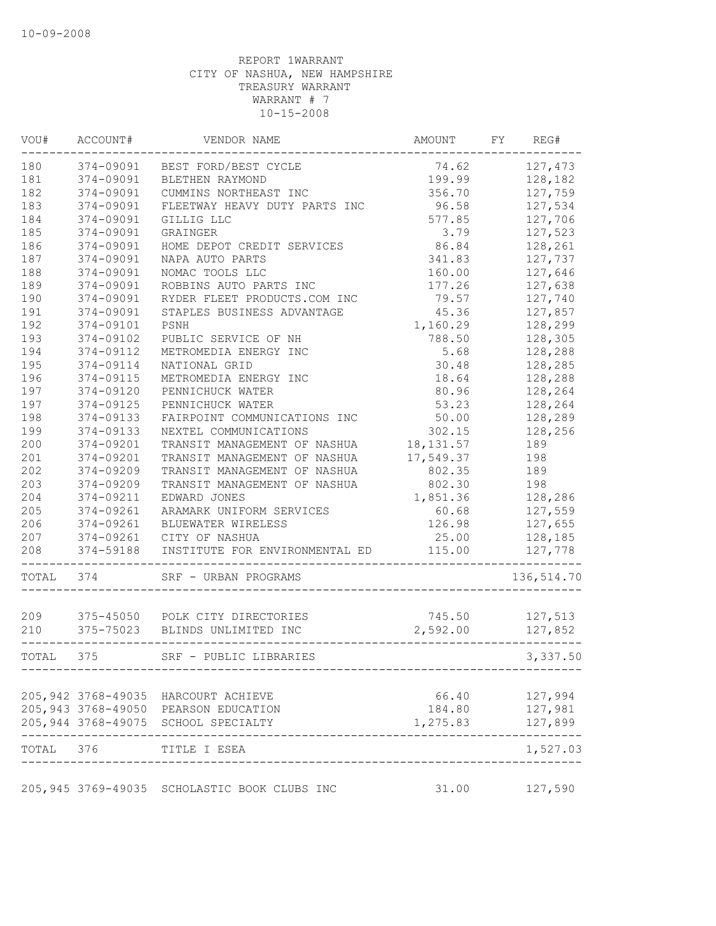| VOU#      | ACCOUNT#  | VENDOR NAME                                                                 | AMOUNT             | FY | REG#               |
|-----------|-----------|-----------------------------------------------------------------------------|--------------------|----|--------------------|
| 180       | 374-09091 | BEST FORD/BEST CYCLE                                                        | 74.62              |    | 127,473            |
| 181       | 374-09091 | BLETHEN RAYMOND                                                             | 199.99             |    | 128,182            |
| 182       | 374-09091 | CUMMINS NORTHEAST INC                                                       | 356.70             |    | 127,759            |
| 183       | 374-09091 | FLEETWAY HEAVY DUTY PARTS INC                                               | 96.58              |    | 127,534            |
| 184       | 374-09091 | GILLIG LLC                                                                  | 577.85             |    | 127,706            |
| 185       | 374-09091 | GRAINGER                                                                    | 3.79               |    | 127,523            |
| 186       | 374-09091 | HOME DEPOT CREDIT SERVICES                                                  | 86.84              |    | 128,261            |
| 187       | 374-09091 | NAPA AUTO PARTS                                                             | 341.83             |    | 127,737            |
| 188       | 374-09091 | NOMAC TOOLS LLC                                                             | 160.00             |    | 127,646            |
| 189       | 374-09091 | ROBBINS AUTO PARTS INC                                                      | 177.26             |    | 127,638            |
| 190       | 374-09091 | RYDER FLEET PRODUCTS.COM INC                                                | 79.57              |    | 127,740            |
| 191       | 374-09091 | STAPLES BUSINESS ADVANTAGE                                                  | 45.36              |    | 127,857            |
| 192       | 374-09101 | PSNH                                                                        | 1,160.29           |    | 128,299            |
| 193       | 374-09102 | PUBLIC SERVICE OF NH                                                        | 788.50             |    | 128,305            |
| 194       | 374-09112 | METROMEDIA ENERGY INC                                                       | 5.68               |    | 128,288            |
| 195       | 374-09114 | NATIONAL GRID                                                               | 30.48              |    | 128,285            |
| 196       | 374-09115 | METROMEDIA ENERGY INC                                                       | 18.64              |    | 128,288            |
| 197       | 374-09120 | PENNICHUCK WATER                                                            | 80.96              |    | 128,264            |
| 197       | 374-09125 | PENNICHUCK WATER                                                            | 53.23              |    | 128,264            |
| 198       | 374-09133 | FAIRPOINT COMMUNICATIONS INC                                                | 50.00              |    | 128,289            |
| 199       | 374-09133 | NEXTEL COMMUNICATIONS                                                       | 302.15             |    | 128,256            |
| 200       | 374-09201 | TRANSIT MANAGEMENT OF NASHUA                                                | 18, 131.57         |    | 189                |
| 201       | 374-09201 | TRANSIT MANAGEMENT OF NASHUA                                                | 17,549.37          |    | 198                |
| 202       | 374-09209 | TRANSIT MANAGEMENT OF NASHUA                                                | 802.35             |    | 189                |
| 203       | 374-09209 | TRANSIT MANAGEMENT OF NASHUA                                                | 802.30             |    | 198                |
| 204       | 374-09211 | EDWARD JONES                                                                | 1,851.36           |    | 128,286            |
| 205       | 374-09261 | ARAMARK UNIFORM SERVICES                                                    | 60.68              |    | 127,559            |
| 206       | 374-09261 | BLUEWATER WIRELESS                                                          | 126.98             |    | 127,655            |
|           |           |                                                                             |                    |    |                    |
| 207       | 374-09261 | CITY OF NASHUA                                                              | 25.00              |    | 128,185            |
| 208       | 374-59188 | INSTITUTE FOR ENVIRONMENTAL ED                                              | 115.00             |    | 127,778            |
| TOTAL     | 374       | SRF - URBAN PROGRAMS                                                        |                    |    | 136,514.70         |
| 209       |           | 375-45050 POLK CITY DIRECTORIES                                             | 745.50             |    | 127,513            |
| 210       | 375-75023 | BLINDS UNLIMITED INC                                                        | 2,592.00           |    | 127,852            |
|           |           |                                                                             |                    |    |                    |
| TOTAL     | 375       | SRF - PUBLIC LIBRARIES                                                      |                    |    | 3,337.50           |
|           |           | 205,942 3768-49035 HARCOURT ACHIEVE                                         | 66.40              |    | 127,994            |
|           |           |                                                                             |                    |    |                    |
|           |           | 205,943 3768-49050 PEARSON EDUCATION<br>205,944 3768-49075 SCHOOL SPECIALTY | 184.80<br>1,275.83 |    | 127,981<br>127,899 |
|           |           |                                                                             |                    |    | --------           |
| TOTAL 376 |           | TITLE I ESEA                                                                |                    |    | 1,527.03           |
|           |           | 205,945 3769-49035 SCHOLASTIC BOOK CLUBS INC                                | 31.00              |    | 127,590            |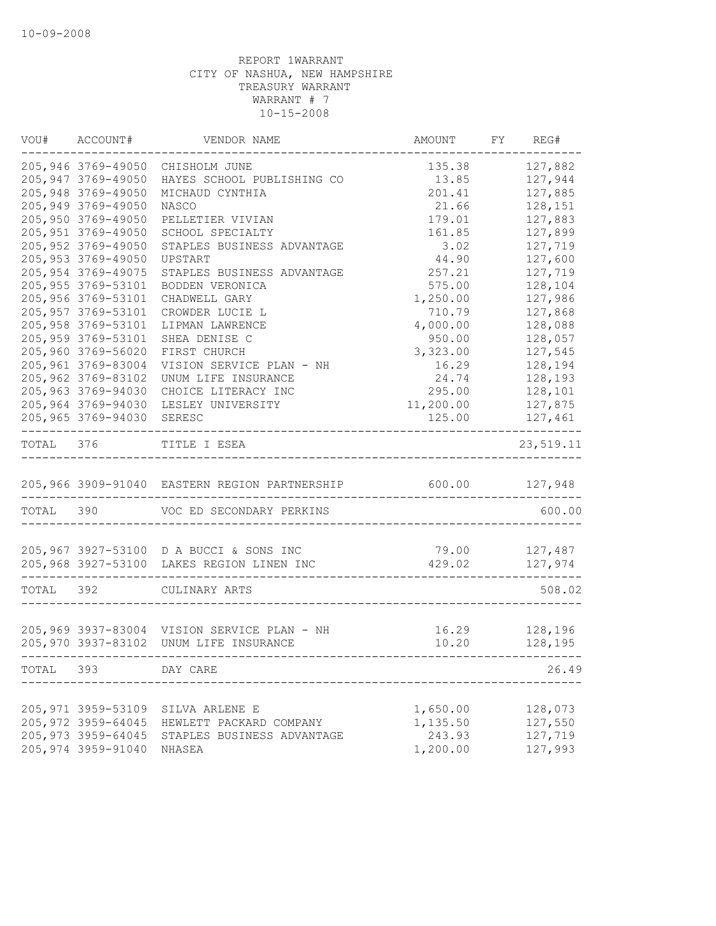|           | VOU# ACCOUNT#       | VENDOR NAME                                   | AMOUNT    | FY REG#   |
|-----------|---------------------|-----------------------------------------------|-----------|-----------|
|           | 205,946 3769-49050  | CHISHOLM JUNE                                 | 135.38    | 127,882   |
|           | 205, 947 3769-49050 | HAYES SCHOOL PUBLISHING CO                    | 13.85     | 127,944   |
|           | 205,948 3769-49050  | MICHAUD CYNTHIA                               | 201.41    | 127,885   |
|           | 205,949 3769-49050  | NASCO                                         | 21.66     | 128,151   |
|           | 205,950 3769-49050  | PELLETIER VIVIAN                              | 179.01    | 127,883   |
|           | 205, 951 3769-49050 | SCHOOL SPECIALTY                              | 161.85    | 127,899   |
|           | 205,952 3769-49050  | STAPLES BUSINESS ADVANTAGE                    | 3.02      | 127,719   |
|           | 205, 953 3769-49050 | UPSTART                                       | 44.90     | 127,600   |
|           | 205, 954 3769-49075 | STAPLES BUSINESS ADVANTAGE                    | 257.21    | 127,719   |
|           | 205, 955 3769-53101 | BODDEN VERONICA                               | 575.00    | 128,104   |
|           | 205,956 3769-53101  | CHADWELL GARY                                 | 1,250.00  | 127,986   |
|           | 205, 957 3769-53101 | CROWDER LUCIE L                               | 710.79    | 127,868   |
|           | 205, 958 3769-53101 | LIPMAN LAWRENCE                               | 4,000.00  | 128,088   |
|           | 205,959 3769-53101  | SHEA DENISE C                                 | 950.00    | 128,057   |
|           | 205,960 3769-56020  | FIRST CHURCH                                  | 3,323.00  | 127,545   |
|           | 205,961 3769-83004  | VISION SERVICE PLAN - NH                      | 16.29     | 128,194   |
|           | 205,962 3769-83102  | UNUM LIFE INSURANCE                           | 24.74     | 128,193   |
|           | 205,963 3769-94030  | CHOICE LITERACY INC                           | 295.00    | 128,101   |
|           | 205,964 3769-94030  |                                               |           |           |
|           |                     | LESLEY UNIVERSITY                             | 11,200.00 | 127,875   |
|           | 205,965 3769-94030  | SERESC                                        | 125.00    | 127,461   |
| TOTAL 376 |                     | TITLE I ESEA                                  |           | 23,519.11 |
|           |                     | 205,966 3909-91040 EASTERN REGION PARTNERSHIP | 600.00    | 127,948   |
| TOTAL 390 |                     | VOC ED SECONDARY PERKINS                      |           | 600.00    |
|           |                     |                                               |           |           |
|           |                     | 205,967 3927-53100 D A BUCCI & SONS INC       | 79.00     | 127,487   |
|           |                     | 205,968 3927-53100 LAKES REGION LINEN INC     | 429.02    | 127,974   |
| TOTAL     | 392                 | CULINARY ARTS                                 |           | 508.02    |
|           |                     |                                               |           |           |
|           |                     | 205,969 3937-83004 VISION SERVICE PLAN - NH   | 16.29     | 128,196   |
|           |                     | 205,970 3937-83102 UNUM LIFE INSURANCE        | 10.20     | 128,195   |
| TOTAL     | 393                 | DAY CARE                                      |           | 26.49     |
|           |                     |                                               |           |           |
|           | 205, 971 3959-53109 | SILVA ARLENE E                                | 1,650.00  | 128,073   |
|           | 205,972 3959-64045  | HEWLETT PACKARD COMPANY                       | 1,135.50  | 127,550   |
|           | 205, 973 3959-64045 | STAPLES BUSINESS ADVANTAGE                    | 243.93    | 127,719   |
|           | 205,974 3959-91040  | NHASEA                                        | 1,200.00  | 127,993   |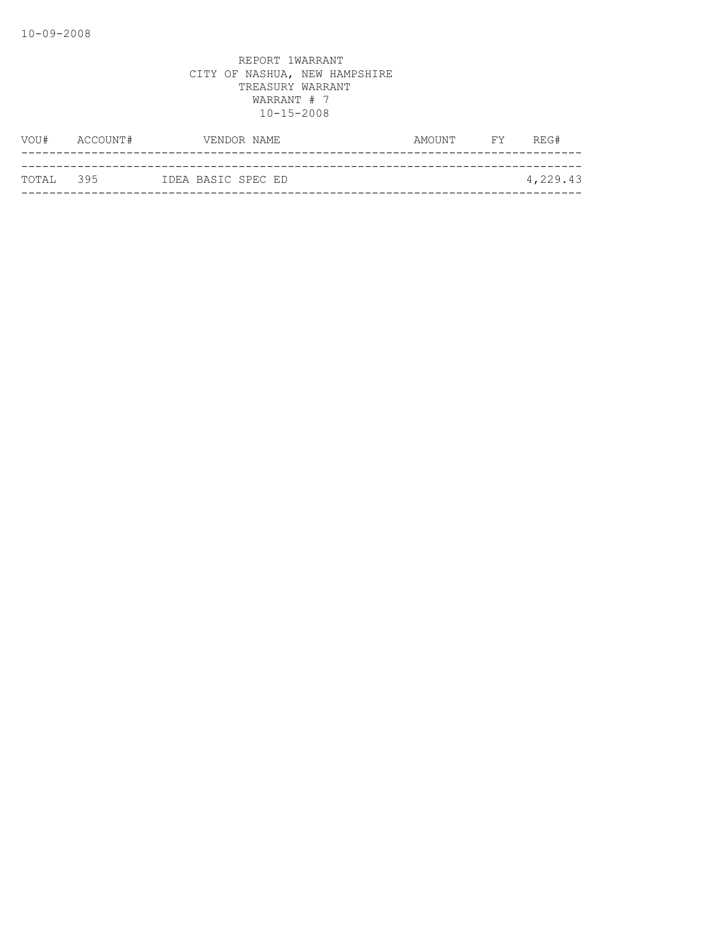| VOU#      | ACCOUNT# | VENDOR NAME        | AMOUNT | <b>FY</b> | REG#     |
|-----------|----------|--------------------|--------|-----------|----------|
|           |          |                    |        |           |          |
| TOTAL 395 |          | IDEA BASIC SPEC ED |        |           | 4,229.43 |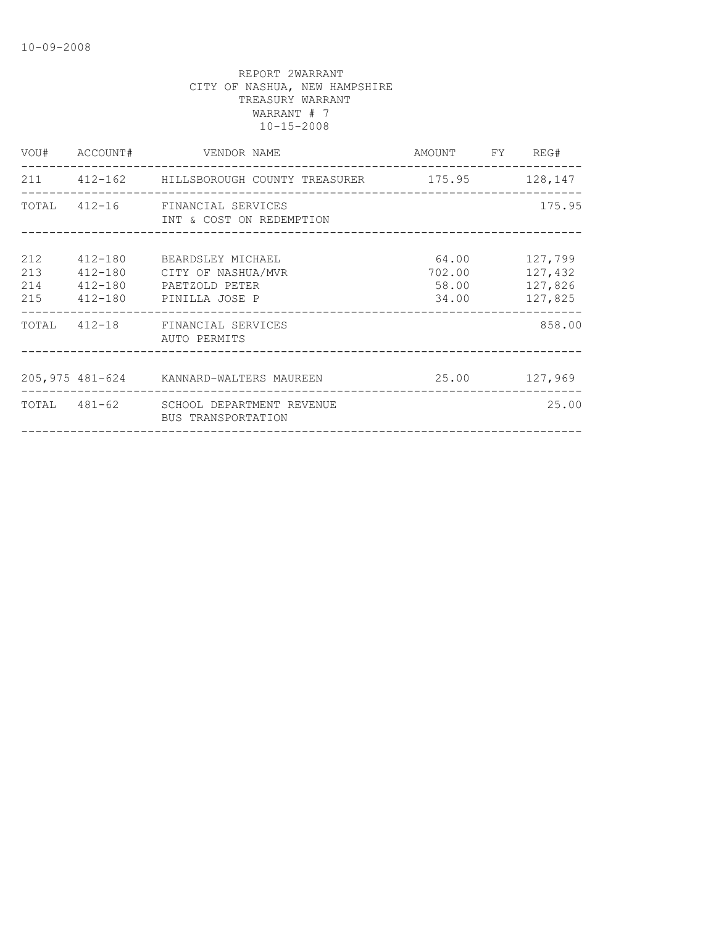| INT & COST ON REDEMPTION |                                                                                                                                                                                                                                                                                                           | 175.95                                                                                                                                       |
|--------------------------|-----------------------------------------------------------------------------------------------------------------------------------------------------------------------------------------------------------------------------------------------------------------------------------------------------------|----------------------------------------------------------------------------------------------------------------------------------------------|
|                          |                                                                                                                                                                                                                                                                                                           | 127,432<br>127,826<br>127,825                                                                                                                |
| AUTO PERMITS             |                                                                                                                                                                                                                                                                                                           | 858.00                                                                                                                                       |
|                          |                                                                                                                                                                                                                                                                                                           |                                                                                                                                              |
| BUS TRANSPORTATION       |                                                                                                                                                                                                                                                                                                           | 25.00                                                                                                                                        |
|                          | VOU# ACCOUNT# VENDOR NAME<br>TOTAL 412-16 FINANCIAL SERVICES<br>412-180 BEARDSLEY MICHAEL<br>412-180 CITY OF NASHUA/MVR<br>412-180 PAETZOLD PETER<br>215  412-180  PINILLA JOSE P<br>TOTAL 412-18 FINANCIAL SERVICES<br>205,975 481-624 KANNARD-WALTERS MAUREEN<br>TOTAL 481-62 SCHOOL DEPARTMENT REVENUE | AMOUNT FY REG#<br>211  412-162  HILLSBOROUGH COUNTY TREASURER  175.95  128,147<br>64.00 127,799<br>702.00<br>58.00<br>34.00<br>25.00 127,969 |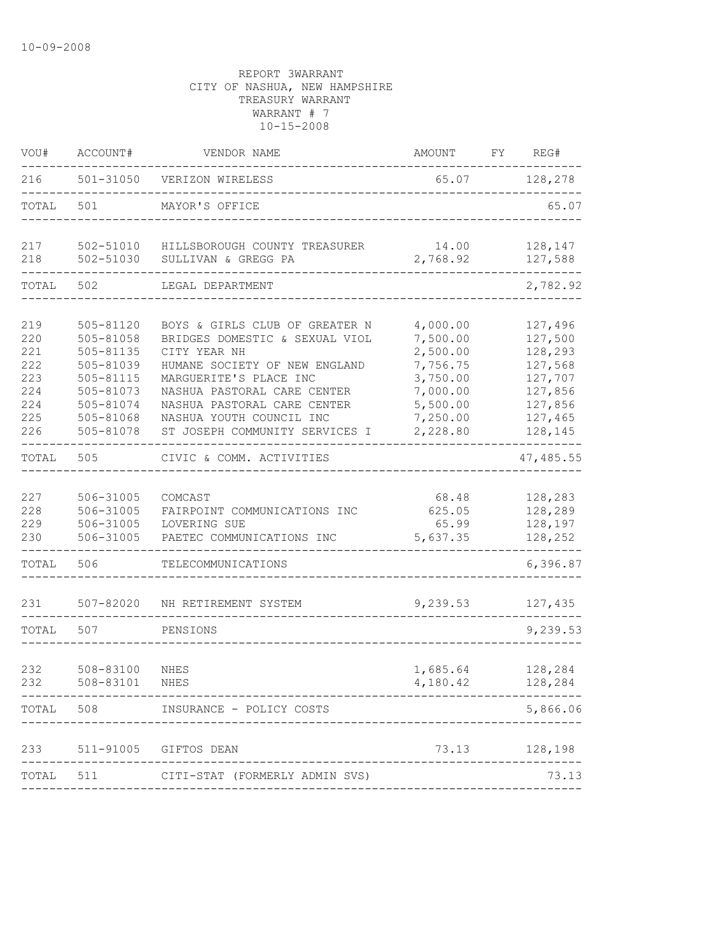| VOU#                                                        | ACCOUNT#                                                                                                          | VENDOR NAME                                                                                                                                                                                                                                                             | AMOUNT                                                                                                   | FY | REG#                                                                                            |
|-------------------------------------------------------------|-------------------------------------------------------------------------------------------------------------------|-------------------------------------------------------------------------------------------------------------------------------------------------------------------------------------------------------------------------------------------------------------------------|----------------------------------------------------------------------------------------------------------|----|-------------------------------------------------------------------------------------------------|
| 216                                                         | 501-31050                                                                                                         | VERIZON WIRELESS                                                                                                                                                                                                                                                        | 65.07                                                                                                    |    | 128,278                                                                                         |
| TOTAL                                                       | 501                                                                                                               | MAYOR'S OFFICE                                                                                                                                                                                                                                                          |                                                                                                          |    | 65.07                                                                                           |
| 217<br>218                                                  | 502-51010<br>502-51030                                                                                            | HILLSBOROUGH COUNTY TREASURER<br>SULLIVAN & GREGG PA                                                                                                                                                                                                                    | 14.00<br>2,768.92                                                                                        |    | 128,147<br>127,588                                                                              |
| TOTAL                                                       | 502                                                                                                               | LEGAL DEPARTMENT                                                                                                                                                                                                                                                        |                                                                                                          |    | 2,782.92                                                                                        |
| 219<br>220<br>221<br>222<br>223<br>224<br>224<br>225<br>226 | 505-81120<br>505-81058<br>505-81135<br>505-81039<br>505-81115<br>505-81073<br>505-81074<br>505-81068<br>505-81078 | BOYS & GIRLS CLUB OF GREATER N<br>BRIDGES DOMESTIC & SEXUAL VIOL<br>CITY YEAR NH<br>HUMANE SOCIETY OF NEW ENGLAND<br>MARGUERITE'S PLACE INC<br>NASHUA PASTORAL CARE CENTER<br>NASHUA PASTORAL CARE CENTER<br>NASHUA YOUTH COUNCIL INC<br>ST JOSEPH COMMUNITY SERVICES I | 4,000.00<br>7,500.00<br>2,500.00<br>7,756.75<br>3,750.00<br>7,000.00<br>5,500.00<br>7,250.00<br>2,228.80 |    | 127,496<br>127,500<br>128,293<br>127,568<br>127,707<br>127,856<br>127,856<br>127,465<br>128,145 |
| TOTAL                                                       | 505                                                                                                               | CIVIC & COMM. ACTIVITIES                                                                                                                                                                                                                                                |                                                                                                          |    | 47, 485.55                                                                                      |
| 227<br>228<br>229<br>230                                    | 506-31005<br>506-31005<br>506-31005<br>506-31005                                                                  | COMCAST<br>FAIRPOINT COMMUNICATIONS INC<br>LOVERING SUE<br>PAETEC COMMUNICATIONS INC                                                                                                                                                                                    | 68.48<br>625.05<br>65.99<br>5,637.35                                                                     |    | 128,283<br>128,289<br>128,197<br>128,252                                                        |
| TOTAL                                                       | 506                                                                                                               | TELECOMMUNICATIONS                                                                                                                                                                                                                                                      |                                                                                                          |    | 6,396.87                                                                                        |
| 231                                                         | $507 - 82020$                                                                                                     | NH RETIREMENT SYSTEM                                                                                                                                                                                                                                                    | 9,239.53                                                                                                 |    | 127,435                                                                                         |
| TOTAL                                                       | 507                                                                                                               | PENSIONS                                                                                                                                                                                                                                                                |                                                                                                          |    | 9,239.53                                                                                        |
| 232<br>232                                                  | 508-83100 NHES<br>508-83101                                                                                       | NHES                                                                                                                                                                                                                                                                    | 1,685.64<br>4,180.42                                                                                     |    | 128,284<br>128,284                                                                              |
| TOTAL                                                       | 508                                                                                                               | INSURANCE - POLICY COSTS                                                                                                                                                                                                                                                |                                                                                                          |    | 5,866.06                                                                                        |
| 233                                                         |                                                                                                                   | 511-91005 GIFTOS DEAN                                                                                                                                                                                                                                                   | 73.13                                                                                                    |    | 128,198                                                                                         |
| TOTAL                                                       |                                                                                                                   | 511 CITI-STAT (FORMERLY ADMIN SVS)                                                                                                                                                                                                                                      |                                                                                                          |    | 73.13                                                                                           |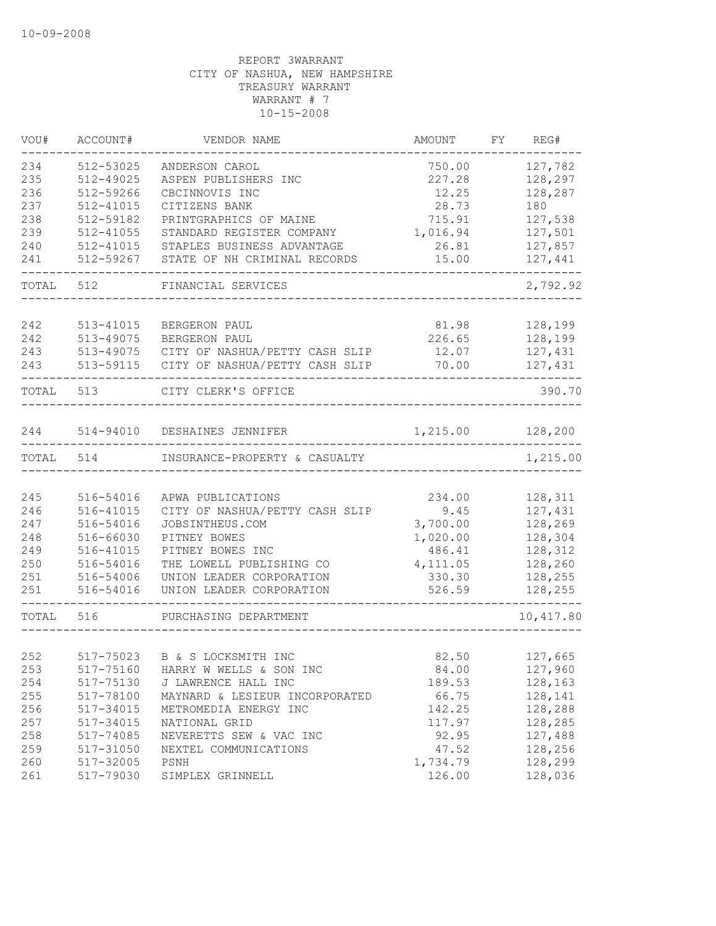| VOU#  | ACCOUNT#  | VENDOR NAME                    | AMOUNT   | FY REG#   |
|-------|-----------|--------------------------------|----------|-----------|
| 234   | 512-53025 | ANDERSON CAROL                 | 750.00   | 127,782   |
| 235   | 512-49025 | ASPEN PUBLISHERS INC           | 227.28   | 128,297   |
| 236   | 512-59266 | CBCINNOVIS INC                 | 12.25    | 128,287   |
| 237   | 512-41015 | CITIZENS BANK                  | 28.73    | 180       |
| 238   | 512-59182 | PRINTGRAPHICS OF MAINE         | 715.91   | 127,538   |
| 239   | 512-41055 | STANDARD REGISTER COMPANY      | 1,016.94 | 127,501   |
| 240   | 512-41015 | STAPLES BUSINESS ADVANTAGE     | 26.81    | 127,857   |
| 241   | 512-59267 | STATE OF NH CRIMINAL RECORDS   | 15.00    | 127,441   |
| TOTAL | 512       | FINANCIAL SERVICES             |          | 2,792.92  |
| 242   | 513-41015 | BERGERON PAUL                  | 81.98    | 128,199   |
| 242   | 513-49075 | BERGERON PAUL                  | 226.65   | 128,199   |
| 243   | 513-49075 | CITY OF NASHUA/PETTY CASH SLIP | 12.07    | 127,431   |
| 243   | 513-59115 | CITY OF NASHUA/PETTY CASH SLIP | 70.00    | 127,431   |
|       |           |                                |          |           |
| TOTAL | 513       | CITY CLERK'S OFFICE            |          | 390.70    |
| 244   |           | 514-94010 DESHAINES JENNIFER   | 1,215.00 | 128,200   |
|       |           |                                |          |           |
| TOTAL | 514       | INSURANCE-PROPERTY & CASUALTY  |          | 1,215.00  |
|       |           |                                |          |           |
| 245   | 516-54016 | APWA PUBLICATIONS              | 234.00   | 128,311   |
| 246   | 516-41015 | CITY OF NASHUA/PETTY CASH SLIP | 9.45     | 127,431   |
| 247   | 516-54016 | JOBSINTHEUS.COM                | 3,700.00 | 128,269   |
| 248   | 516-66030 | PITNEY BOWES                   | 1,020.00 | 128,304   |
| 249   | 516-41015 | PITNEY BOWES INC               | 486.41   | 128,312   |
| 250   | 516-54016 | THE LOWELL PUBLISHING CO       | 4,111.05 | 128,260   |
| 251   | 516-54006 | UNION LEADER CORPORATION       | 330.30   | 128,255   |
| 251   | 516-54016 | UNION LEADER CORPORATION       | 526.59   | 128,255   |
| TOTAL | 516       | PURCHASING DEPARTMENT          |          | 10,417.80 |
|       |           |                                |          |           |
| 252   |           | 517-75023 B & S LOCKSMITH INC  | 82.50    | 127,665   |
| 253   | 517-75160 | HARRY W WELLS & SON INC        | 84.00    | 127,960   |
| 254   | 517-75130 | J LAWRENCE HALL INC            | 189.53   | 128,163   |
| 255   | 517-78100 | MAYNARD & LESIEUR INCORPORATED | 66.75    | 128,141   |
| 256   | 517-34015 | METROMEDIA ENERGY INC          | 142.25   | 128,288   |
| 257   | 517-34015 | NATIONAL GRID                  | 117.97   | 128,285   |
| 258   | 517-74085 | NEVERETTS SEW & VAC INC        | 92.95    | 127,488   |
| 259   | 517-31050 | NEXTEL COMMUNICATIONS          | 47.52    | 128,256   |
| 260   | 517-32005 | PSNH                           | 1,734.79 | 128,299   |
| 261   | 517-79030 | SIMPLEX GRINNELL               | 126.00   | 128,036   |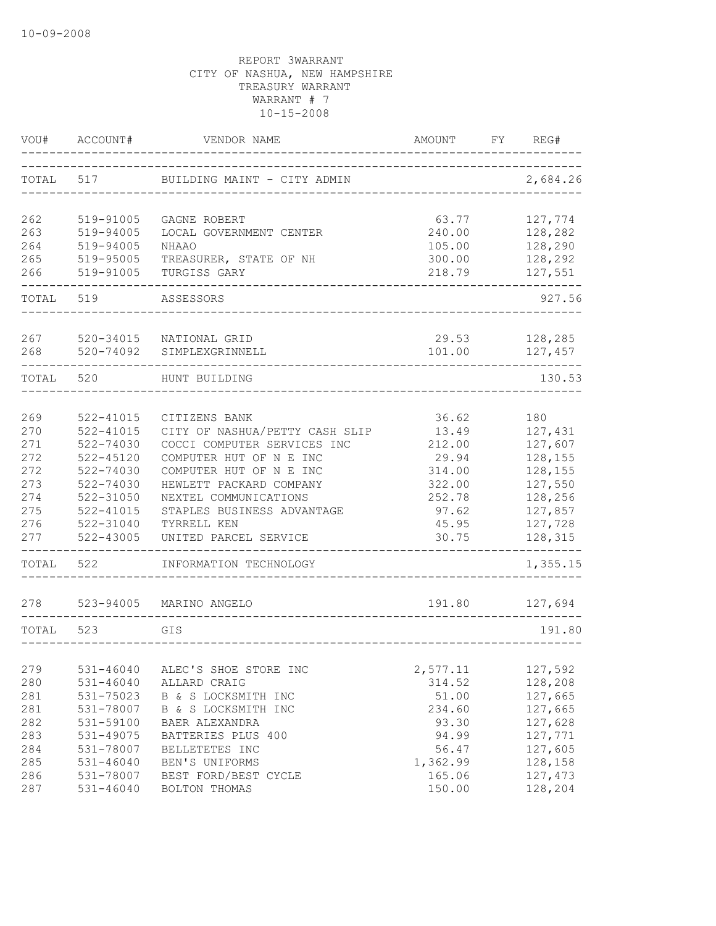| VOU#       | ACCOUNT#               | VENDOR NAME                                      | AMOUNT           | FY | REG#               |
|------------|------------------------|--------------------------------------------------|------------------|----|--------------------|
| TOTAL      | 517                    | BUILDING MAINT - CITY ADMIN                      |                  |    | 2,684.26           |
| 262        | 519-91005              | GAGNE ROBERT                                     | 63.77            |    | 127,774            |
| 263        | 519-94005              | LOCAL GOVERNMENT CENTER                          | 240.00           |    | 128,282            |
| 264        | 519-94005              | <b>NHAAO</b>                                     | 105.00           |    | 128,290            |
| 265        | 519-95005              | TREASURER, STATE OF NH                           | 300.00           |    | 128,292            |
| 266        | 519-91005              | TURGISS GARY                                     | 218.79           |    | 127,551            |
| TOTAL      | 519                    | ASSESSORS                                        |                  |    | 927.56             |
| 267        | 520-34015              | NATIONAL GRID                                    | 29.53            |    | 128,285            |
| 268        | 520-74092              | SIMPLEXGRINNELL                                  | 101.00           |    | 127,457            |
| TOTAL      | 520                    | HUNT BUILDING                                    |                  |    | 130.53             |
|            |                        |                                                  |                  |    |                    |
| 269        | 522-41015              | CITIZENS BANK                                    | 36.62            |    | 180                |
| 270        | $522 - 41015$          | CITY OF NASHUA/PETTY CASH SLIP                   | 13.49            |    | 127,431            |
| 271        | 522-74030              | COCCI COMPUTER SERVICES INC                      | 212.00           |    | 127,607            |
| 272<br>272 | 522-45120              | COMPUTER HUT OF N E INC                          | 29.94            |    | 128,155            |
| 273        | 522-74030              | COMPUTER HUT OF N E INC                          | 314.00<br>322.00 |    | 128,155            |
| 274        | 522-74030<br>522-31050 | HEWLETT PACKARD COMPANY<br>NEXTEL COMMUNICATIONS | 252.78           |    | 127,550<br>128,256 |
| 275        | $522 - 41015$          | STAPLES BUSINESS ADVANTAGE                       | 97.62            |    | 127,857            |
| 276        | 522-31040              | TYRRELL KEN                                      | 45.95            |    | 127,728            |
| 277        | 522-43005              | UNITED PARCEL SERVICE                            | 30.75            |    | 128,315            |
| TOTAL      | 522                    | INFORMATION TECHNOLOGY                           |                  |    | 1,355.15           |
|            |                        |                                                  |                  |    |                    |
| 278        | 523-94005              | MARINO ANGELO                                    | 191.80           |    | 127,694            |
| TOTAL      | 523                    | GIS                                              |                  |    | 191.80             |
|            |                        |                                                  |                  |    |                    |
| 279        | $531 - 46040$          | ALEC'S SHOE STORE INC                            | 2,577.11         |    | 127,592            |
| 280        | $531 - 46040$          | ALLARD CRAIG                                     | 314.52           |    | 128,208            |
| 281        | 531-75023              | B & S LOCKSMITH INC                              | 51.00            |    | 127,665            |
| 281        | 531-78007              | B & S LOCKSMITH INC                              | 234.60           |    | 127,665            |
| 282        | 531-59100              | BAER ALEXANDRA                                   | 93.30            |    | 127,628            |
| 283        | 531-49075              | BATTERIES PLUS 400                               | 94.99            |    | 127,771            |
| 284        | 531-78007              | BELLETETES INC                                   | 56.47            |    | 127,605            |
| 285        | $531 - 46040$          | BEN'S UNIFORMS                                   | 1,362.99         |    | 128,158            |
| 286        | 531-78007              | BEST FORD/BEST CYCLE                             | 165.06           |    | 127,473            |
| 287        | $531 - 46040$          | BOLTON THOMAS                                    | 150.00           |    | 128,204            |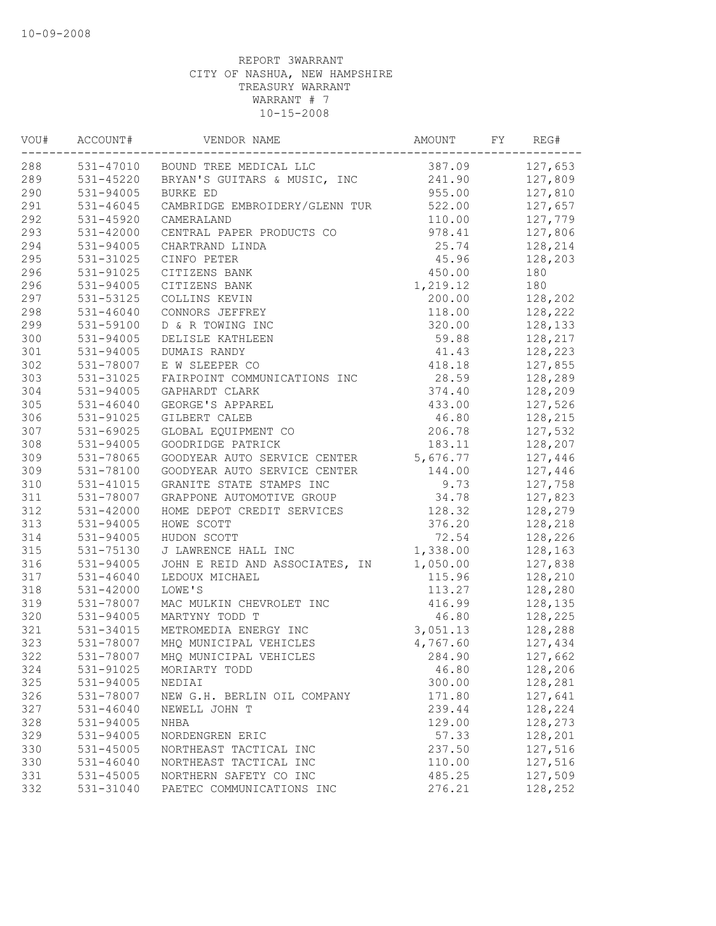| VOU# | ACCOUNT#      | VENDOR NAME                            | AMOUNT   | FY | REG#    |
|------|---------------|----------------------------------------|----------|----|---------|
| 288  |               | 531-47010 BOUND TREE MEDICAL LLC       | 387.09   |    | 127,653 |
| 289  |               | 531-45220 BRYAN'S GUITARS & MUSIC, INC | 241.90   |    | 127,809 |
| 290  | 531-94005     | BURKE ED                               | 955.00   |    | 127,810 |
| 291  | $531 - 46045$ | CAMBRIDGE EMBROIDERY/GLENN TUR         | 522.00   |    | 127,657 |
| 292  | 531-45920     | CAMERALAND                             | 110.00   |    | 127,779 |
| 293  | 531-42000     | CENTRAL PAPER PRODUCTS CO              | 978.41   |    | 127,806 |
| 294  | 531-94005     | CHARTRAND LINDA                        | 25.74    |    | 128,214 |
| 295  | 531-31025     | CINFO PETER                            | 45.96    |    | 128,203 |
| 296  | 531-91025     | CITIZENS BANK                          | 450.00   |    | 180     |
| 296  | 531-94005     | CITIZENS BANK                          | 1,219.12 |    | 180     |
| 297  | 531-53125     | COLLINS KEVIN                          | 200.00   |    | 128,202 |
| 298  | $531 - 46040$ | CONNORS JEFFREY                        | 118.00   |    | 128,222 |
| 299  | 531-59100     | D & R TOWING INC                       | 320.00   |    | 128,133 |
| 300  | 531-94005     | DELISLE KATHLEEN                       | 59.88    |    | 128,217 |
| 301  | 531-94005     | DUMAIS RANDY                           | 41.43    |    | 128,223 |
| 302  | 531-78007     | E W SLEEPER CO                         | 418.18   |    | 127,855 |
| 303  | 531-31025     | FAIRPOINT COMMUNICATIONS INC           | 28.59    |    | 128,289 |
| 304  | 531-94005     | GAPHARDT CLARK                         | 374.40   |    | 128,209 |
| 305  | 531-46040     | GEORGE'S APPAREL                       | 433.00   |    | 127,526 |
| 306  | 531-91025     | GILBERT CALEB                          | 46.80    |    | 128,215 |
| 307  | 531-69025     | GLOBAL EQUIPMENT CO                    | 206.78   |    | 127,532 |
| 308  | 531-94005     | GOODRIDGE PATRICK                      | 183.11   |    | 128,207 |
| 309  | 531-78065     | GOODYEAR AUTO SERVICE CENTER           | 5,676.77 |    | 127,446 |
| 309  | 531-78100     | GOODYEAR AUTO SERVICE CENTER           | 144.00   |    | 127,446 |
| 310  | 531-41015     | GRANITE STATE STAMPS INC               | 9.73     |    | 127,758 |
| 311  | 531-78007     | GRAPPONE AUTOMOTIVE GROUP              | 34.78    |    | 127,823 |
| 312  | 531-42000     | HOME DEPOT CREDIT SERVICES             | 128.32   |    | 128,279 |
| 313  | 531-94005     | HOWE SCOTT                             | 376.20   |    | 128,218 |
| 314  | 531-94005     | HUDON SCOTT                            | 72.54    |    | 128,226 |
| 315  | 531-75130     | J LAWRENCE HALL INC                    | 1,338.00 |    | 128,163 |
| 316  | 531-94005     | JOHN E REID AND ASSOCIATES, IN         | 1,050.00 |    | 127,838 |
| 317  | $531 - 46040$ | LEDOUX MICHAEL                         | 115.96   |    | 128,210 |
| 318  | 531-42000     | LOWE'S                                 | 113.27   |    | 128,280 |
| 319  | 531-78007     | MAC MULKIN CHEVROLET INC               | 416.99   |    | 128,135 |
| 320  | 531-94005     | MARTYNY TODD T                         | 46.80    |    | 128,225 |
| 321  | 531-34015     | METROMEDIA ENERGY INC                  | 3,051.13 |    | 128,288 |
| 323  | 531-78007     | MHQ MUNICIPAL VEHICLES                 | 4,767.60 |    | 127,434 |
| 322  | 531-78007     | MHQ MUNICIPAL VEHICLES                 | 284.90   |    | 127,662 |
| 324  | 531-91025     | MORIARTY TODD                          | 46.80    |    | 128,206 |
| 325  | 531-94005     | NEDIAI                                 | 300.00   |    | 128,281 |
| 326  | 531-78007     | NEW G.H. BERLIN OIL COMPANY            | 171.80   |    | 127,641 |
| 327  | $531 - 46040$ | NEWELL JOHN T                          | 239.44   |    | 128,224 |
| 328  | 531-94005     | NHBA                                   | 129.00   |    | 128,273 |
| 329  | 531-94005     | NORDENGREN ERIC                        | 57.33    |    | 128,201 |
| 330  | 531-45005     | NORTHEAST TACTICAL INC                 | 237.50   |    | 127,516 |
| 330  | $531 - 46040$ | NORTHEAST TACTICAL INC                 | 110.00   |    | 127,516 |
| 331  | 531-45005     | NORTHERN SAFETY CO INC                 | 485.25   |    | 127,509 |
| 332  | 531-31040     | PAETEC COMMUNICATIONS INC              | 276.21   |    | 128,252 |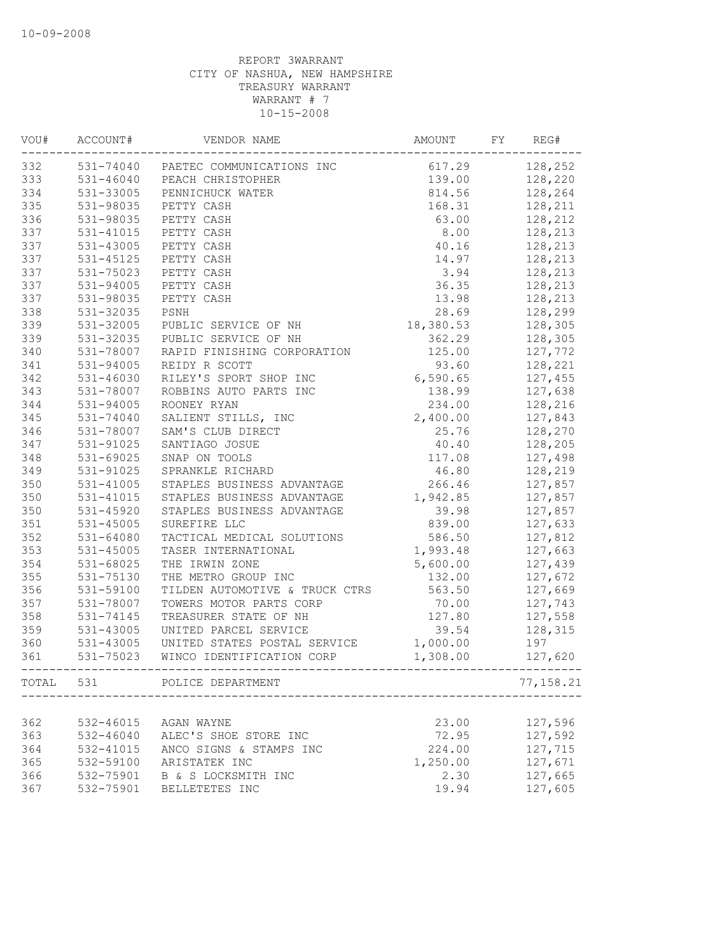| VOU# | ACCOUNT#      | VENDOR NAME                                         | AMOUNT    | FY | REG#           |
|------|---------------|-----------------------------------------------------|-----------|----|----------------|
| 332  |               | 531-74040 PAETEC COMMUNICATIONS INC                 | 617.29    |    | 128,252        |
| 333  |               | 531-46040 PEACH CHRISTOPHER                         |           |    | 139.00 128,220 |
| 334  | 531-33005     | PENNICHUCK WATER                                    | 814.56    |    | 128,264        |
| 335  | 531-98035     | PETTY CASH                                          | 168.31    |    | 128,211        |
| 336  | 531-98035     | PETTY CASH                                          | 63.00     |    | 128,212        |
| 337  | 531-41015     | PETTY CASH                                          | 8.00      |    | 128,213        |
| 337  | 531-43005     | PETTY CASH                                          | 40.16     |    | 128,213        |
| 337  | 531-45125     | PETTY CASH                                          | 14.97     |    | 128,213        |
| 337  | 531-75023     | PETTY CASH                                          | 3.94      |    | 128,213        |
| 337  | 531-94005     | PETTY CASH                                          | 36.35     |    | 128,213        |
| 337  | 531-98035     | PETTY CASH                                          | 13.98     |    | 128,213        |
| 338  | 531-32035     | PSNH                                                | 28.69     |    | 128,299        |
| 339  | 531-32005     | PUBLIC SERVICE OF NH                                | 18,380.53 |    | 128,305        |
| 339  | 531-32035     | PUBLIC SERVICE OF NH                                | 362.29    |    | 128,305        |
| 340  | 531-78007     | RAPID FINISHING CORPORATION                         | 125.00    |    | 127,772        |
| 341  | 531-94005     | REIDY R SCOTT                                       | 93.60     |    | 128,221        |
| 342  | 531-46030     | RILEY'S SPORT SHOP INC                              | 6,590.65  |    | 127,455        |
| 343  | 531-78007     | ROBBINS AUTO PARTS INC                              | 138.99    |    | 127,638        |
| 344  | 531-94005     | ROONEY RYAN                                         | 234.00    |    | 128,216        |
| 345  | 531-74040     | SALIENT STILLS, INC                                 | 2,400.00  |    | 127,843        |
| 346  | 531-78007     | SAM'S CLUB DIRECT                                   | 25.76     |    | 128,270        |
| 347  | 531-91025     | SANTIAGO JOSUE                                      | 40.40     |    | 128,205        |
| 348  | $531 - 69025$ | SNAP ON TOOLS                                       | 117.08    |    | 127,498        |
| 349  | 531-91025     | SPRANKLE RICHARD                                    | 46.80     |    | 128,219        |
| 350  | 531-41005     | STAPLES BUSINESS ADVANTAGE                          | 266.46    |    | 127,857        |
|      |               |                                                     |           |    |                |
| 350  | 531-41015     | STAPLES BUSINESS ADVANTAGE                          | 1,942.85  |    | 127,857        |
| 350  | 531-45920     | STAPLES BUSINESS ADVANTAGE                          | 39.98     |    | 127,857        |
| 351  | $531 - 45005$ | SUREFIRE LLC                                        | 839.00    |    | 127,633        |
| 352  | 531-64080     | TACTICAL MEDICAL SOLUTIONS                          | 586.50    |    | 127,812        |
| 353  | 531-45005     | TASER INTERNATIONAL                                 | 1,993.48  |    | 127,663        |
| 354  | 531-68025     | THE IRWIN ZONE                                      | 5,600.00  |    | 127,439        |
| 355  | 531-75130     | THE METRO GROUP INC                                 | 132.00    |    | 127,672        |
| 356  | 531-59100     | TILDEN AUTOMOTIVE & TRUCK CTRS                      | 563.50    |    | 127,669        |
| 357  | 531-78007     | TOWERS MOTOR PARTS CORP                             | 70.00     |    | 127,743        |
| 358  | 531-74145     | TREASURER STATE OF NH                               | 127.80    |    | 127,558        |
| 359  | 531-43005     | UNITED PARCEL SERVICE                               | 39.54     |    | 128,315        |
| 360  | 531-43005     | UNITED STATES POSTAL SERVICE                        | 1,000.00  |    | 197            |
| 361  |               | 531-75023 WINCO IDENTIFICATION CORP                 | 1,308.00  |    | 127,620        |
|      |               | TOTAL 531 POLICE DEPARTMENT<br>____________________ |           |    | 77,158.21      |
|      |               |                                                     |           |    |                |
| 362  | 532-46015     | AGAN WAYNE                                          | 23.00     |    | 127,596        |
| 363  | $532 - 46040$ | ALEC'S SHOE STORE INC                               | 72.95     |    | 127,592        |
| 364  | 532-41015     | ANCO SIGNS & STAMPS INC                             | 224.00    |    | 127,715        |
| 365  | 532-59100     | ARISTATEK INC                                       | 1,250.00  |    | 127,671        |
| 366  | 532-75901     | B & S LOCKSMITH INC                                 | 2.30      |    | 127,665        |
| 367  | 532-75901     | BELLETETES INC                                      | 19.94     |    | 127,605        |
|      |               |                                                     |           |    |                |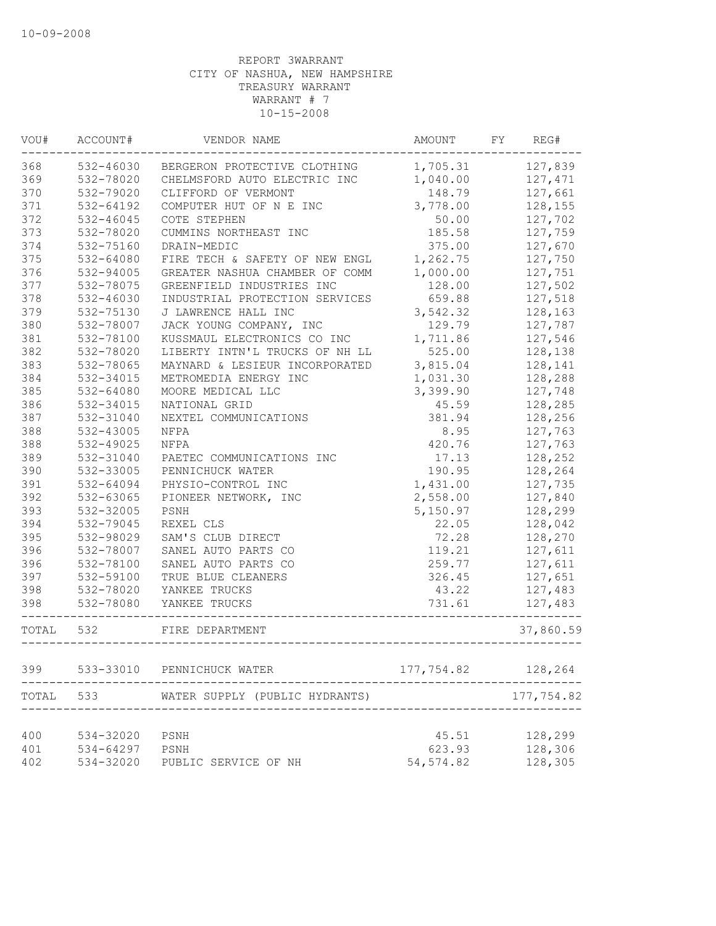| VOU#  | ACCOUNT#  | VENDOR NAME                    | AMOUNT     | FY | REG#       |
|-------|-----------|--------------------------------|------------|----|------------|
| 368   | 532-46030 | BERGERON PROTECTIVE CLOTHING   | 1,705.31   |    | 127,839    |
| 369   | 532-78020 | CHELMSFORD AUTO ELECTRIC INC   | 1,040.00   |    | 127,471    |
| 370   | 532-79020 | CLIFFORD OF VERMONT            | 148.79     |    | 127,661    |
| 371   | 532-64192 | COMPUTER HUT OF N E INC        | 3,778.00   |    | 128,155    |
| 372   | 532-46045 | COTE STEPHEN                   | 50.00      |    | 127,702    |
| 373   | 532-78020 | CUMMINS NORTHEAST INC          | 185.58     |    | 127,759    |
| 374   | 532-75160 | DRAIN-MEDIC                    | 375.00     |    | 127,670    |
| 375   | 532-64080 | FIRE TECH & SAFETY OF NEW ENGL | 1,262.75   |    | 127,750    |
| 376   | 532-94005 | GREATER NASHUA CHAMBER OF COMM | 1,000.00   |    | 127,751    |
| 377   | 532-78075 | GREENFIELD INDUSTRIES INC      | 128.00     |    | 127,502    |
| 378   | 532-46030 | INDUSTRIAL PROTECTION SERVICES | 659.88     |    | 127,518    |
| 379   | 532-75130 | J LAWRENCE HALL INC            | 3,542.32   |    | 128,163    |
| 380   | 532-78007 | JACK YOUNG COMPANY, INC        | 129.79     |    | 127,787    |
| 381   | 532-78100 | KUSSMAUL ELECTRONICS CO INC    | 1,711.86   |    | 127,546    |
| 382   | 532-78020 | LIBERTY INTN'L TRUCKS OF NH LL | 525.00     |    | 128,138    |
| 383   | 532-78065 | MAYNARD & LESIEUR INCORPORATED | 3,815.04   |    | 128,141    |
| 384   | 532-34015 | METROMEDIA ENERGY INC          | 1,031.30   |    | 128,288    |
| 385   | 532-64080 | MOORE MEDICAL LLC              | 3,399.90   |    | 127,748    |
| 386   | 532-34015 | NATIONAL GRID                  | 45.59      |    | 128,285    |
| 387   | 532-31040 | NEXTEL COMMUNICATIONS          | 381.94     |    | 128,256    |
| 388   | 532-43005 | NFPA                           | 8.95       |    | 127,763    |
| 388   | 532-49025 | NFPA                           | 420.76     |    | 127,763    |
| 389   | 532-31040 | PAETEC COMMUNICATIONS INC      | 17.13      |    | 128,252    |
| 390   | 532-33005 | PENNICHUCK WATER               | 190.95     |    | 128,264    |
| 391   | 532-64094 | PHYSIO-CONTROL INC             | 1,431.00   |    | 127,735    |
| 392   | 532-63065 | PIONEER NETWORK, INC           | 2,558.00   |    | 127,840    |
| 393   | 532-32005 | PSNH                           | 5,150.97   |    | 128,299    |
| 394   | 532-79045 | REXEL CLS                      | 22.05      |    | 128,042    |
| 395   | 532-98029 | SAM'S CLUB DIRECT              | 72.28      |    | 128,270    |
| 396   | 532-78007 | SANEL AUTO PARTS CO            | 119.21     |    | 127,611    |
| 396   | 532-78100 | SANEL AUTO PARTS CO            | 259.77     |    | 127,611    |
| 397   | 532-59100 | TRUE BLUE CLEANERS             | 326.45     |    | 127,651    |
| 398   | 532-78020 | YANKEE TRUCKS                  | 43.22      |    | 127,483    |
| 398   | 532-78080 | YANKEE TRUCKS                  | 731.61     |    | 127,483    |
| TOTAL | 532       | FIRE DEPARTMENT                |            |    | 37,860.59  |
|       |           |                                |            |    |            |
| 399   | 533-33010 | PENNICHUCK WATER               | 177,754.82 |    | 128,264    |
| TOTAL | 533       | WATER SUPPLY (PUBLIC HYDRANTS) |            |    | 177,754.82 |
| 400   | 534-32020 | PSNH                           | 45.51      |    | 128,299    |
| 401   | 534-64297 | PSNH                           | 623.93     |    | 128,306    |
| 402   | 534-32020 | PUBLIC SERVICE OF NH           | 54, 574.82 |    | 128,305    |
|       |           |                                |            |    |            |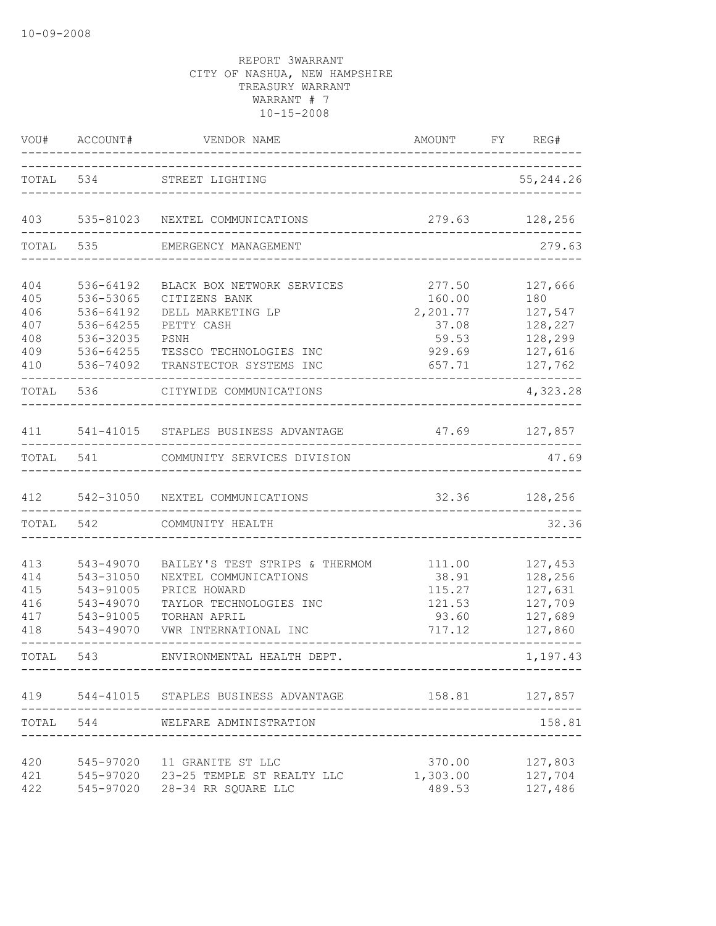| VOU#                                   | ACCOUNT#                                                                   | VENDOR NAME                                                                                                                                 | AMOUNT FY REG#<br>_____________                        |                                                                |
|----------------------------------------|----------------------------------------------------------------------------|---------------------------------------------------------------------------------------------------------------------------------------------|--------------------------------------------------------|----------------------------------------------------------------|
|                                        | TOTAL 534                                                                  | STREET LIGHTING<br>_________________________                                                                                                |                                                        | 55, 244.26                                                     |
| 403                                    |                                                                            | 535-81023 NEXTEL COMMUNICATIONS                                                                                                             |                                                        | 279.63 128,256                                                 |
| TOTAL                                  | 535                                                                        | EMERGENCY MANAGEMENT                                                                                                                        |                                                        | 279.63                                                         |
| 404<br>405<br>406<br>407               | 536-64192<br>536-53065<br>536-64192<br>536-64255                           | BLACK BOX NETWORK SERVICES<br>CITIZENS BANK<br>DELL MARKETING LP<br>PETTY CASH                                                              | 277.50<br>160.00<br>2,201.77<br>37.08                  | 127,666<br>180<br>127,547<br>128,227                           |
| 408<br>409<br>410                      | 536-32035<br>536-64255<br>536-74092                                        | PSNH<br>TESSCO TECHNOLOGIES INC<br>TRANSTECTOR SYSTEMS INC                                                                                  | 59.53<br>929.69<br>657.71                              | 128,299<br>127,616<br>127,762                                  |
| TOTAL                                  | 536                                                                        | CITYWIDE COMMUNICATIONS                                                                                                                     |                                                        | 4,323.28                                                       |
| 411                                    |                                                                            | 541-41015 STAPLES BUSINESS ADVANTAGE                                                                                                        | 47.69 127,857                                          |                                                                |
|                                        | TOTAL 541                                                                  | COMMUNITY SERVICES DIVISION                                                                                                                 |                                                        | 47.69                                                          |
| 412                                    |                                                                            | 542-31050 NEXTEL COMMUNICATIONS                                                                                                             | 32.36                                                  | 128,256                                                        |
| TOTAL                                  | 542                                                                        | COMMUNITY HEALTH                                                                                                                            |                                                        | 32.36                                                          |
| 413<br>414<br>415<br>416<br>417<br>418 | 543-49070<br>543-31050<br>543-91005<br>543-49070<br>543-91005<br>543-49070 | BAILEY'S TEST STRIPS & THERMOM<br>NEXTEL COMMUNICATIONS<br>PRICE HOWARD<br>TAYLOR TECHNOLOGIES INC<br>TORHAN APRIL<br>VWR INTERNATIONAL INC | 111.00<br>38.91<br>115.27<br>121.53<br>93.60<br>717.12 | 127,453<br>128,256<br>127,631<br>127,709<br>127,689<br>127,860 |
| TOTAL 543                              |                                                                            | ENVIRONMENTAL HEALTH DEPT.                                                                                                                  |                                                        | 1,197.43                                                       |
|                                        |                                                                            | 419 544-41015 STAPLES BUSINESS ADVANTAGE                                                                                                    |                                                        | 158.81 127,857                                                 |
|                                        |                                                                            | TOTAL 544 WELFARE ADMINISTRATION                                                                                                            |                                                        | 158.81                                                         |
| 420<br>421<br>422                      |                                                                            | 545-97020 11 GRANITE ST LLC<br>545-97020 23-25 TEMPLE ST REALTY LLC<br>545-97020 28-34 RR SQUARE LLC                                        | 370.00<br>1,303.00<br>489.53                           | 127,803<br>127,704<br>127,486                                  |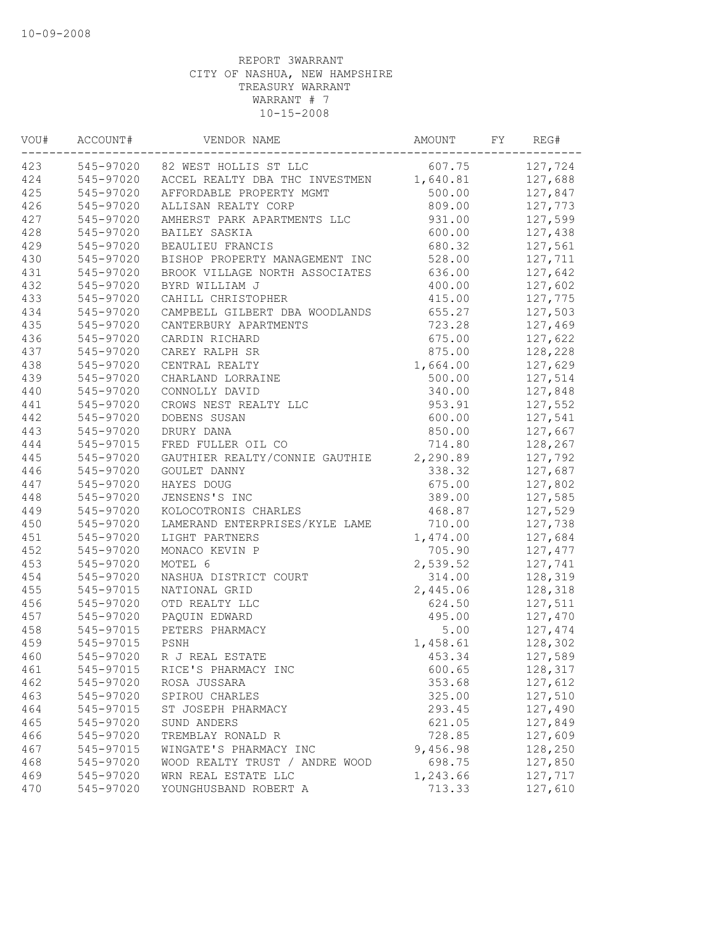| VOU# | ACCOUNT#  | VENDOR NAME                     | AMOUNT   | FY | REG#    |
|------|-----------|---------------------------------|----------|----|---------|
| 423  |           | 545-97020 82 WEST HOLLIS ST LLC | 607.75   |    | 127,724 |
| 424  | 545-97020 | ACCEL REALTY DBA THC INVESTMEN  | 1,640.81 |    | 127,688 |
| 425  | 545-97020 | AFFORDABLE PROPERTY MGMT        | 500.00   |    | 127,847 |
| 426  | 545-97020 | ALLISAN REALTY CORP             | 809.00   |    | 127,773 |
| 427  | 545-97020 | AMHERST PARK APARTMENTS LLC     | 931.00   |    | 127,599 |
| 428  | 545-97020 | BAILEY SASKIA                   | 600.00   |    | 127,438 |
| 429  | 545-97020 | BEAULIEU FRANCIS                | 680.32   |    | 127,561 |
| 430  | 545-97020 | BISHOP PROPERTY MANAGEMENT INC  | 528.00   |    | 127,711 |
| 431  | 545-97020 | BROOK VILLAGE NORTH ASSOCIATES  | 636.00   |    | 127,642 |
| 432  | 545-97020 | BYRD WILLIAM J                  | 400.00   |    | 127,602 |
| 433  | 545-97020 | CAHILL CHRISTOPHER              | 415.00   |    | 127,775 |
| 434  | 545-97020 | CAMPBELL GILBERT DBA WOODLANDS  | 655.27   |    | 127,503 |
| 435  | 545-97020 | CANTERBURY APARTMENTS           | 723.28   |    | 127,469 |
| 436  | 545-97020 | CARDIN RICHARD                  | 675.00   |    | 127,622 |
| 437  | 545-97020 | CAREY RALPH SR                  | 875.00   |    | 128,228 |
| 438  | 545-97020 | CENTRAL REALTY                  | 1,664.00 |    | 127,629 |
| 439  | 545-97020 | CHARLAND LORRAINE               | 500.00   |    | 127,514 |
| 440  | 545-97020 | CONNOLLY DAVID                  | 340.00   |    | 127,848 |
| 441  | 545-97020 | CROWS NEST REALTY LLC           | 953.91   |    | 127,552 |
| 442  | 545-97020 | DOBENS SUSAN                    | 600.00   |    | 127,541 |
| 443  | 545-97020 | DRURY DANA                      | 850.00   |    | 127,667 |
| 444  | 545-97015 | FRED FULLER OIL CO              | 714.80   |    | 128,267 |
| 445  | 545-97020 | GAUTHIER REALTY/CONNIE GAUTHIE  | 2,290.89 |    | 127,792 |
| 446  | 545-97020 | GOULET DANNY                    | 338.32   |    | 127,687 |
| 447  | 545-97020 | HAYES DOUG                      | 675.00   |    | 127,802 |
| 448  | 545-97020 | JENSENS'S INC                   | 389.00   |    | 127,585 |
| 449  | 545-97020 | KOLOCOTRONIS CHARLES            | 468.87   |    | 127,529 |
| 450  | 545-97020 | LAMERAND ENTERPRISES/KYLE LAME  | 710.00   |    | 127,738 |
| 451  | 545-97020 | LIGHT PARTNERS                  | 1,474.00 |    | 127,684 |
| 452  | 545-97020 | MONACO KEVIN P                  | 705.90   |    | 127,477 |
| 453  | 545-97020 | MOTEL 6                         | 2,539.52 |    | 127,741 |
| 454  | 545-97020 | NASHUA DISTRICT COURT           | 314.00   |    | 128,319 |
| 455  | 545-97015 | NATIONAL GRID                   | 2,445.06 |    | 128,318 |
| 456  | 545-97020 | OTD REALTY LLC                  | 624.50   |    | 127,511 |
| 457  | 545-97020 | PAQUIN EDWARD                   | 495.00   |    | 127,470 |
| 458  | 545-97015 | PETERS PHARMACY                 | 5.00     |    | 127,474 |
| 459  | 545-97015 | PSNH                            | 1,458.61 |    | 128,302 |
| 460  | 545-97020 | R J REAL ESTATE                 | 453.34   |    | 127,589 |
| 461  | 545-97015 | RICE'S PHARMACY INC             | 600.65   |    | 128,317 |
| 462  | 545-97020 | ROSA JUSSARA                    | 353.68   |    | 127,612 |
| 463  | 545-97020 | SPIROU CHARLES                  | 325.00   |    | 127,510 |
| 464  | 545-97015 | ST JOSEPH PHARMACY              | 293.45   |    | 127,490 |
| 465  | 545-97020 | SUND ANDERS                     | 621.05   |    | 127,849 |
| 466  | 545-97020 | TREMBLAY RONALD R               | 728.85   |    | 127,609 |
| 467  | 545-97015 | WINGATE'S PHARMACY INC          | 9,456.98 |    | 128,250 |
| 468  | 545-97020 | WOOD REALTY TRUST / ANDRE WOOD  | 698.75   |    | 127,850 |
| 469  | 545-97020 | WRN REAL ESTATE LLC             | 1,243.66 |    | 127,717 |
| 470  | 545-97020 | YOUNGHUSBAND ROBERT A           | 713.33   |    | 127,610 |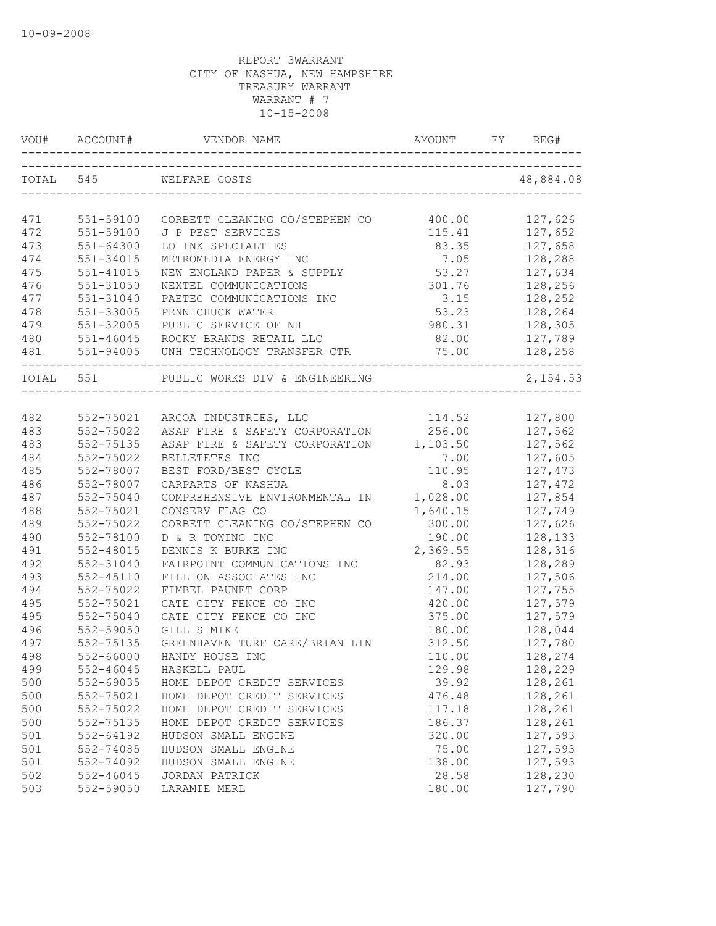|           | VOU# ACCOUNT# |                                         |          | REG#      |
|-----------|---------------|-----------------------------------------|----------|-----------|
| TOTAL 545 |               | WELFARE COSTS                           |          | 48,884.08 |
|           |               |                                         |          |           |
| 471       | 551-59100     | CORBETT CLEANING CO/STEPHEN CO          | 400.00   | 127,626   |
| 472       | 551-59100     | J P PEST SERVICES                       | 115.41   | 127,652   |
| 473       | $551 - 64300$ | LO INK SPECIALTIES                      | 83.35    | 127,658   |
| 474       | 551-34015     | METROMEDIA ENERGY INC                   | 7.05     | 128,288   |
| 475       | $551 - 41015$ | NEW ENGLAND PAPER & SUPPLY              | 53.27    | 127,634   |
| 476       | 551-31050     | NEXTEL COMMUNICATIONS                   | 301.76   | 128,256   |
| 477       | 551-31040     | PAETEC COMMUNICATIONS INC               | 3.15     | 128,252   |
| 478       | 551-33005     | PENNICHUCK WATER                        | 53.23    | 128,264   |
| 479       | 551-32005     | PUBLIC SERVICE OF NH                    | 980.31   | 128,305   |
| 480       | $551 - 46045$ | ROCKY BRANDS RETAIL LLC                 | 82.00    | 127,789   |
| 481       | 551-94005     | UNH TECHNOLOGY TRANSFER CTR             | 75.00    | 128,258   |
| TOTAL 551 |               | PUBLIC WORKS DIV & ENGINEERING          |          | 2,154.53  |
|           |               |                                         |          |           |
| 482       | 552-75021     | ARCOA INDUSTRIES, LLC                   | 114.52   | 127,800   |
| 483       | 552-75022     | ASAP FIRE & SAFETY CORPORATION          | 256.00   | 127,562   |
| 483       | 552-75135     | ASAP FIRE & SAFETY CORPORATION 1,103.50 |          | 127,562   |
| 484       | 552-75022     | BELLETETES INC                          | 7.00     | 127,605   |
| 485       | 552-78007     | BEST FORD/BEST CYCLE                    | 110.95   | 127,473   |
| 486       | 552-78007     | CARPARTS OF NASHUA                      | 8.03     | 127,472   |
| 487       | 552-75040     | COMPREHENSIVE ENVIRONMENTAL IN          | 1,028.00 | 127,854   |
| 488       | 552-75021     | CONSERV FLAG CO                         | 1,640.15 | 127,749   |
| 489       | 552-75022     | CORBETT CLEANING CO/STEPHEN CO          | 300.00   | 127,626   |
| 490       | 552-78100     | D & R TOWING INC                        | 190.00   | 128,133   |
| 491       | 552-48015     | DENNIS K BURKE INC                      | 2,369.55 | 128,316   |
| 492       | 552-31040     | FAIRPOINT COMMUNICATIONS INC            | 82.93    | 128,289   |
| 493       | $552 - 45110$ | FILLION ASSOCIATES INC                  | 214.00   | 127,506   |
| 494       | 552-75022     | FIMBEL PAUNET CORP                      | 147.00   | 127,755   |
| 495       | 552-75021     | GATE CITY FENCE CO INC                  | 420.00   | 127,579   |
| 495       | 552-75040     | GATE CITY FENCE CO INC                  | 375.00   | 127,579   |
| 496       | 552-59050     | GILLIS MIKE                             | 180.00   | 128,044   |
| 497       | 552-75135     | GREENHAVEN TURF CARE/BRIAN LIN          | 312.50   | 127,780   |
| 498       | 552-66000     | HANDY HOUSE INC                         | 110.00   | 128,274   |
| 499       | $552 - 46045$ | HASKELL PAUL                            | 129.98   | 128,229   |
| 500       | 552-69035     | HOME DEPOT CREDIT SERVICES              | 39.92    | 128,261   |
| 500       | 552-75021     | HOME DEPOT CREDIT SERVICES              | 476.48   | 128,261   |
| 500       | 552-75022     | HOME DEPOT CREDIT SERVICES              | 117.18   | 128,261   |
| 500       | 552-75135     | HOME DEPOT CREDIT SERVICES              | 186.37   | 128,261   |
| 501       | 552-64192     | HUDSON SMALL ENGINE                     | 320.00   | 127,593   |
| 501       | 552-74085     | HUDSON SMALL ENGINE                     | 75.00    | 127,593   |
| 501       | 552-74092     | HUDSON SMALL ENGINE                     | 138.00   | 127,593   |
| 502       | 552-46045     | JORDAN PATRICK                          | 28.58    | 128,230   |
| 503       | 552-59050     | LARAMIE MERL                            | 180.00   | 127,790   |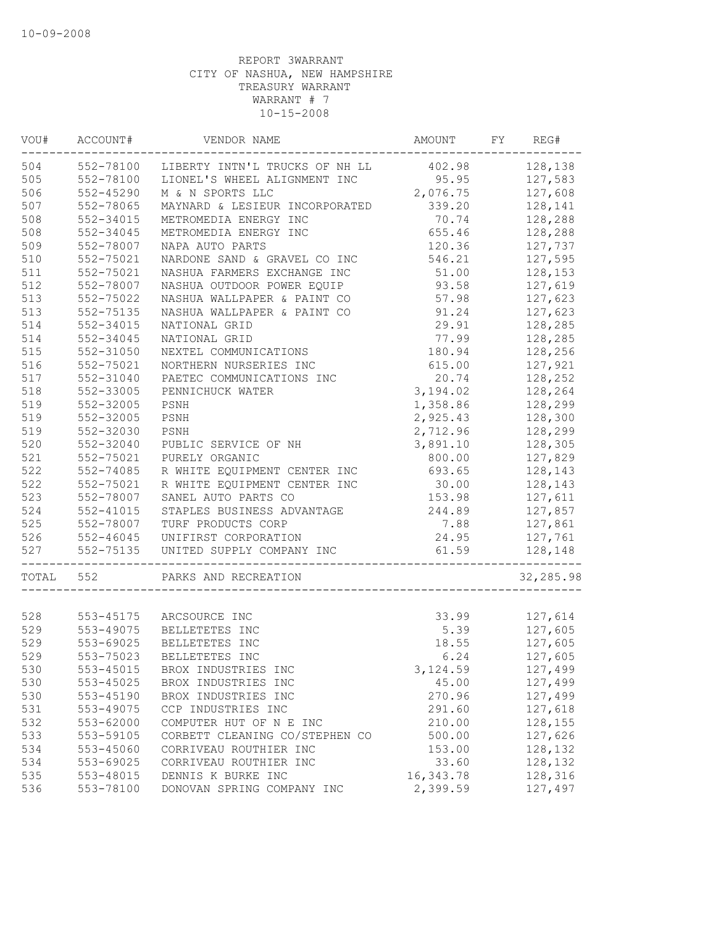| VOU#  | ACCOUNT#  | VENDOR NAME                           | AMOUNT    | FY | REG#      |
|-------|-----------|---------------------------------------|-----------|----|-----------|
| 504   | 552-78100 | LIBERTY INTN'L TRUCKS OF NH LL 402.98 |           |    | 128,138   |
| 505   | 552-78100 | LIONEL'S WHEEL ALIGNMENT INC          | 95.95     |    | 127,583   |
| 506   | 552-45290 | M & N SPORTS LLC                      | 2,076.75  |    | 127,608   |
| 507   | 552-78065 | MAYNARD & LESIEUR INCORPORATED        | 339.20    |    | 128,141   |
| 508   | 552-34015 | METROMEDIA ENERGY INC                 | 70.74     |    | 128,288   |
| 508   | 552-34045 | METROMEDIA ENERGY INC                 | 655.46    |    | 128,288   |
| 509   | 552-78007 | NAPA AUTO PARTS                       | 120.36    |    | 127,737   |
| 510   | 552-75021 | NARDONE SAND & GRAVEL CO INC          | 546.21    |    | 127,595   |
| 511   | 552-75021 | NASHUA FARMERS EXCHANGE INC           | 51.00     |    | 128,153   |
| 512   | 552-78007 | NASHUA OUTDOOR POWER EQUIP            | 93.58     |    | 127,619   |
| 513   | 552-75022 | NASHUA WALLPAPER & PAINT CO           | 57.98     |    | 127,623   |
| 513   | 552-75135 | NASHUA WALLPAPER & PAINT CO           | 91.24     |    | 127,623   |
| 514   | 552-34015 | NATIONAL GRID                         | 29.91     |    | 128,285   |
| 514   | 552-34045 | NATIONAL GRID                         | 77.99     |    | 128,285   |
| 515   | 552-31050 | NEXTEL COMMUNICATIONS                 | 180.94    |    | 128,256   |
| 516   | 552-75021 | NORTHERN NURSERIES INC                | 615.00    |    | 127,921   |
| 517   | 552-31040 | PAETEC COMMUNICATIONS INC             | 20.74     |    | 128,252   |
| 518   | 552-33005 | PENNICHUCK WATER                      | 3,194.02  |    | 128,264   |
| 519   | 552-32005 | PSNH                                  | 1,358.86  |    | 128,299   |
| 519   | 552-32005 | PSNH                                  | 2,925.43  |    | 128,300   |
| 519   | 552-32030 | PSNH                                  | 2,712.96  |    | 128,299   |
| 520   | 552-32040 | PUBLIC SERVICE OF NH                  | 3,891.10  |    | 128,305   |
| 521   | 552-75021 | PURELY ORGANIC                        | 800.00    |    | 127,829   |
| 522   | 552-74085 | R WHITE EQUIPMENT CENTER INC          | 693.65    |    | 128,143   |
| 522   | 552-75021 | R WHITE EQUIPMENT CENTER INC          | 30.00     |    |           |
|       |           |                                       |           |    | 128,143   |
| 523   | 552-78007 | SANEL AUTO PARTS CO                   | 153.98    |    | 127,611   |
| 524   | 552-41015 | STAPLES BUSINESS ADVANTAGE            | 244.89    |    | 127,857   |
| 525   | 552-78007 | TURF PRODUCTS CORP                    | 7.88      |    | 127,861   |
| 526   | 552-46045 | UNIFIRST CORPORATION                  | 24.95     |    | 127,761   |
| 527   | 552-75135 | UNITED SUPPLY COMPANY INC             | 61.59     |    | 128,148   |
| TOTAL | 552       | PARKS AND RECREATION                  |           |    | 32,285.98 |
|       |           |                                       |           |    |           |
| 528   |           | 553-45175 ARCSOURCE INC               | 33.99     |    | 127,614   |
| 529   | 553-49075 | BELLETETES INC                        | 5.39      |    | 127,605   |
| 529   | 553-69025 | BELLETETES INC                        | 18.55     |    | 127,605   |
| 529   | 553-75023 | BELLETETES INC                        | 6.24      |    | 127,605   |
| 530   | 553-45015 | BROX INDUSTRIES INC                   | 3,124.59  |    | 127,499   |
| 530   | 553-45025 | BROX INDUSTRIES INC                   | 45.00     |    | 127,499   |
| 530   | 553-45190 | BROX INDUSTRIES INC                   | 270.96    |    | 127,499   |
| 531   | 553-49075 | CCP INDUSTRIES INC                    | 291.60    |    | 127,618   |
| 532   | 553-62000 | COMPUTER HUT OF N E INC               | 210.00    |    | 128,155   |
| 533   | 553-59105 | CORBETT CLEANING CO/STEPHEN CO        | 500.00    |    | 127,626   |
| 534   | 553-45060 | CORRIVEAU ROUTHIER INC                | 153.00    |    | 128,132   |
| 534   | 553-69025 | CORRIVEAU ROUTHIER INC                | 33.60     |    | 128,132   |
| 535   | 553-48015 | DENNIS K BURKE INC                    | 16,343.78 |    | 128,316   |
| 536   | 553-78100 | DONOVAN SPRING COMPANY INC            | 2,399.59  |    | 127,497   |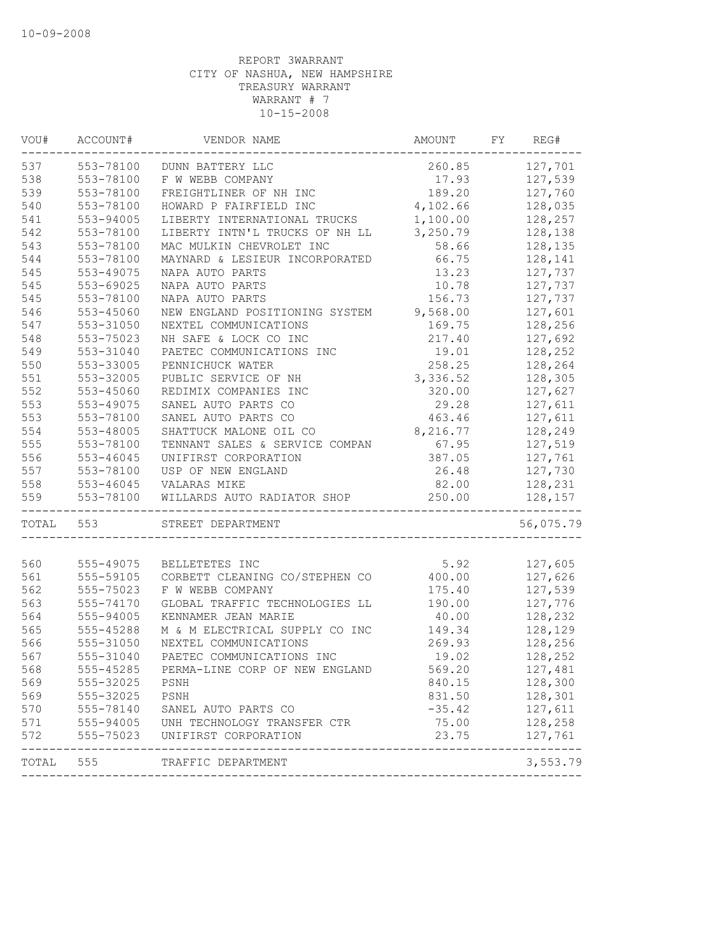| VOU#  | ACCOUNT#                         | VENDOR NAME                                | AMOUNT   | FY | REG#                      |
|-------|----------------------------------|--------------------------------------------|----------|----|---------------------------|
| 537   | 553-78100                        | DUNN BATTERY LLC                           | 260.85   |    | 127,701                   |
| 538   | 553-78100                        | F W WEBB COMPANY                           | 17.93    |    | 127,539                   |
| 539   | 553-78100                        | FREIGHTLINER OF NH INC                     | 189.20   |    | 127,760                   |
| 540   | 553-78100                        | HOWARD P FAIRFIELD INC                     | 4,102.66 |    | 128,035                   |
| 541   | 553-94005                        | LIBERTY INTERNATIONAL TRUCKS               | 1,100.00 |    | 128,257                   |
| 542   | 553-78100                        | LIBERTY INTN'L TRUCKS OF NH LL             | 3,250.79 |    | 128,138                   |
| 543   | 553-78100                        | MAC MULKIN CHEVROLET INC                   | 58.66    |    | 128,135                   |
| 544   | 553-78100                        | MAYNARD & LESIEUR INCORPORATED             | 66.75    |    | 128,141                   |
| 545   | 553-49075                        | NAPA AUTO PARTS                            | 13.23    |    | 127,737                   |
| 545   | 553-69025                        | NAPA AUTO PARTS                            | 10.78    |    | 127,737                   |
| 545   | 553-78100                        | NAPA AUTO PARTS                            | 156.73   |    | 127,737                   |
| 546   | 553-45060                        | NEW ENGLAND POSITIONING SYSTEM 9,568.00    |          |    | 127,601                   |
| 547   | 553-31050                        | NEXTEL COMMUNICATIONS                      | 169.75   |    | 128,256                   |
| 548   | 553-75023                        | NH SAFE & LOCK CO INC                      | 217.40   |    | 127,692                   |
| 549   | 553-31040                        | PAETEC COMMUNICATIONS INC                  | 19.01    |    | 128,252                   |
| 550   | 553-33005                        | PENNICHUCK WATER                           | 258.25   |    | 128,264                   |
| 551   | 553-32005                        | PUBLIC SERVICE OF NH                       | 3,336.52 |    | 128,305                   |
| 552   | 553-45060                        | REDIMIX COMPANIES INC                      | 320.00   |    | 127,627                   |
| 553   | 553-49075                        | SANEL AUTO PARTS CO                        | 29.28    |    | 127,611                   |
| 553   | 553-78100                        | SANEL AUTO PARTS CO                        | 463.46   |    | 127,611                   |
| 554   | 553-48005                        | SHATTUCK MALONE OIL CO                     | 8,216.77 |    | 128,249                   |
| 555   | 553-78100                        | TENNANT SALES & SERVICE COMPAN             | 67.95    |    | 127,519                   |
| 556   | 553-46045                        | UNIFIRST CORPORATION                       | 387.05   |    | 127,761                   |
| 557   | 553-78100                        | USP OF NEW ENGLAND                         | 26.48    |    | 127,730                   |
| 558   | 553-46045                        | VALARAS MIKE                               | 82.00    |    | 128,231                   |
| 559   | 553-78100<br>------------------- | WILLARDS AUTO RADIATOR SHOP<br>___________ | 250.00   |    | 128,157                   |
| TOTAL | 553                              | STREET DEPARTMENT                          |          |    | 56,075.79                 |
| 560   | 555-49075                        | BELLETETES INC                             | 5.92     |    | 127,605                   |
| 561   | 555-59105                        | CORBETT CLEANING CO/STEPHEN CO             | 400.00   |    | 127,626                   |
| 562   | 555-75023                        | F W WEBB COMPANY                           | 175.40   |    | 127,539                   |
| 563   | 555-74170                        | GLOBAL TRAFFIC TECHNOLOGIES LL             | 190.00   |    | 127,776                   |
| 564   | 555-94005                        | KENNAMER JEAN MARIE                        | 40.00    |    | 128,232                   |
| 565   | 555-45288                        | M & M ELECTRICAL SUPPLY CO INC             | 149.34   |    | 128,129                   |
| 566   | 555-31050                        | NEXTEL COMMUNICATIONS                      | 269.93   |    | 128,256                   |
| 567   | 555-31040                        | PAETEC COMMUNICATIONS INC                  | 19.02    |    | 128,252                   |
| 568   | 555-45285                        | PERMA-LINE CORP OF NEW ENGLAND             | 569.20   |    | 127,481                   |
| 569   | 555-32025                        | PSNH                                       | 840.15   |    | 128,300                   |
| 569   | 555-32025                        | PSNH                                       | 831.50   |    | 128,301                   |
| 570   | 555-78140                        | SANEL AUTO PARTS CO                        | $-35.42$ |    | 127,611                   |
| 571   | 555-94005                        | UNH TECHNOLOGY TRANSFER CTR                | 75.00    |    | 128,258                   |
| 572   | 555-75023                        | UNIFIRST CORPORATION                       | 23.75    |    | 127,761                   |
| TOTAL | 555                              | TRAFFIC DEPARTMENT                         |          |    | -------------<br>3,553.79 |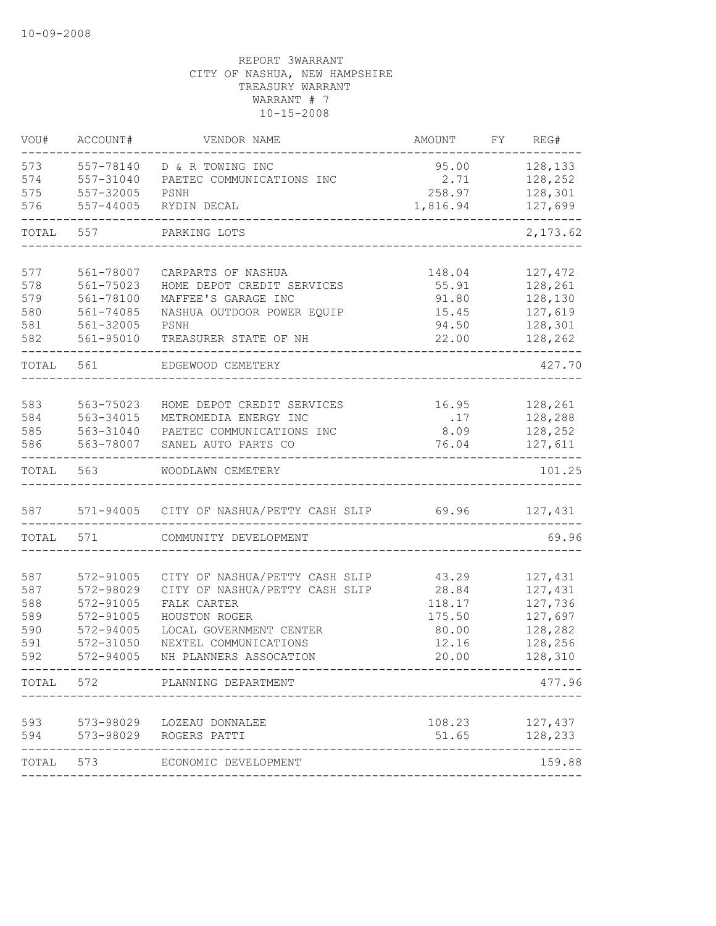| VOU#       | ACCOUNT#               | VENDOR NAME                                                      | AMOUNT         | FY REG#            |
|------------|------------------------|------------------------------------------------------------------|----------------|--------------------|
| 573        | 557-78140              | D & R TOWING INC                                                 | 95.00          | 128,133            |
| 574        | 557-31040              | PAETEC COMMUNICATIONS INC                                        | 2.71           | 128,252            |
| 575        | 557-32005              | PSNH                                                             | 258.97         | 128,301            |
| 576        | 557-44005              | RYDIN DECAL                                                      | 1,816.94       | 127,699            |
| TOTAL      | 557                    | PARKING LOTS                                                     |                | 2,173.62           |
| 577        | 561-78007              | CARPARTS OF NASHUA                                               | 148.04         | 127,472            |
| 578        | 561-75023              | HOME DEPOT CREDIT SERVICES                                       | 55.91          | 128,261            |
| 579        | 561-78100              | MAFFEE'S GARAGE INC                                              | 91.80          | 128,130            |
| 580        | $561 - 74085$          | NASHUA OUTDOOR POWER EQUIP                                       | 15.45          | 127,619            |
| 581        | 561-32005              | PSNH                                                             | 94.50          | 128,301            |
| 582        | 561-95010              | TREASURER STATE OF NH                                            | 22.00          | 128,262            |
| TOTAL      | 561                    | EDGEWOOD CEMETERY                                                |                | 427.70             |
|            |                        |                                                                  |                |                    |
| 583        | 563-75023              | HOME DEPOT CREDIT SERVICES                                       | 16.95          | 128,261            |
| 584        | 563-34015              | METROMEDIA ENERGY INC                                            | .17            | 128,288            |
| 585        | 563-31040              | PAETEC COMMUNICATIONS INC                                        | 8.09           | 128,252            |
| 586        | 563-78007              | SANEL AUTO PARTS CO                                              | 76.04          | 127,611            |
| TOTAL      | 563                    | WOODLAWN CEMETERY                                                |                | 101.25             |
| 587        |                        | 571-94005 CITY OF NASHUA/PETTY CASH SLIP 69.96                   |                | 127,431            |
|            |                        |                                                                  |                |                    |
| TOTAL      | 571                    | COMMUNITY DEVELOPMENT                                            |                | 69.96              |
|            |                        |                                                                  |                |                    |
| 587<br>587 | 572-91005<br>572-98029 | CITY OF NASHUA/PETTY CASH SLIP<br>CITY OF NASHUA/PETTY CASH SLIP | 43.29<br>28.84 | 127,431<br>127,431 |
| 588        | 572-91005              | FALK CARTER                                                      | 118.17         | 127,736            |
| 589        | 572-91005              | HOUSTON ROGER                                                    | 175.50         | 127,697            |
| 590        | 572-94005              | LOCAL GOVERNMENT CENTER                                          | 80.00          | 128,282            |
| 591        | 572-31050              | NEXTEL COMMUNICATIONS                                            | 12.16          | 128,256            |
| 592        | 572-94005              | NH PLANNERS ASSOCATION                                           | 20.00          | 128,310            |
|            | TOTAL 572              | PLANNING DEPARTMENT                                              |                | 477.96             |
|            |                        |                                                                  |                |                    |
| 593        |                        | 573-98029 LOZEAU DONNALEE                                        | 108.23         | 127,437            |
| 594        |                        | 573-98029 ROGERS PATTI                                           | 51.65          | 128,233            |
|            | TOTAL 573              | ECONOMIC DEVELOPMENT                                             |                | 159.88             |
|            |                        |                                                                  |                |                    |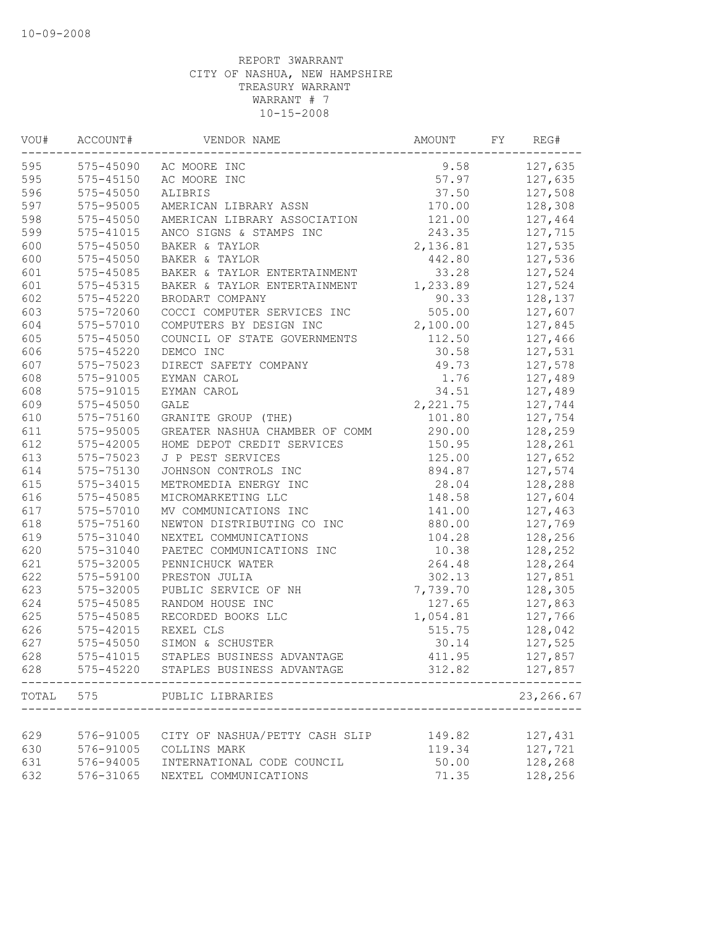| WOU#  | ACCOUNT#      | VENDOR NAME                    | AMOUNT   | FY | REG#       |
|-------|---------------|--------------------------------|----------|----|------------|
| 595   |               | 575-45090 AC MOORE INC         | 9.58     |    | 127,635    |
| 595   | 575-45150     | AC MOORE INC                   | 57.97    |    | 127,635    |
| 596   | 575-45050     | ALIBRIS                        | 37.50    |    | 127,508    |
| 597   | 575-95005     | AMERICAN LIBRARY ASSN          | 170.00   |    | 128,308    |
| 598   | 575-45050     | AMERICAN LIBRARY ASSOCIATION   | 121.00   |    | 127,464    |
| 599   | 575-41015     | ANCO SIGNS & STAMPS INC        | 243.35   |    | 127,715    |
| 600   | 575-45050     | BAKER & TAYLOR                 | 2,136.81 |    | 127,535    |
| 600   | 575-45050     | BAKER & TAYLOR                 | 442.80   |    | 127,536    |
| 601   | 575-45085     | BAKER & TAYLOR ENTERTAINMENT   | 33.28    |    | 127,524    |
| 601   | 575-45315     | BAKER & TAYLOR ENTERTAINMENT   | 1,233.89 |    | 127,524    |
| 602   | 575-45220     | BRODART COMPANY                | 90.33    |    | 128,137    |
| 603   | 575-72060     | COCCI COMPUTER SERVICES INC    | 505.00   |    | 127,607    |
| 604   | 575-57010     | COMPUTERS BY DESIGN INC        | 2,100.00 |    | 127,845    |
| 605   | 575-45050     | COUNCIL OF STATE GOVERNMENTS   | 112.50   |    | 127,466    |
| 606   | 575-45220     | DEMCO INC                      | 30.58    |    | 127,531    |
| 607   | 575-75023     | DIRECT SAFETY COMPANY          | 49.73    |    | 127,578    |
| 608   | 575-91005     | EYMAN CAROL                    | 1.76     |    | 127,489    |
| 608   | 575-91015     | EYMAN CAROL                    | 34.51    |    | 127,489    |
| 609   | $575 - 45050$ | <b>GALE</b>                    | 2,221.75 |    | 127,744    |
| 610   | 575-75160     | GRANITE GROUP (THE)            | 101.80   |    | 127,754    |
| 611   | 575-95005     | GREATER NASHUA CHAMBER OF COMM | 290.00   |    | 128,259    |
| 612   | 575-42005     | HOME DEPOT CREDIT SERVICES     | 150.95   |    | 128,261    |
| 613   | 575-75023     | J P PEST SERVICES              | 125.00   |    | 127,652    |
| 614   | 575-75130     | JOHNSON CONTROLS INC           | 894.87   |    | 127,574    |
| 615   | 575-34015     | METROMEDIA ENERGY INC          | 28.04    |    | 128,288    |
| 616   | 575-45085     | MICROMARKETING LLC             | 148.58   |    | 127,604    |
| 617   | 575-57010     | MV COMMUNICATIONS INC          | 141.00   |    | 127,463    |
| 618   | 575-75160     | NEWTON DISTRIBUTING CO INC     | 880.00   |    | 127,769    |
| 619   | 575-31040     | NEXTEL COMMUNICATIONS          | 104.28   |    | 128,256    |
| 620   | 575-31040     | PAETEC COMMUNICATIONS INC      | 10.38    |    | 128,252    |
| 621   | 575-32005     | PENNICHUCK WATER               | 264.48   |    | 128,264    |
| 622   | 575-59100     | PRESTON JULIA                  | 302.13   |    | 127,851    |
| 623   | 575-32005     | PUBLIC SERVICE OF NH           | 7,739.70 |    | 128,305    |
| 624   | 575-45085     | RANDOM HOUSE INC               | 127.65   |    | 127,863    |
| 625   | 575-45085     | RECORDED BOOKS LLC             | 1,054.81 |    | 127,766    |
| 626   | 575-42015     | REXEL CLS                      | 515.75   |    | 128,042    |
| 627   | 575-45050     | SIMON & SCHUSTER               | 30.14    |    | 127,525    |
| 628   | 575-41015     | STAPLES BUSINESS ADVANTAGE     | 411.95   |    | 127,857    |
| 628   | 575-45220     | STAPLES BUSINESS ADVANTAGE     | 312.82   |    | 127,857    |
| TOTAL | 575           | PUBLIC LIBRARIES               |          |    | 23, 266.67 |
|       |               |                                |          |    |            |
| 629   | 576-91005     | CITY OF NASHUA/PETTY CASH SLIP | 149.82   |    | 127,431    |
| 630   | 576-91005     | COLLINS MARK                   | 119.34   |    | 127,721    |
| 631   | 576-94005     | INTERNATIONAL CODE COUNCIL     | 50.00    |    | 128,268    |
| 632   | 576-31065     | NEXTEL COMMUNICATIONS          | 71.35    |    | 128,256    |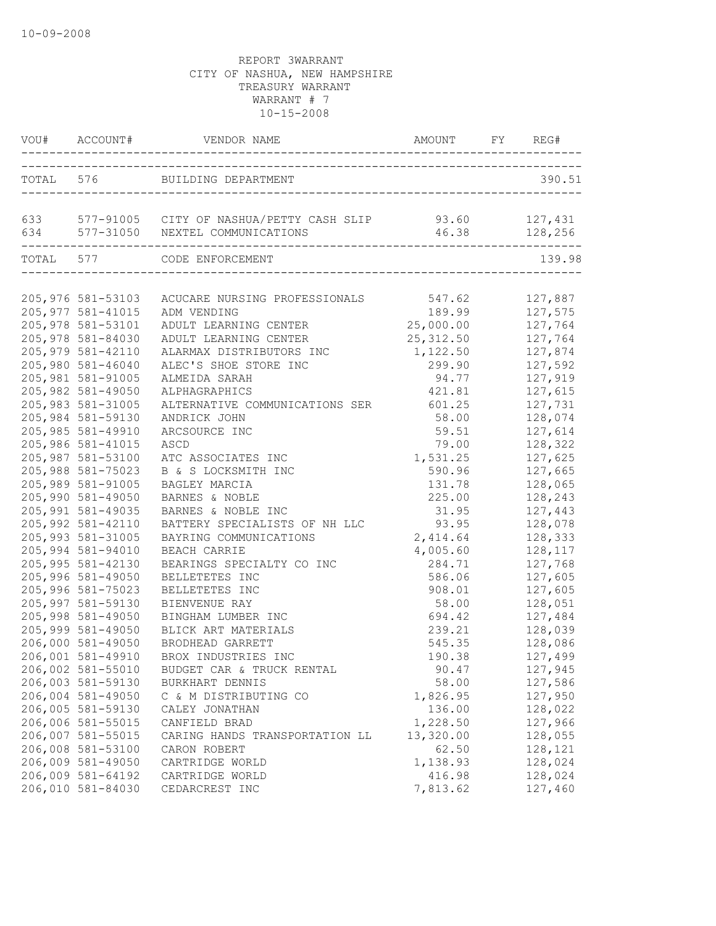|                                                              | VOU# ACCOUNT# VENDOR NAME AMOUNT FY REG#                                                                        |                                |                               |
|--------------------------------------------------------------|-----------------------------------------------------------------------------------------------------------------|--------------------------------|-------------------------------|
|                                                              | TOTAL 576 BUILDING DEPARTMENT                                                                                   |                                | 390.51                        |
|                                                              | 633 577-91005 CITY OF NASHUA/PETTY CASH SLIP 93.60 127,431<br>634 577-31050 NEXTEL COMMUNICATIONS 46.38 128,256 |                                |                               |
|                                                              | TOTAL 577 CODE ENFORCEMENT                                                                                      |                                | 139.98                        |
| 205,976 581-53103<br>205, 977 581-41015                      | ACUCARE NURSING PROFESSIONALS 547.62<br>ADM VENDING                                                             | 189.99                         | 127,887<br>127,575            |
| 205,978 581-53101<br>205,978 581-84030<br>205, 979 581-42110 | ADULT LEARNING CENTER 25,000.00<br>ADULT LEARNING CENTER<br>ALARMAX DISTRIBUTORS INC                            | 25, 312.50<br>1,122.50         | 127,764<br>127,764<br>127,874 |
| 205,980 581-46040<br>205,981 581-91005<br>205,982 581-49050  | ALEC'S SHOE STORE INC<br>ALMEIDA SARAH<br>ALPHAGRAPHICS                                                         | 299.90<br>94.77<br>421.81      | 127,592<br>127,919<br>127,615 |
| 205,983 581-31005<br>205,984 581-59130<br>205,985 581-49910  | ALTERNATIVE COMMUNICATIONS SER<br>ANDRICK JOHN<br>ARCSOURCE INC                                                 | 601.25<br>58.00<br>59.51       | 127,731<br>128,074<br>127,614 |
| 205,986 581-41015<br>205,987 581-53100<br>205,988 581-75023  | ASCD<br>ATC ASSOCIATES INC                                                                                      | 79.00<br>1,531.25<br>590.96    | 128,322<br>127,625            |
| 205,989 581-91005<br>205,990 581-49050                       | B & S LOCKSMITH INC<br>BAGLEY MARCIA<br>BARNES & NOBLE                                                          | 131.78<br>225.00               | 127,665<br>128,065<br>128,243 |
| 205,991 581-49035<br>205,992 581-42110<br>205,993 581-31005  | BARNES & NOBLE INC<br>BATTERY SPECIALISTS OF NH LLC<br>BAYRING COMMUNICATIONS                                   | 31.95<br>93.95<br>2,414.64     | 127,443<br>128,078<br>128,333 |
| 205,994 581-94010<br>205,995 581-42130<br>205,996 581-49050  | BEACH CARRIE<br>BEARINGS SPECIALTY CO INC<br>BELLETETES INC                                                     | 4,005.60<br>284.71<br>586.06   | 128,117<br>127,768<br>127,605 |
| 205,996 581-75023<br>205,997 581-59130<br>205,998 581-49050  | BELLETETES INC<br>BIENVENUE RAY                                                                                 | 908.01<br>58.00<br>694.42      | 127,605<br>128,051            |
| 205,999 581-49050<br>206,000 581-49050                       | BINGHAM LUMBER INC<br>BLICK ART MATERIALS<br>BRODHEAD GARRETT                                                   | 239.21<br>545.35               | 127,484<br>128,039<br>128,086 |
| 206,001 581-49910<br>206,002 581-55010<br>206,003 581-59130  | BROX INDUSTRIES INC<br>BUDGET CAR & TRUCK RENTAL<br>BURKHART DENNIS                                             | 190.38<br>90.47<br>58.00       | 127,499<br>127,945<br>127,586 |
| 206,004 581-49050<br>206,005 581-59130<br>206,006 581-55015  | C & M DISTRIBUTING CO<br>CALEY JONATHAN<br>CANFIELD BRAD                                                        | 1,826.95<br>136.00<br>1,228.50 | 127,950<br>128,022<br>127,966 |
| 206,007 581-55015<br>206,008 581-53100<br>206,009 581-49050  | CARING HANDS TRANSPORTATION LL<br>CARON ROBERT<br>CARTRIDGE WORLD                                               | 13,320.00<br>62.50<br>1,138.93 | 128,055<br>128,121<br>128,024 |
| 206,009 581-64192<br>206,010 581-84030                       | CARTRIDGE WORLD<br>CEDARCREST INC                                                                               | 416.98<br>7,813.62             | 128,024<br>127,460            |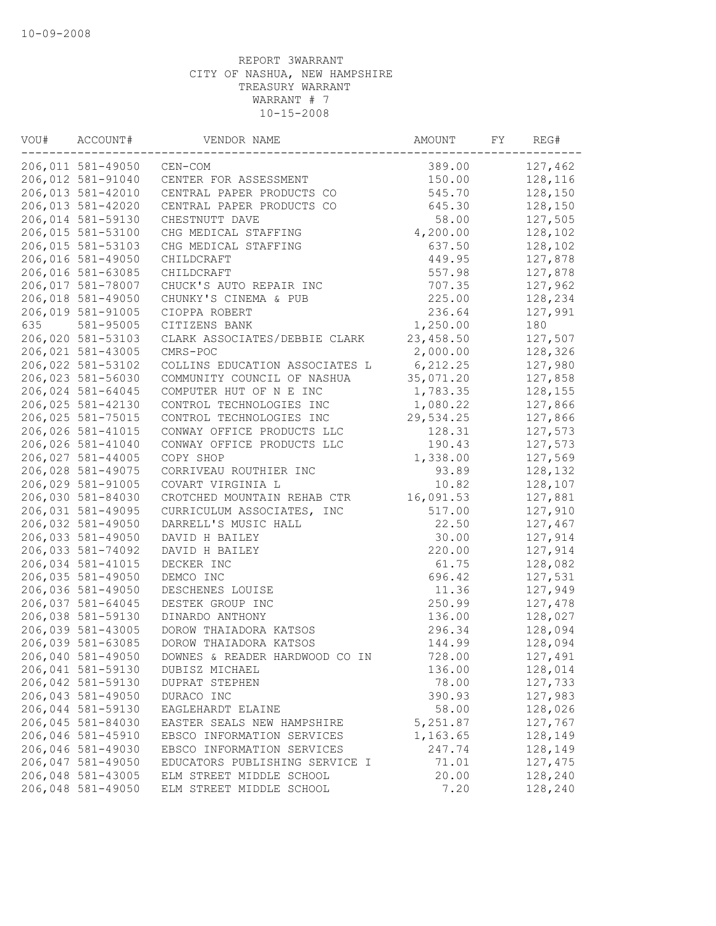| VOU# | ACCOUNT#          | VENDOR NAME                    | AMOUNT    | FY | REG#    |
|------|-------------------|--------------------------------|-----------|----|---------|
|      | 206,011 581-49050 | CEN-COM                        | 389.00    |    | 127,462 |
|      | 206,012 581-91040 | CENTER FOR ASSESSMENT          | 150.00    |    | 128,116 |
|      | 206,013 581-42010 | CENTRAL PAPER PRODUCTS CO      | 545.70    |    | 128,150 |
|      | 206,013 581-42020 | CENTRAL PAPER PRODUCTS CO      | 645.30    |    | 128,150 |
|      | 206,014 581-59130 | CHESTNUTT DAVE                 | 58.00     |    | 127,505 |
|      | 206,015 581-53100 | CHG MEDICAL STAFFING           | 4,200.00  |    | 128,102 |
|      | 206,015 581-53103 | CHG MEDICAL STAFFING           | 637.50    |    | 128,102 |
|      | 206,016 581-49050 | CHILDCRAFT                     | 449.95    |    | 127,878 |
|      | 206,016 581-63085 | CHILDCRAFT                     | 557.98    |    | 127,878 |
|      | 206,017 581-78007 | CHUCK'S AUTO REPAIR INC        | 707.35    |    | 127,962 |
|      | 206,018 581-49050 | CHUNKY'S CINEMA & PUB          | 225.00    |    | 128,234 |
|      | 206,019 581-91005 | CIOPPA ROBERT                  | 236.64    |    | 127,991 |
| 635  | 581-95005         | CITIZENS BANK                  | 1,250.00  |    | 180     |
|      | 206,020 581-53103 | CLARK ASSOCIATES/DEBBIE CLARK  | 23,458.50 |    | 127,507 |
|      | 206,021 581-43005 | CMRS-POC                       | 2,000.00  |    | 128,326 |
|      | 206,022 581-53102 | COLLINS EDUCATION ASSOCIATES L | 6, 212.25 |    | 127,980 |
|      | 206,023 581-56030 | COMMUNITY COUNCIL OF NASHUA    | 35,071.20 |    | 127,858 |
|      | 206,024 581-64045 | COMPUTER HUT OF N E INC        | 1,783.35  |    | 128,155 |
|      | 206,025 581-42130 | CONTROL TECHNOLOGIES INC       | 1,080.22  |    | 127,866 |
|      | 206,025 581-75015 | CONTROL TECHNOLOGIES INC       | 29,534.25 |    | 127,866 |
|      | 206,026 581-41015 | CONWAY OFFICE PRODUCTS LLC     | 128.31    |    | 127,573 |
|      | 206,026 581-41040 | CONWAY OFFICE PRODUCTS LLC     | 190.43    |    | 127,573 |
|      | 206,027 581-44005 | COPY SHOP                      | 1,338.00  |    | 127,569 |
|      | 206,028 581-49075 | CORRIVEAU ROUTHIER INC         | 93.89     |    | 128,132 |
|      | 206,029 581-91005 | COVART VIRGINIA L              | 10.82     |    | 128,107 |
|      | 206,030 581-84030 | CROTCHED MOUNTAIN REHAB CTR    | 16,091.53 |    | 127,881 |
|      | 206,031 581-49095 | CURRICULUM ASSOCIATES, INC     | 517.00    |    | 127,910 |
|      | 206,032 581-49050 | DARRELL'S MUSIC HALL           | 22.50     |    | 127,467 |
|      | 206,033 581-49050 | DAVID H BAILEY                 | 30.00     |    | 127,914 |
|      | 206,033 581-74092 | DAVID H BAILEY                 | 220.00    |    | 127,914 |
|      | 206,034 581-41015 | DECKER INC                     | 61.75     |    | 128,082 |
|      | 206,035 581-49050 | DEMCO INC                      | 696.42    |    | 127,531 |
|      | 206,036 581-49050 | DESCHENES LOUISE               | 11.36     |    | 127,949 |
|      | 206,037 581-64045 | DESTEK GROUP INC               | 250.99    |    | 127,478 |
|      | 206,038 581-59130 | DINARDO ANTHONY                | 136.00    |    | 128,027 |
|      | 206,039 581-43005 | DOROW THAIADORA KATSOS         | 296.34    |    | 128,094 |
|      | 206,039 581-63085 | DOROW THAIADORA KATSOS         | 144.99    |    | 128,094 |
|      | 206,040 581-49050 | DOWNES & READER HARDWOOD CO IN | 728.00    |    | 127,491 |
|      | 206,041 581-59130 | DUBISZ MICHAEL                 | 136.00    |    | 128,014 |
|      | 206,042 581-59130 | <b>DUPRAT STEPHEN</b>          | 78.00     |    | 127,733 |
|      | 206,043 581-49050 | DURACO INC                     | 390.93    |    | 127,983 |
|      | 206,044 581-59130 | EAGLEHARDT ELAINE              | 58.00     |    | 128,026 |
|      | 206,045 581-84030 | EASTER SEALS NEW HAMPSHIRE     | 5,251.87  |    | 127,767 |
|      | 206,046 581-45910 | EBSCO INFORMATION SERVICES     | 1,163.65  |    | 128,149 |
|      | 206,046 581-49030 | EBSCO INFORMATION SERVICES     | 247.74    |    | 128,149 |
|      | 206,047 581-49050 | EDUCATORS PUBLISHING SERVICE I | 71.01     |    | 127,475 |
|      | 206,048 581-43005 | ELM STREET MIDDLE SCHOOL       | 20.00     |    | 128,240 |
|      | 206,048 581-49050 | ELM STREET MIDDLE SCHOOL       | 7.20      |    | 128,240 |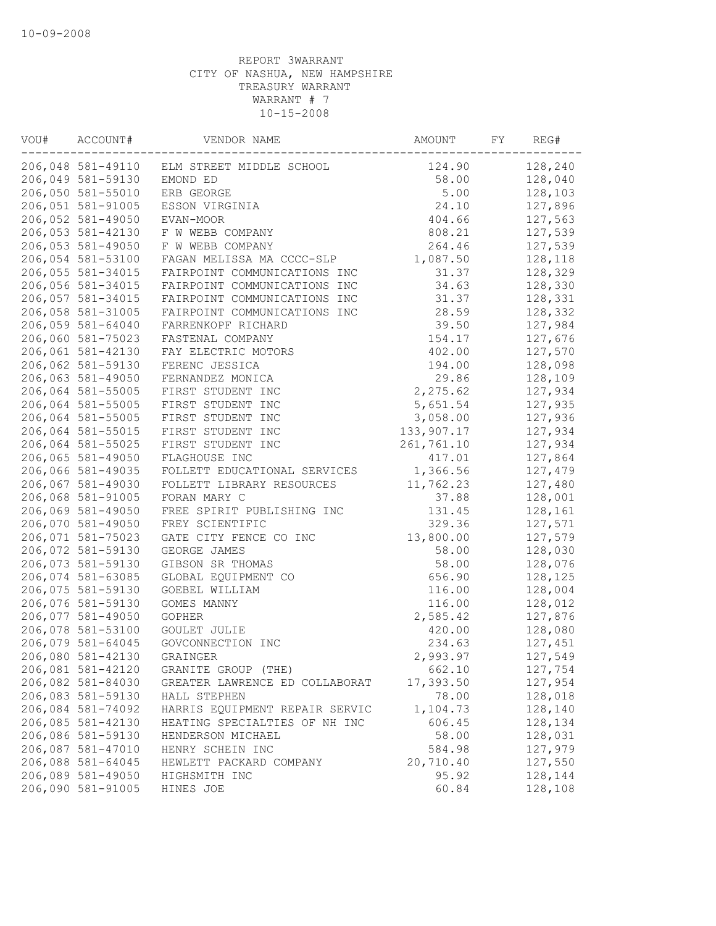| VOU# | ACCOUNT#          | VENDOR NAME                                | AMOUNT     | FY | REG#    |
|------|-------------------|--------------------------------------------|------------|----|---------|
|      |                   | 206,048 581-49110 ELM STREET MIDDLE SCHOOL | 124.90     |    | 128,240 |
|      | 206,049 581-59130 | EMOND ED                                   | 58.00      |    | 128,040 |
|      | 206,050 581-55010 | ERB GEORGE                                 | 5.00       |    | 128,103 |
|      | 206,051 581-91005 | ESSON VIRGINIA                             | 24.10      |    | 127,896 |
|      | 206,052 581-49050 | EVAN-MOOR                                  | 404.66     |    | 127,563 |
|      | 206,053 581-42130 | F W WEBB COMPANY                           | 808.21     |    | 127,539 |
|      | 206,053 581-49050 | F W WEBB COMPANY                           | 264.46     |    | 127,539 |
|      | 206,054 581-53100 | FAGAN MELISSA MA CCCC-SLP                  | 1,087.50   |    | 128,118 |
|      | 206,055 581-34015 | FAIRPOINT COMMUNICATIONS INC               | 31.37      |    | 128,329 |
|      | 206,056 581-34015 | FAIRPOINT COMMUNICATIONS INC               | 34.63      |    | 128,330 |
|      | 206,057 581-34015 | FAIRPOINT COMMUNICATIONS INC               | 31.37      |    | 128,331 |
|      | 206,058 581-31005 | FAIRPOINT COMMUNICATIONS INC               | 28.59      |    | 128,332 |
|      | 206,059 581-64040 | FARRENKOPF RICHARD                         | 39.50      |    | 127,984 |
|      | 206,060 581-75023 | FASTENAL COMPANY                           | 154.17     |    | 127,676 |
|      | 206,061 581-42130 | FAY ELECTRIC MOTORS                        | 402.00     |    | 127,570 |
|      | 206,062 581-59130 | FERENC JESSICA                             | 194.00     |    | 128,098 |
|      | 206,063 581-49050 | FERNANDEZ MONICA                           | 29.86      |    | 128,109 |
|      | 206,064 581-55005 | FIRST STUDENT INC                          | 2,275.62   |    | 127,934 |
|      | 206,064 581-55005 | FIRST STUDENT INC                          | 5,651.54   |    | 127,935 |
|      | 206,064 581-55005 | FIRST STUDENT INC                          | 3,058.00   |    | 127,936 |
|      | 206,064 581-55015 | FIRST STUDENT INC                          | 133,907.17 |    | 127,934 |
|      | 206,064 581-55025 | FIRST STUDENT INC                          | 261,761.10 |    | 127,934 |
|      | 206,065 581-49050 | FLAGHOUSE INC                              | 417.01     |    | 127,864 |
|      | 206,066 581-49035 | FOLLETT EDUCATIONAL SERVICES               | 1,366.56   |    | 127,479 |
|      | 206,067 581-49030 | FOLLETT LIBRARY RESOURCES                  | 11,762.23  |    | 127,480 |
|      | 206,068 581-91005 | FORAN MARY C                               | 37.88      |    | 128,001 |
|      | 206,069 581-49050 | FREE SPIRIT PUBLISHING INC                 | 131.45     |    | 128,161 |
|      | 206,070 581-49050 | FREY SCIENTIFIC                            | 329.36     |    | 127,571 |
|      | 206,071 581-75023 | GATE CITY FENCE CO INC                     | 13,800.00  |    | 127,579 |
|      | 206,072 581-59130 | GEORGE JAMES                               | 58.00      |    | 128,030 |
|      | 206,073 581-59130 | GIBSON SR THOMAS                           | 58.00      |    | 128,076 |
|      | 206,074 581-63085 | GLOBAL EQUIPMENT CO                        | 656.90     |    | 128,125 |
|      | 206,075 581-59130 | GOEBEL WILLIAM                             | 116.00     |    | 128,004 |
|      | 206,076 581-59130 | GOMES MANNY                                | 116.00     |    | 128,012 |
|      | 206,077 581-49050 | <b>GOPHER</b>                              | 2,585.42   |    | 127,876 |
|      | 206,078 581-53100 | GOULET JULIE                               | 420.00     |    | 128,080 |
|      | 206,079 581-64045 | GOVCONNECTION INC                          | 234.63     |    | 127,451 |
|      | 206,080 581-42130 | GRAINGER                                   | 2,993.97   |    | 127,549 |
|      | 206,081 581-42120 | GRANITE GROUP (THE)                        | 662.10     |    | 127,754 |
|      | 206,082 581-84030 | GREATER LAWRENCE ED COLLABORAT             | 17,393.50  |    | 127,954 |
|      | 206,083 581-59130 | HALL STEPHEN                               | 78.00      |    | 128,018 |
|      | 206,084 581-74092 | HARRIS EQUIPMENT REPAIR SERVIC             | 1,104.73   |    | 128,140 |
|      | 206,085 581-42130 | HEATING SPECIALTIES OF NH INC              | 606.45     |    | 128,134 |
|      | 206,086 581-59130 | HENDERSON MICHAEL                          | 58.00      |    | 128,031 |
|      | 206,087 581-47010 | HENRY SCHEIN INC                           | 584.98     |    | 127,979 |
|      | 206,088 581-64045 | HEWLETT PACKARD COMPANY                    | 20,710.40  |    | 127,550 |
|      | 206,089 581-49050 | HIGHSMITH INC                              | 95.92      |    | 128,144 |
|      | 206,090 581-91005 | HINES JOE                                  | 60.84      |    | 128,108 |
|      |                   |                                            |            |    |         |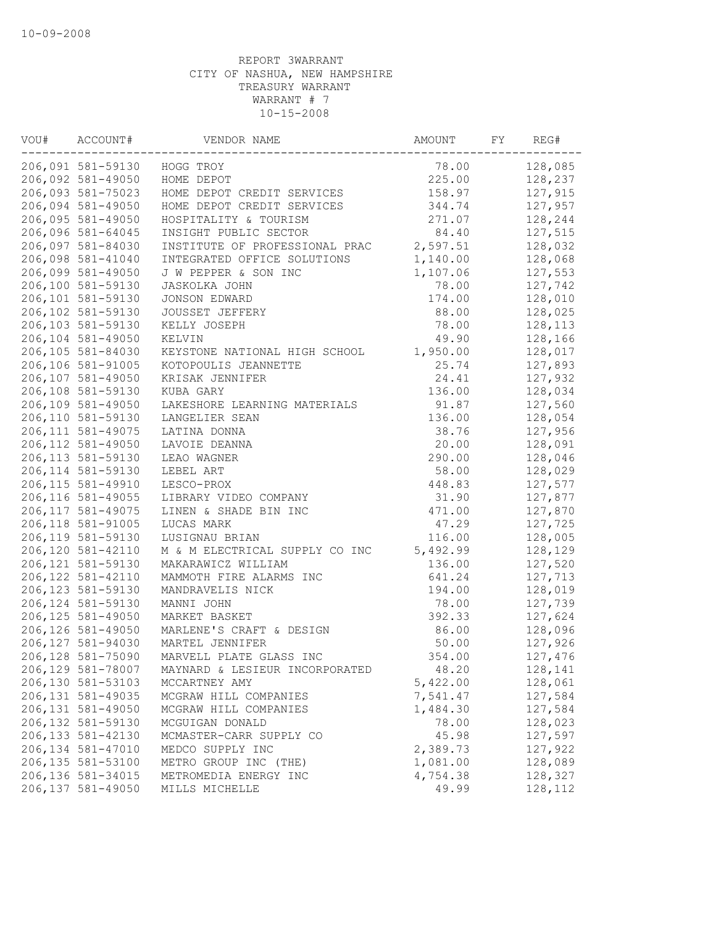| VOU# | ACCOUNT#           | VENDOR NAME                    | AMOUNT   | FY | REG#    |
|------|--------------------|--------------------------------|----------|----|---------|
|      | 206,091 581-59130  | HOGG TROY                      | 78.00    |    | 128,085 |
|      | 206,092 581-49050  | HOME DEPOT                     | 225.00   |    | 128,237 |
|      | 206,093 581-75023  | HOME DEPOT CREDIT SERVICES     | 158.97   |    | 127,915 |
|      | 206,094 581-49050  | HOME DEPOT CREDIT SERVICES     | 344.74   |    | 127,957 |
|      | 206,095 581-49050  | HOSPITALITY & TOURISM          | 271.07   |    | 128,244 |
|      | 206,096 581-64045  | INSIGHT PUBLIC SECTOR          | 84.40    |    | 127,515 |
|      | 206,097 581-84030  | INSTITUTE OF PROFESSIONAL PRAC | 2,597.51 |    | 128,032 |
|      | 206,098 581-41040  | INTEGRATED OFFICE SOLUTIONS    | 1,140.00 |    | 128,068 |
|      | 206,099 581-49050  | J W PEPPER & SON INC           | 1,107.06 |    | 127,553 |
|      | 206,100 581-59130  | JASKOLKA JOHN                  | 78.00    |    | 127,742 |
|      | 206,101 581-59130  | JONSON EDWARD                  | 174.00   |    | 128,010 |
|      | 206,102 581-59130  | JOUSSET JEFFERY                | 88.00    |    | 128,025 |
|      | 206,103 581-59130  | KELLY JOSEPH                   | 78.00    |    | 128,113 |
|      | 206,104 581-49050  | KELVIN                         | 49.90    |    | 128,166 |
|      | 206,105 581-84030  | KEYSTONE NATIONAL HIGH SCHOOL  | 1,950.00 |    | 128,017 |
|      | 206,106 581-91005  | KOTOPOULIS JEANNETTE           | 25.74    |    | 127,893 |
|      | 206,107 581-49050  | KRISAK JENNIFER                | 24.41    |    | 127,932 |
|      | 206,108 581-59130  | KUBA GARY                      | 136.00   |    | 128,034 |
|      | 206,109 581-49050  | LAKESHORE LEARNING MATERIALS   | 91.87    |    | 127,560 |
|      | 206,110 581-59130  | LANGELIER SEAN                 | 136.00   |    | 128,054 |
|      | 206, 111 581-49075 | LATINA DONNA                   | 38.76    |    | 127,956 |
|      | 206, 112 581-49050 | LAVOIE DEANNA                  | 20.00    |    | 128,091 |
|      | 206, 113 581-59130 | LEAO WAGNER                    | 290.00   |    | 128,046 |
|      | 206, 114 581-59130 | LEBEL ART                      | 58.00    |    | 128,029 |
|      | 206, 115 581-49910 | LESCO-PROX                     | 448.83   |    | 127,577 |
|      | 206, 116 581-49055 | LIBRARY VIDEO COMPANY          | 31.90    |    | 127,877 |
|      | 206, 117 581-49075 | LINEN & SHADE BIN INC          | 471.00   |    | 127,870 |
|      | 206,118 581-91005  | LUCAS MARK                     | 47.29    |    | 127,725 |
|      | 206,119 581-59130  | LUSIGNAU BRIAN                 | 116.00   |    | 128,005 |
|      | 206,120 581-42110  | M & M ELECTRICAL SUPPLY CO INC | 5,492.99 |    | 128,129 |
|      | 206,121 581-59130  | MAKARAWICZ WILLIAM             | 136.00   |    | 127,520 |
|      | 206, 122 581-42110 | MAMMOTH FIRE ALARMS INC        | 641.24   |    | 127,713 |
|      | 206,123 581-59130  | MANDRAVELIS NICK               | 194.00   |    | 128,019 |
|      | 206, 124 581-59130 | MANNI JOHN                     | 78.00    |    | 127,739 |
|      | 206,125 581-49050  | MARKET BASKET                  | 392.33   |    | 127,624 |
|      | 206,126 581-49050  | MARLENE'S CRAFT & DESIGN       | 86.00    |    | 128,096 |
|      | 206,127 581-94030  | MARTEL JENNIFER                | 50.00    |    | 127,926 |
|      | 206,128 581-75090  | MARVELL PLATE GLASS INC        | 354.00   |    | 127,476 |
|      | 206,129 581-78007  | MAYNARD & LESIEUR INCORPORATED | 48.20    |    | 128,141 |
|      | 206,130 581-53103  | MCCARTNEY AMY                  | 5,422.00 |    | 128,061 |
|      | 206, 131 581-49035 | MCGRAW HILL COMPANIES          | 7,541.47 |    | 127,584 |
|      | 206,131 581-49050  | MCGRAW HILL COMPANIES          | 1,484.30 |    | 127,584 |
|      | 206,132 581-59130  | MCGUIGAN DONALD                | 78.00    |    | 128,023 |
|      | 206, 133 581-42130 | MCMASTER-CARR SUPPLY CO        | 45.98    |    | 127,597 |
|      | 206,134 581-47010  | MEDCO SUPPLY INC               | 2,389.73 |    | 127,922 |
|      | 206,135 581-53100  | METRO GROUP INC (THE)          | 1,081.00 |    | 128,089 |
|      | 206,136 581-34015  | METROMEDIA ENERGY INC          | 4,754.38 |    | 128,327 |
|      | 206,137 581-49050  | MILLS MICHELLE                 | 49.99    |    | 128,112 |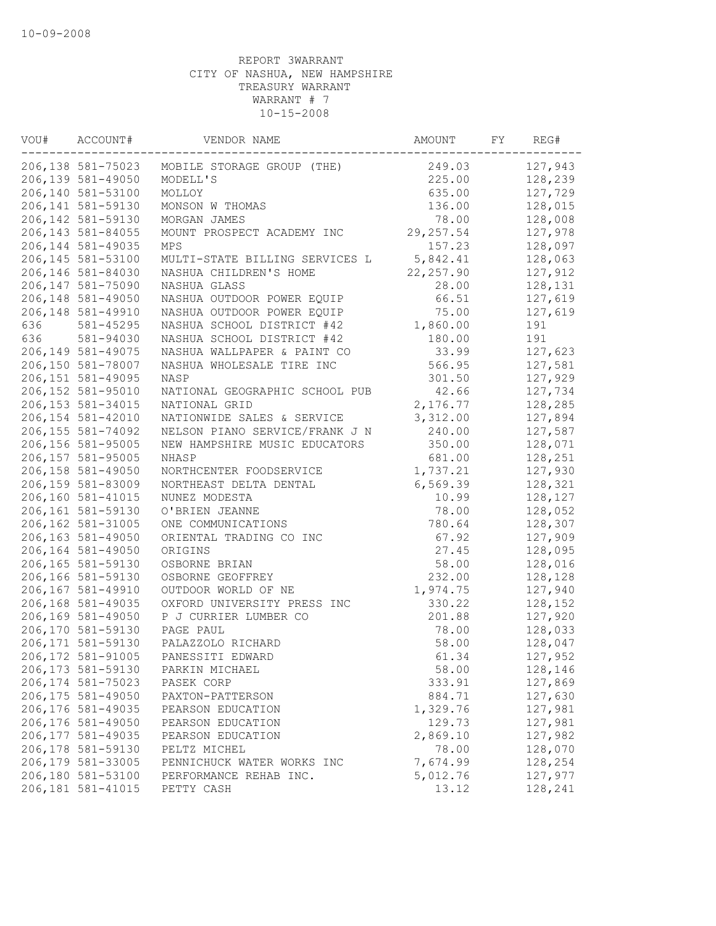| VOU# | ACCOUNT#           | VENDOR NAME                    | AMOUNT     | FY | REG#    |
|------|--------------------|--------------------------------|------------|----|---------|
|      | 206,138 581-75023  | MOBILE STORAGE GROUP (THE)     | 249.03     |    | 127,943 |
|      | 206,139 581-49050  | MODELL'S                       | 225.00     |    | 128,239 |
|      | 206,140 581-53100  | MOLLOY                         | 635.00     |    | 127,729 |
|      | 206,141 581-59130  | MONSON W THOMAS                | 136.00     |    | 128,015 |
|      | 206,142 581-59130  | MORGAN JAMES                   | 78.00      |    | 128,008 |
|      | 206, 143 581-84055 | MOUNT PROSPECT ACADEMY INC     | 29, 257.54 |    | 127,978 |
|      | 206, 144 581-49035 | <b>MPS</b>                     | 157.23     |    | 128,097 |
|      | 206,145 581-53100  | MULTI-STATE BILLING SERVICES L | 5,842.41   |    | 128,063 |
|      | 206,146 581-84030  | NASHUA CHILDREN'S HOME         | 22, 257.90 |    | 127,912 |
|      | 206,147 581-75090  | NASHUA GLASS                   | 28.00      |    | 128,131 |
|      | 206,148 581-49050  | NASHUA OUTDOOR POWER EQUIP     | 66.51      |    | 127,619 |
|      | 206,148 581-49910  | NASHUA OUTDOOR POWER EQUIP     | 75.00      |    | 127,619 |
| 636  | 581-45295          | NASHUA SCHOOL DISTRICT #42     | 1,860.00   |    | 191     |
| 636  | 581-94030          | NASHUA SCHOOL DISTRICT #42     | 180.00     |    | 191     |
|      | 206,149 581-49075  | NASHUA WALLPAPER & PAINT CO    | 33.99      |    | 127,623 |
|      | 206,150 581-78007  | NASHUA WHOLESALE TIRE INC      | 566.95     |    | 127,581 |
|      | 206,151 581-49095  | NASP                           | 301.50     |    | 127,929 |
|      | 206,152 581-95010  | NATIONAL GEOGRAPHIC SCHOOL PUB | 42.66      |    | 127,734 |
|      | 206, 153 581-34015 | NATIONAL GRID                  | 2,176.77   |    | 128,285 |
|      | 206,154 581-42010  | NATIONWIDE SALES & SERVICE     | 3,312.00   |    | 127,894 |
|      | 206,155 581-74092  | NELSON PIANO SERVICE/FRANK J N | 240.00     |    | 127,587 |
|      | 206,156 581-95005  | NEW HAMPSHIRE MUSIC EDUCATORS  | 350.00     |    | 128,071 |
|      | 206,157 581-95005  | NHASP                          | 681.00     |    | 128,251 |
|      | 206,158 581-49050  | NORTHCENTER FOODSERVICE        | 1,737.21   |    | 127,930 |
|      | 206,159 581-83009  | NORTHEAST DELTA DENTAL         | 6,569.39   |    | 128,321 |
|      | 206,160 581-41015  | NUNEZ MODESTA                  | 10.99      |    | 128,127 |
|      | 206,161 581-59130  | O'BRIEN JEANNE                 | 78.00      |    | 128,052 |
|      | 206,162 581-31005  | ONE COMMUNICATIONS             | 780.64     |    | 128,307 |
|      | 206,163 581-49050  | ORIENTAL TRADING CO INC        | 67.92      |    | 127,909 |
|      | 206,164 581-49050  | ORIGINS                        | 27.45      |    | 128,095 |
|      | 206,165 581-59130  | OSBORNE BRIAN                  | 58.00      |    | 128,016 |
|      | 206,166 581-59130  | OSBORNE GEOFFREY               | 232.00     |    | 128,128 |
|      | 206,167 581-49910  | OUTDOOR WORLD OF NE            | 1,974.75   |    | 127,940 |
|      | 206,168 581-49035  | OXFORD UNIVERSITY PRESS INC    | 330.22     |    | 128,152 |
|      | 206,169 581-49050  | P J CURRIER LUMBER CO          | 201.88     |    | 127,920 |
|      | 206,170 581-59130  | PAGE PAUL                      | 78.00      |    | 128,033 |
|      | 206,171 581-59130  | PALAZZOLO RICHARD              | 58.00      |    | 128,047 |
|      | 206,172 581-91005  | PANESSITI EDWARD               | 61.34      |    | 127,952 |
|      | 206,173 581-59130  | PARKIN MICHAEL                 | 58.00      |    | 128,146 |
|      | 206, 174 581-75023 | PASEK CORP                     | 333.91     |    | 127,869 |
|      | 206,175 581-49050  | PAXTON-PATTERSON               | 884.71     |    | 127,630 |
|      | 206,176 581-49035  | PEARSON EDUCATION              | 1,329.76   |    | 127,981 |
|      | 206,176 581-49050  | PEARSON EDUCATION              | 129.73     |    | 127,981 |
|      | 206, 177 581-49035 | PEARSON EDUCATION              | 2,869.10   |    | 127,982 |
|      | 206,178 581-59130  | PELTZ MICHEL                   | 78.00      |    | 128,070 |
|      | 206,179 581-33005  | PENNICHUCK WATER WORKS INC     | 7,674.99   |    | 128,254 |
|      | 206,180 581-53100  | PERFORMANCE REHAB INC.         | 5,012.76   |    | 127,977 |
|      | 206,181 581-41015  | PETTY CASH                     | 13.12      |    | 128,241 |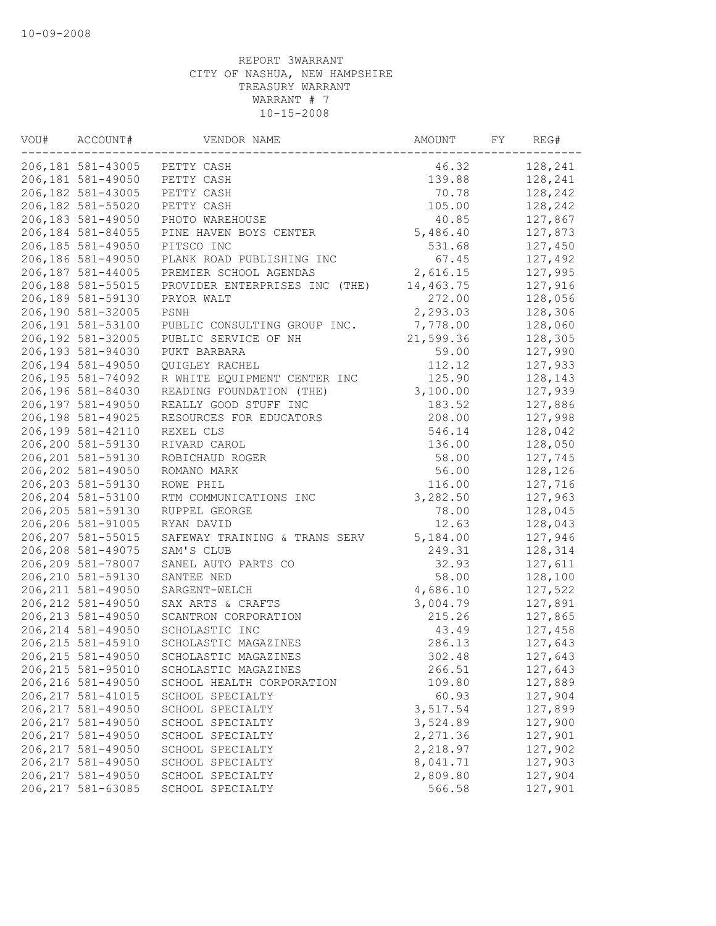| VOU# | ACCOUNT#           | VENDOR NAME                    | AMOUNT    | FY | REG#    |
|------|--------------------|--------------------------------|-----------|----|---------|
|      | 206,181 581-43005  | PETTY CASH                     | 46.32     |    | 128,241 |
|      | 206,181 581-49050  | PETTY CASH                     | 139.88    |    | 128,241 |
|      | 206,182 581-43005  | PETTY CASH                     | 70.78     |    | 128,242 |
|      | 206,182 581-55020  | PETTY CASH                     | 105.00    |    | 128,242 |
|      | 206,183 581-49050  | PHOTO WAREHOUSE                | 40.85     |    | 127,867 |
|      | 206,184 581-84055  | PINE HAVEN BOYS CENTER         | 5,486.40  |    | 127,873 |
|      | 206,185 581-49050  | PITSCO INC                     | 531.68    |    | 127,450 |
|      | 206,186 581-49050  | PLANK ROAD PUBLISHING INC      | 67.45     |    | 127,492 |
|      | 206,187 581-44005  | PREMIER SCHOOL AGENDAS         | 2,616.15  |    | 127,995 |
|      | 206,188 581-55015  | PROVIDER ENTERPRISES INC (THE) | 14,463.75 |    | 127,916 |
|      | 206,189 581-59130  | PRYOR WALT                     | 272.00    |    | 128,056 |
|      | 206,190 581-32005  | PSNH                           | 2,293.03  |    | 128,306 |
|      | 206,191 581-53100  | PUBLIC CONSULTING GROUP INC.   | 7,778.00  |    | 128,060 |
|      | 206,192 581-32005  | PUBLIC SERVICE OF NH           | 21,599.36 |    | 128,305 |
|      | 206,193 581-94030  | PUKT BARBARA                   | 59.00     |    | 127,990 |
|      | 206,194 581-49050  | QUIGLEY RACHEL                 | 112.12    |    | 127,933 |
|      | 206,195 581-74092  | R WHITE EQUIPMENT CENTER INC   | 125.90    |    | 128,143 |
|      | 206,196 581-84030  | READING FOUNDATION (THE)       | 3,100.00  |    | 127,939 |
|      | 206,197 581-49050  | REALLY GOOD STUFF INC          | 183.52    |    | 127,886 |
|      | 206,198 581-49025  | RESOURCES FOR EDUCATORS        | 208.00    |    | 127,998 |
|      | 206,199 581-42110  | REXEL CLS                      | 546.14    |    | 128,042 |
|      | 206,200 581-59130  | RIVARD CAROL                   | 136.00    |    | 128,050 |
|      | 206,201 581-59130  | ROBICHAUD ROGER                | 58.00     |    | 127,745 |
|      | 206,202 581-49050  | ROMANO MARK                    | 56.00     |    | 128,126 |
|      | 206,203 581-59130  | ROWE PHIL                      | 116.00    |    | 127,716 |
|      | 206,204 581-53100  | RTM COMMUNICATIONS INC         | 3,282.50  |    | 127,963 |
|      | 206,205 581-59130  | RUPPEL GEORGE                  | 78.00     |    | 128,045 |
|      | 206,206 581-91005  | RYAN DAVID                     | 12.63     |    | 128,043 |
|      | 206,207 581-55015  | SAFEWAY TRAINING & TRANS SERV  | 5,184.00  |    | 127,946 |
|      | 206,208 581-49075  | SAM'S CLUB                     | 249.31    |    | 128,314 |
|      | 206,209 581-78007  | SANEL AUTO PARTS CO            | 32.93     |    | 127,611 |
|      | 206,210 581-59130  | SANTEE NED                     | 58.00     |    | 128,100 |
|      | 206, 211 581-49050 | SARGENT-WELCH                  | 4,686.10  |    | 127,522 |
|      | 206, 212 581-49050 | SAX ARTS & CRAFTS              | 3,004.79  |    | 127,891 |
|      | 206, 213 581-49050 | SCANTRON CORPORATION           | 215.26    |    | 127,865 |
|      | 206, 214 581-49050 | SCHOLASTIC INC                 | 43.49     |    | 127,458 |
|      | 206, 215 581-45910 | SCHOLASTIC MAGAZINES           | 286.13    |    | 127,643 |
|      | 206, 215 581-49050 | SCHOLASTIC MAGAZINES           | 302.48    |    | 127,643 |
|      | 206, 215 581-95010 | SCHOLASTIC MAGAZINES           | 266.51    |    | 127,643 |
|      | 206,216 581-49050  | SCHOOL HEALTH CORPORATION      | 109.80    |    | 127,889 |
|      | 206, 217 581-41015 | SCHOOL SPECIALTY               | 60.93     |    | 127,904 |
|      | 206, 217 581-49050 | SCHOOL SPECIALTY               | 3,517.54  |    | 127,899 |
|      | 206, 217 581-49050 | SCHOOL SPECIALTY               | 3,524.89  |    | 127,900 |
|      | 206, 217 581-49050 | SCHOOL SPECIALTY               | 2,271.36  |    | 127,901 |
|      | 206, 217 581-49050 | SCHOOL SPECIALTY               | 2,218.97  |    | 127,902 |
|      | 206, 217 581-49050 | SCHOOL SPECIALTY               | 8,041.71  |    | 127,903 |
|      | 206, 217 581-49050 | SCHOOL SPECIALTY               | 2,809.80  |    | 127,904 |
|      | 206, 217 581-63085 | SCHOOL SPECIALTY               | 566.58    |    | 127,901 |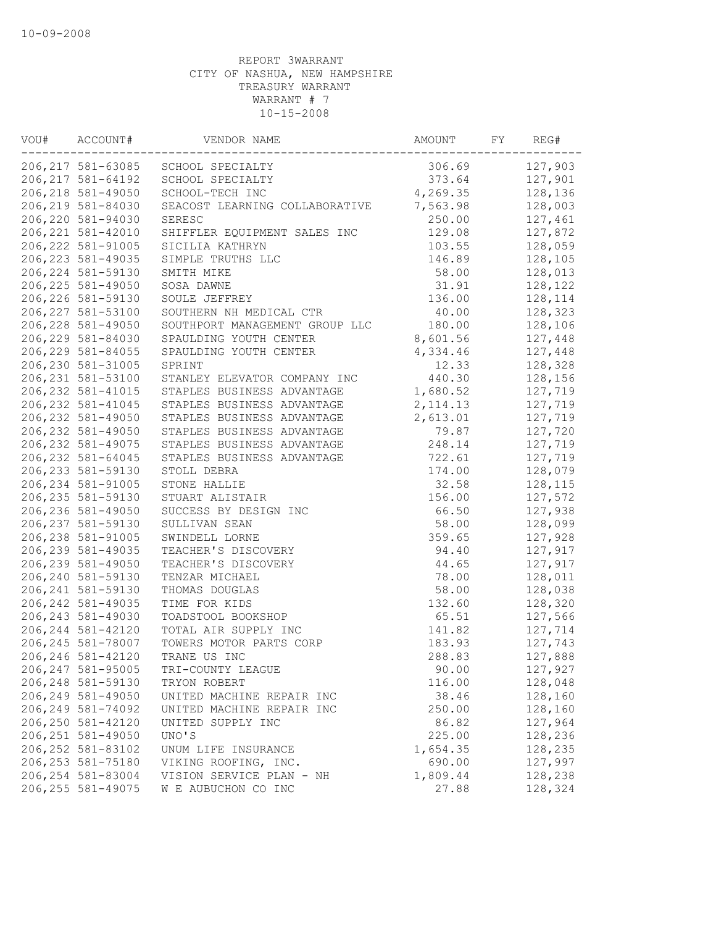| VOU# | ACCOUNT#           | VENDOR NAME                    | AMOUNT    | FY | REG#    |
|------|--------------------|--------------------------------|-----------|----|---------|
|      | 206,217 581-63085  | SCHOOL SPECIALTY               | 306.69    |    | 127,903 |
|      | 206, 217 581-64192 | SCHOOL SPECIALTY               | 373.64    |    | 127,901 |
|      | 206, 218 581-49050 | SCHOOL-TECH INC                | 4,269.35  |    | 128,136 |
|      | 206,219 581-84030  | SEACOST LEARNING COLLABORATIVE | 7,563.98  |    | 128,003 |
|      | 206,220 581-94030  | SERESC                         | 250.00    |    | 127,461 |
|      | 206, 221 581-42010 | SHIFFLER EQUIPMENT SALES INC   | 129.08    |    | 127,872 |
|      | 206, 222 581-91005 | SICILIA KATHRYN                | 103.55    |    | 128,059 |
|      | 206, 223 581-49035 | SIMPLE TRUTHS LLC              | 146.89    |    | 128,105 |
|      | 206, 224 581-59130 | SMITH MIKE                     | 58.00     |    | 128,013 |
|      | 206, 225 581-49050 | SOSA DAWNE                     | 31.91     |    | 128,122 |
|      | 206, 226 581-59130 | SOULE JEFFREY                  | 136.00    |    | 128,114 |
|      | 206, 227 581-53100 | SOUTHERN NH MEDICAL CTR        | 40.00     |    | 128,323 |
|      | 206, 228 581-49050 | SOUTHPORT MANAGEMENT GROUP LLC | 180.00    |    | 128,106 |
|      | 206,229 581-84030  | SPAULDING YOUTH CENTER         | 8,601.56  |    | 127,448 |
|      | 206, 229 581-84055 | SPAULDING YOUTH CENTER         | 4,334.46  |    | 127,448 |
|      | 206,230 581-31005  | SPRINT                         | 12.33     |    | 128,328 |
|      | 206, 231 581-53100 | STANLEY ELEVATOR COMPANY INC   | 440.30    |    | 128,156 |
|      | 206, 232 581-41015 | STAPLES BUSINESS ADVANTAGE     | 1,680.52  |    | 127,719 |
|      | 206, 232 581-41045 | STAPLES BUSINESS ADVANTAGE     | 2, 114.13 |    | 127,719 |
|      | 206, 232 581-49050 | STAPLES BUSINESS ADVANTAGE     | 2,613.01  |    | 127,719 |
|      | 206, 232 581-49050 | STAPLES BUSINESS ADVANTAGE     | 79.87     |    | 127,720 |
|      | 206, 232 581-49075 | STAPLES BUSINESS ADVANTAGE     | 248.14    |    | 127,719 |
|      | 206, 232 581-64045 | STAPLES BUSINESS ADVANTAGE     | 722.61    |    | 127,719 |
|      | 206, 233 581-59130 | STOLL DEBRA                    | 174.00    |    | 128,079 |
|      | 206, 234 581-91005 | STONE HALLIE                   | 32.58     |    | 128,115 |
|      | 206, 235 581-59130 | STUART ALISTAIR                | 156.00    |    | 127,572 |
|      | 206,236 581-49050  | SUCCESS BY DESIGN INC          | 66.50     |    | 127,938 |
|      | 206, 237 581-59130 | SULLIVAN SEAN                  | 58.00     |    | 128,099 |
|      | 206,238 581-91005  | SWINDELL LORNE                 | 359.65    |    | 127,928 |
|      | 206,239 581-49035  | TEACHER'S DISCOVERY            | 94.40     |    | 127,917 |
|      | 206,239 581-49050  | TEACHER'S DISCOVERY            | 44.65     |    | 127,917 |
|      | 206,240 581-59130  | TENZAR MICHAEL                 | 78.00     |    | 128,011 |
|      | 206, 241 581-59130 | THOMAS DOUGLAS                 | 58.00     |    | 128,038 |
|      | 206, 242 581-49035 | TIME FOR KIDS                  | 132.60    |    | 128,320 |
|      | 206, 243 581-49030 | TOADSTOOL BOOKSHOP             | 65.51     |    | 127,566 |
|      | 206, 244 581-42120 | TOTAL AIR SUPPLY INC           | 141.82    |    | 127,714 |
|      | 206, 245 581-78007 | TOWERS MOTOR PARTS CORP        | 183.93    |    | 127,743 |
|      | 206,246 581-42120  | TRANE US INC                   | 288.83    |    | 127,888 |
|      | 206, 247 581-95005 | TRI-COUNTY LEAGUE              | 90.00     |    | 127,927 |
|      | 206, 248 581-59130 | TRYON ROBERT                   | 116.00    |    | 128,048 |
|      | 206,249 581-49050  | UNITED MACHINE REPAIR INC      | 38.46     |    | 128,160 |
|      | 206,249 581-74092  | UNITED MACHINE REPAIR INC      | 250.00    |    | 128,160 |
|      | 206,250 581-42120  | UNITED SUPPLY INC              | 86.82     |    | 127,964 |
|      | 206, 251 581-49050 | UNO'S                          | 225.00    |    | 128,236 |
|      | 206, 252 581-83102 | UNUM LIFE INSURANCE            | 1,654.35  |    | 128,235 |
|      | 206, 253 581-75180 | VIKING ROOFING, INC.           | 690.00    |    | 127,997 |
|      | 206, 254 581-83004 | VISION SERVICE PLAN - NH       | 1,809.44  |    | 128,238 |
|      | 206, 255 581-49075 | W E AUBUCHON CO INC            | 27.88     |    | 128,324 |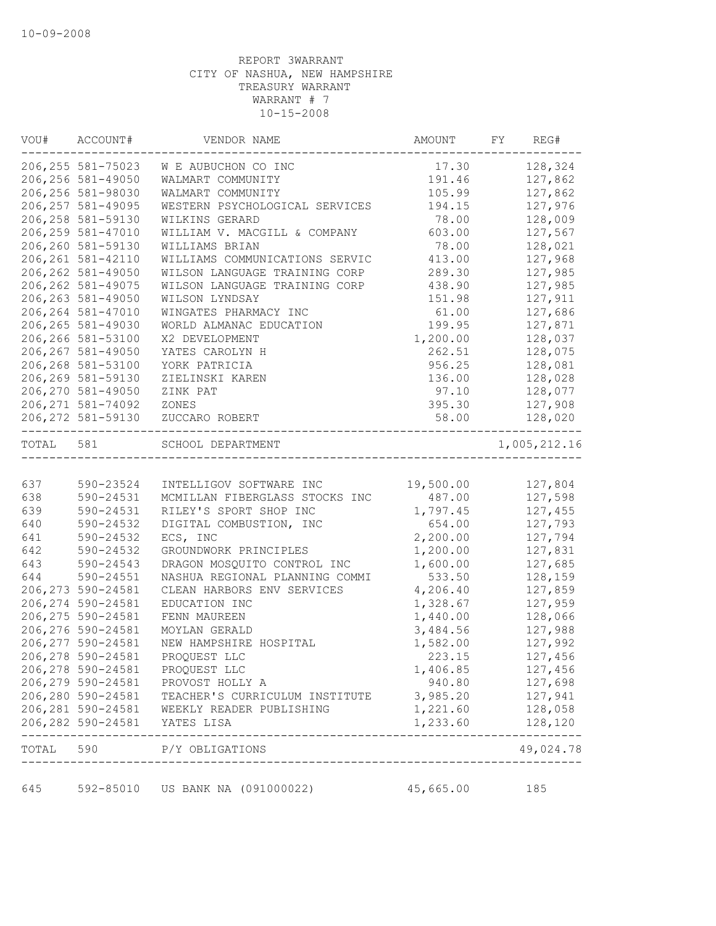| VOU#      | ACCOUNT#                                             | VENDOR NAME                                                                 | AMOUNT                               | FY | REG#               |
|-----------|------------------------------------------------------|-----------------------------------------------------------------------------|--------------------------------------|----|--------------------|
|           | 206, 255 581-75023                                   | W E AUBUCHON CO INC                                                         | 17.30                                |    | 128,324            |
|           | 206, 256 581-49050                                   | WALMART COMMUNITY                                                           | 191.46                               |    | 127,862            |
|           | 206,256 581-98030                                    | WALMART COMMUNITY                                                           | 105.99                               |    | 127,862            |
|           | 206, 257 581-49095                                   | WESTERN PSYCHOLOGICAL SERVICES                                              | 194.15                               |    | 127,976            |
|           | 206, 258 581-59130                                   | WILKINS GERARD                                                              | 78.00                                |    | 128,009            |
|           | 206, 259 581-47010                                   | WILLIAM V. MACGILL & COMPANY                                                | 603.00                               |    | 127,567            |
|           | 206,260 581-59130                                    | WILLIAMS BRIAN                                                              | 78.00                                |    | 128,021            |
|           | 206, 261 581-42110                                   | WILLIAMS COMMUNICATIONS SERVIC                                              | 413.00                               |    | 127,968            |
|           | 206, 262 581-49050                                   | WILSON LANGUAGE TRAINING CORP                                               | 289.30                               |    | 127,985            |
|           | 206, 262 581-49075                                   | WILSON LANGUAGE TRAINING CORP                                               | 438.90                               |    | 127,985            |
|           | 206, 263 581-49050                                   | WILSON LYNDSAY                                                              | 151.98                               |    | 127,911            |
|           | 206, 264 581-47010                                   | WINGATES PHARMACY INC                                                       | 61.00                                |    | 127,686            |
|           | 206, 265 581-49030                                   | WORLD ALMANAC EDUCATION                                                     | 199.95                               |    | 127,871            |
|           | 206,266 581-53100                                    | X2 DEVELOPMENT                                                              | 1,200.00                             |    | 128,037            |
|           | 206, 267 581-49050                                   | YATES CAROLYN H                                                             | 262.51                               |    | 128,075            |
|           | 206,268 581-53100                                    | YORK PATRICIA                                                               | 956.25                               |    | 128,081            |
|           | 206,269 581-59130                                    | ZIELINSKI KAREN                                                             | 136.00                               |    | 128,028            |
|           | 206, 270 581-49050                                   | ZINK PAT                                                                    | 97.10                                |    | 128,077            |
|           | 206, 271 581-74092                                   | ZONES                                                                       | 395.30                               |    | 127,908            |
|           | 206, 272 581-59130<br>------------------------------ | ZUCCARO ROBERT                                                              | 58.00<br>-------------------------   |    | 128,020            |
| TOTAL 581 |                                                      | SCHOOL DEPARTMENT                                                           |                                      |    | 1,005,212.16       |
|           |                                                      |                                                                             |                                      |    |                    |
| 637       | 590-23524                                            | INTELLIGOV SOFTWARE INC                                                     | 19,500.00                            |    | 127,804            |
| 638       | 590-24531                                            | MCMILLAN FIBERGLASS STOCKS INC                                              | 487.00                               |    | 127,598            |
| 639       | 590-24531                                            | RILEY'S SPORT SHOP INC                                                      | 1,797.45                             |    | 127,455            |
| 640       | 590-24532                                            | DIGITAL COMBUSTION, INC                                                     | 654.00                               |    | 127,793            |
| 641       | 590-24532                                            | ECS, INC                                                                    | 2,200.00                             |    | 127,794            |
| 642       | 590-24532                                            | GROUNDWORK PRINCIPLES                                                       | 1,200.00                             |    | 127,831            |
| 643       | 590-24543                                            | DRAGON MOSQUITO CONTROL INC                                                 | 1,600.00                             |    | 127,685            |
| 644       | 590-24551                                            | NASHUA REGIONAL PLANNING COMMI                                              | 533.50                               |    | 128,159            |
|           | 206, 273 590-24581                                   | CLEAN HARBORS ENV SERVICES                                                  | 4,206.40                             |    | 127,859            |
|           | 206, 274 590-24581                                   | EDUCATION INC                                                               | 1,328.67<br>1,440.00                 |    | 127,959            |
|           | 206, 275 590-24581                                   | FENN MAUREEN                                                                |                                      |    | 128,066<br>127,988 |
|           | 206, 276 590-24581                                   | MOYLAN GERALD<br>NEW HAMPSHIRE HOSPITAL                                     | 3,484.56                             |    |                    |
|           | 206, 277 590-24581                                   |                                                                             | 1,582.00                             |    | 127,992            |
|           | 206,278 590-24581                                    | PROQUEST LLC                                                                | 223.15                               |    | 127,456            |
|           |                                                      | 206,278 590-24581 PROQUEST LLC                                              | 1,406.85                             |    | 127,456            |
|           |                                                      | 206,279 590-24581 PROVOST HOLLY A                                           | 940.80 127,698                       |    |                    |
|           |                                                      | 206,280 590-24581 TEACHER'S CURRICULUM INSTITUTE 3,985.20 127,941           |                                      |    |                    |
|           |                                                      | 206,281 590-24581 WEEKLY READER PUBLISHING<br>206, 282 590-24581 YATES LISA | 1,221.60 128,058<br>1,233.60 128,120 |    |                    |
|           |                                                      |                                                                             |                                      |    |                    |
|           |                                                      | TOTAL 590 P/Y OBLIGATIONS                                                   |                                      |    | 49,024.78          |
|           |                                                      | 645 592-85010 US BANK NA (091000022)                                        | 45,665.00                            |    | 185                |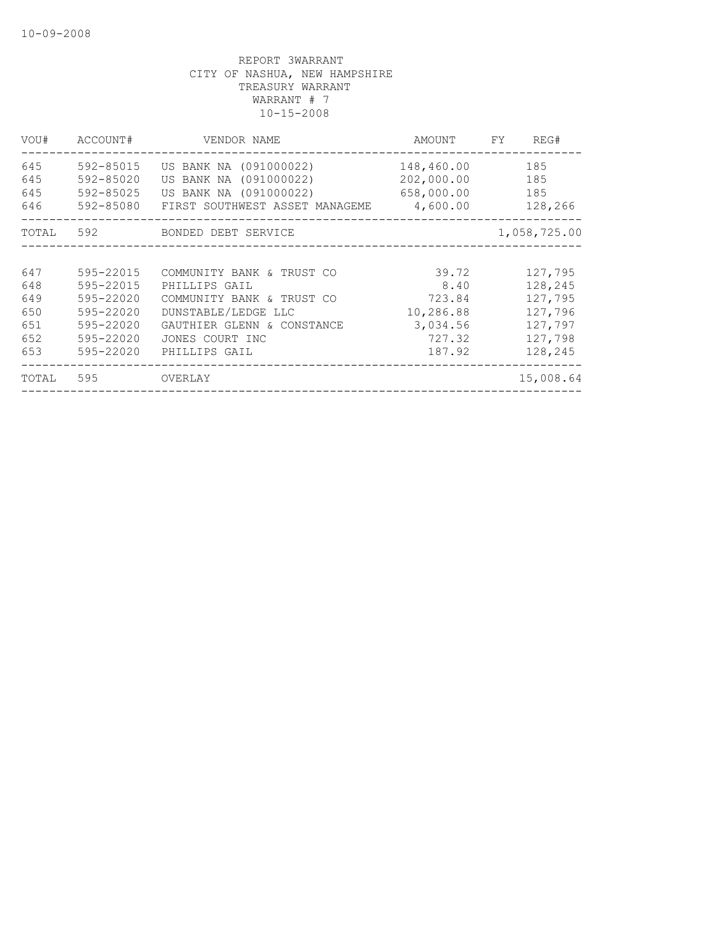| VOU#  | ACCOUNT#  | VENDOR NAME                             | AMOUNT     | FY | REG#         |
|-------|-----------|-----------------------------------------|------------|----|--------------|
| 645   | 592-85015 | US BANK NA (091000022)                  | 148,460.00 |    | 185          |
| 645   | 592-85020 | US BANK NA (091000022)                  | 202,000.00 |    | 185          |
| 645   | 592-85025 | US BANK NA (091000022) 658,000.00       |            |    | 185          |
| 646   | 592-85080 | FIRST SOUTHWEST ASSET MANAGEME 4,600.00 |            |    | 128,266      |
|       |           | TOTAL 592 BONDED DEBT SERVICE           |            |    | 1,058,725.00 |
|       |           |                                         |            |    |              |
| 647   | 595-22015 | COMMUNITY BANK & TRUST CO               | 39.72      |    | 127,795      |
| 648   | 595-22015 | PHILLIPS GAIL                           | 8.40       |    | 128,245      |
| 649   | 595-22020 | COMMUNITY BANK & TRUST CO               | 723.84     |    | 127,795      |
| 650   | 595-22020 | DUNSTABLE/LEDGE LLC                     | 10,286.88  |    | 127,796      |
| 651   | 595-22020 | GAUTHIER GLENN & CONSTANCE              | 3,034.56   |    | 127,797      |
| 652   | 595-22020 | JONES COURT INC                         | 727.32     |    | 127,798      |
| 653   | 595-22020 | PHILLIPS GAIL                           | 187.92     |    | 128,245      |
| TOTAL | 595       | OVERLAY                                 |            |    | 15,008.64    |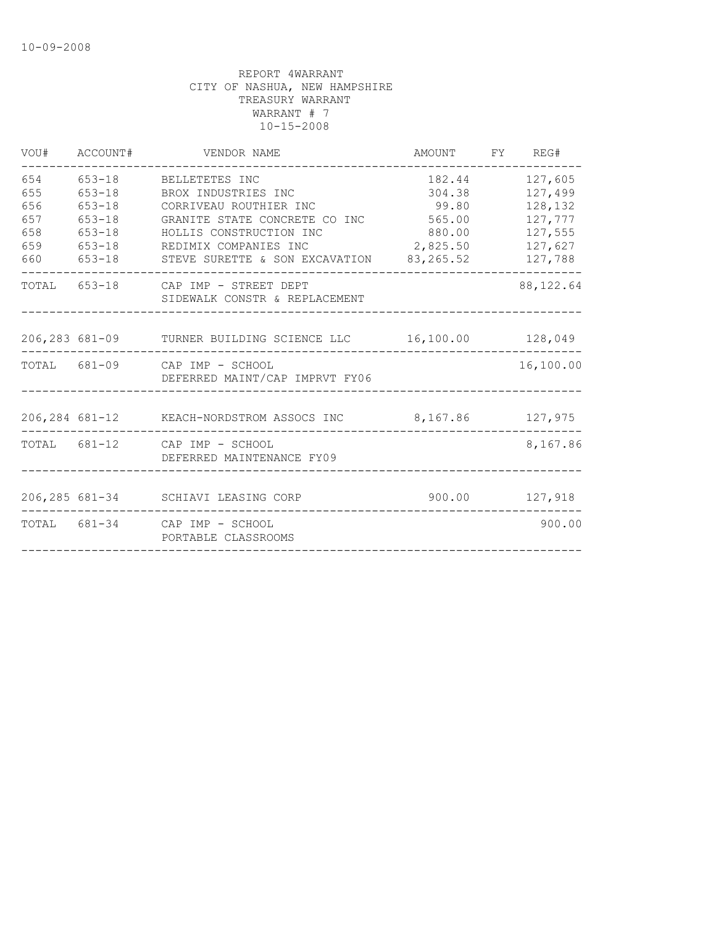| VOU#                                          | ACCOUNT#                                                                         | VENDOR NAME                                                                                                                                                                                                    | AMOUNT FY REG#                                  |                                                                                                |
|-----------------------------------------------|----------------------------------------------------------------------------------|----------------------------------------------------------------------------------------------------------------------------------------------------------------------------------------------------------------|-------------------------------------------------|------------------------------------------------------------------------------------------------|
| 654<br>655<br>656<br>657<br>658<br>659<br>660 | $653 - 18$<br>$653 - 18$<br>$653 - 18$<br>$653 - 18$<br>$653 - 18$<br>$653 - 18$ | 653-18 BELLETETES INC<br>BROX INDUSTRIES INC<br>CORRIVEAU ROUTHIER INC<br>GRANITE STATE CONCRETE CO INC 565.00<br>HOLLIS CONSTRUCTION INC<br>REDIMIX COMPANIES INC<br>STEVE SURETTE & SON EXCAVATION 83,265.52 | 182.44<br>304.38<br>99.80<br>880.00<br>2,825.50 | 127,605<br>127,499<br>128,132<br>127,777<br>127,555<br>127,627<br>127,788<br>. _ _ _ _ _ _ _ _ |
|                                               |                                                                                  | TOTAL 653-18 CAP IMP - STREET DEPT<br>SIDEWALK CONSTR & REPLACEMENT                                                                                                                                            |                                                 | 88, 122.64                                                                                     |
|                                               |                                                                                  | 206,283 681-09 TURNER BUILDING SCIENCE LLC 16,100.00 128,049                                                                                                                                                   |                                                 |                                                                                                |
|                                               |                                                                                  | TOTAL 681-09 CAP IMP - SCHOOL<br>DEFERRED MAINT/CAP IMPRVT FY06                                                                                                                                                |                                                 | 16,100.00                                                                                      |
|                                               |                                                                                  | 206,284 681-12 KEACH-NORDSTROM ASSOCS INC 8,167.86 127,975                                                                                                                                                     |                                                 |                                                                                                |
|                                               |                                                                                  | TOTAL 681-12 CAP IMP - SCHOOL<br>DEFERRED MAINTENANCE FY09                                                                                                                                                     |                                                 | 8,167.86                                                                                       |
|                                               |                                                                                  | 206,285 681-34 SCHIAVI LEASING CORP                                                                                                                                                                            |                                                 | 900.00 127,918                                                                                 |
|                                               |                                                                                  | TOTAL 681-34 CAP IMP - SCHOOL<br>PORTABLE CLASSROOMS                                                                                                                                                           |                                                 | 900.00                                                                                         |
|                                               |                                                                                  |                                                                                                                                                                                                                |                                                 |                                                                                                |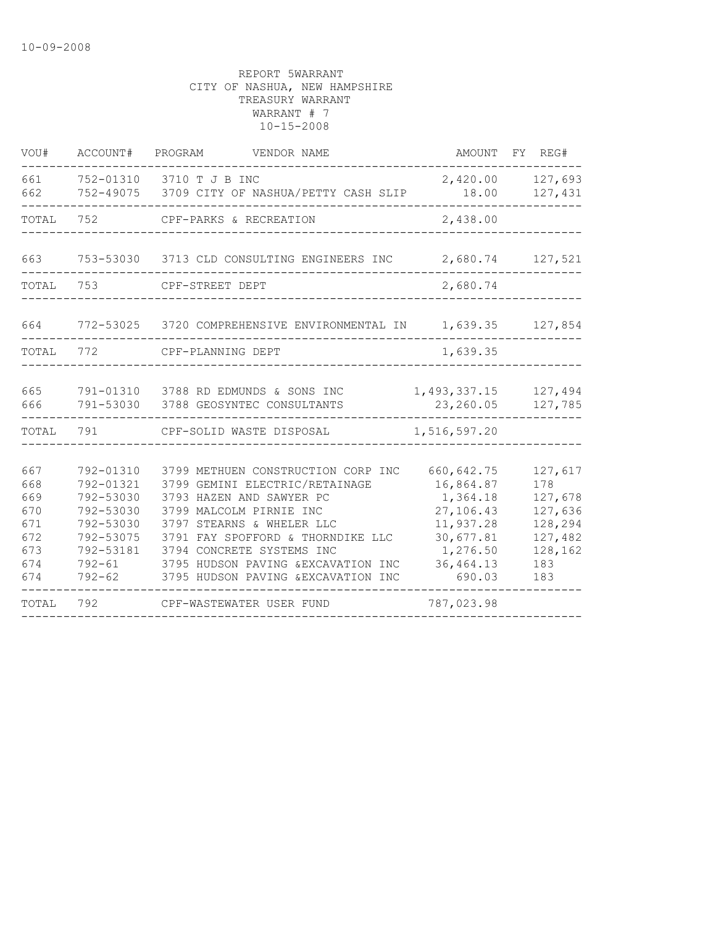| VOU#                                                        | ACCOUNT#                                                                                                        | PROGRAM<br>VENDOR NAME                                                                                                                                                                                                                                                                                   |                                                                                                                | AMOUNT FY REG#                                                                      |
|-------------------------------------------------------------|-----------------------------------------------------------------------------------------------------------------|----------------------------------------------------------------------------------------------------------------------------------------------------------------------------------------------------------------------------------------------------------------------------------------------------------|----------------------------------------------------------------------------------------------------------------|-------------------------------------------------------------------------------------|
| 661<br>662                                                  |                                                                                                                 | 752-01310 3710 T J B INC<br>752-49075 3709 CITY OF NASHUA/PETTY CASH SLIP                                                                                                                                                                                                                                | 2,420.00<br>18.00                                                                                              | 127,693<br>127,431                                                                  |
| TOTAL                                                       | 752                                                                                                             | CPF-PARKS & RECREATION                                                                                                                                                                                                                                                                                   | 2,438.00                                                                                                       |                                                                                     |
| 663                                                         |                                                                                                                 | 753-53030 3713 CLD CONSULTING ENGINEERS INC                                                                                                                                                                                                                                                              |                                                                                                                | 2,680.74 127,521                                                                    |
| TOTAL                                                       | 753                                                                                                             | CPF-STREET DEPT                                                                                                                                                                                                                                                                                          | 2,680.74                                                                                                       |                                                                                     |
| 664                                                         |                                                                                                                 | 772-53025 3720 COMPREHENSIVE ENVIRONMENTAL IN                                                                                                                                                                                                                                                            | 1,639.35                                                                                                       | 127,854                                                                             |
| TOTAL                                                       | 772                                                                                                             | CPF-PLANNING DEPT                                                                                                                                                                                                                                                                                        | 1,639.35                                                                                                       |                                                                                     |
| 665<br>666                                                  | 791-53030                                                                                                       | 791-01310 3788 RD EDMUNDS & SONS INC<br>3788 GEOSYNTEC CONSULTANTS                                                                                                                                                                                                                                       | 1,493,337.15<br>23,260.05                                                                                      | 127,494<br>127,785                                                                  |
| TOTAL                                                       | 791                                                                                                             | CPF-SOLID WASTE DISPOSAL                                                                                                                                                                                                                                                                                 | 1,516,597.20                                                                                                   |                                                                                     |
| 667<br>668<br>669<br>670<br>671<br>672<br>673<br>674<br>674 | 792-01310<br>792-01321<br>792-53030<br>792-53030<br>792-53030<br>792-53075<br>792-53181<br>792-61<br>$792 - 62$ | 3799 METHUEN CONSTRUCTION CORP INC<br>3799 GEMINI ELECTRIC/RETAINAGE<br>3793 HAZEN AND SAWYER PC<br>3799 MALCOLM PIRNIE INC<br>3797 STEARNS & WHELER LLC<br>3791 FAY SPOFFORD & THORNDIKE LLC<br>3794 CONCRETE SYSTEMS INC<br>3795 HUDSON PAVING & EXCAVATION INC<br>3795 HUDSON PAVING & EXCAVATION INC | 660, 642.75<br>16,864.87<br>1,364.18<br>27,106.43<br>11,937.28<br>30,677.81<br>1,276.50<br>36,464.13<br>690.03 | 127,617<br>178<br>127,678<br>127,636<br>128,294<br>127,482<br>128,162<br>183<br>183 |
| TOTAL                                                       | 792                                                                                                             | CPF-WASTEWATER USER FUND                                                                                                                                                                                                                                                                                 | 787,023.98                                                                                                     |                                                                                     |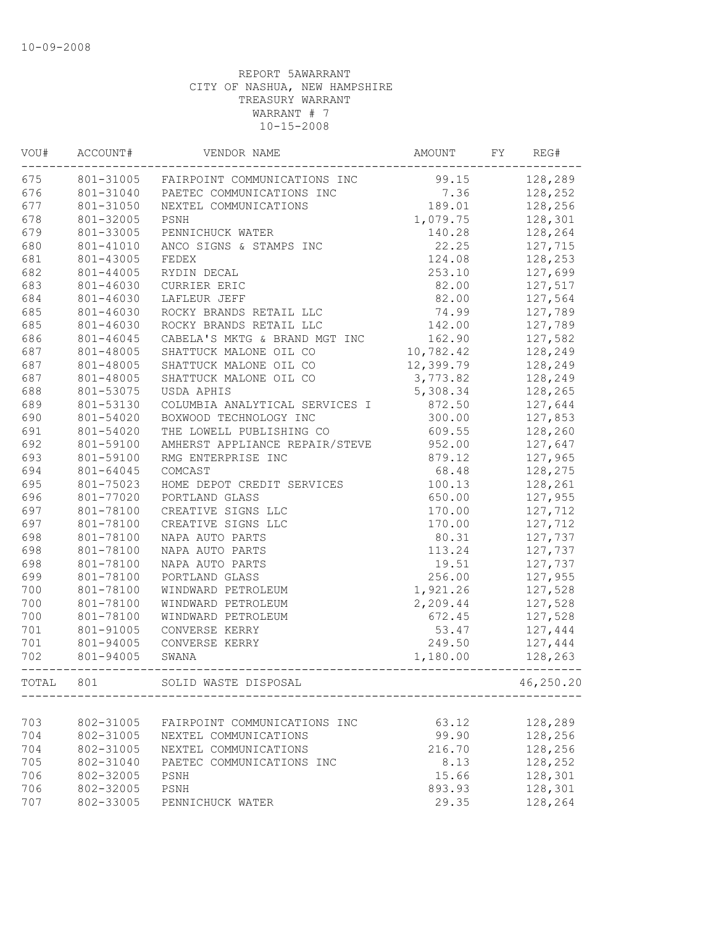| VOU#  | ACCOUNT#  | VENDOR NAME                            | AMOUNT    | FY | REG#      |
|-------|-----------|----------------------------------------|-----------|----|-----------|
| 675   |           | 801-31005 FAIRPOINT COMMUNICATIONS INC | 99.15     |    | 128,289   |
| 676   | 801-31040 | PAETEC COMMUNICATIONS INC              | 7.36      |    | 128,252   |
| 677   | 801-31050 | NEXTEL COMMUNICATIONS                  | 189.01    |    | 128,256   |
| 678   | 801-32005 | PSNH                                   | 1,079.75  |    | 128,301   |
| 679   | 801-33005 | PENNICHUCK WATER                       | 140.28    |    | 128,264   |
| 680   | 801-41010 | ANCO SIGNS & STAMPS INC                | 22.25     |    | 127,715   |
| 681   | 801-43005 | FEDEX                                  | 124.08    |    | 128,253   |
| 682   | 801-44005 | RYDIN DECAL                            | 253.10    |    | 127,699   |
| 683   | 801-46030 | CURRIER ERIC                           | 82.00     |    | 127,517   |
| 684   | 801-46030 | LAFLEUR JEFF                           | 82.00     |    | 127,564   |
| 685   | 801-46030 | ROCKY BRANDS RETAIL LLC                | 74.99     |    | 127,789   |
| 685   | 801-46030 | ROCKY BRANDS RETAIL LLC                | 142.00    |    | 127,789   |
| 686   | 801-46045 | CABELA'S MKTG & BRAND MGT INC          | 162.90    |    | 127,582   |
| 687   | 801-48005 | SHATTUCK MALONE OIL CO                 | 10,782.42 |    | 128,249   |
| 687   | 801-48005 | SHATTUCK MALONE OIL CO                 | 12,399.79 |    | 128,249   |
| 687   | 801-48005 | SHATTUCK MALONE OIL CO                 | 3,773.82  |    | 128,249   |
| 688   | 801-53075 | USDA APHIS                             | 5,308.34  |    | 128,265   |
| 689   | 801-53130 | COLUMBIA ANALYTICAL SERVICES I         | 872.50    |    | 127,644   |
| 690   | 801-54020 | BOXWOOD TECHNOLOGY INC                 | 300.00    |    | 127,853   |
| 691   | 801-54020 | THE LOWELL PUBLISHING CO               | 609.55    |    | 128,260   |
| 692   | 801-59100 | AMHERST APPLIANCE REPAIR/STEVE         | 952.00    |    | 127,647   |
| 693   | 801-59100 | RMG ENTERPRISE INC                     | 879.12    |    | 127,965   |
| 694   | 801-64045 | COMCAST                                | 68.48     |    | 128,275   |
| 695   | 801-75023 | HOME DEPOT CREDIT SERVICES             | 100.13    |    | 128,261   |
| 696   | 801-77020 | PORTLAND GLASS                         | 650.00    |    | 127,955   |
| 697   | 801-78100 | CREATIVE SIGNS LLC                     | 170.00    |    | 127,712   |
| 697   | 801-78100 | CREATIVE SIGNS LLC                     | 170.00    |    | 127,712   |
| 698   | 801-78100 | NAPA AUTO PARTS                        | 80.31     |    | 127,737   |
| 698   | 801-78100 | NAPA AUTO PARTS                        | 113.24    |    | 127,737   |
| 698   | 801-78100 | NAPA AUTO PARTS                        | 19.51     |    | 127,737   |
| 699   | 801-78100 | PORTLAND GLASS                         | 256.00    |    | 127,955   |
| 700   | 801-78100 | WINDWARD PETROLEUM                     | 1,921.26  |    | 127,528   |
| 700   | 801-78100 | WINDWARD PETROLEUM                     | 2,209.44  |    | 127,528   |
| 700   | 801-78100 | WINDWARD PETROLEUM                     | 672.45    |    | 127,528   |
| 701   | 801-91005 | CONVERSE KERRY                         | 53.47     |    | 127,444   |
| 701   | 801-94005 | CONVERSE KERRY                         | 249.50    |    | 127,444   |
| 702   | 801-94005 | SWANA                                  | 1,180.00  |    | 128,263   |
|       |           |                                        |           |    |           |
| TOTAL | 801       | SOLID WASTE DISPOSAL                   |           |    | 46,250.20 |
| 703   | 802-31005 | FAIRPOINT COMMUNICATIONS INC           | 63.12     |    | 128,289   |
| 704   | 802-31005 | NEXTEL COMMUNICATIONS                  | 99.90     |    | 128,256   |
| 704   | 802-31005 | NEXTEL COMMUNICATIONS                  | 216.70    |    | 128,256   |
| 705   | 802-31040 | PAETEC COMMUNICATIONS INC              | 8.13      |    | 128,252   |
| 706   | 802-32005 | PSNH                                   | 15.66     |    | 128,301   |
| 706   | 802-32005 | PSNH                                   | 893.93    |    | 128,301   |
| 707   | 802-33005 | PENNICHUCK WATER                       | 29.35     |    | 128,264   |
|       |           |                                        |           |    |           |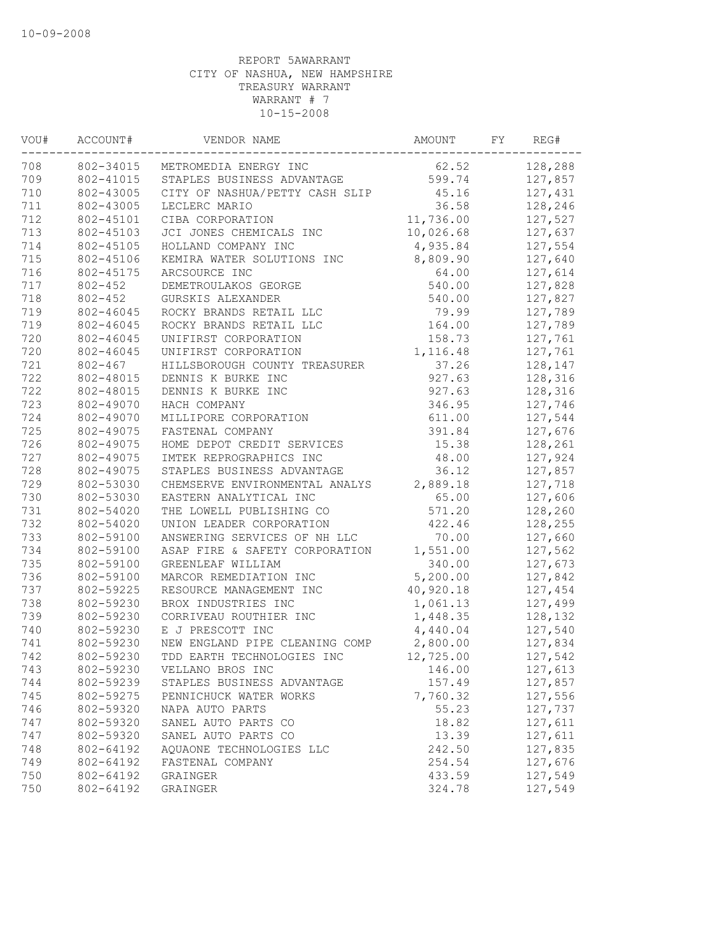| VOU# | ACCOUNT#    | VENDOR NAME                    | AMOUNT    | FY | REG#    |
|------|-------------|--------------------------------|-----------|----|---------|
| 708  | 802-34015   | METROMEDIA ENERGY INC          | 62.52     |    | 128,288 |
| 709  | 802-41015   | STAPLES BUSINESS ADVANTAGE     | 599.74    |    | 127,857 |
| 710  | 802-43005   | CITY OF NASHUA/PETTY CASH SLIP | 45.16     |    | 127,431 |
| 711  | 802-43005   | LECLERC MARIO                  | 36.58     |    | 128,246 |
| 712  | 802-45101   | CIBA CORPORATION               | 11,736.00 |    | 127,527 |
| 713  | 802-45103   | JCI JONES CHEMICALS INC        | 10,026.68 |    | 127,637 |
| 714  | 802-45105   | HOLLAND COMPANY INC            | 4,935.84  |    | 127,554 |
| 715  | 802-45106   | KEMIRA WATER SOLUTIONS INC     | 8,809.90  |    | 127,640 |
| 716  | 802-45175   | ARCSOURCE INC                  | 64.00     |    | 127,614 |
| 717  | $802 - 452$ | DEMETROULAKOS GEORGE           | 540.00    |    | 127,828 |
| 718  | $802 - 452$ | GURSKIS ALEXANDER              | 540.00    |    | 127,827 |
| 719  | 802-46045   | ROCKY BRANDS RETAIL LLC        | 79.99     |    | 127,789 |
| 719  | 802-46045   | ROCKY BRANDS RETAIL LLC        | 164.00    |    | 127,789 |
| 720  | 802-46045   | UNIFIRST CORPORATION           | 158.73    |    | 127,761 |
| 720  | 802-46045   | UNIFIRST CORPORATION           | 1,116.48  |    | 127,761 |
| 721  | $802 - 467$ | HILLSBOROUGH COUNTY TREASURER  | 37.26     |    | 128,147 |
| 722  | 802-48015   | DENNIS K BURKE INC             | 927.63    |    | 128,316 |
| 722  | 802-48015   | DENNIS K BURKE INC             | 927.63    |    | 128,316 |
| 723  | 802-49070   | HACH COMPANY                   | 346.95    |    | 127,746 |
| 724  | 802-49070   | MILLIPORE CORPORATION          | 611.00    |    | 127,544 |
| 725  | 802-49075   | FASTENAL COMPANY               | 391.84    |    | 127,676 |
| 726  | 802-49075   | HOME DEPOT CREDIT SERVICES     | 15.38     |    | 128,261 |
| 727  | 802-49075   | IMTEK REPROGRAPHICS INC        | 48.00     |    | 127,924 |
| 728  | 802-49075   | STAPLES BUSINESS ADVANTAGE     | 36.12     |    | 127,857 |
| 729  | 802-53030   | CHEMSERVE ENVIRONMENTAL ANALYS | 2,889.18  |    | 127,718 |
| 730  | 802-53030   | EASTERN ANALYTICAL INC         | 65.00     |    | 127,606 |
| 731  | 802-54020   | THE LOWELL PUBLISHING CO       | 571.20    |    | 128,260 |
| 732  | 802-54020   | UNION LEADER CORPORATION       | 422.46    |    | 128,255 |
| 733  | 802-59100   | ANSWERING SERVICES OF NH LLC   | 70.00     |    | 127,660 |
| 734  | 802-59100   | ASAP FIRE & SAFETY CORPORATION | 1,551.00  |    | 127,562 |
| 735  | 802-59100   | GREENLEAF WILLIAM              | 340.00    |    | 127,673 |
| 736  | 802-59100   | MARCOR REMEDIATION INC         | 5,200.00  |    | 127,842 |
| 737  | 802-59225   | RESOURCE MANAGEMENT INC        | 40,920.18 |    | 127,454 |
| 738  | 802-59230   | BROX INDUSTRIES INC            | 1,061.13  |    | 127,499 |
| 739  | 802-59230   | CORRIVEAU ROUTHIER INC         | 1,448.35  |    | 128,132 |
| 740  | 802-59230   | E J PRESCOTT INC               | 4,440.04  |    | 127,540 |
| 741  | 802-59230   | NEW ENGLAND PIPE CLEANING COMP | 2,800.00  |    | 127,834 |
| 742  | 802-59230   | TDD EARTH TECHNOLOGIES INC     | 12,725.00 |    | 127,542 |
| 743  | 802-59230   | VELLANO BROS INC               | 146.00    |    | 127,613 |
| 744  | 802-59239   | STAPLES BUSINESS ADVANTAGE     | 157.49    |    | 127,857 |
| 745  | 802-59275   | PENNICHUCK WATER WORKS         | 7,760.32  |    | 127,556 |
| 746  | 802-59320   | NAPA AUTO PARTS                | 55.23     |    | 127,737 |
| 747  | 802-59320   | SANEL AUTO PARTS CO            | 18.82     |    | 127,611 |
| 747  | 802-59320   | SANEL AUTO PARTS CO            | 13.39     |    | 127,611 |
| 748  | 802-64192   | AQUAONE TECHNOLOGIES LLC       | 242.50    |    | 127,835 |
| 749  | 802-64192   | FASTENAL COMPANY               | 254.54    |    | 127,676 |
| 750  | 802-64192   | GRAINGER                       | 433.59    |    | 127,549 |
| 750  | 802-64192   | GRAINGER                       | 324.78    |    | 127,549 |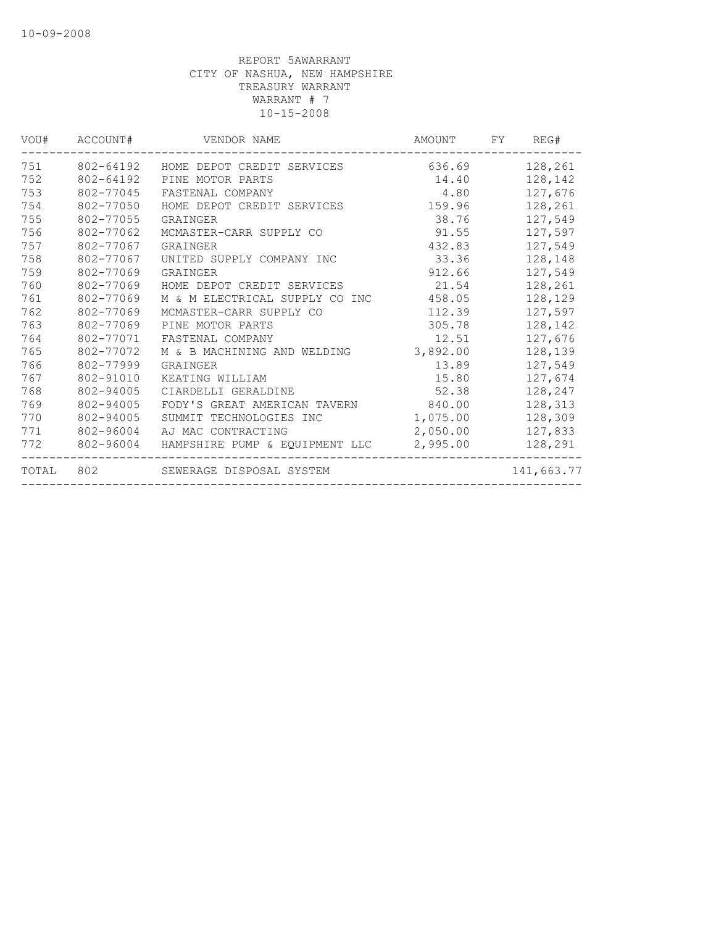| VOU#  | ACCOUNT#  | VENDOR NAME                    | AMOUNT   | FY | REG#       |
|-------|-----------|--------------------------------|----------|----|------------|
| 751   | 802-64192 | HOME DEPOT CREDIT SERVICES     | 636.69   |    | 128,261    |
| 752   | 802-64192 | PINE MOTOR PARTS               | 14.40    |    | 128,142    |
| 753   | 802-77045 | FASTENAL COMPANY               | 4.80     |    | 127,676    |
| 754   | 802-77050 | HOME DEPOT CREDIT SERVICES     | 159.96   |    | 128,261    |
| 755   | 802-77055 | GRAINGER                       | 38.76    |    | 127,549    |
| 756   | 802-77062 | MCMASTER-CARR SUPPLY CO        | 91.55    |    | 127,597    |
| 757   | 802-77067 | GRAINGER                       | 432.83   |    | 127,549    |
| 758   | 802-77067 | UNITED SUPPLY COMPANY INC      | 33.36    |    | 128,148    |
| 759   | 802-77069 | GRAINGER                       | 912.66   |    | 127,549    |
| 760   | 802-77069 | HOME DEPOT CREDIT SERVICES     | 21.54    |    | 128,261    |
| 761   | 802-77069 | M & M ELECTRICAL SUPPLY CO INC | 458.05   |    | 128,129    |
| 762   | 802-77069 | MCMASTER-CARR SUPPLY CO        | 112.39   |    | 127,597    |
| 763   | 802-77069 | PINE MOTOR PARTS               | 305.78   |    | 128,142    |
| 764   | 802-77071 | FASTENAL COMPANY               | 12.51    |    | 127,676    |
| 765   | 802-77072 | M & B MACHINING AND WELDING    | 3,892.00 |    | 128,139    |
| 766   | 802-77999 | GRAINGER                       | 13.89    |    | 127,549    |
| 767   | 802-91010 | KEATING WILLIAM                | 15.80    |    | 127,674    |
| 768   | 802-94005 | CIARDELLI GERALDINE            | 52.38    |    | 128,247    |
| 769   | 802-94005 | FODY'S GREAT AMERICAN TAVERN   | 840.00   |    | 128,313    |
| 770   | 802-94005 | SUMMIT TECHNOLOGIES INC        | 1,075.00 |    | 128,309    |
| 771   | 802-96004 | AJ MAC CONTRACTING             | 2,050.00 |    | 127,833    |
| 772   | 802-96004 | HAMPSHIRE PUMP & EQUIPMENT LLC | 2,995.00 |    | 128,291    |
| TOTAL | 802       | SEWERAGE DISPOSAL SYSTEM       |          |    | 141,663.77 |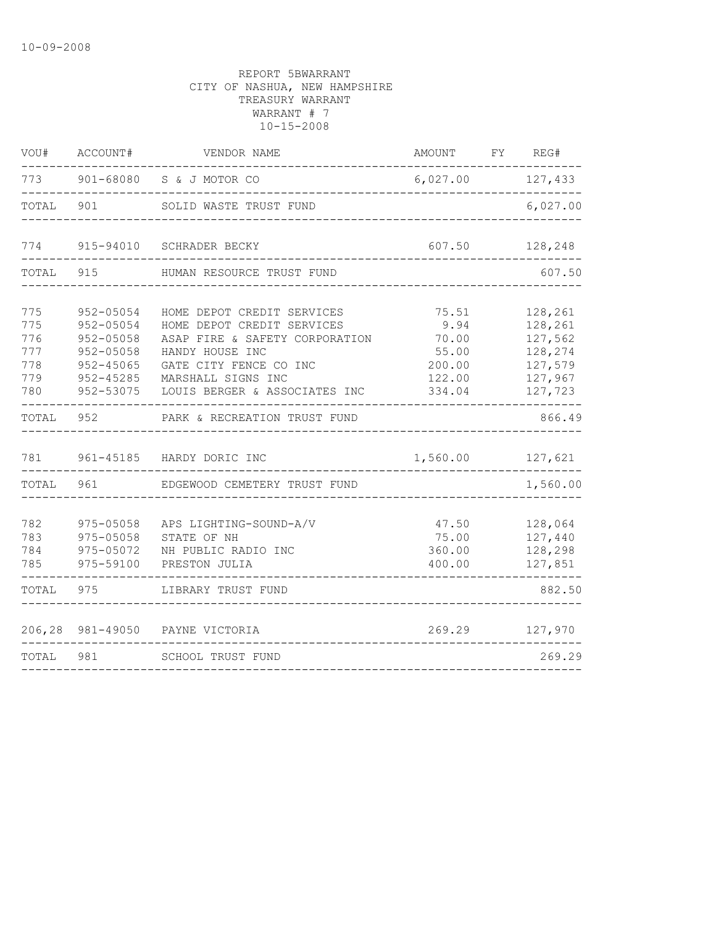| VOU#                                          | ACCOUNT#                                                                                            | VENDOR NAME                                                                                                                                                                                    | AMOUNT FY REG#                                                |                                                                           |
|-----------------------------------------------|-----------------------------------------------------------------------------------------------------|------------------------------------------------------------------------------------------------------------------------------------------------------------------------------------------------|---------------------------------------------------------------|---------------------------------------------------------------------------|
| 773                                           |                                                                                                     | 901-68080 S & J MOTOR CO                                                                                                                                                                       | 6,027.00 127,433                                              |                                                                           |
| TOTAL                                         | 901                                                                                                 | SOLID WASTE TRUST FUND                                                                                                                                                                         |                                                               | 6,027.00                                                                  |
| 774                                           | 915-94010                                                                                           | SCHRADER BECKY                                                                                                                                                                                 | 607.50                                                        | 128,248                                                                   |
| TOTAL                                         | 915                                                                                                 | HUMAN RESOURCE TRUST FUND                                                                                                                                                                      |                                                               | 607.50                                                                    |
| 775<br>775<br>776<br>777<br>778<br>779<br>780 | $952 - 05054$<br>952-05054<br>952-05058<br>952-05058<br>$952 - 45065$<br>$952 - 45285$<br>952-53075 | HOME DEPOT CREDIT SERVICES<br>HOME DEPOT CREDIT SERVICES<br>ASAP FIRE & SAFETY CORPORATION<br>HANDY HOUSE INC<br>GATE CITY FENCE CO INC<br>MARSHALL SIGNS INC<br>LOUIS BERGER & ASSOCIATES INC | 75.51<br>9.94<br>70.00<br>55.00<br>200.00<br>122.00<br>334.04 | 128,261<br>128,261<br>127,562<br>128,274<br>127,579<br>127,967<br>127,723 |
| TOTAL                                         | 952                                                                                                 | PARK & RECREATION TRUST FUND                                                                                                                                                                   |                                                               | 866.49                                                                    |
| 781                                           |                                                                                                     | 961-45185 HARDY DORIC INC                                                                                                                                                                      | 1,560.00                                                      | 127,621                                                                   |
| TOTAL                                         | 961                                                                                                 | EDGEWOOD CEMETERY TRUST FUND                                                                                                                                                                   |                                                               | 1,560.00                                                                  |
| 782<br>783<br>784<br>785                      | 975-05058<br>975-05058<br>975-05072<br>975-59100                                                    | APS LIGHTING-SOUND-A/V<br>STATE OF NH<br>NH PUBLIC RADIO INC<br>PRESTON JULIA                                                                                                                  | 47.50<br>75.00<br>360.00<br>400.00                            | 128,064<br>127,440<br>128,298<br>127,851                                  |
| TOTAL                                         | 975                                                                                                 | LIBRARY TRUST FUND                                                                                                                                                                             |                                                               | 882.50                                                                    |
| 206,28                                        |                                                                                                     | 981-49050 PAYNE VICTORIA                                                                                                                                                                       | 269.29                                                        | 127,970                                                                   |
| TOTAL                                         | 981                                                                                                 | <b>SCHOOL TRUST FUND</b>                                                                                                                                                                       |                                                               | 269.29                                                                    |
|                                               |                                                                                                     |                                                                                                                                                                                                |                                                               |                                                                           |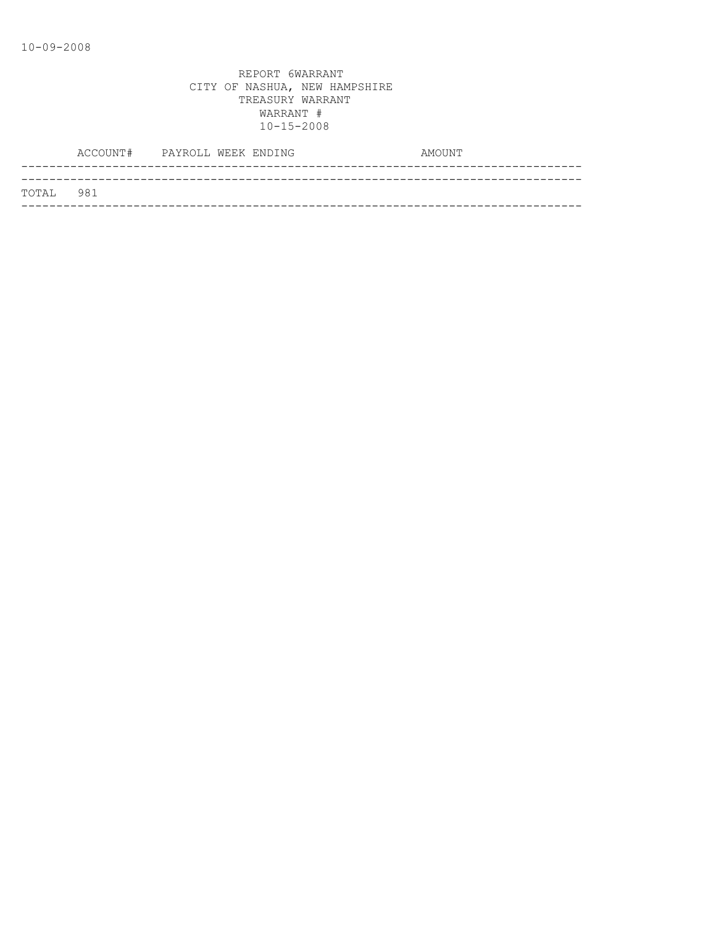|           | ACCOUNT# PAYROLL WEEK ENDING |  | AMOUNT |
|-----------|------------------------------|--|--------|
|           |                              |  |        |
| TOTAL 981 |                              |  |        |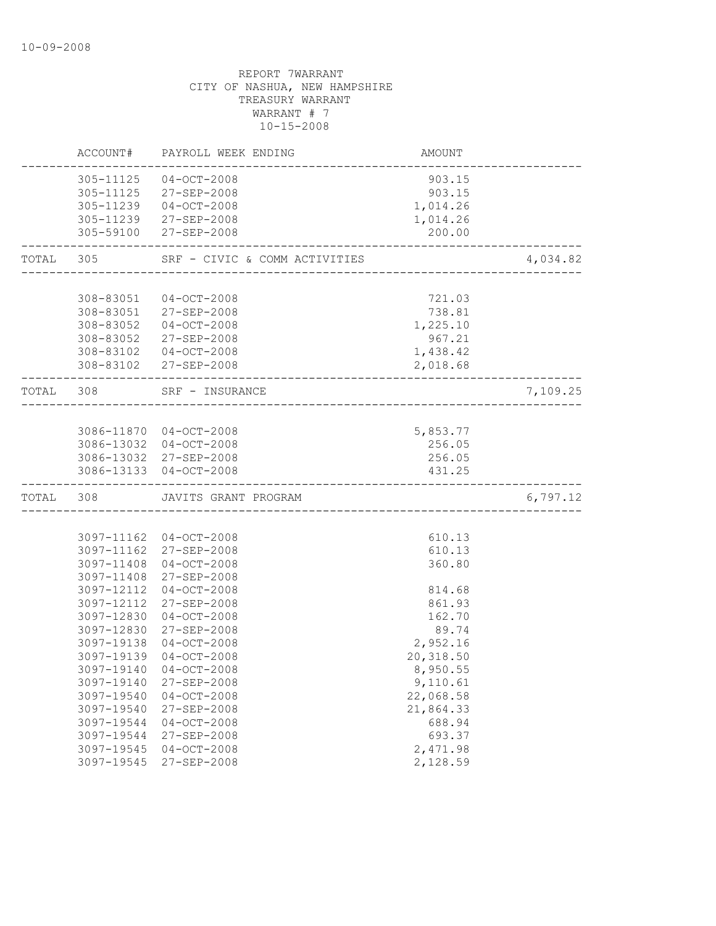|           | ACCOUNT#   | PAYROLL WEEK ENDING           | AMOUNT    |          |
|-----------|------------|-------------------------------|-----------|----------|
|           | 305-11125  | $04 - OCT - 2008$             | 903.15    |          |
|           |            | 305-11125 27-SEP-2008         | 903.15    |          |
|           |            | 305-11239 04-OCT-2008         | 1,014.26  |          |
|           |            | 305-11239 27-SEP-2008         | 1,014.26  |          |
|           |            | 305-59100 27-SEP-2008         | 200.00    |          |
| TOTAL 305 |            | SRF - CIVIC & COMM ACTIVITIES |           | 4,034.82 |
|           |            |                               |           |          |
|           | 308-83051  | $04 - OCT - 2008$             | 721.03    |          |
|           |            | 308-83051 27-SEP-2008         | 738.81    |          |
|           |            | 308-83052 04-OCT-2008         | 1,225.10  |          |
|           |            | 308-83052 27-SEP-2008         | 967.21    |          |
|           |            | 308-83102 04-OCT-2008         | 1,438.42  |          |
|           |            | 308-83102 27-SEP-2008         | 2,018.68  |          |
| TOTAL 308 |            | SRF - INSURANCE               |           | 7,109.25 |
|           |            |                               |           |          |
|           |            | 3086-11870 04-OCT-2008        | 5,853.77  |          |
|           |            | 3086-13032 04-OCT-2008        | 256.05    |          |
|           |            | 3086-13032 27-SEP-2008        | 256.05    |          |
|           |            | 3086-13133 04-OCT-2008        | 431.25    |          |
| TOTAL     | 308        | JAVITS GRANT PROGRAM          |           | 6,797.12 |
|           |            |                               |           |          |
|           |            | 3097-11162 04-OCT-2008        | 610.13    |          |
|           | 3097-11162 | 27-SEP-2008                   | 610.13    |          |
|           | 3097-11408 | $04 - OCT - 2008$             | 360.80    |          |
|           | 3097-11408 | 27-SEP-2008                   |           |          |
|           | 3097-12112 | $04 - OCT - 2008$             | 814.68    |          |
|           | 3097-12112 | 27-SEP-2008                   | 861.93    |          |
|           | 3097-12830 | $04 - OCT - 2008$             | 162.70    |          |
|           | 3097-12830 | 27-SEP-2008                   | 89.74     |          |
|           | 3097-19138 | $04-0CT-2008$                 | 2,952.16  |          |
|           | 3097-19139 | $04 - OCT - 2008$             | 20,318.50 |          |
|           | 3097-19140 | $04 - OCT - 2008$             | 8,950.55  |          |
|           | 3097-19140 | 27-SEP-2008                   | 9,110.61  |          |
|           | 3097-19540 | $04 - OCT - 2008$             | 22,068.58 |          |
|           | 3097-19540 | 27-SEP-2008                   | 21,864.33 |          |
|           | 3097-19544 | $04 - OCT - 2008$             | 688.94    |          |
|           | 3097-19544 | 27-SEP-2008                   | 693.37    |          |
|           | 3097-19545 | $04 - OCT - 2008$             | 2,471.98  |          |
|           | 3097-19545 | 27-SEP-2008                   | 2,128.59  |          |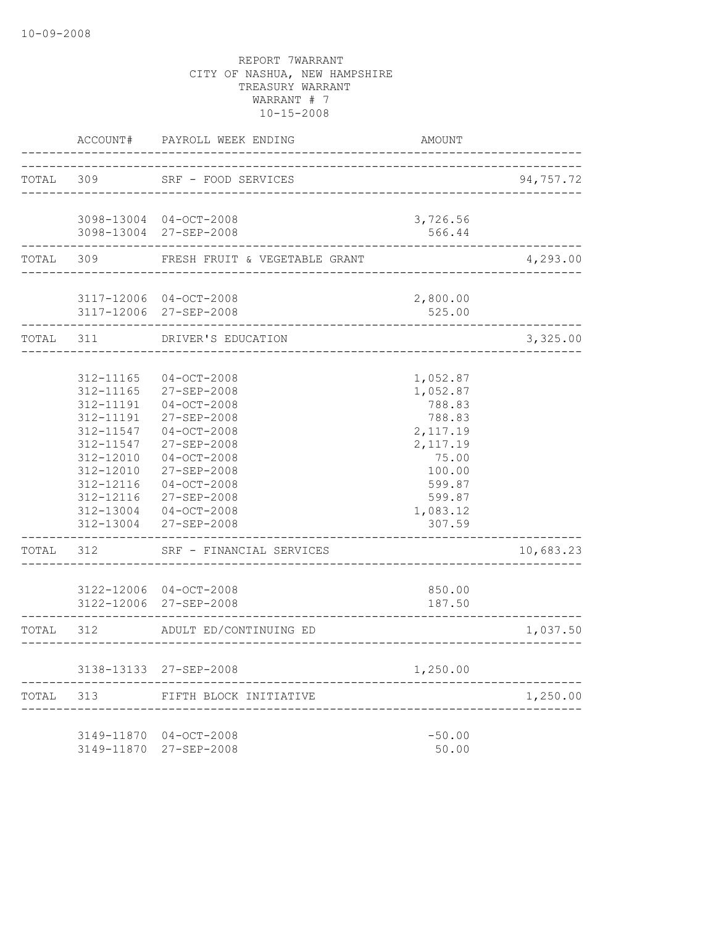|           | ACCOUNT#               | PAYROLL WEEK ENDING                      | <b>AMOUNT</b>          |           |
|-----------|------------------------|------------------------------------------|------------------------|-----------|
| TOTAL 309 |                        | SRF - FOOD SERVICES                      |                        | 94,757.72 |
|           |                        |                                          | ______________________ |           |
|           |                        | 3098-13004 04-OCT-2008                   | 3,726.56               |           |
|           |                        | 3098-13004 27-SEP-2008                   | 566.44                 |           |
| TOTAL     | 309                    | FRESH FRUIT & VEGETABLE GRANT            |                        | 4,293.00  |
|           |                        | 3117-12006 04-OCT-2008                   | 2,800.00               |           |
|           |                        | 3117-12006 27-SEP-2008                   | 525.00                 |           |
| TOTAL 311 |                        | DRIVER'S EDUCATION                       |                        | 3,325.00  |
|           | 312-11165              | $04 - OCT - 2008$                        | 1,052.87               |           |
|           | 312-11165              | 27-SEP-2008                              | 1,052.87               |           |
|           | 312-11191              | $04-0CT-2008$                            | 788.83                 |           |
|           | 312-11191              | 27-SEP-2008                              | 788.83                 |           |
|           | $312 - 11547$          | $04-0CT-2008$                            | 2,117.19               |           |
|           | 312-11547              | 27-SEP-2008                              | 2,117.19               |           |
|           | 312-12010              | $04-0CT-2008$                            | 75.00                  |           |
|           | 312-12010<br>312-12116 | 27-SEP-2008<br>$04-0CT-2008$             | 100.00<br>599.87       |           |
|           | 312-12116              | 27-SEP-2008                              | 599.87                 |           |
|           | 312-13004              | $04 - OCT - 2008$                        | 1,083.12               |           |
|           | 312-13004              | 27-SEP-2008                              | 307.59                 |           |
| TOTAL     | 312                    | SRF - FINANCIAL SERVICES                 |                        | 10,683.23 |
|           |                        | 3122-12006 04-OCT-2008                   | 850.00                 |           |
|           |                        | 3122-12006 27-SEP-2008                   | 187.50                 |           |
| TOTAL     | 312                    | ADULT ED/CONTINUING ED<br>______________ |                        | 1,037.50  |
|           |                        | 3138-13133 27-SEP-2008                   | 1,250.00               |           |
| TOTAL     | 313                    | FIFTH BLOCK INITIATIVE                   |                        | 1,250.00  |
|           |                        |                                          |                        |           |
|           |                        | 3149-11870 04-OCT-2008                   | $-50.00$               |           |
|           | 3149-11870             | 27-SEP-2008                              | 50.00                  |           |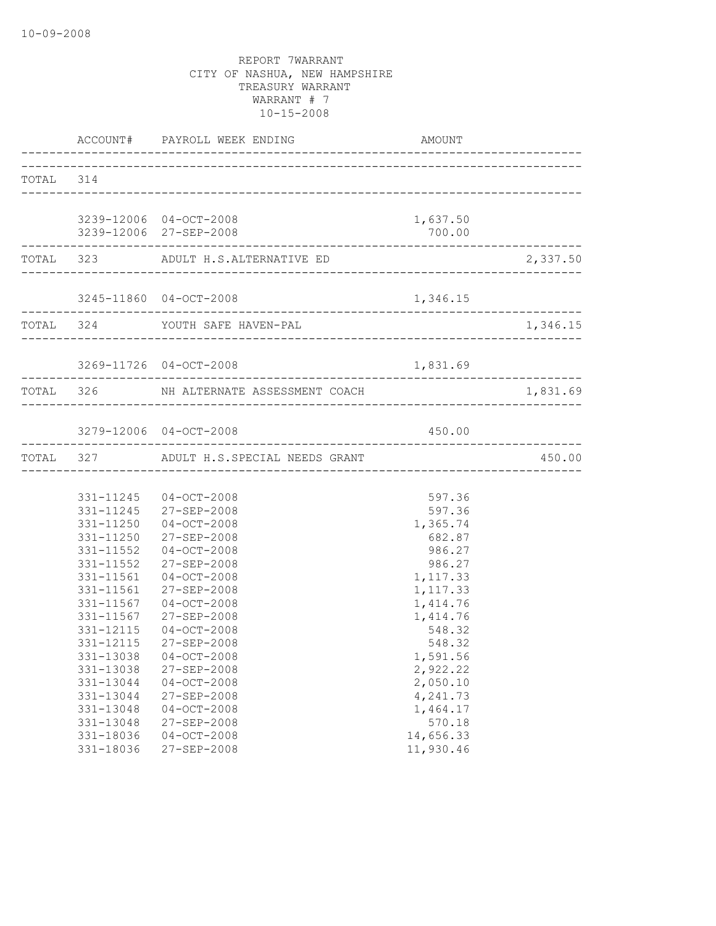|           |                                                  | ACCOUNT# PAYROLL WEEK ENDING                                                           | AMOUNT                                      |          |
|-----------|--------------------------------------------------|----------------------------------------------------------------------------------------|---------------------------------------------|----------|
| TOTAL 314 |                                                  |                                                                                        |                                             |          |
|           |                                                  | 3239-12006 04-OCT-2008<br>3239-12006 27-SEP-2008                                       | 1,637.50<br>700.00                          |          |
|           |                                                  | TOTAL 323 ADULT H.S.ALTERNATIVE ED                                                     |                                             | 2,337.50 |
|           | -----------------                                | 3245-11860 04-OCT-2008                                                                 | 1,346.15                                    |          |
|           |                                                  | TOTAL 324 YOUTH SAFE HAVEN-PAL                                                         |                                             | 1,346.15 |
|           |                                                  | 3269-11726 04-OCT-2008                                                                 | 1,831.69                                    |          |
|           |                                                  | TOTAL 326 NH ALTERNATE ASSESSMENT COACH                                                |                                             | 1,831.69 |
|           |                                                  | 3279-12006 04-OCT-2008                                                                 | 450.00                                      |          |
|           |                                                  | TOTAL 327 ADULT H.S.SPECIAL NEEDS GRANT                                                |                                             | 450.00   |
|           |                                                  | 331-11245 04-OCT-2008<br>331-11245 27-SEP-2008<br>331-11250 04-OCT-2008                | 597.36<br>597.36<br>1,365.74                |          |
|           | 331-11552                                        | 331-11250 27-SEP-2008<br>331-11552 04-OCT-2008<br>27-SEP-2008<br>331-11561 04-OCT-2008 | 682.87<br>986.27<br>986.27<br>1,117.33      |          |
|           | 331-11561<br>331-11567<br>331-11567<br>331-12115 | 27-SEP-2008<br>$04 - OCT - 2008$<br>27-SEP-2008<br>$04 - OCT - 2008$                   | 1,117.33<br>1,414.76<br>1,414.76<br>548.32  |          |
|           | 331-12115<br>331-13038<br>331-13044              | 27-SEP-2008<br>331-13038 04-OCT-2008<br>27-SEP-2008<br>$04-0CT-2008$                   | 548.32<br>1,591.56<br>2,922.22<br>2,050.10  |          |
|           | 331-13044<br>331-13048<br>331-13048<br>331-18036 | 27-SEP-2008<br>$04-OCT-2008$<br>27-SEP-2008<br>$04-0CT-2008$                           | 4,241.73<br>1,464.17<br>570.18<br>14,656.33 |          |
|           | 331-18036                                        | 27-SEP-2008                                                                            | 11,930.46                                   |          |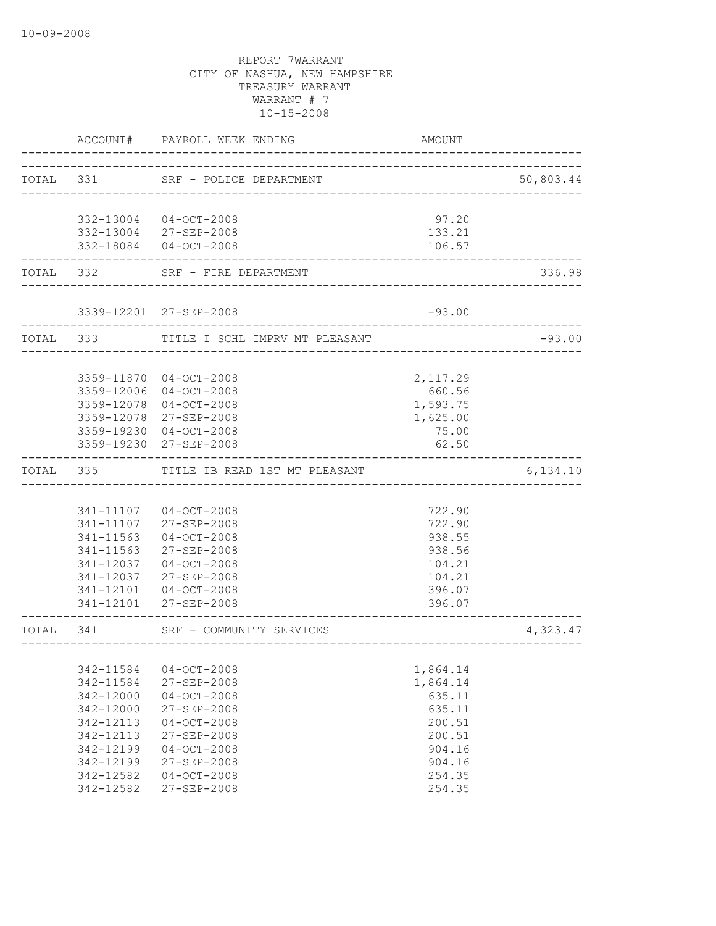|           | <b>AMOUNT</b>                                                                                                                                                               | PAYROLL WEEK ENDING                                                                                                                                                                                                                                             | ACCOUNT#                                                                                                                                                                                                                                              |           |
|-----------|-----------------------------------------------------------------------------------------------------------------------------------------------------------------------------|-----------------------------------------------------------------------------------------------------------------------------------------------------------------------------------------------------------------------------------------------------------------|-------------------------------------------------------------------------------------------------------------------------------------------------------------------------------------------------------------------------------------------------------|-----------|
| 50,803.44 | -----------------------------                                                                                                                                               | SRF - POLICE DEPARTMENT                                                                                                                                                                                                                                         |                                                                                                                                                                                                                                                       | TOTAL 331 |
|           | 97.20                                                                                                                                                                       |                                                                                                                                                                                                                                                                 | 332-13004 04-OCT-2008                                                                                                                                                                                                                                 |           |
|           | 133.21                                                                                                                                                                      |                                                                                                                                                                                                                                                                 | 332-13004 27-SEP-2008                                                                                                                                                                                                                                 |           |
|           | 106.57                                                                                                                                                                      |                                                                                                                                                                                                                                                                 | 332-18084 04-OCT-2008                                                                                                                                                                                                                                 |           |
| 336.98    |                                                                                                                                                                             | SRF - FIRE DEPARTMENT                                                                                                                                                                                                                                           |                                                                                                                                                                                                                                                       | TOTAL 332 |
|           | $-93.00$                                                                                                                                                                    |                                                                                                                                                                                                                                                                 | 3339-12201 27-SEP-2008                                                                                                                                                                                                                                |           |
| $-93.00$  |                                                                                                                                                                             | TITLE I SCHL IMPRV MT PLEASANT                                                                                                                                                                                                                                  |                                                                                                                                                                                                                                                       | TOTAL 333 |
|           |                                                                                                                                                                             |                                                                                                                                                                                                                                                                 |                                                                                                                                                                                                                                                       |           |
|           | 2,117.29                                                                                                                                                                    |                                                                                                                                                                                                                                                                 | 3359-11870 04-OCT-2008                                                                                                                                                                                                                                |           |
|           |                                                                                                                                                                             |                                                                                                                                                                                                                                                                 |                                                                                                                                                                                                                                                       |           |
|           |                                                                                                                                                                             |                                                                                                                                                                                                                                                                 |                                                                                                                                                                                                                                                       |           |
|           |                                                                                                                                                                             |                                                                                                                                                                                                                                                                 |                                                                                                                                                                                                                                                       |           |
|           | 62.50                                                                                                                                                                       |                                                                                                                                                                                                                                                                 | 3359-19230 27-SEP-2008                                                                                                                                                                                                                                |           |
| 6,134.10  |                                                                                                                                                                             | TITLE IB READ 1ST MT PLEASANT                                                                                                                                                                                                                                   | 335                                                                                                                                                                                                                                                   | TOTAL     |
|           |                                                                                                                                                                             |                                                                                                                                                                                                                                                                 |                                                                                                                                                                                                                                                       |           |
|           |                                                                                                                                                                             |                                                                                                                                                                                                                                                                 |                                                                                                                                                                                                                                                       |           |
|           |                                                                                                                                                                             |                                                                                                                                                                                                                                                                 |                                                                                                                                                                                                                                                       |           |
|           |                                                                                                                                                                             |                                                                                                                                                                                                                                                                 |                                                                                                                                                                                                                                                       |           |
|           |                                                                                                                                                                             |                                                                                                                                                                                                                                                                 |                                                                                                                                                                                                                                                       |           |
|           | 104.21                                                                                                                                                                      | 27-SEP-2008                                                                                                                                                                                                                                                     | 341-12037                                                                                                                                                                                                                                             |           |
|           | 396.07                                                                                                                                                                      | $04 - OCT - 2008$                                                                                                                                                                                                                                               | 341-12101                                                                                                                                                                                                                                             |           |
|           | 396.07                                                                                                                                                                      |                                                                                                                                                                                                                                                                 | 341-12101 27-SEP-2008                                                                                                                                                                                                                                 |           |
| 4,323.47  |                                                                                                                                                                             | SRF - COMMUNITY SERVICES                                                                                                                                                                                                                                        | 341                                                                                                                                                                                                                                                   | TOTAL     |
|           |                                                                                                                                                                             |                                                                                                                                                                                                                                                                 |                                                                                                                                                                                                                                                       |           |
|           | 1,864.14                                                                                                                                                                    | $04-0CT-2008$                                                                                                                                                                                                                                                   | 342-11584                                                                                                                                                                                                                                             |           |
|           |                                                                                                                                                                             |                                                                                                                                                                                                                                                                 |                                                                                                                                                                                                                                                       |           |
|           |                                                                                                                                                                             |                                                                                                                                                                                                                                                                 |                                                                                                                                                                                                                                                       |           |
|           |                                                                                                                                                                             |                                                                                                                                                                                                                                                                 |                                                                                                                                                                                                                                                       |           |
|           |                                                                                                                                                                             |                                                                                                                                                                                                                                                                 |                                                                                                                                                                                                                                                       |           |
|           |                                                                                                                                                                             |                                                                                                                                                                                                                                                                 |                                                                                                                                                                                                                                                       |           |
|           |                                                                                                                                                                             |                                                                                                                                                                                                                                                                 |                                                                                                                                                                                                                                                       |           |
|           |                                                                                                                                                                             |                                                                                                                                                                                                                                                                 |                                                                                                                                                                                                                                                       |           |
|           | 254.35                                                                                                                                                                      | 27-SEP-2008                                                                                                                                                                                                                                                     | 342-12582                                                                                                                                                                                                                                             |           |
|           | 660.56<br>1,593.75<br>1,625.00<br>75.00<br>722.90<br>722.90<br>938.55<br>938.56<br>104.21<br>1,864.14<br>635.11<br>635.11<br>200.51<br>200.51<br>904.16<br>904.16<br>254.35 | $04-0CT-2008$<br>$04-0CT-2008$<br>$04 - OCT - 2008$<br>27-SEP-2008<br>$04 - OCT - 2008$<br>27-SEP-2008<br>$04 - OCT - 2008$<br>27-SEP-2008<br>$04 - OCT - 2008$<br>27-SEP-2008<br>$04-0CT-2008$<br>27-SEP-2008<br>$04-0CT-2008$<br>27-SEP-2008<br>$04-0CT-2008$ | 3359-12006<br>3359-12078<br>3359-12078 27-SEP-2008<br>3359-19230 04-OCT-2008<br>341-11107<br>341-11107<br>341-11563<br>341-11563<br>341-12037<br>342-11584<br>342-12000<br>342-12000<br>342-12113<br>342-12113<br>342-12199<br>342-12199<br>342-12582 |           |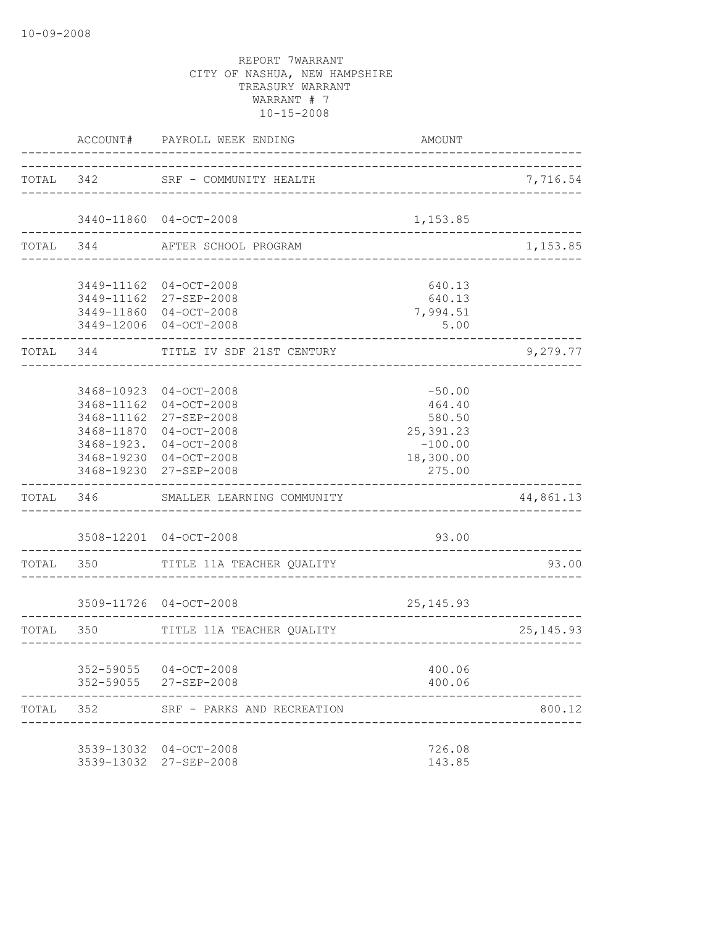|           | ACCOUNT#                 | PAYROLL WEEK ENDING                                                                                                                                            | AMOUNT                                                                        |             |
|-----------|--------------------------|----------------------------------------------------------------------------------------------------------------------------------------------------------------|-------------------------------------------------------------------------------|-------------|
| TOTAL 342 |                          | SRF - COMMUNITY HEALTH                                                                                                                                         |                                                                               | 7,716.54    |
|           |                          | 3440-11860 04-OCT-2008                                                                                                                                         | 1,153.85                                                                      |             |
|           | TOTAL 344                | ___________________<br>AFTER SCHOOL PROGRAM                                                                                                                    |                                                                               | 1,153.85    |
|           |                          | 3449-11162 04-OCT-2008<br>3449-11162 27-SEP-2008<br>3449-11860 04-OCT-2008<br>3449-12006 04-OCT-2008                                                           | 640.13<br>640.13<br>7,994.51<br>5.00                                          |             |
| TOTAL 344 |                          | TITLE IV SDF 21ST CENTURY                                                                                                                                      |                                                                               | 9,279.77    |
|           | 3468-11162<br>3468-11162 | 3468-10923 04-OCT-2008<br>$04-0CT-2008$<br>27-SEP-2008<br>3468-11870 04-OCT-2008<br>3468-1923. 04-OCT-2008<br>3468-19230 04-OCT-2008<br>3468-19230 27-SEP-2008 | $-50.00$<br>464.40<br>580.50<br>25,391.23<br>$-100.00$<br>18,300.00<br>275.00 |             |
|           |                          | TOTAL 346 SMALLER LEARNING COMMUNITY                                                                                                                           |                                                                               | 44,861.13   |
|           |                          | 3508-12201 04-OCT-2008                                                                                                                                         | 93.00                                                                         |             |
|           | TOTAL 350                | TITLE 11A TEACHER QUALITY                                                                                                                                      |                                                                               | 93.00       |
|           |                          | 3509-11726 04-OCT-2008                                                                                                                                         | 25, 145. 93                                                                   |             |
|           | TOTAL 350                | TITLE 11A TEACHER QUALITY                                                                                                                                      | ----------------------------                                                  | 25, 145. 93 |
|           |                          | 352-59055 04-OCT-2008<br>352-59055 27-SEP-2008                                                                                                                 | 400.06<br>400.06                                                              |             |
| TOTAL     | 352                      | SRF - PARKS AND RECREATION                                                                                                                                     |                                                                               | 800.12      |
|           |                          | 3539-13032 04-OCT-2008<br>3539-13032 27-SEP-2008                                                                                                               | 726.08<br>143.85                                                              |             |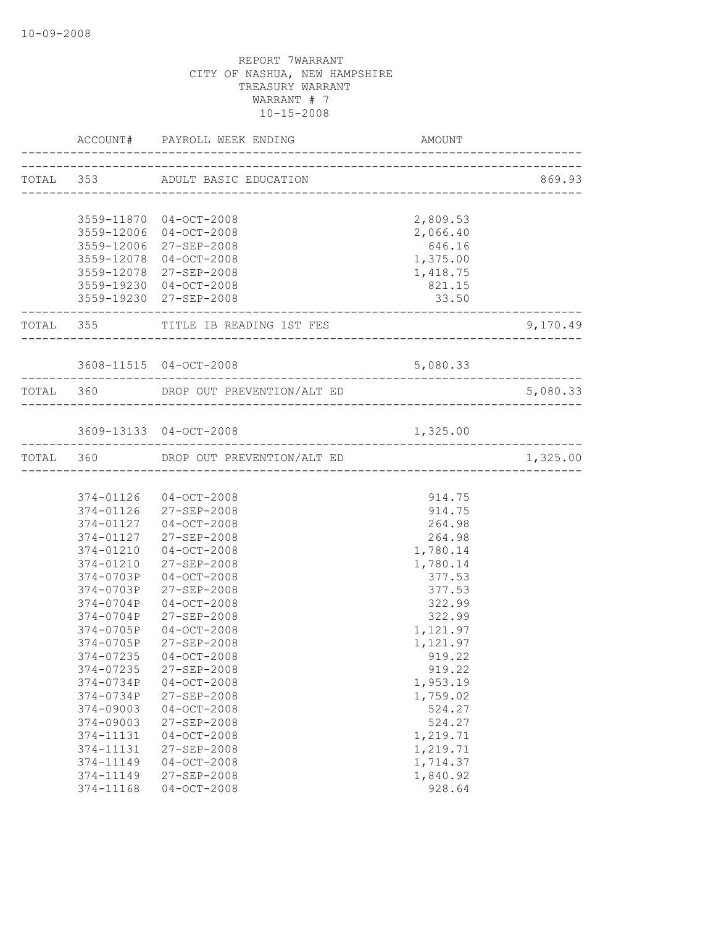|                        | ACCOUNT# PAYROLL WEEK ENDING         | AMOUNT                                      |                               |
|------------------------|--------------------------------------|---------------------------------------------|-------------------------------|
|                        | TOTAL 353 ADULT BASIC EDUCATION      |                                             | 869.93                        |
|                        |                                      |                                             |                               |
|                        | 3559-11870 04-OCT-2008               | 2,809.53                                    |                               |
|                        | 3559-12006 04-OCT-2008               | 2,066.40                                    |                               |
|                        | 3559-12006 27-SEP-2008               | 646.16                                      |                               |
|                        | 3559-12078 04-OCT-2008               | 1,375.00                                    |                               |
|                        | 3559-12078 27-SEP-2008               | 1,418.75                                    |                               |
|                        | 3559-19230 04-OCT-2008               | 821.15                                      |                               |
|                        | 3559-19230 27-SEP-2008               | 33.50<br>---------------------------------- |                               |
|                        | TOTAL 355 TITLE IB READING 1ST FES   |                                             | 9,170.49                      |
|                        | 3608-11515 04-OCT-2008               | 5,080.33                                    |                               |
|                        | TOTAL 360 DROP OUT PREVENTION/ALT ED |                                             | -----------------<br>5,080.33 |
|                        |                                      |                                             |                               |
|                        | 3609-13133 04-OCT-2008               | 1,325.00                                    |                               |
|                        | TOTAL 360 DROP OUT PREVENTION/ALT ED |                                             | 1,325.00                      |
|                        |                                      |                                             |                               |
|                        | 374-01126 04-OCT-2008                | 914.75                                      |                               |
|                        | 374-01126 27-SEP-2008                | 914.75                                      |                               |
|                        | 374-01127 04-OCT-2008                | 264.98                                      |                               |
|                        | 374-01127 27-SEP-2008                | 264.98                                      |                               |
|                        | 374-01210 04-OCT-2008                | 1,780.14                                    |                               |
|                        | 374-01210 27-SEP-2008                | 1,780.14                                    |                               |
|                        | 374-0703P 04-OCT-2008                | 377.53                                      |                               |
|                        | 374-0703P 27-SEP-2008                | 377.53                                      |                               |
| 374-0704P              | $04-OCT-2008$                        | 322.99                                      |                               |
| 374-0704P              | 27-SEP-2008                          | 322.99                                      |                               |
| 374-0705P              | $04 - OCT - 2008$                    | 1,121.97                                    |                               |
| 374-0705P              | 27-SEP-2008                          | 1,121.97                                    |                               |
|                        | 374-07235 04-OCT-2008                | 919.22                                      |                               |
| 374-07235              | 27-SEP-2008                          | 919.22                                      |                               |
| 374-0734P              | $04-0CT-2008$                        | 1,953.19                                    |                               |
| 374-0734P<br>374-09003 | 27-SEP-2008<br>$04-0CT-2008$         | 1,759.02<br>524.27                          |                               |
| 374-09003              | 27-SEP-2008                          | 524.27                                      |                               |
| 374-11131              | $04 - OCT - 2008$                    | 1,219.71                                    |                               |
| 374-11131              | 27-SEP-2008                          | 1,219.71                                    |                               |
| 374-11149              | $04 - OCT - 2008$                    | 1,714.37                                    |                               |
| 374-11149              | $27 - SEP - 2008$                    | 1,840.92                                    |                               |
| 374-11168              | $04-0CT-2008$                        | 928.64                                      |                               |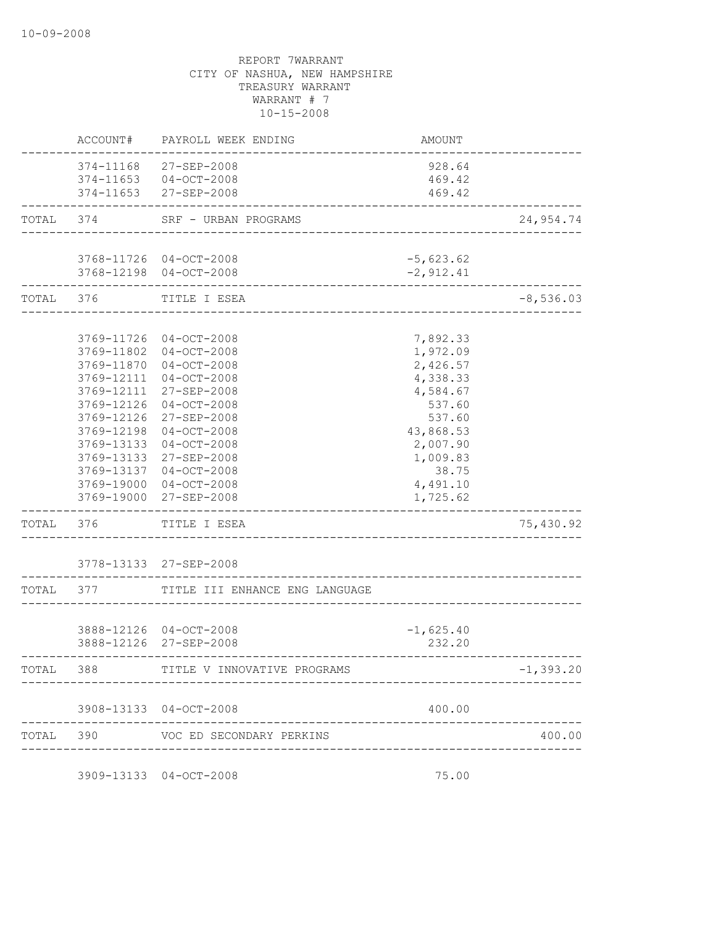|           | ACCOUNT#   | PAYROLL WEEK ENDING                                                     | <b>AMOUNT</b>                      |              |
|-----------|------------|-------------------------------------------------------------------------|------------------------------------|--------------|
|           |            | 374-11168 27-SEP-2008<br>374-11653 04-OCT-2008<br>374-11653 27-SEP-2008 | 928.64<br>469.42<br>469.42         |              |
| TOTAL     | 374        | SRF - URBAN PROGRAMS                                                    |                                    | 24,954.74    |
|           |            |                                                                         | __________________________________ |              |
|           |            | 3768-11726 04-OCT-2008                                                  | $-5,623.62$                        |              |
|           |            | 3768-12198 04-OCT-2008                                                  | $-2,912.41$                        |              |
| TOTAL 376 |            | TITLE I ESEA                                                            |                                    | $-8,536.03$  |
|           |            | 3769-11726 04-OCT-2008                                                  | 7,892.33                           |              |
|           |            | 3769-11802 04-OCT-2008                                                  | 1,972.09                           |              |
|           | 3769-11870 | $04 - OCT - 2008$                                                       | 2,426.57                           |              |
|           | 3769-12111 | $04-0CT-2008$                                                           | 4,338.33                           |              |
|           | 3769-12111 | 27-SEP-2008                                                             | 4,584.67                           |              |
|           | 3769-12126 | $04-OCT-2008$                                                           | 537.60                             |              |
|           | 3769-12126 | 27-SEP-2008                                                             | 537.60                             |              |
|           | 3769-12198 | $04 - OCT - 2008$                                                       | 43,868.53                          |              |
|           |            | 3769-13133 04-OCT-2008                                                  | 2,007.90                           |              |
|           |            | 3769-13133 27-SEP-2008                                                  | 1,009.83                           |              |
|           |            | 3769-13137 04-OCT-2008                                                  | 38.75                              |              |
|           |            | 3769-19000 04-OCT-2008                                                  | 4,491.10                           |              |
|           |            | 3769-19000 27-SEP-2008                                                  | 1,725.62                           |              |
| TOTAL     | 376        | TITLE I ESEA                                                            |                                    | 75,430.92    |
|           |            | 3778-13133 27-SEP-2008                                                  |                                    |              |
| TOTAL 377 |            | TITLE III ENHANCE ENG LANGUAGE                                          |                                    |              |
|           |            |                                                                         |                                    |              |
|           |            | 3888-12126 04-OCT-2008                                                  | $-1,625.40$                        |              |
|           |            | 3888-12126 27-SEP-2008                                                  | 232.20                             |              |
| TOTAL     | 388        | TITLE V INNOVATIVE PROGRAMS                                             |                                    | $-1, 393.20$ |
|           |            | 3908-13133 04-OCT-2008                                                  | 400.00                             |              |
| TOTAL     | 390        | VOC ED SECONDARY PERKINS                                                |                                    | 400.00       |

3909-13133 04-OCT-2008 75.00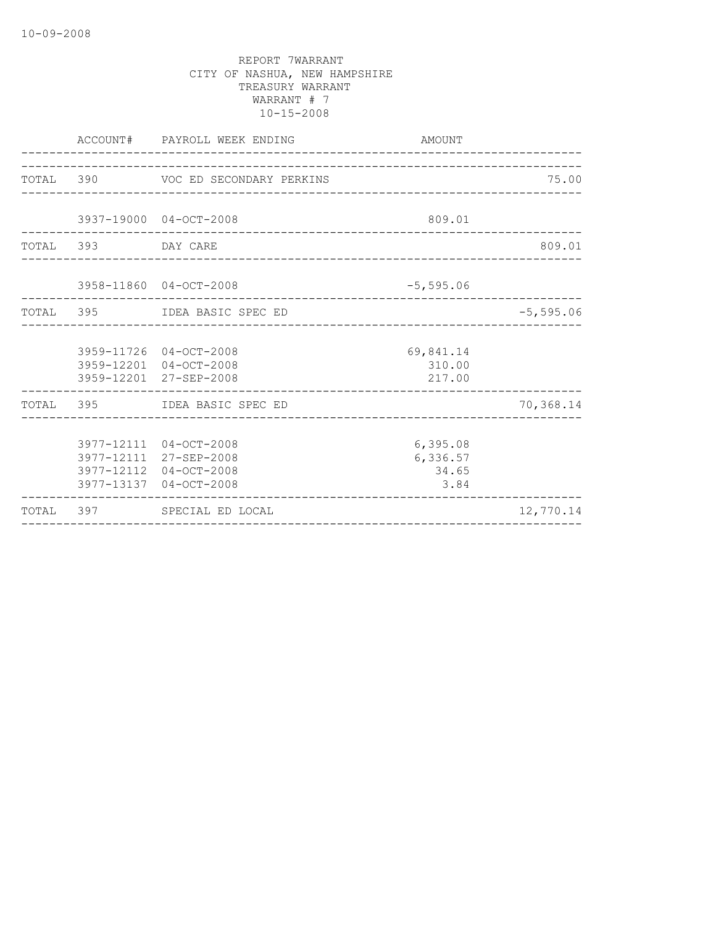|                    | ACCOUNT# PAYROLL WEEK ENDING                                                                         | AMOUNT                                 |              |
|--------------------|------------------------------------------------------------------------------------------------------|----------------------------------------|--------------|
|                    | TOTAL 390 VOC ED SECONDARY PERKINS                                                                   |                                        | 75.00        |
|                    | 3937-19000 04-OCT-2008                                                                               | 809.01                                 |              |
| TOTAL 393 DAY CARE |                                                                                                      |                                        | 809.01       |
|                    | 3958-11860 04-OCT-2008                                                                               | $-5,595.06$                            |              |
|                    | TOTAL 395 IDEA BASIC SPEC ED                                                                         |                                        | $-5, 595.06$ |
|                    | 3959-11726 04-OCT-2008<br>3959-12201 04-OCT-2008<br>3959-12201 27-SEP-2008                           | 69,841.14<br>310.00<br>217.00          |              |
|                    | TOTAL 395 IDEA BASIC SPEC ED<br><u>Listen in der der der der </u>                                    |                                        | 70,368.14    |
|                    | 3977-12111 04-OCT-2008<br>3977-12111 27-SEP-2008<br>3977-12112 04-OCT-2008<br>3977-13137 04-OCT-2008 | 6, 395.08<br>6,336.57<br>34.65<br>3.84 |              |
|                    | TOTAL 397 SPECIAL ED LOCAL                                                                           |                                        | 12,770.14    |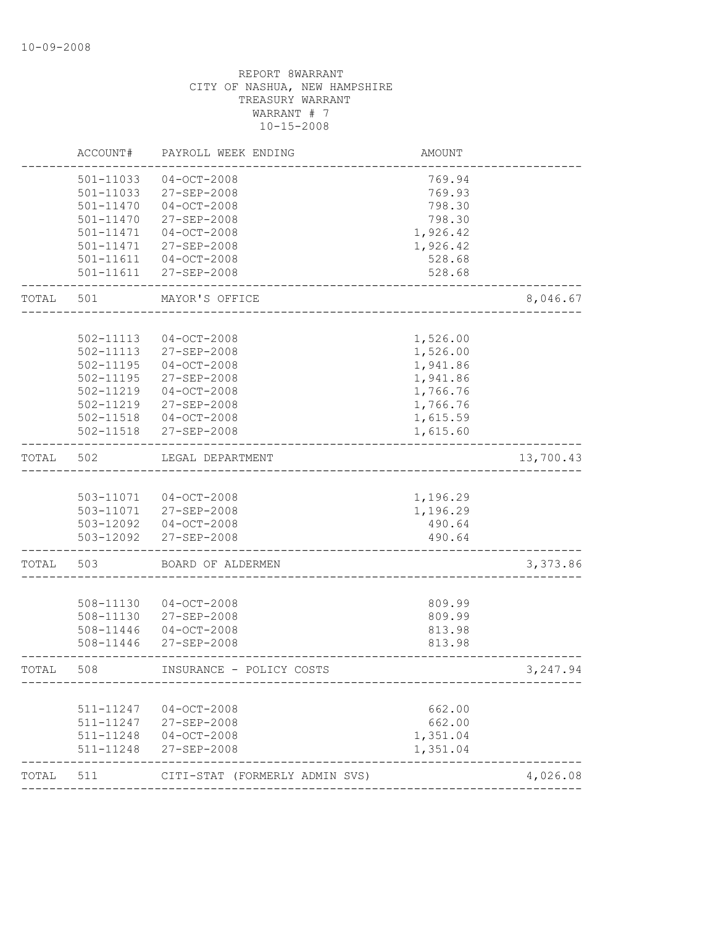|       | ACCOUNT#               | PAYROLL WEEK ENDING              | <b>AMOUNT</b>    |           |
|-------|------------------------|----------------------------------|------------------|-----------|
|       | 501-11033              | $04 - OCT - 2008$                | 769.94           |           |
|       | 501-11033              | 27-SEP-2008                      | 769.93           |           |
|       | 501-11470              | $04 - OCT - 2008$                | 798.30           |           |
|       | $501 - 11470$          | 27-SEP-2008                      | 798.30           |           |
|       | 501-11471              | $04-0CT-2008$                    | 1,926.42         |           |
|       | 501-11471              | 27-SEP-2008                      | 1,926.42         |           |
|       | 501-11611              | $04 - OCT - 2008$                | 528.68           |           |
|       | 501-11611              | $27 - SEP - 2008$                | 528.68           |           |
| TOTAL | 501                    | MAYOR'S OFFICE                   |                  | 8,046.67  |
|       |                        |                                  |                  |           |
|       | 502-11113              | $04-0CT-2008$                    | 1,526.00         |           |
|       | 502-11113              | 27-SEP-2008                      | 1,526.00         |           |
|       | 502-11195              | $04-0CT-2008$                    | 1,941.86         |           |
|       | 502-11195              | 27-SEP-2008                      | 1,941.86         |           |
|       | 502-11219              | $04-0CT-2008$                    | 1,766.76         |           |
|       | 502-11219              | 27-SEP-2008                      | 1,766.76         |           |
|       | 502-11518              | $04 - OCT - 2008$                | 1,615.59         |           |
|       | 502-11518              | 27-SEP-2008                      | 1,615.60         |           |
| TOTAL | 502                    | LEGAL DEPARTMENT                 |                  | 13,700.43 |
|       |                        |                                  |                  |           |
|       |                        | 503-11071  04-OCT-2008           | 1,196.29         |           |
|       | 503-11071              | 27-SEP-2008                      | 1,196.29         |           |
|       |                        | 503-12092  04-OCT-2008           | 490.64           |           |
|       | 503-12092              | 27-SEP-2008                      | 490.64           |           |
| TOTAL | 503                    | BOARD OF ALDERMEN                |                  | 3,373.86  |
|       |                        |                                  |                  |           |
|       | 508-11130              | $04 - OCT - 2008$                | 809.99           |           |
|       | 508-11130              | 27-SEP-2008                      | 809.99           |           |
|       | 508-11446              | $04-0CT-2008$                    | 813.98           |           |
|       | 508-11446              | $27 - SEP - 2008$                | 813.98           |           |
| TOTAL | 508                    | INSURANCE - POLICY COSTS         |                  | 3, 247.94 |
|       |                        |                                  |                  |           |
|       | 511-11247<br>511-11247 | $04 - OCT - 2008$<br>27-SEP-2008 | 662.00<br>662.00 |           |
|       | 511-11248              | $04 - OCT - 2008$                | 1,351.04         |           |
|       | 511-11248              | 27-SEP-2008                      | 1,351.04         |           |
| TOTAL | 511                    | CITI-STAT (FORMERLY ADMIN SVS)   |                  | 4,026.08  |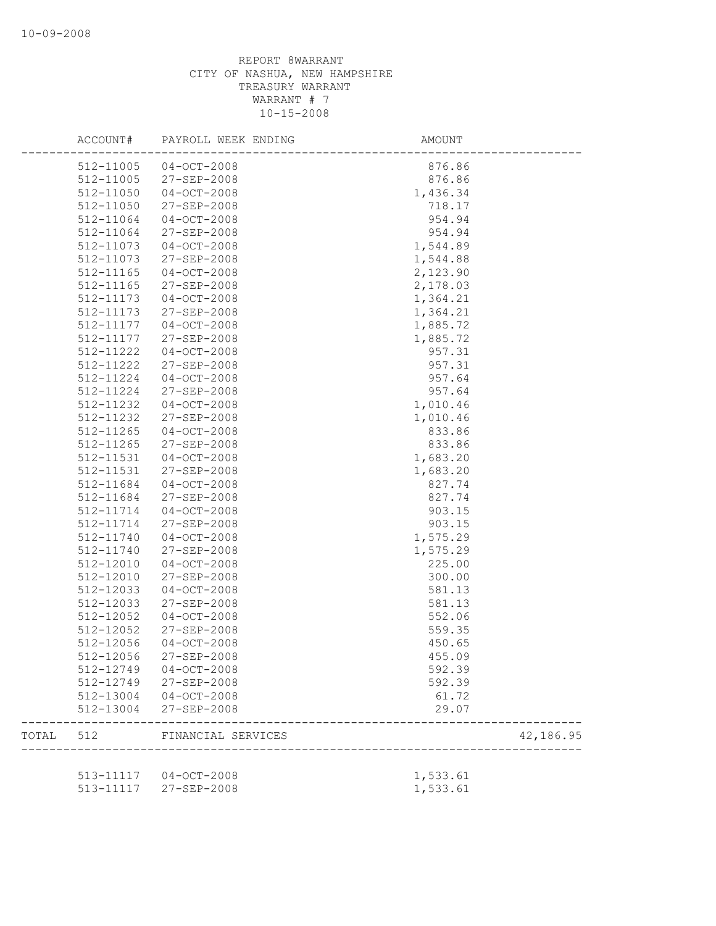|       | ACCOUNT#  | PAYROLL WEEK ENDING    | AMOUNT   |           |
|-------|-----------|------------------------|----------|-----------|
|       | 512-11005 | $04 - OCT - 2008$      | 876.86   |           |
|       | 512-11005 | 27-SEP-2008            | 876.86   |           |
|       | 512-11050 | $04 - OCT - 2008$      | 1,436.34 |           |
|       | 512-11050 | $27 - SEP - 2008$      | 718.17   |           |
|       | 512-11064 | $04 - OCT - 2008$      | 954.94   |           |
|       | 512-11064 | 27-SEP-2008            | 954.94   |           |
|       | 512-11073 | $04 - OCT - 2008$      | 1,544.89 |           |
|       | 512-11073 | 27-SEP-2008            | 1,544.88 |           |
|       | 512-11165 | $04 - OCT - 2008$      | 2,123.90 |           |
|       | 512-11165 | 27-SEP-2008            | 2,178.03 |           |
|       | 512-11173 | $04 - OCT - 2008$      | 1,364.21 |           |
|       | 512-11173 | 27-SEP-2008            | 1,364.21 |           |
|       | 512-11177 | $04 - OCT - 2008$      | 1,885.72 |           |
|       | 512-11177 | 27-SEP-2008            | 1,885.72 |           |
|       | 512-11222 | $04 - OCT - 2008$      | 957.31   |           |
|       | 512-11222 | 27-SEP-2008            | 957.31   |           |
|       | 512-11224 | $04 - OCT - 2008$      | 957.64   |           |
|       | 512-11224 | $27 - SEP - 2008$      | 957.64   |           |
|       | 512-11232 | $04 - OCT - 2008$      | 1,010.46 |           |
|       | 512-11232 | 27-SEP-2008            | 1,010.46 |           |
|       | 512-11265 | $04 - OCT - 2008$      | 833.86   |           |
|       |           |                        |          |           |
|       | 512-11265 | 27-SEP-2008            | 833.86   |           |
|       | 512-11531 | $04 - OCT - 2008$      | 1,683.20 |           |
|       | 512-11531 | 27-SEP-2008            | 1,683.20 |           |
|       | 512-11684 | $04 - OCT - 2008$      | 827.74   |           |
|       | 512-11684 | 27-SEP-2008            | 827.74   |           |
|       | 512-11714 | $04 - OCT - 2008$      | 903.15   |           |
|       | 512-11714 | 27-SEP-2008            | 903.15   |           |
|       | 512-11740 | $04 - OCT - 2008$      | 1,575.29 |           |
|       | 512-11740 | 27-SEP-2008            | 1,575.29 |           |
|       | 512-12010 | $04 - OCT - 2008$      | 225.00   |           |
|       | 512-12010 | 27-SEP-2008            | 300.00   |           |
|       | 512-12033 | $04 - OCT - 2008$      | 581.13   |           |
|       | 512-12033 | 27-SEP-2008            | 581.13   |           |
|       | 512-12052 | $04 - OCT - 2008$      | 552.06   |           |
|       | 512-12052 | 27-SEP-2008            | 559.35   |           |
|       | 512-12056 | $04 - OCT - 2008$      | 450.65   |           |
|       | 512-12056 | 27-SEP-2008            | 455.09   |           |
|       |           | 512-12749 04-OCT-2008  | 592.39   |           |
|       |           | 512-12749 27-SEP-2008  | 592.39   |           |
|       |           | 512-13004 04-OCT-2008  | 61.72    |           |
|       | 512-13004 | 27-SEP-2008            | 29.07    |           |
| TOTAL |           | 512 FINANCIAL SERVICES |          | 42,186.95 |
|       |           |                        |          |           |
|       |           | 513-11117 04-OCT-2008  | 1,533.61 |           |
|       |           | 513-11117 27-SEP-2008  | 1,533.61 |           |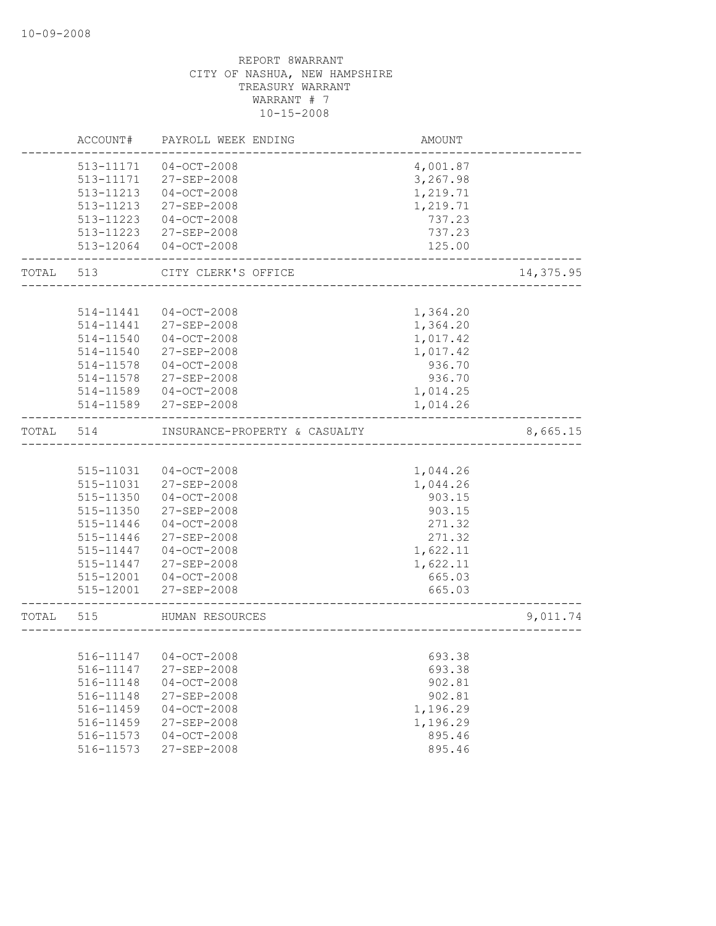|           | ACCOUNT#  | PAYROLL WEEK ENDING           | AMOUNT   |           |
|-----------|-----------|-------------------------------|----------|-----------|
|           | 513-11171 | $04-0CT-2008$                 | 4,001.87 |           |
|           | 513-11171 | 27-SEP-2008                   | 3,267.98 |           |
|           | 513-11213 | $04-0CT-2008$                 | 1,219.71 |           |
|           | 513-11213 | 27-SEP-2008                   | 1,219.71 |           |
|           | 513-11223 | $04-0CT-2008$                 | 737.23   |           |
|           | 513-11223 | 27-SEP-2008                   | 737.23   |           |
|           | 513-12064 | $04-0CT-2008$                 | 125.00   |           |
| TOTAL     | 513       | CITY CLERK'S OFFICE           |          | 14,375.95 |
|           |           |                               |          |           |
|           | 514-11441 | $04 - OCT - 2008$             | 1,364.20 |           |
|           | 514-11441 | 27-SEP-2008                   | 1,364.20 |           |
|           | 514-11540 | 04-OCT-2008                   | 1,017.42 |           |
|           | 514-11540 | 27-SEP-2008                   | 1,017.42 |           |
|           | 514-11578 | $04-0CT-2008$                 | 936.70   |           |
|           | 514-11578 | 27-SEP-2008                   | 936.70   |           |
|           | 514-11589 | $04-0CT-2008$                 | 1,014.25 |           |
|           | 514-11589 | 27-SEP-2008                   | 1,014.26 |           |
| TOTAL     | 514       | INSURANCE-PROPERTY & CASUALTY |          | 8,665.15  |
|           |           |                               |          |           |
|           | 515-11031 | 04-OCT-2008                   | 1,044.26 |           |
|           | 515-11031 | 27-SEP-2008                   | 1,044.26 |           |
|           | 515-11350 | $04-0CT-2008$                 | 903.15   |           |
|           | 515-11350 | 27-SEP-2008                   | 903.15   |           |
|           | 515-11446 | $04-0CT-2008$                 | 271.32   |           |
|           | 515-11446 | 27-SEP-2008                   | 271.32   |           |
|           | 515-11447 | $04-0CT-2008$                 | 1,622.11 |           |
|           | 515-11447 | 27-SEP-2008                   | 1,622.11 |           |
|           | 515-12001 | $04 - OCT - 2008$             | 665.03   |           |
|           |           | 515-12001 27-SEP-2008         | 665.03   |           |
| TOTAL 515 |           | HUMAN RESOURCES               |          | 9,011.74  |
|           |           |                               |          |           |
|           |           | 516-11147 04-OCT-2008         | 693.38   |           |
|           | 516-11147 | 27-SEP-2008                   | 693.38   |           |
|           | 516-11148 | $04 - OCT - 2008$             | 902.81   |           |
|           | 516-11148 | 27-SEP-2008                   | 902.81   |           |
|           | 516-11459 | $04 - OCT - 2008$             | 1,196.29 |           |
|           | 516-11459 | 27-SEP-2008                   | 1,196.29 |           |
|           | 516-11573 | $04-0CT-2008$                 | 895.46   |           |
|           | 516-11573 | 27-SEP-2008                   | 895.46   |           |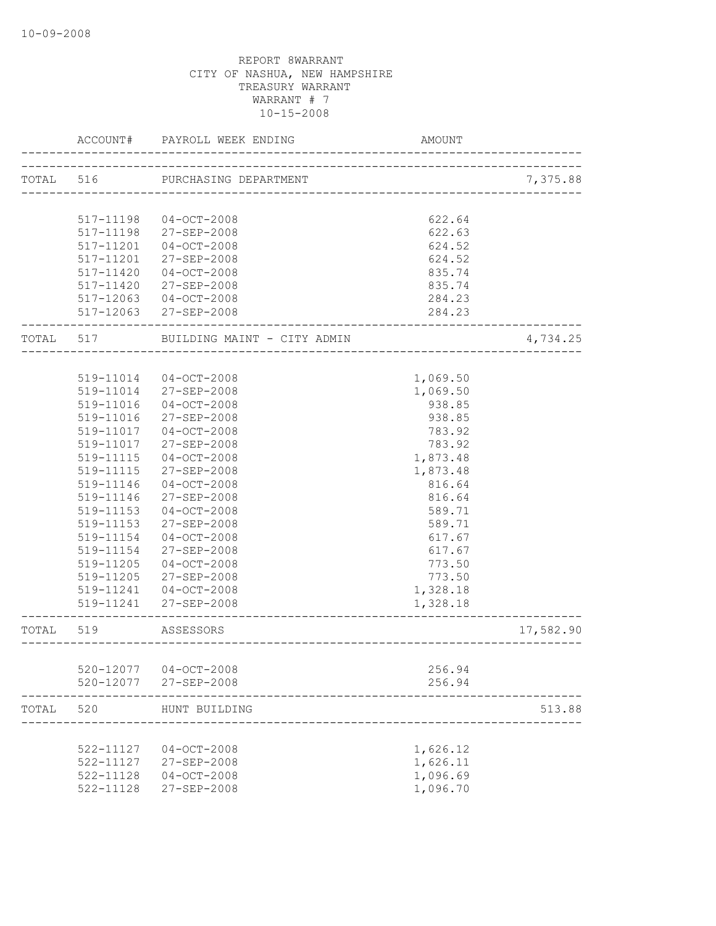|           | ACCOUNT#  | PAYROLL WEEK ENDING                    | AMOUNT                        |           |
|-----------|-----------|----------------------------------------|-------------------------------|-----------|
| TOTAL 516 |           | PURCHASING DEPARTMENT                  | _____________________________ | 7,375.88  |
|           |           |                                        |                               |           |
|           | 517-11198 | $04 - OCT - 2008$                      | 622.64                        |           |
|           | 517-11198 | 27-SEP-2008                            | 622.63                        |           |
|           | 517-11201 | $04-0CT-2008$                          | 624.52                        |           |
|           | 517-11201 | $27 - SEP - 2008$                      | 624.52                        |           |
|           | 517-11420 | $04 - OCT - 2008$                      | 835.74                        |           |
|           | 517-11420 | 27-SEP-2008                            | 835.74                        |           |
|           | 517-12063 | $04-OCT-2008$<br>517-12063 27-SEP-2008 | 284.23<br>284.23              |           |
| TOTAL 517 |           | BUILDING MAINT - CITY ADMIN            |                               | 4,734.25  |
|           |           |                                        |                               |           |
|           | 519-11014 | $04 - OCT - 2008$                      | 1,069.50                      |           |
|           | 519-11014 | $27 - SEP - 2008$                      | 1,069.50                      |           |
|           | 519-11016 | $04 - OCT - 2008$                      | 938.85                        |           |
|           | 519-11016 | 27-SEP-2008                            | 938.85                        |           |
|           | 519-11017 | $04 - OCT - 2008$                      | 783.92                        |           |
|           | 519-11017 | 27-SEP-2008                            | 783.92                        |           |
|           | 519-11115 | $04 - OCT - 2008$                      | 1,873.48                      |           |
|           | 519-11115 | 27-SEP-2008                            | 1,873.48                      |           |
|           | 519-11146 | $04 - OCT - 2008$                      | 816.64                        |           |
|           | 519-11146 | $27 - SEP - 2008$                      | 816.64                        |           |
|           | 519-11153 | $04 - OCT - 2008$                      | 589.71                        |           |
|           | 519-11153 | 27-SEP-2008                            | 589.71                        |           |
|           | 519-11154 | $04 - OCT - 2008$                      | 617.67                        |           |
|           | 519-11154 | 27-SEP-2008                            | 617.67                        |           |
|           | 519-11205 | $04 - OCT - 2008$                      | 773.50                        |           |
|           | 519-11205 | 27-SEP-2008                            | 773.50                        |           |
|           | 519-11241 | $04-0CT-2008$                          | 1,328.18                      |           |
|           | 519-11241 | 27-SEP-2008                            | 1,328.18                      |           |
| TOTAL     | 519       | ASSESSORS                              |                               | 17,582.90 |
|           |           |                                        |                               |           |
|           | 520-12077 | $04 - OCT - 2008$                      | 256.94                        |           |
|           | 520-12077 | 27-SEP-2008                            | 256.94                        |           |
| TOTAL     | 520       | HUNT BUILDING                          |                               | 513.88    |
|           |           |                                        |                               |           |
|           | 522-11127 | $04-0CT-2008$                          | 1,626.12                      |           |
|           | 522-11127 | 27-SEP-2008                            | 1,626.11                      |           |
|           | 522-11128 | $04-0CT-2008$                          | 1,096.69                      |           |
|           | 522-11128 | 27-SEP-2008                            | 1,096.70                      |           |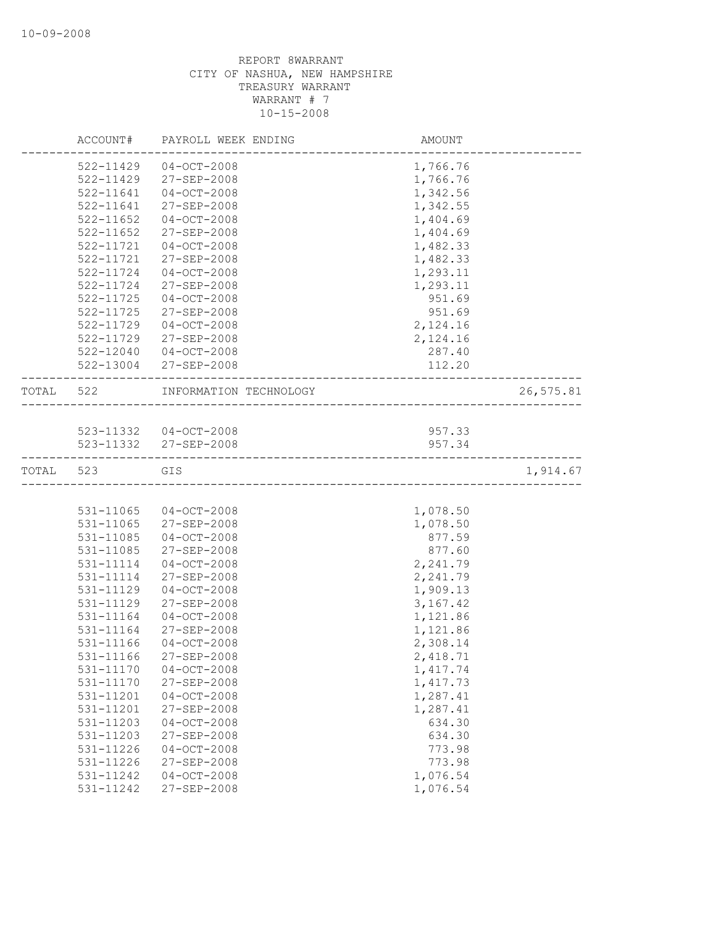|           | ACCOUNT#  | PAYROLL WEEK ENDING                                   | AMOUNT    |           |
|-----------|-----------|-------------------------------------------------------|-----------|-----------|
|           | 522-11429 | $04 - OCT - 2008$                                     | 1,766.76  |           |
|           | 522-11429 | 27-SEP-2008                                           | 1,766.76  |           |
|           | 522-11641 | $04 - OCT - 2008$                                     | 1,342.56  |           |
|           | 522-11641 | 27-SEP-2008                                           | 1,342.55  |           |
|           | 522-11652 | $04 - OCT - 2008$                                     | 1,404.69  |           |
|           | 522-11652 | 27-SEP-2008                                           | 1,404.69  |           |
|           | 522-11721 | $04 - OCT - 2008$                                     | 1,482.33  |           |
|           | 522-11721 | 27-SEP-2008                                           | 1,482.33  |           |
|           | 522-11724 | $04 - OCT - 2008$                                     | 1,293.11  |           |
|           | 522-11724 | 27-SEP-2008                                           | 1,293.11  |           |
|           | 522-11725 | $04 - OCT - 2008$                                     | 951.69    |           |
|           | 522-11725 | 27-SEP-2008                                           | 951.69    |           |
|           | 522-11729 | $04 - OCT - 2008$                                     | 2,124.16  |           |
|           | 522-11729 | 27-SEP-2008                                           | 2,124.16  |           |
|           | 522-12040 | 04-OCT-2008                                           | 287.40    |           |
|           | 522-13004 | 27-SEP-2008                                           | 112.20    |           |
| TOTAL 522 |           | INFORMATION TECHNOLOGY                                |           | 26,575.81 |
|           |           |                                                       |           |           |
|           |           | 523-11332 04-OCT-2008                                 | 957.33    |           |
|           |           | 523-11332 27-SEP-2008<br>---------------------------- | 957.34    |           |
| TOTAL     | 523       | GIS                                                   |           | 1,914.67  |
|           |           |                                                       |           |           |
|           | 531-11065 | 04-OCT-2008                                           | 1,078.50  |           |
|           | 531-11065 | 27-SEP-2008                                           | 1,078.50  |           |
|           | 531-11085 | $04 - OCT - 2008$                                     | 877.59    |           |
|           | 531-11085 | 27-SEP-2008                                           | 877.60    |           |
|           | 531-11114 | $04 - OCT - 2008$                                     | 2,241.79  |           |
|           | 531-11114 | 27-SEP-2008                                           | 2,241.79  |           |
|           | 531-11129 | $04 - OCT - 2008$                                     | 1,909.13  |           |
|           | 531-11129 | 27-SEP-2008                                           | 3,167.42  |           |
|           | 531-11164 | $04 - OCT - 2008$                                     | 1,121.86  |           |
|           | 531-11164 | 27-SEP-2008                                           | 1,121.86  |           |
|           | 531-11166 | $04 - OCT - 2008$                                     | 2,308.14  |           |
|           | 531-11166 | 27-SEP-2008                                           | 2,418.71  |           |
|           | 531-11170 | $04 - OCT - 2008$                                     | 1, 417.74 |           |
|           | 531-11170 | 27-SEP-2008                                           | 1, 417.73 |           |
|           | 531-11201 | $04-0CT-2008$                                         | 1,287.41  |           |
|           | 531-11201 | 27-SEP-2008                                           | 1,287.41  |           |
|           | 531-11203 | $04 - OCT - 2008$                                     | 634.30    |           |
|           | 531-11203 | 27-SEP-2008                                           | 634.30    |           |
|           | 531-11226 | $04-0CT-2008$                                         | 773.98    |           |
|           | 531-11226 | 27-SEP-2008                                           | 773.98    |           |
|           | 531-11242 | $04 - OCT - 2008$                                     | 1,076.54  |           |
|           | 531-11242 | 27-SEP-2008                                           | 1,076.54  |           |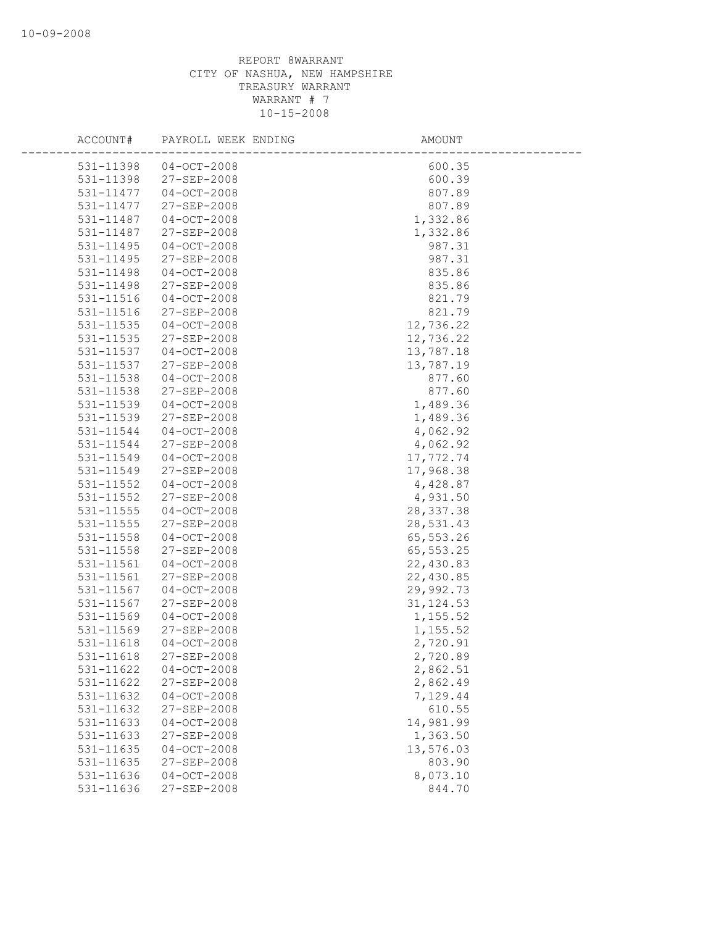| ACCOUNT#               | PAYROLL WEEK ENDING          | AMOUNT             |
|------------------------|------------------------------|--------------------|
| 531-11398              | $04 - OCT - 2008$            | 600.35             |
| 531-11398              | 27-SEP-2008                  | 600.39             |
| 531-11477              | $04 - OCT - 2008$            | 807.89             |
| 531-11477              | 27-SEP-2008                  | 807.89             |
| 531-11487              | $04 - OCT - 2008$            | 1,332.86           |
| 531-11487              | 27-SEP-2008                  | 1,332.86           |
| 531-11495              | $04 - OCT - 2008$            | 987.31             |
| 531-11495              | 27-SEP-2008                  | 987.31             |
| 531-11498              | $04-0CT-2008$                | 835.86             |
| 531-11498              | 27-SEP-2008                  | 835.86             |
| 531-11516              | $04 - OCT - 2008$            | 821.79             |
| 531-11516              | 27-SEP-2008                  | 821.79             |
| 531-11535              | $04 - OCT - 2008$            | 12,736.22          |
| 531-11535              | 27-SEP-2008                  | 12,736.22          |
| 531-11537              | $04 - OCT - 2008$            | 13,787.18          |
| 531-11537              | $27 - SEP - 2008$            | 13,787.19          |
| 531-11538              | $04 - OCT - 2008$            | 877.60             |
| 531-11538              | $27 - SEP - 2008$            | 877.60             |
| 531-11539              | $04-0CT-2008$                | 1,489.36           |
| 531-11539              | 27-SEP-2008                  | 1,489.36           |
| 531-11544              | $04 - OCT - 2008$            | 4,062.92           |
| 531-11544              | 27-SEP-2008                  | 4,062.92           |
| 531-11549              | $04 - OCT - 2008$            | 17,772.74          |
| 531-11549              | 27-SEP-2008                  | 17,968.38          |
| 531-11552              | $04 - OCT - 2008$            | 4,428.87           |
| 531-11552              | 27-SEP-2008                  | 4,931.50           |
| $531 - 11555$          | $04-0CT-2008$                | 28, 337.38         |
| 531-11555              | 27-SEP-2008                  | 28,531.43          |
| 531-11558              | $04 - OCT - 2008$            | 65, 553.26         |
| 531-11558              | 27-SEP-2008                  | 65, 553.25         |
| 531-11561              | $04 - OCT - 2008$            | 22,430.83          |
| 531-11561              | 27-SEP-2008                  | 22,430.85          |
| 531-11567              | $04 - OCT - 2008$            | 29,992.73          |
| 531-11567              | $27 - SEP - 2008$            | 31, 124.53         |
| 531-11569              | $04 - OCT - 2008$            | 1,155.52           |
| 531-11569              | 27-SEP-2008                  | 1,155.52           |
| 531-11618              | $04 - OCT - 2008$            | 2,720.91           |
| 531-11618              | 27-SEP-2008                  | 2,720.89           |
| 531-11622              | $04 - OCT - 2008$            | 2,862.51           |
| 531-11622              | 27-SEP-2008<br>$04-0CT-2008$ | 2,862.49           |
| 531-11632<br>531-11632 | 27-SEP-2008                  | 7,129.44<br>610.55 |
| 531-11633              | $04-0CT-2008$                | 14,981.99          |
| 531-11633              | 27-SEP-2008                  | 1,363.50           |
| 531-11635              | $04 - OCT - 2008$            | 13,576.03          |
| 531-11635              | 27-SEP-2008                  | 803.90             |
| 531-11636              | $04 - OCT - 2008$            | 8,073.10           |
| 531-11636              | 27-SEP-2008                  | 844.70             |
|                        |                              |                    |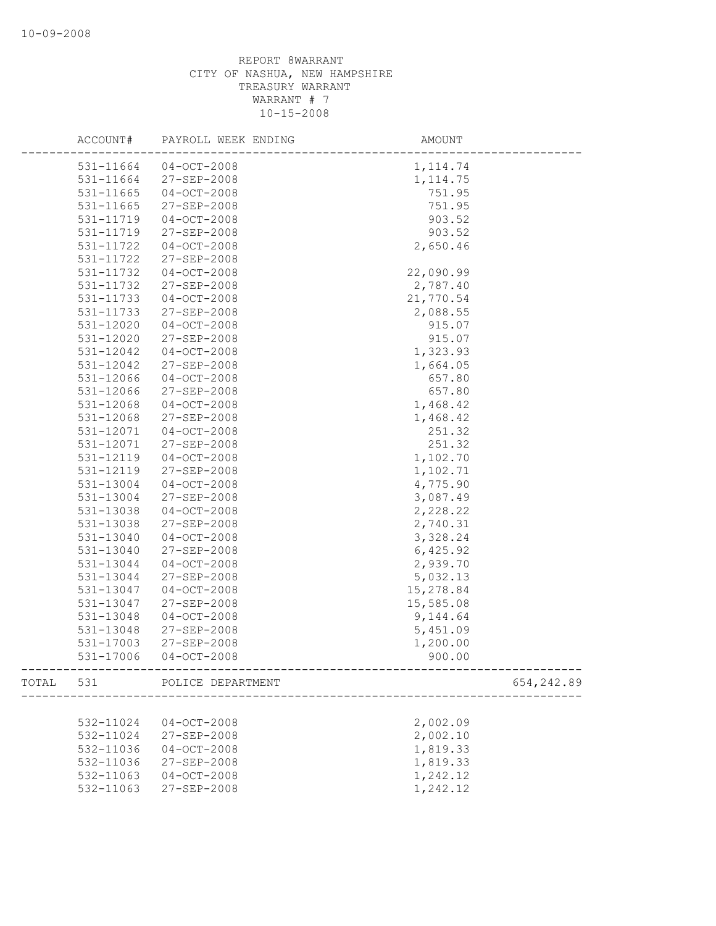|           | ACCOUNT#      | PAYROLL WEEK ENDING | AMOUNT                                       |            |
|-----------|---------------|---------------------|----------------------------------------------|------------|
|           | 531-11664     | 04-OCT-2008         | 1, 114.74                                    |            |
|           | 531-11664     | 27-SEP-2008         | 1, 114.75                                    |            |
|           | $531 - 11665$ | $04 - OCT - 2008$   | 751.95                                       |            |
|           | 531-11665     | 27-SEP-2008         | 751.95                                       |            |
|           | 531-11719     | $04 - OCT - 2008$   | 903.52                                       |            |
|           | 531-11719     | 27-SEP-2008         | 903.52                                       |            |
|           | 531-11722     | $04 - OCT - 2008$   | 2,650.46                                     |            |
|           | 531-11722     | 27-SEP-2008         |                                              |            |
|           | 531-11732     | $04 - OCT - 2008$   | 22,090.99                                    |            |
|           | 531-11732     | 27-SEP-2008         | 2,787.40                                     |            |
|           | 531-11733     | $04 - OCT - 2008$   | 21,770.54                                    |            |
|           | 531-11733     | 27-SEP-2008         | 2,088.55                                     |            |
|           | 531-12020     | $04 - OCT - 2008$   | 915.07                                       |            |
|           | 531-12020     | 27-SEP-2008         | 915.07                                       |            |
|           | 531-12042     | $04 - OCT - 2008$   | 1,323.93                                     |            |
|           | 531-12042     | 27-SEP-2008         | 1,664.05                                     |            |
|           | 531-12066     | $04 - OCT - 2008$   | 657.80                                       |            |
|           | 531-12066     | $27 - SEP - 2008$   | 657.80                                       |            |
|           | 531-12068     | $04 - OCT - 2008$   | 1,468.42                                     |            |
|           | 531-12068     | 27-SEP-2008         | 1,468.42                                     |            |
|           | 531-12071     | $04 - OCT - 2008$   | 251.32                                       |            |
|           | 531-12071     | 27-SEP-2008         | 251.32                                       |            |
|           | 531-12119     | $04 - OCT - 2008$   | 1,102.70                                     |            |
|           | 531-12119     | 27-SEP-2008         | 1,102.71                                     |            |
|           | 531-13004     | $04 - OCT - 2008$   | 4,775.90                                     |            |
|           | 531-13004     | 27-SEP-2008         | 3,087.49                                     |            |
|           | 531-13038     | $04 - OCT - 2008$   | 2,228.22                                     |            |
|           | 531-13038     | 27-SEP-2008         | 2,740.31                                     |            |
|           | 531-13040     | $04 - OCT - 2008$   | 3,328.24                                     |            |
|           | 531-13040     | 27-SEP-2008         | 6,425.92                                     |            |
|           | 531-13044     | $04 - OCT - 2008$   | 2,939.70                                     |            |
|           | 531-13044     | 27-SEP-2008         | 5,032.13                                     |            |
|           | 531-13047     | $04 - OCT - 2008$   | 15,278.84                                    |            |
|           | 531-13047     | 27-SEP-2008         | 15,585.08                                    |            |
|           | 531-13048     | $04 - OCT - 2008$   | 9,144.64                                     |            |
|           | 531-13048     | 27-SEP-2008         | 5,451.09                                     |            |
|           | 531-17003     | 27-SEP-2008         | 1,200.00                                     |            |
|           | 531-17006     | $04-0CT-2008$       | 900.00<br>---------------------------------- |            |
| TOTAL 531 |               | POLICE DEPARTMENT   |                                              | 654,242.89 |
|           |               |                     |                                              |            |
|           | 532-11024     | $04 - OCT - 2008$   | 2,002.09                                     |            |
|           | 532-11024     | 27-SEP-2008         | 2,002.10                                     |            |
|           | 532-11036     | $04 - OCT - 2008$   | 1,819.33                                     |            |
|           | 532-11036     | 27-SEP-2008         | 1,819.33                                     |            |
|           | 532-11063     | $04 - OCT - 2008$   | 1,242.12                                     |            |
|           | 532-11063     | 27-SEP-2008         | 1,242.12                                     |            |
|           |               |                     |                                              |            |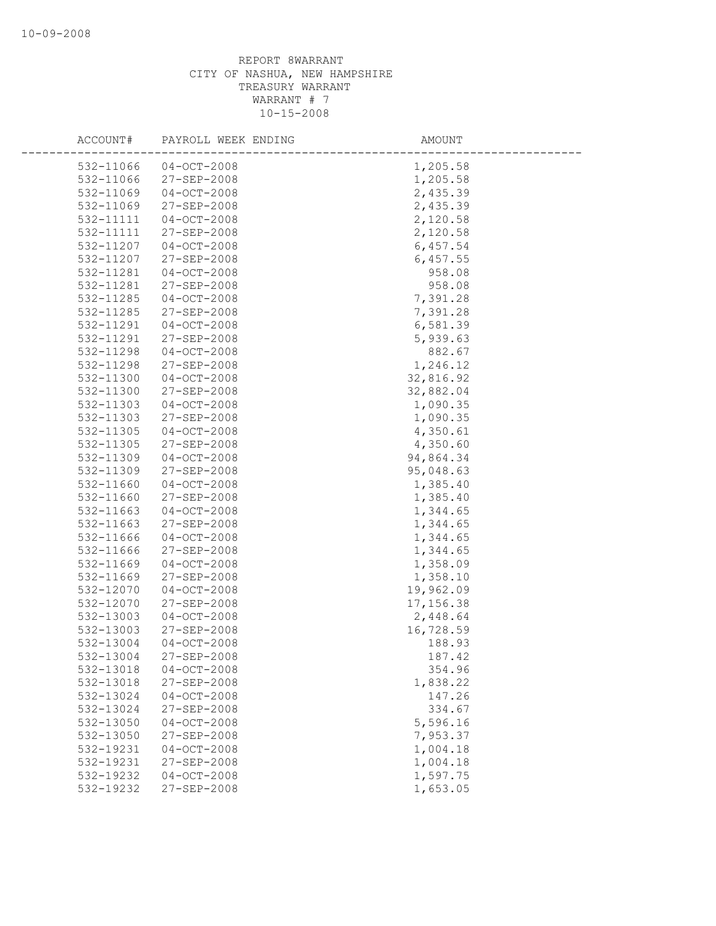| ACCOUNT#  | PAYROLL WEEK ENDING | AMOUNT    |
|-----------|---------------------|-----------|
| 532-11066 | $04-0CT-2008$       | 1,205.58  |
| 532-11066 | 27-SEP-2008         | 1,205.58  |
| 532-11069 | $04 - OCT - 2008$   | 2,435.39  |
| 532-11069 | 27-SEP-2008         | 2,435.39  |
| 532-11111 | $04 - OCT - 2008$   | 2,120.58  |
| 532-11111 | 27-SEP-2008         | 2,120.58  |
| 532-11207 | $04 - OCT - 2008$   | 6,457.54  |
| 532-11207 | 27-SEP-2008         | 6,457.55  |
| 532-11281 | $04-0CT-2008$       | 958.08    |
| 532-11281 | 27-SEP-2008         | 958.08    |
| 532-11285 | $04 - OCT - 2008$   | 7,391.28  |
| 532-11285 | 27-SEP-2008         | 7,391.28  |
| 532-11291 | $04 - OCT - 2008$   | 6,581.39  |
| 532-11291 | 27-SEP-2008         | 5,939.63  |
| 532-11298 | $04 - OCT - 2008$   | 882.67    |
| 532-11298 | $27 - SEP - 2008$   | 1,246.12  |
| 532-11300 | $04 - OCT - 2008$   | 32,816.92 |
| 532-11300 | 27-SEP-2008         | 32,882.04 |
| 532-11303 | $04-0CT-2008$       | 1,090.35  |
| 532-11303 | 27-SEP-2008         | 1,090.35  |
| 532-11305 | $04 - OCT - 2008$   | 4,350.61  |
| 532-11305 | 27-SEP-2008         | 4,350.60  |
| 532-11309 | $04 - OCT - 2008$   | 94,864.34 |
| 532-11309 | 27-SEP-2008         | 95,048.63 |
| 532-11660 | $04 - OCT - 2008$   | 1,385.40  |
| 532-11660 | 27-SEP-2008         | 1,385.40  |
| 532-11663 | $04-0CT-2008$       | 1,344.65  |
| 532-11663 | 27-SEP-2008         | 1,344.65  |
| 532-11666 | $04 - OCT - 2008$   | 1,344.65  |
| 532-11666 | 27-SEP-2008         | 1,344.65  |
| 532-11669 | $04 - OCT - 2008$   | 1,358.09  |
| 532-11669 | 27-SEP-2008         | 1,358.10  |
| 532-12070 | $04 - OCT - 2008$   | 19,962.09 |
| 532-12070 | 27-SEP-2008         | 17,156.38 |
| 532-13003 | $04 - OCT - 2008$   | 2,448.64  |
| 532-13003 | 27-SEP-2008         | 16,728.59 |
| 532-13004 | $04 - OCT - 2008$   | 188.93    |
| 532-13004 | 27-SEP-2008         | 187.42    |
| 532-13018 | $04 - OCT - 2008$   | 354.96    |
| 532-13018 | 27-SEP-2008         | 1,838.22  |
| 532-13024 | $04 - OCT - 2008$   | 147.26    |
| 532-13024 | 27-SEP-2008         | 334.67    |
| 532-13050 | $04 - OCT - 2008$   | 5,596.16  |
| 532-13050 | 27-SEP-2008         | 7,953.37  |
| 532-19231 | $04 - OCT - 2008$   | 1,004.18  |
| 532-19231 | 27-SEP-2008         | 1,004.18  |
| 532-19232 | $04 - OCT - 2008$   | 1,597.75  |
| 532-19232 | 27-SEP-2008         | 1,653.05  |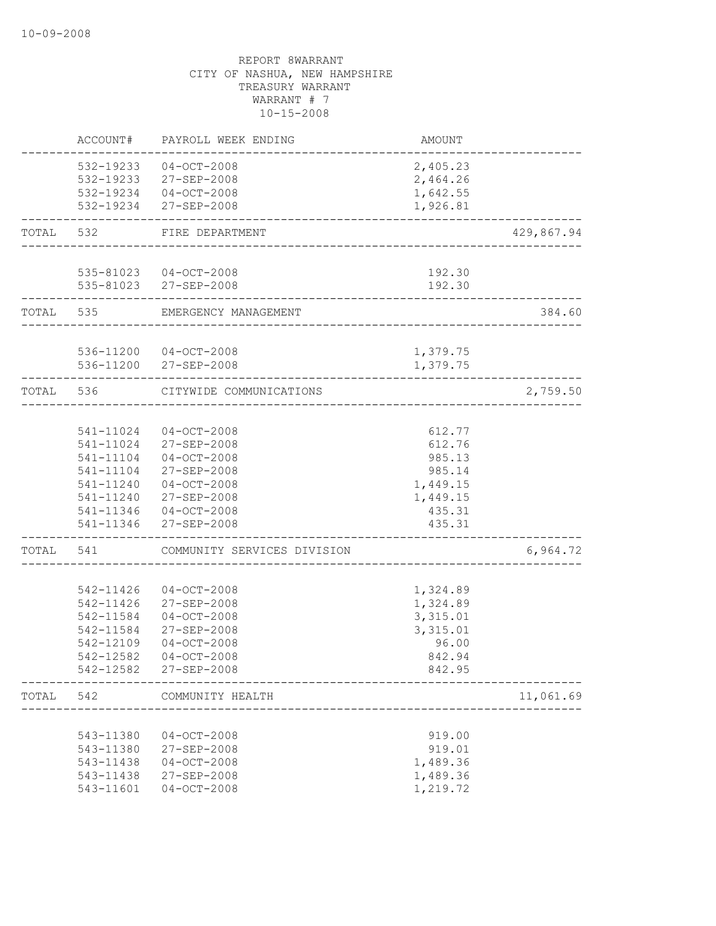|       | ACCOUNT#               | PAYROLL WEEK ENDING                            | <b>AMOUNT</b>        |            |
|-------|------------------------|------------------------------------------------|----------------------|------------|
|       |                        | 532-19233 04-OCT-2008                          | 2,405.23             |            |
|       |                        | 532-19233 27-SEP-2008                          | 2,464.26             |            |
|       |                        | 532-19234 04-OCT-2008                          | 1,642.55             |            |
|       |                        | 532-19234 27-SEP-2008                          | 1,926.81             |            |
| TOTAL | 532                    | FIRE DEPARTMENT                                |                      | 429,867.94 |
|       |                        | 535-81023 04-OCT-2008                          | 192.30               |            |
|       |                        | 535-81023 27-SEP-2008                          | 192.30               |            |
| TOTAL | 535                    | EMERGENCY MANAGEMENT                           |                      | 384.60     |
|       |                        | 536-11200 04-OCT-2008                          | 1,379.75             |            |
|       |                        | 536-11200 27-SEP-2008                          | 1,379.75             |            |
| TOTAL | 536                    | CITYWIDE COMMUNICATIONS                        |                      | 2,759.50   |
|       |                        |                                                |                      |            |
|       | 541-11024              | $04 - OCT - 2008$                              | 612.77               |            |
|       |                        | 541-11024 27-SEP-2008                          | 612.76               |            |
|       | 541-11104              | $04 - OCT - 2008$                              | 985.13               |            |
|       | 541-11104              | 27-SEP-2008                                    | 985.14               |            |
|       | 541-11240              | $04-0CT-2008$                                  | 1,449.15             |            |
|       | 541-11240              | 27-SEP-2008                                    | 1,449.15             |            |
|       |                        | 541-11346 04-OCT-2008<br>541-11346 27-SEP-2008 | 435.31<br>435.31     |            |
| TOTAL | 541                    | COMMUNITY SERVICES DIVISION                    |                      | 6,964.72   |
|       |                        |                                                |                      |            |
|       | 542-11426              | $04 - OCT - 2008$                              | 1,324.89             |            |
|       | 542-11426              | 27-SEP-2008                                    | 1,324.89             |            |
|       | 542-11584              | $04-0CT-2008$                                  | 3,315.01             |            |
|       | 542-11584              | 27-SEP-2008                                    | 3,315.01             |            |
|       | 542-12109              | $04 - OCT - 2008$                              | 96.00                |            |
|       | 542-12582              | $04 - OCT - 2008$                              | 842.94               |            |
|       | 542-12582              | 27-SEP-2008                                    | 842.95               |            |
| TOTAL | 542                    | COMMUNITY HEALTH                               |                      | 11,061.69  |
|       |                        |                                                | 919.00               |            |
|       | 543-11380<br>543-11380 | $04-0CT-2008$<br>27-SEP-2008                   | 919.01               |            |
|       | 543-11438              | $04 - OCT - 2008$                              |                      |            |
|       | 543-11438              |                                                | 1,489.36             |            |
|       | 543-11601              | 27-SEP-2008<br>$04-0CT-2008$                   | 1,489.36<br>1,219.72 |            |
|       |                        |                                                |                      |            |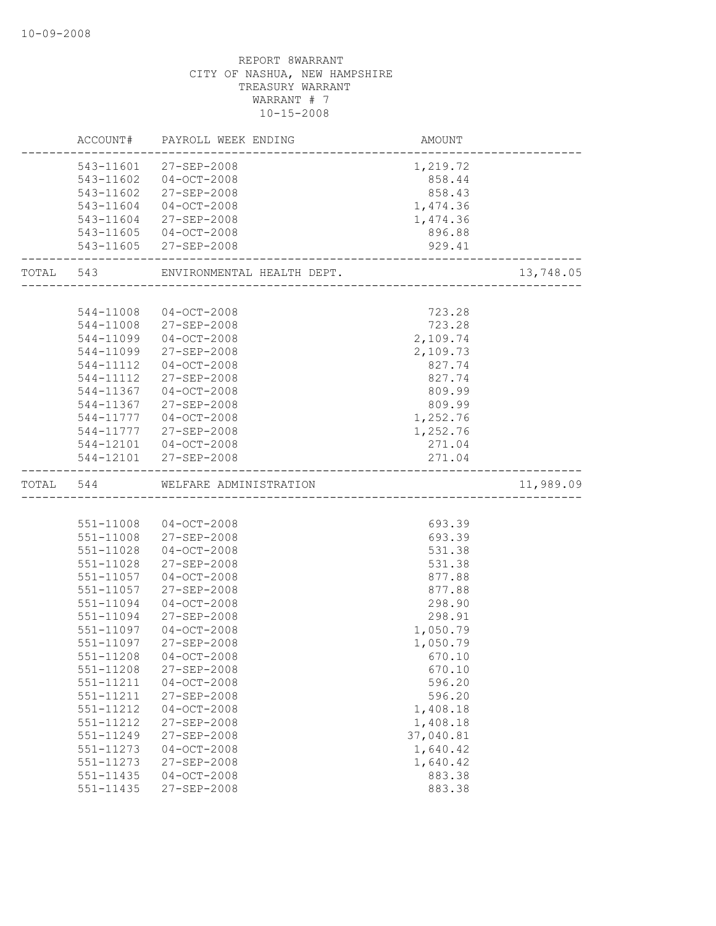|           | ACCOUNT#  | PAYROLL WEEK ENDING        | AMOUNT                    |           |
|-----------|-----------|----------------------------|---------------------------|-----------|
|           |           | 543-11601 27-SEP-2008      | 1,219.72                  |           |
|           | 543-11602 | $04 - OCT - 2008$          | 858.44                    |           |
|           | 543-11602 | 27-SEP-2008                | 858.43                    |           |
|           | 543-11604 | $04 - OCT - 2008$          | 1,474.36                  |           |
|           | 543-11604 | 27-SEP-2008                | 1,474.36                  |           |
|           | 543-11605 | 04-OCT-2008                | 896.88                    |           |
|           | 543-11605 | 27-SEP-2008                | 929.41                    |           |
| TOTAL 543 |           | ENVIRONMENTAL HEALTH DEPT. | ______________________    | 13,748.05 |
|           |           |                            |                           |           |
|           | 544-11008 | 04-OCT-2008                | 723.28                    |           |
|           | 544-11008 | 27-SEP-2008                | 723.28                    |           |
|           | 544-11099 | $04 - OCT - 2008$          | 2,109.74                  |           |
|           | 544-11099 | 27-SEP-2008                | 2,109.73                  |           |
|           | 544-11112 | $04-0CT-2008$              | 827.74                    |           |
|           | 544-11112 | 27-SEP-2008                | 827.74                    |           |
|           | 544-11367 | $04 - OCT - 2008$          | 809.99                    |           |
|           | 544-11367 | 27-SEP-2008                | 809.99                    |           |
|           | 544-11777 | $04 - OCT - 2008$          | 1,252.76                  |           |
|           |           | 544-11777 27-SEP-2008      | 1,252.76                  |           |
|           |           | 544-12101 04-OCT-2008      | 271.04                    |           |
|           |           | 544-12101 27-SEP-2008      | 271.04                    |           |
| TOTAL 544 |           | WELFARE ADMINISTRATION     | _________________________ | 11,989.09 |
|           |           |                            |                           |           |
|           | 551-11008 | 04-OCT-2008                | 693.39                    |           |
|           | 551-11008 | 27-SEP-2008                | 693.39                    |           |
|           | 551-11028 | 04-OCT-2008                | 531.38                    |           |
|           | 551-11028 | 27-SEP-2008                | 531.38                    |           |
|           | 551-11057 | $04-0CT-2008$              | 877.88                    |           |
|           | 551-11057 | 27-SEP-2008                |                           |           |
|           |           |                            | 877.88                    |           |
|           | 551-11094 | $04 - OCT - 2008$          | 298.90                    |           |
|           | 551-11094 | 27-SEP-2008                | 298.91                    |           |
|           | 551-11097 | $04 - OCT - 2008$          | 1,050.79                  |           |
|           | 551-11097 | 27-SEP-2008                | 1,050.79                  |           |
|           | 551-11208 | $04 - OCT - 2008$          | 670.10                    |           |
|           | 551-11208 | $27 - SEP - 2008$          | 670.10                    |           |
|           | 551-11211 | $04 - OCT - 2008$          | 596.20                    |           |
|           | 551-11211 | 27-SEP-2008                | 596.20                    |           |
|           | 551-11212 | $04 - OCT - 2008$          | 1,408.18                  |           |
|           | 551-11212 | 27-SEP-2008                | 1,408.18                  |           |
|           | 551-11249 | 27-SEP-2008                | 37,040.81                 |           |
|           | 551-11273 | $04 - OCT - 2008$          |                           |           |
|           | 551-11273 | $27 - SEP - 2008$          | 1,640.42                  |           |
|           | 551-11435 | $04 - OCT - 2008$          | 1,640.42<br>883.38        |           |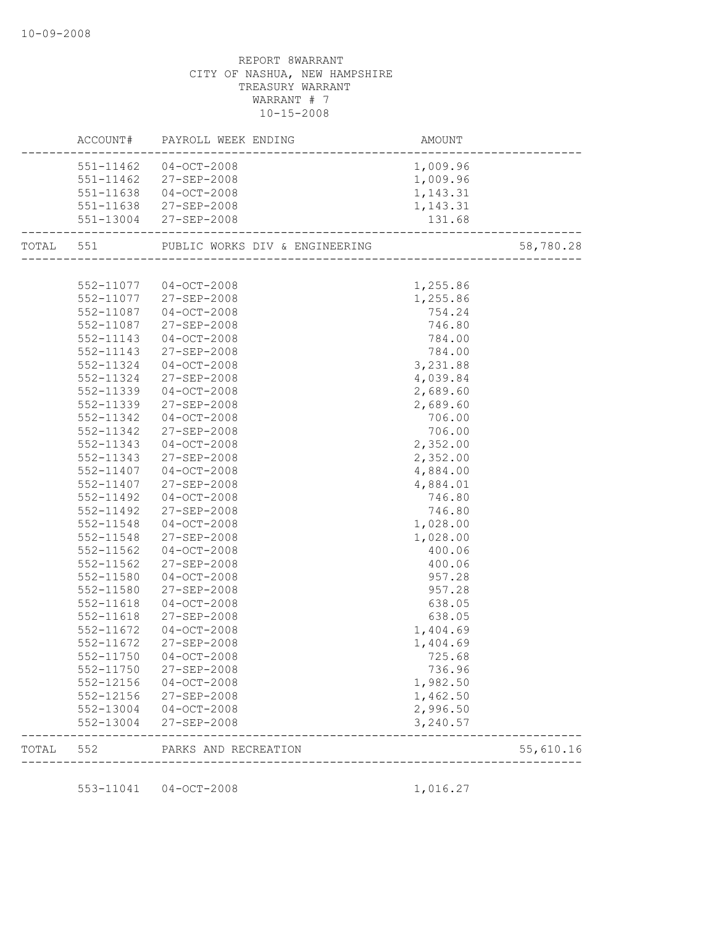|           |           | AMOUNT<br>------------------------<br>ACCOUNT# PAYROLL WEEK ENDING |                                 |           |
|-----------|-----------|--------------------------------------------------------------------|---------------------------------|-----------|
|           |           | 551-11462 04-OCT-2008                                              | 1,009.96                        |           |
|           |           | 551-11462 27-SEP-2008                                              | 1,009.96                        |           |
|           |           | 551-11638 04-OCT-2008                                              | 1,143.31                        |           |
|           |           | 551-11638 27-SEP-2008                                              | 1,143.31                        |           |
|           |           | 551-13004 27-SEP-2008                                              |                                 |           |
| TOTAL 551 |           | PUBLIC WORKS DIV & ENGINEERING                                     |                                 | 58,780.28 |
|           |           |                                                                    |                                 |           |
|           |           | 552-11077 04-OCT-2008                                              | 1,255.86                        |           |
|           |           | 552-11077 27-SEP-2008                                              | 1,255.86                        |           |
|           |           | 552-11087 04-OCT-2008                                              | 754.24                          |           |
|           | 552-11087 | 27-SEP-2008                                                        | 746.80                          |           |
|           | 552-11143 | $04 - OCT - 2008$                                                  | 784.00                          |           |
|           | 552-11143 | 27-SEP-2008                                                        | 784.00                          |           |
|           | 552-11324 | $04 - OCT - 2008$                                                  | 3,231.88                        |           |
|           | 552-11324 | 27-SEP-2008                                                        | 4,039.84                        |           |
|           | 552-11339 | $04 - OCT - 2008$                                                  | 2,689.60                        |           |
|           | 552-11339 | 27-SEP-2008                                                        | 2,689.60                        |           |
|           | 552-11342 | $04-0CT-2008$                                                      | 706.00                          |           |
|           | 552-11342 | 27-SEP-2008                                                        | 706.00                          |           |
|           | 552-11343 | $04-0CT-2008$                                                      | 2,352.00                        |           |
|           | 552-11343 | 27-SEP-2008                                                        | 2,352.00                        |           |
|           |           | 552-11407 04-OCT-2008                                              | 4,884.00                        |           |
|           | 552-11407 | 27-SEP-2008                                                        | 4,884.01                        |           |
|           | 552-11492 | $04 - OCT - 2008$                                                  | 746.80                          |           |
|           | 552-11492 | 27-SEP-2008                                                        | 746.80                          |           |
|           | 552-11548 | $04 - OCT - 2008$                                                  | 1,028.00                        |           |
|           | 552-11548 | 27-SEP-2008                                                        | 1,028.00                        |           |
|           | 552-11562 | $04-0CT-2008$                                                      | 400.06                          |           |
|           | 552-11562 | 27-SEP-2008                                                        | 400.06                          |           |
|           | 552-11580 | $04 - OCT - 2008$                                                  | 957.28                          |           |
|           | 552-11580 | 27-SEP-2008                                                        | 957.28                          |           |
|           | 552-11618 | $04 - OCT - 2008$                                                  | 638.05                          |           |
|           | 552-11618 | 27-SEP-2008                                                        | 638.05                          |           |
|           | 552-11672 | $04 - OCT - 2008$                                                  | 1,404.69                        |           |
|           | 552-11672 | 27-SEP-2008                                                        | 1,404.69                        |           |
|           |           | 552-11750 04-OCT-2008                                              | 725.68                          |           |
|           | 552-11750 | 27-SEP-2008                                                        | 736.96                          |           |
|           | 552-12156 | $04-OCT-2008$                                                      | 1,982.50                        |           |
|           | 552-12156 | 27-SEP-2008                                                        | 1,462.50                        |           |
|           | 552-13004 | $04 - OCT - 2008$                                                  | 2,996.50                        |           |
|           | 552-13004 | 27-SEP-2008                                                        | 3,240.57                        |           |
| TOTAL     | 552       | PARKS AND RECREATION                                               | ------------------------------- | 55,610.16 |
|           |           |                                                                    |                                 |           |
|           | 553-11041 | $04 - OCT - 2008$                                                  | 1,016.27                        |           |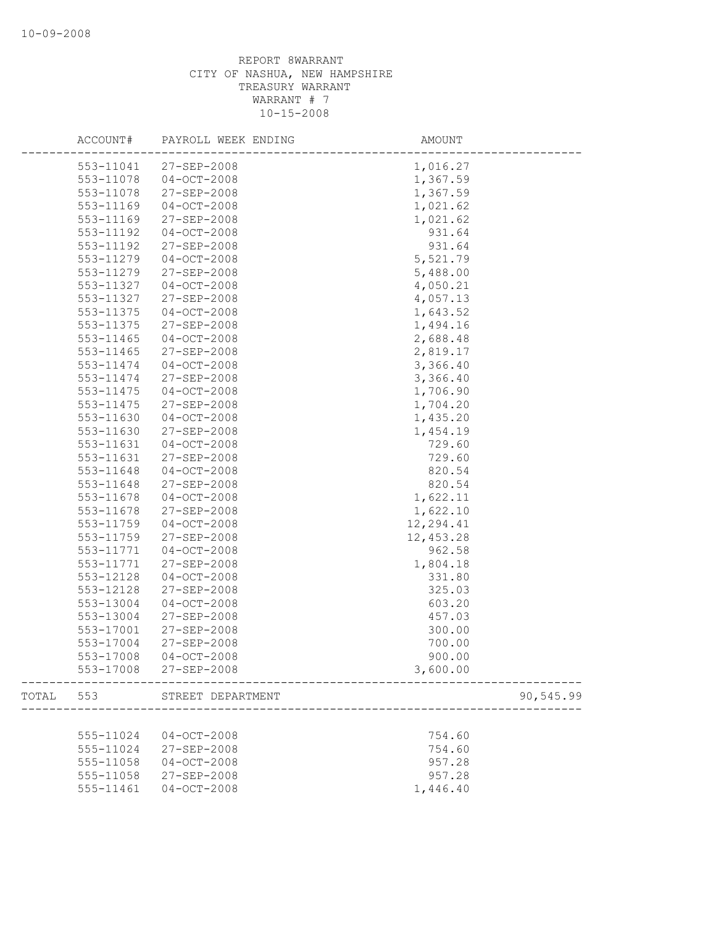|       | ACCOUNT#  | PAYROLL WEEK ENDING   | AMOUNT    |           |
|-------|-----------|-----------------------|-----------|-----------|
|       | 553-11041 | 27-SEP-2008           | 1,016.27  |           |
|       | 553-11078 | $04 - OCT - 2008$     | 1,367.59  |           |
|       | 553-11078 | 27-SEP-2008           | 1,367.59  |           |
|       | 553-11169 | $04 - OCT - 2008$     | 1,021.62  |           |
|       | 553-11169 | 27-SEP-2008           | 1,021.62  |           |
|       | 553-11192 | $04 - OCT - 2008$     | 931.64    |           |
|       | 553-11192 | 27-SEP-2008           | 931.64    |           |
|       | 553-11279 | $04 - OCT - 2008$     | 5,521.79  |           |
|       | 553-11279 | 27-SEP-2008           | 5,488.00  |           |
|       | 553-11327 | $04-0CT-2008$         | 4,050.21  |           |
|       | 553-11327 | 27-SEP-2008           | 4,057.13  |           |
|       | 553-11375 | $04 - OCT - 2008$     | 1,643.52  |           |
|       | 553-11375 | 27-SEP-2008           | 1,494.16  |           |
|       | 553-11465 | $04 - OCT - 2008$     | 2,688.48  |           |
|       | 553-11465 | 27-SEP-2008           | 2,819.17  |           |
|       | 553-11474 | $04 - OCT - 2008$     | 3,366.40  |           |
|       | 553-11474 | $27 - SEP - 2008$     | 3,366.40  |           |
|       | 553-11475 | $04 - OCT - 2008$     | 1,706.90  |           |
|       | 553-11475 | 27-SEP-2008           | 1,704.20  |           |
|       | 553-11630 | $04 - OCT - 2008$     | 1,435.20  |           |
|       | 553-11630 | 27-SEP-2008           | 1,454.19  |           |
|       | 553-11631 | $04 - OCT - 2008$     | 729.60    |           |
|       | 553-11631 | 27-SEP-2008           | 729.60    |           |
|       | 553-11648 | $04 - OCT - 2008$     | 820.54    |           |
|       | 553-11648 | 27-SEP-2008           | 820.54    |           |
|       | 553-11678 | $04 - OCT - 2008$     | 1,622.11  |           |
|       | 553-11678 | 27-SEP-2008           | 1,622.10  |           |
|       |           |                       |           |           |
|       | 553-11759 | $04 - OCT - 2008$     | 12,294.41 |           |
|       | 553-11759 | 27-SEP-2008           | 12,453.28 |           |
|       | 553-11771 | $04 - OCT - 2008$     | 962.58    |           |
|       | 553-11771 | 27-SEP-2008           | 1,804.18  |           |
|       | 553-12128 | $04 - OCT - 2008$     | 331.80    |           |
|       | 553-12128 | 27-SEP-2008           | 325.03    |           |
|       | 553-13004 | $04 - OCT - 2008$     | 603.20    |           |
|       | 553-13004 | 27-SEP-2008           | 457.03    |           |
|       | 553-17001 | 27-SEP-2008           | 300.00    |           |
|       | 553-17004 | $27 - SEP - 2008$     | 700.00    |           |
|       | 553-17008 | $04 - OCT - 2008$     | 900.00    |           |
|       |           | 553-17008 27-SEP-2008 | 3,600.00  |           |
| TOTAL | 553       | STREET DEPARTMENT     |           | 90,545.99 |
|       |           |                       |           |           |
|       | 555-11024 | $04-0CT-2008$         | 754.60    |           |
|       | 555-11024 | $27 - SEP - 2008$     | 754.60    |           |
|       | 555-11058 | $04 - OCT - 2008$     | 957.28    |           |
|       | 555-11058 | $27 - SEP - 2008$     | 957.28    |           |
|       | 555-11461 | $04-0CT-2008$         | 1,446.40  |           |
|       |           |                       |           |           |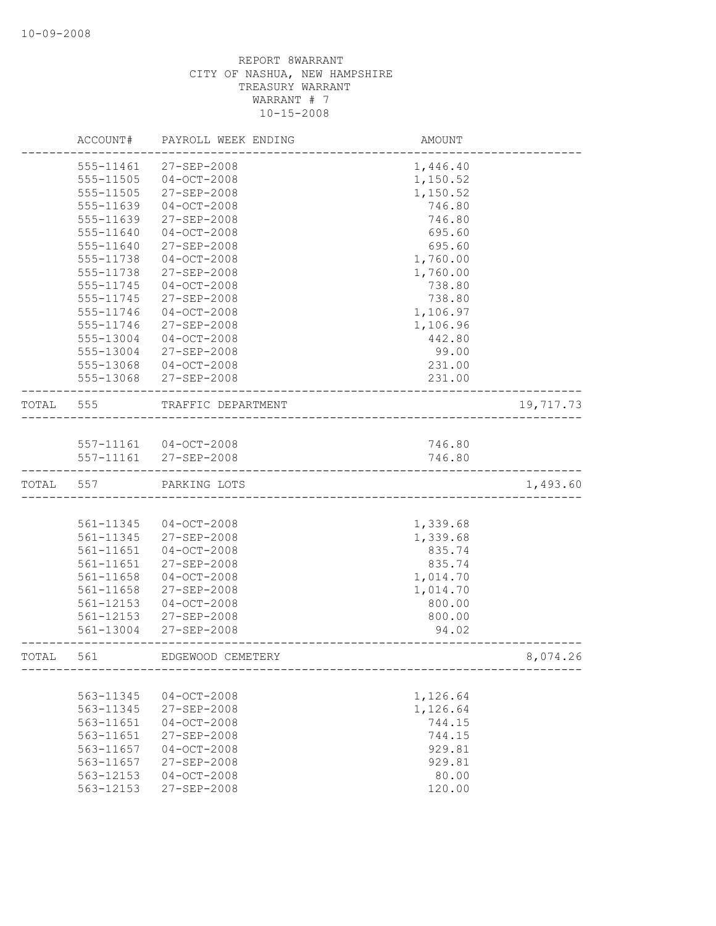|       | ACCOUNT#  | PAYROLL WEEK ENDING   | AMOUNT   |           |
|-------|-----------|-----------------------|----------|-----------|
|       | 555-11461 | 27-SEP-2008           | 1,446.40 |           |
|       | 555-11505 | $04-OCT-2008$         | 1,150.52 |           |
|       | 555-11505 | 27-SEP-2008           | 1,150.52 |           |
|       | 555-11639 | $04-0CT-2008$         | 746.80   |           |
|       | 555-11639 | 27-SEP-2008           | 746.80   |           |
|       | 555-11640 | $04-0CT-2008$         | 695.60   |           |
|       | 555-11640 | 27-SEP-2008           | 695.60   |           |
|       | 555-11738 | $04 - OCT - 2008$     | 1,760.00 |           |
|       | 555-11738 | 27-SEP-2008           | 1,760.00 |           |
|       | 555-11745 | $04 - OCT - 2008$     | 738.80   |           |
|       | 555-11745 | 27-SEP-2008           | 738.80   |           |
|       | 555-11746 | $04-0CT-2008$         | 1,106.97 |           |
|       | 555-11746 | 27-SEP-2008           | 1,106.96 |           |
|       | 555-13004 | $04 - OCT - 2008$     | 442.80   |           |
|       | 555-13004 | 27-SEP-2008           | 99.00    |           |
|       | 555-13068 | $04-0CT-2008$         | 231.00   |           |
|       | 555-13068 | 27-SEP-2008           | 231.00   |           |
| TOTAL | 555       | TRAFFIC DEPARTMENT    |          | 19,717.73 |
|       |           |                       |          |           |
|       |           | 557-11161 04-OCT-2008 | 746.80   |           |
|       | 557-11161 | 27-SEP-2008           | 746.80   |           |
| TOTAL | 557       | PARKING LOTS          |          | 1,493.60  |
|       |           |                       |          |           |
|       | 561-11345 | $04 - OCT - 2008$     | 1,339.68 |           |
|       | 561-11345 | 27-SEP-2008           | 1,339.68 |           |
|       | 561-11651 | $04 - OCT - 2008$     | 835.74   |           |
|       | 561-11651 | 27-SEP-2008           | 835.74   |           |
|       | 561-11658 | $04 - OCT - 2008$     | 1,014.70 |           |
|       | 561-11658 | 27-SEP-2008           | 1,014.70 |           |
|       | 561-12153 | $04 - OCT - 2008$     | 800.00   |           |
|       | 561-12153 | 27-SEP-2008           | 800.00   |           |
|       | 561-13004 | 27-SEP-2008           | 94.02    |           |
| TOTAL | 561       | EDGEWOOD CEMETERY     |          | 8,074.26  |
|       |           |                       |          |           |
|       | 563-11345 | $04 - OCT - 2008$     | 1,126.64 |           |
|       | 563-11345 | 27-SEP-2008           | 1,126.64 |           |
|       | 563-11651 | $04-0CT-2008$         | 744.15   |           |
|       | 563-11651 | 27-SEP-2008           | 744.15   |           |
|       | 563-11657 | $04 - OCT - 2008$     | 929.81   |           |
|       | 563-11657 | 27-SEP-2008           | 929.81   |           |
|       | 563-12153 | $04-0CT-2008$         | 80.00    |           |
|       | 563-12153 | 27-SEP-2008           | 120.00   |           |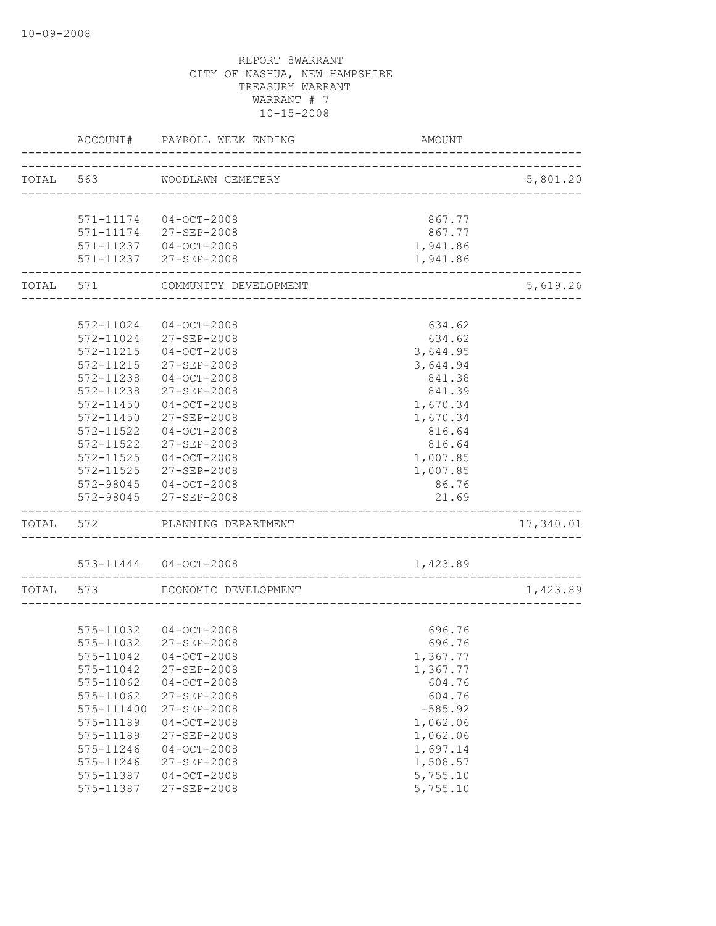| ACCOUNT#      | PAYROLL WEEK ENDING             | AMOUNT    |           |
|---------------|---------------------------------|-----------|-----------|
|               | TOTAL 563 WOODLAWN CEMETERY     |           | 5,801.20  |
|               |                                 |           |           |
|               | 571-11174 04-OCT-2008           | 867.77    |           |
|               | 571-11174 27-SEP-2008           | 867.77    |           |
|               | 571-11237 04-OCT-2008           | 1,941.86  |           |
|               | 571-11237 27-SEP-2008           | 1,941.86  |           |
|               | TOTAL 571 COMMUNITY DEVELOPMENT |           | 5,619.26  |
|               |                                 |           |           |
|               | 572-11024 04-OCT-2008           | 634.62    |           |
|               | 572-11024 27-SEP-2008           | 634.62    |           |
| 572-11215     | 04-OCT-2008                     | 3,644.95  |           |
| 572-11215     | 27-SEP-2008                     | 3,644.94  |           |
| 572-11238     | $04-0CT-2008$                   | 841.38    |           |
| 572-11238     | 27-SEP-2008                     | 841.39    |           |
| 572-11450     | $04-0CT-2008$                   | 1,670.34  |           |
| 572-11450     | $27 - SEP - 2008$               | 1,670.34  |           |
| 572-11522     | $04 - OCT - 2008$               | 816.64    |           |
| 572-11522     | 27-SEP-2008                     | 816.64    |           |
| 572-11525     | $04 - OCT - 2008$               | 1,007.85  |           |
| $572 - 11525$ | 27-SEP-2008                     | 1,007.85  |           |
|               | 572-98045 04-OCT-2008           | 86.76     |           |
|               | 572-98045 27-SEP-2008           | 21.69     |           |
|               | TOTAL 572 PLANNING DEPARTMENT   |           | 17,340.01 |
|               | 573-11444 04-OCT-2008           | 1,423.89  |           |
|               | TOTAL 573 ECONOMIC DEVELOPMENT  |           | 1,423.89  |
|               |                                 |           |           |
|               | 575-11032 04-OCT-2008           | 696.76    |           |
| $575 - 11032$ | 27-SEP-2008                     | 696.76    |           |
| 575-11042     | $04-0CT-2008$                   | 1,367.77  |           |
| 575-11042     | 27-SEP-2008                     | 1,367.77  |           |
| 575-11062     | $04 - OCT - 2008$               | 604.76    |           |
| 575-11062     | 27-SEP-2008                     | 604.76    |           |
| 575-111400    | 27-SEP-2008                     | $-585.92$ |           |
| 575-11189     | $04 - OCT - 2008$               | 1,062.06  |           |
| 575-11189     | 27-SEP-2008                     | 1,062.06  |           |
| 575-11246     | $04-0CT-2008$                   | 1,697.14  |           |
| 575-11246     | 27-SEP-2008                     | 1,508.57  |           |
| 575-11387     | $04-0CT-2008$                   | 5,755.10  |           |
| 575-11387     | 27-SEP-2008                     | 5,755.10  |           |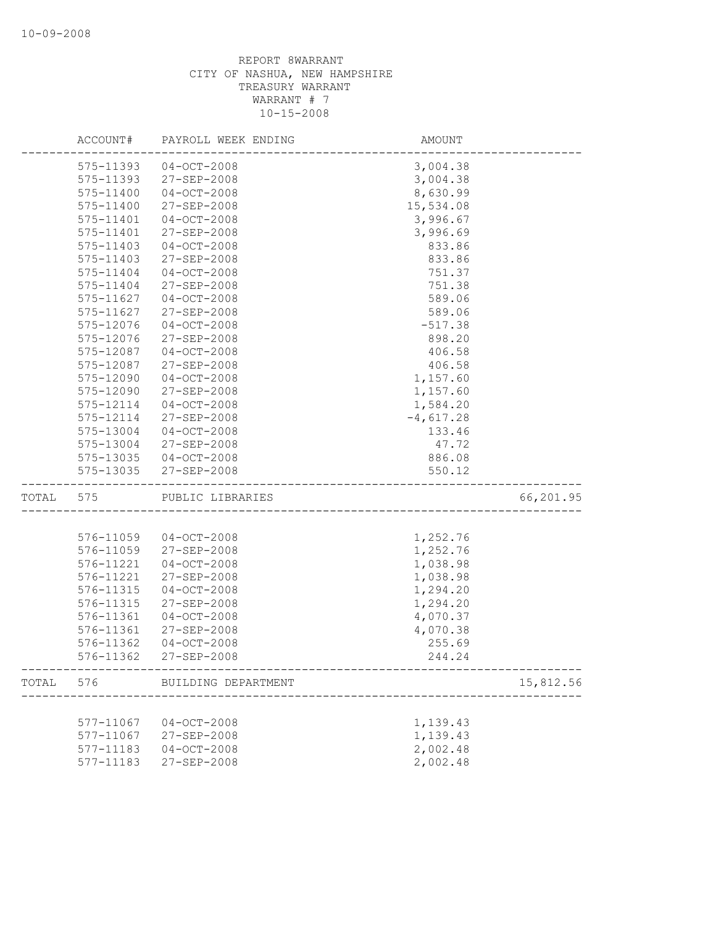|       | ACCOUNT#      | PAYROLL WEEK ENDING | <b>AMOUNT</b> |           |
|-------|---------------|---------------------|---------------|-----------|
|       | 575-11393     | $04 - OCT - 2008$   | 3,004.38      |           |
|       | 575-11393     | 27-SEP-2008         | 3,004.38      |           |
|       | 575-11400     | $04-0CT-2008$       | 8,630.99      |           |
|       | 575-11400     | 27-SEP-2008         | 15,534.08     |           |
|       | 575-11401     | $04 - OCT - 2008$   | 3,996.67      |           |
|       | 575-11401     | 27-SEP-2008         | 3,996.69      |           |
|       | 575-11403     | $04 - OCT - 2008$   | 833.86        |           |
|       | 575-11403     | 27-SEP-2008         | 833.86        |           |
|       | 575-11404     | $04 - OCT - 2008$   | 751.37        |           |
|       | 575-11404     | $27 - SEP - 2008$   | 751.38        |           |
|       | $575 - 11627$ | $04 - OCT - 2008$   | 589.06        |           |
|       | 575-11627     | 27-SEP-2008         | 589.06        |           |
|       | 575-12076     | $04 - OCT - 2008$   | $-517.38$     |           |
|       | 575-12076     | 27-SEP-2008         | 898.20        |           |
|       | 575-12087     | $04-0CT-2008$       | 406.58        |           |
|       | 575-12087     | 27-SEP-2008         | 406.58        |           |
|       | 575-12090     | $04 - OCT - 2008$   | 1,157.60      |           |
|       | 575-12090     | 27-SEP-2008         | 1,157.60      |           |
|       | 575-12114     | $04 - OCT - 2008$   | 1,584.20      |           |
|       | 575-12114     | 27-SEP-2008         | $-4,617.28$   |           |
|       | 575-13004     | $04 - OCT - 2008$   | 133.46        |           |
|       | 575-13004     | 27-SEP-2008         | 47.72         |           |
|       | 575-13035     | 04-OCT-2008         | 886.08        |           |
|       | 575-13035     | 27-SEP-2008         | 550.12        |           |
| TOTAL | 575           | PUBLIC LIBRARIES    |               | 66,201.95 |
|       |               |                     |               |           |
|       | 576-11059     | $04 - OCT - 2008$   | 1,252.76      |           |
|       | 576-11059     | 27-SEP-2008         | 1,252.76      |           |
|       | 576-11221     | $04 - OCT - 2008$   | 1,038.98      |           |
|       | 576-11221     | 27-SEP-2008         | 1,038.98      |           |
|       | 576-11315     | $04-0CT-2008$       | 1,294.20      |           |
|       | 576-11315     | 27-SEP-2008         | 1,294.20      |           |
|       | 576-11361     | $04 - OCT - 2008$   | 4,070.37      |           |
|       | 576-11361     | 27-SEP-2008         | 4,070.38      |           |
|       | 576-11362     | $04 - OCT - 2008$   | 255.69        |           |
|       | 576-11362     | 27-SEP-2008         | 244.24        |           |
| TOTAL | 576           | BUILDING DEPARTMENT |               | 15,812.56 |
|       |               |                     |               |           |
|       | 577-11067     | $04-0CT-2008$       | 1,139.43      |           |
|       | 577-11067     | 27-SEP-2008         | 1,139.43      |           |
|       | 577-11183     | $04 - OCT - 2008$   | 2,002.48      |           |
|       | 577-11183     | 27-SEP-2008         | 2,002.48      |           |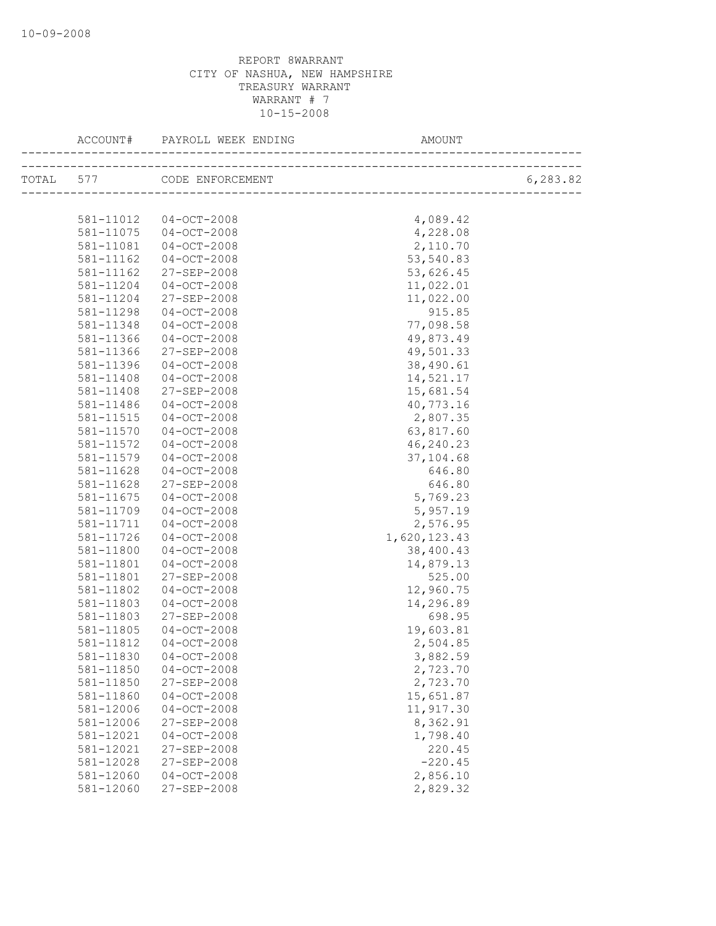|           | ACCOUNT# PAYROLL WEEK ENDING | AMOUNT       |          |
|-----------|------------------------------|--------------|----------|
|           | TOTAL 577 CODE ENFORCEMENT   |              | 6,283.82 |
|           |                              |              |          |
| 581-11012 | $04-OCT-2008$                | 4,089.42     |          |
| 581-11075 | $04 - OCT - 2008$            | 4,228.08     |          |
| 581-11081 | $04-0CT-2008$                | 2,110.70     |          |
| 581-11162 | $04-0CT-2008$                | 53,540.83    |          |
| 581-11162 | 27-SEP-2008                  | 53,626.45    |          |
| 581-11204 | $04 - OCT - 2008$            | 11,022.01    |          |
| 581-11204 | 27-SEP-2008                  | 11,022.00    |          |
| 581-11298 | $04-0CT-2008$                | 915.85       |          |
| 581-11348 | 04-OCT-2008                  | 77,098.58    |          |
| 581-11366 | $04 - OCT - 2008$            | 49,873.49    |          |
| 581-11366 | 27-SEP-2008                  | 49,501.33    |          |
| 581-11396 | $04 - OCT - 2008$            | 38,490.61    |          |
| 581-11408 | $04 - OCT - 2008$            | 14,521.17    |          |
| 581-11408 | 27-SEP-2008                  | 15,681.54    |          |
| 581-11486 | $04 - OCT - 2008$            | 40,773.16    |          |
| 581-11515 | $04-0CT-2008$                | 2,807.35     |          |
| 581-11570 | $04-0CT-2008$                | 63,817.60    |          |
| 581-11572 | 04-OCT-2008                  | 46,240.23    |          |
| 581-11579 | $04 - OCT - 2008$            | 37,104.68    |          |
| 581-11628 | 04-OCT-2008                  | 646.80       |          |
| 581-11628 | 27-SEP-2008                  | 646.80       |          |
| 581-11675 | $04 - OCT - 2008$            | 5,769.23     |          |
| 581-11709 | 04-OCT-2008                  | 5,957.19     |          |
| 581-11711 | $04-0CT-2008$                | 2,576.95     |          |
| 581-11726 | 04-OCT-2008                  | 1,620,123.43 |          |
| 581-11800 | $04 - OCT - 2008$            | 38,400.43    |          |
| 581-11801 | 04-OCT-2008                  | 14,879.13    |          |
| 581-11801 | 27-SEP-2008                  | 525.00       |          |
| 581-11802 | $04 - OCT - 2008$            | 12,960.75    |          |
| 581-11803 | $04-0CT-2008$                | 14,296.89    |          |
| 581-11803 | 27-SEP-2008                  | 698.95       |          |
| 581-11805 | 04-OCT-2008                  | 19,603.81    |          |
| 581-11812 | $04 - OCT - 2008$            | 2,504.85     |          |
| 581-11830 | $04 - OCT - 2008$            | 3,882.59     |          |
| 581-11850 | $04 - OCT - 2008$            | 2,723.70     |          |
| 581-11850 | 27-SEP-2008                  | 2,723.70     |          |
| 581-11860 | $04 - OCT - 2008$            | 15,651.87    |          |
| 581-12006 | $04 - OCT - 2008$            | 11,917.30    |          |
| 581-12006 | 27-SEP-2008                  | 8,362.91     |          |
| 581-12021 | $04 - OCT - 2008$            | 1,798.40     |          |
| 581-12021 | 27-SEP-2008                  | 220.45       |          |
| 581-12028 | 27-SEP-2008                  | $-220.45$    |          |
| 581-12060 | $04 - OCT - 2008$            | 2,856.10     |          |
| 581-12060 | 27-SEP-2008                  | 2,829.32     |          |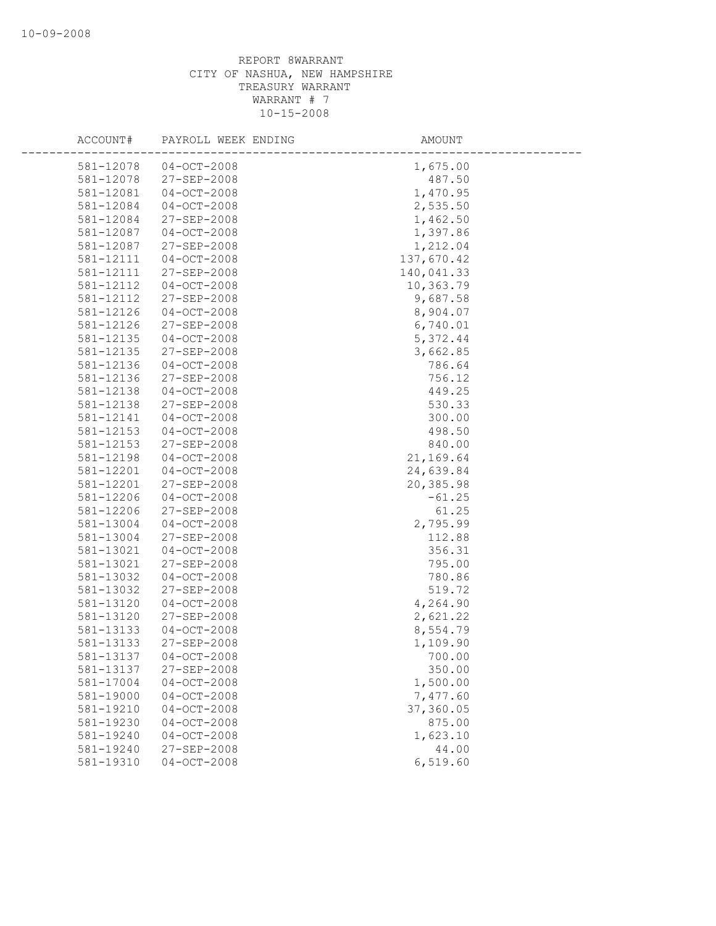| ACCOUNT#               | PAYROLL WEEK ENDING                    | AMOUNT               |
|------------------------|----------------------------------------|----------------------|
| 581-12078              | $04-0CT-2008$                          | 1,675.00             |
| 581-12078              | 27-SEP-2008                            | 487.50               |
| 581-12081              | $04 - OCT - 2008$                      | 1,470.95             |
| 581-12084              | $04 - OCT - 2008$                      | 2,535.50             |
| 581-12084              | 27-SEP-2008                            | 1,462.50             |
| 581-12087              | $04 - OCT - 2008$                      | 1,397.86             |
| 581-12087              | 27-SEP-2008                            | 1,212.04             |
| 581-12111              | $04 - OCT - 2008$                      | 137,670.42           |
| 581-12111              | 27-SEP-2008                            | 140,041.33           |
| 581-12112              | $04 - OCT - 2008$                      | 10,363.79            |
| 581-12112              | 27-SEP-2008                            | 9,687.58             |
| 581-12126              | $04 - OCT - 2008$                      | 8,904.07             |
| 581-12126              | 27-SEP-2008                            | 6,740.01             |
| 581-12135              | $04 - OCT - 2008$                      | 5,372.44             |
| 581-12135              | 27-SEP-2008                            | 3,662.85             |
| 581-12136              | $04 - OCT - 2008$                      | 786.64               |
| 581-12136              | 27-SEP-2008                            | 756.12               |
| 581-12138              | $04-0CT-2008$                          | 449.25               |
| 581-12138              | 27-SEP-2008                            | 530.33               |
| 581-12141              | $04 - OCT - 2008$                      | 300.00               |
| 581-12153              | $04 - OCT - 2008$                      | 498.50               |
| 581-12153              | 27-SEP-2008                            | 840.00               |
| 581-12198              | $04 - OCT - 2008$                      | 21,169.64            |
| 581-12201              | $04 - OCT - 2008$                      | 24,639.84            |
| 581-12201              | 27-SEP-2008                            | 20,385.98            |
| 581-12206              | $04 - OCT - 2008$                      | $-61.25$             |
| 581-12206              | 27-SEP-2008                            | 61.25                |
| 581-13004              | $04 - OCT - 2008$                      | 2,795.99             |
| 581-13004              | 27-SEP-2008                            | 112.88               |
| 581-13021              | $04 - OCT - 2008$                      | 356.31               |
| 581-13021              | 27-SEP-2008                            | 795.00               |
| 581-13032              | $04 - OCT - 2008$                      | 780.86               |
| 581-13032              | 27-SEP-2008                            | 519.72               |
| 581-13120<br>581-13120 | $04 - OCT - 2008$                      | 4,264.90<br>2,621.22 |
|                        | 27-SEP-2008                            |                      |
| 581-13133<br>581-13133 | $04 - OCT - 2008$<br>$27 - SEP - 2008$ | 8,554.79<br>1,109.90 |
| 581-13137              | $04-0CT-2008$                          | 700.00               |
| 581-13137              | 27-SEP-2008                            | 350.00               |
| 581-17004              | $04-0CT-2008$                          | 1,500.00             |
| 581-19000              | $04 - OCT - 2008$                      | 7,477.60             |
| 581-19210              | $04-0CT-2008$                          | 37,360.05            |
| 581-19230              | $04 - OCT - 2008$                      | 875.00               |
| 581-19240              | $04-0CT-2008$                          | 1,623.10             |
| 581-19240              | 27-SEP-2008                            | 44.00                |
| 581-19310              | $04 - OCT - 2008$                      | 6,519.60             |
|                        |                                        |                      |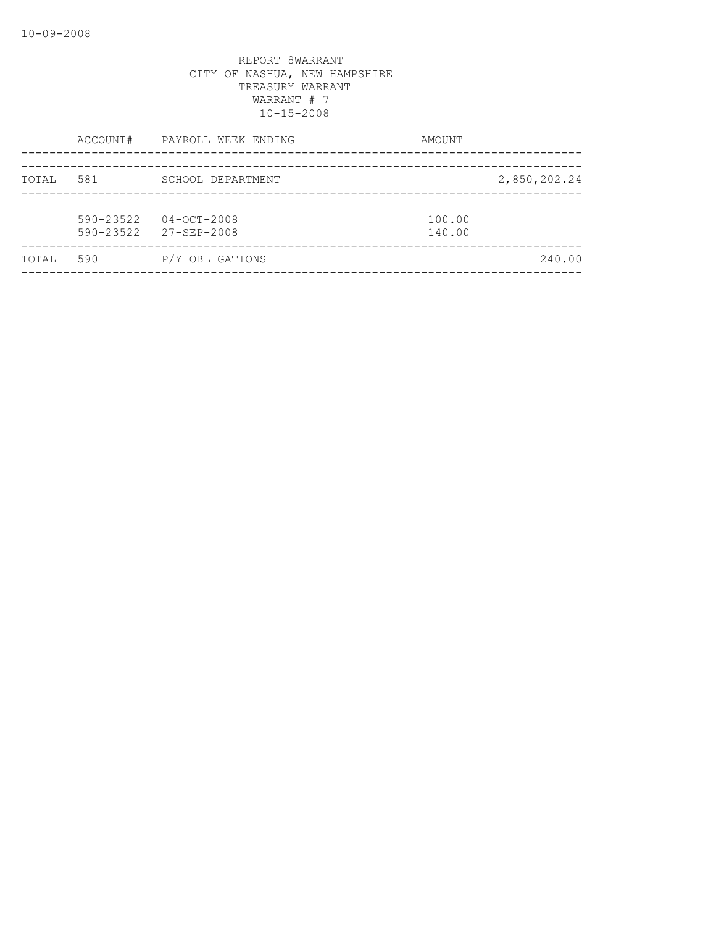|       | ACCOUNT#                   | PAYROLL WEEK ENDING              | AMOUNT           |
|-------|----------------------------|----------------------------------|------------------|
| TOTAL | 581                        | SCHOOL DEPARTMENT                | 2,850,202.24     |
|       | $590 - 23522$<br>590-23522 | $04 - OCT - 2008$<br>27-SEP-2008 | 100.00<br>140.00 |
| TOTAL | 590                        | P/Y OBLIGATIONS                  | 240.00           |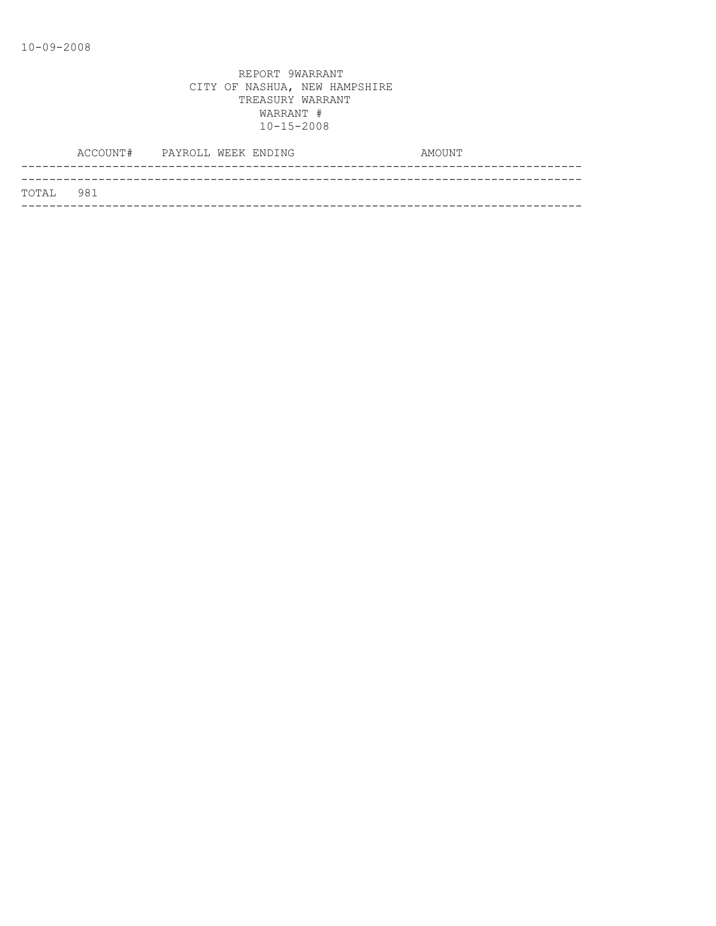|           | ACCOUNT# PAYROLL WEEK ENDING |  | AMOUNT |
|-----------|------------------------------|--|--------|
|           |                              |  |        |
| TOTAL 981 |                              |  |        |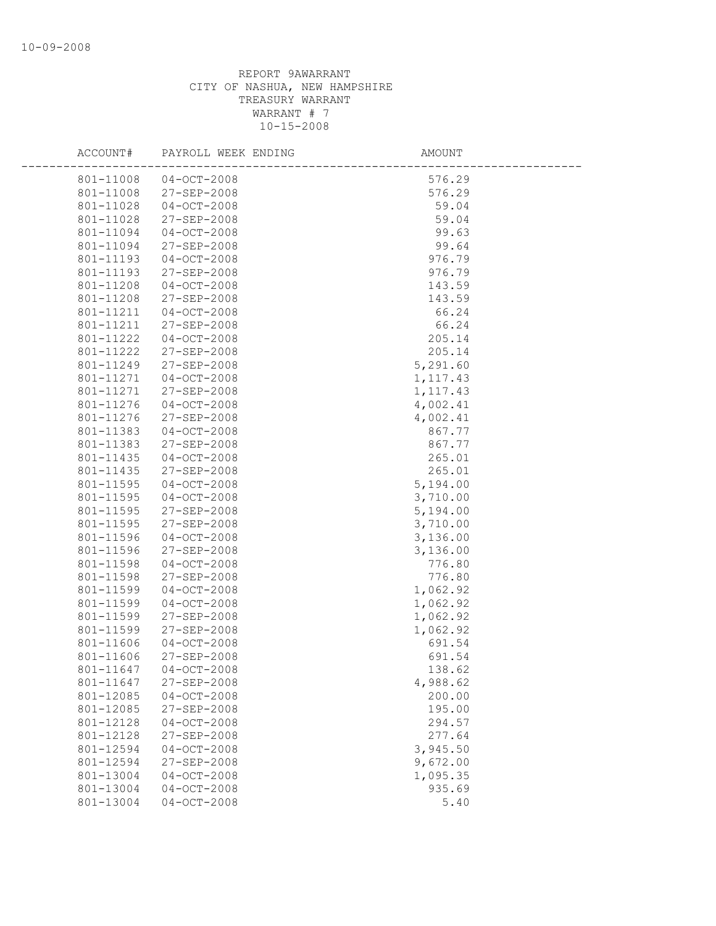| ACCOUNT#  | PAYROLL WEEK ENDING | AMOUNT    |  |
|-----------|---------------------|-----------|--|
| 801-11008 | $04 - OCT - 2008$   | 576.29    |  |
| 801-11008 | 27-SEP-2008         | 576.29    |  |
| 801-11028 | $04-0CT-2008$       | 59.04     |  |
| 801-11028 | 27-SEP-2008         | 59.04     |  |
| 801-11094 | $04 - OCT - 2008$   | 99.63     |  |
| 801-11094 | 27-SEP-2008         | 99.64     |  |
| 801-11193 | $04 - OCT - 2008$   | 976.79    |  |
| 801-11193 | 27-SEP-2008         | 976.79    |  |
| 801-11208 | $04-0CT-2008$       | 143.59    |  |
| 801-11208 | 27-SEP-2008         | 143.59    |  |
| 801-11211 | $04 - OCT - 2008$   | 66.24     |  |
| 801-11211 | 27-SEP-2008         | 66.24     |  |
| 801-11222 | 04-OCT-2008         | 205.14    |  |
| 801-11222 | 27-SEP-2008         | 205.14    |  |
| 801-11249 | 27-SEP-2008         | 5,291.60  |  |
| 801-11271 | $04-0CT-2008$       | 1, 117.43 |  |
| 801-11271 | 27-SEP-2008         | 1, 117.43 |  |
| 801-11276 | $04 - OCT - 2008$   | 4,002.41  |  |
| 801-11276 | 27-SEP-2008         | 4,002.41  |  |
| 801-11383 | $04 - OCT - 2008$   | 867.77    |  |
| 801-11383 | 27-SEP-2008         | 867.77    |  |
| 801-11435 | 04-OCT-2008         | 265.01    |  |
| 801-11435 | 27-SEP-2008         | 265.01    |  |
| 801-11595 | $04 - OCT - 2008$   | 5,194.00  |  |
| 801-11595 | $04 - OCT - 2008$   | 3,710.00  |  |
| 801-11595 | 27-SEP-2008         | 5,194.00  |  |
| 801-11595 | 27-SEP-2008         | 3,710.00  |  |
| 801-11596 | $04-0CT-2008$       | 3,136.00  |  |
| 801-11596 | 27-SEP-2008         | 3,136.00  |  |
| 801-11598 | $04-0CT-2008$       | 776.80    |  |
| 801-11598 | 27-SEP-2008         | 776.80    |  |
| 801-11599 | $04 - OCT - 2008$   | 1,062.92  |  |
| 801-11599 | $04 - OCT - 2008$   | 1,062.92  |  |
| 801-11599 | 27-SEP-2008         | 1,062.92  |  |
| 801-11599 | 27-SEP-2008         | 1,062.92  |  |
| 801-11606 | $04 - OCT - 2008$   | 691.54    |  |
| 801-11606 | 27-SEP-2008         | 691.54    |  |
| 801-11647 | $04 - OCT - 2008$   | 138.62    |  |
| 801-11647 | 27-SEP-2008         | 4,988.62  |  |
| 801-12085 | $04-0CT-2008$       | 200.00    |  |
| 801-12085 | 27-SEP-2008         | 195.00    |  |
| 801-12128 | $04 - OCT - 2008$   | 294.57    |  |
| 801-12128 | 27-SEP-2008         | 277.64    |  |
| 801-12594 | $04-0CT-2008$       | 3,945.50  |  |
| 801-12594 | 27-SEP-2008         | 9,672.00  |  |
| 801-13004 | $04 - OCT - 2008$   | 1,095.35  |  |
| 801-13004 | $04-0CT-2008$       | 935.69    |  |
| 801-13004 | $04-OCT-2008$       | 5.40      |  |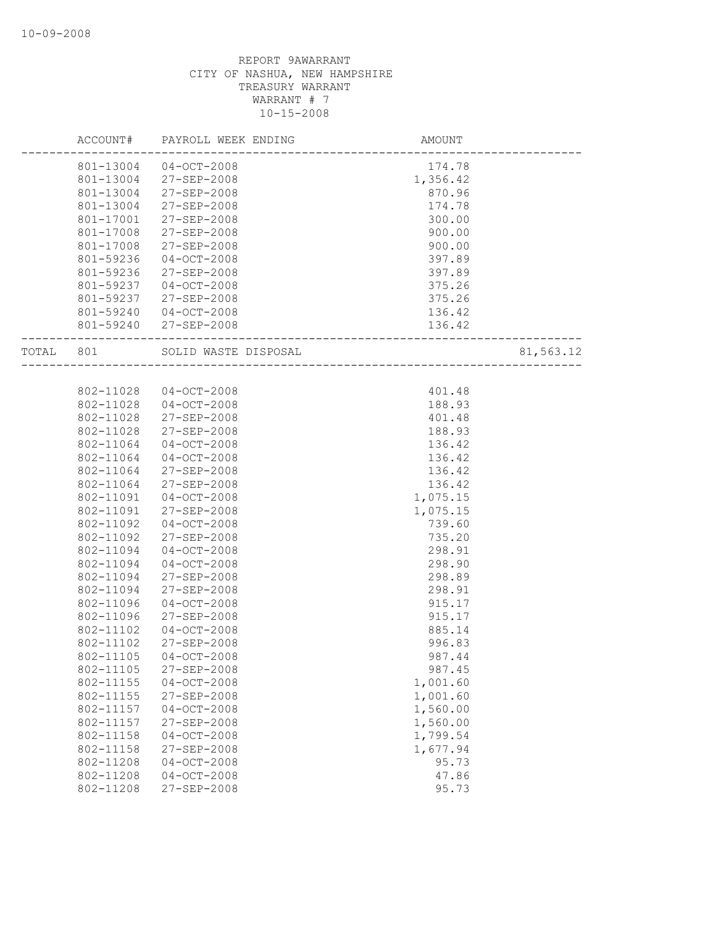## REPORT 9AWARRANT CITY OF NASHUA, NEW HAMPSHIRE TREASURY WARRANT WARRANT # 7 10-15-2008

|       | ACCOUNT#  | PAYROLL WEEK ENDING  | AMOUNT                      |           |
|-------|-----------|----------------------|-----------------------------|-----------|
|       | 801-13004 | $04-0CT-2008$        | 174.78                      |           |
|       | 801-13004 | 27-SEP-2008          | 1,356.42                    |           |
|       | 801-13004 | 27-SEP-2008          | 870.96                      |           |
|       | 801-13004 | $27 - SEP - 2008$    | 174.78                      |           |
|       | 801-17001 | 27-SEP-2008          | 300.00                      |           |
|       | 801-17008 | 27-SEP-2008          | 900.00                      |           |
|       | 801-17008 | 27-SEP-2008          | 900.00                      |           |
|       | 801-59236 | $04-0CT-2008$        | 397.89                      |           |
|       | 801-59236 | 27-SEP-2008          | 397.89                      |           |
|       | 801-59237 | $04 - OCT - 2008$    | 375.26                      |           |
|       | 801-59237 | 27-SEP-2008          | 375.26                      |           |
|       | 801-59240 | $04-0CT-2008$        | 136.42                      |           |
|       | 801-59240 | 27-SEP-2008          | 136.42                      |           |
| TOTAL | 801       | SOLID WASTE DISPOSAL | L<br>---------------------- | 81,563.12 |
|       |           |                      |                             |           |
|       | 802-11028 | $04 - OCT - 2008$    | 401.48                      |           |
|       | 802-11028 | $04 - OCT - 2008$    | 188.93                      |           |
|       | 802-11028 | $27 - SEP - 2008$    | 401.48                      |           |
|       | 802-11028 | 27-SEP-2008          | 188.93                      |           |
|       | 802-11064 | $04 - OCT - 2008$    | 136.42                      |           |
|       | 802-11064 | $04 - OCT - 2008$    | 136.42                      |           |
|       | 802-11064 | 27-SEP-2008          | 136.42                      |           |
|       | 802-11064 | 27-SEP-2008          | 136.42                      |           |
|       | 802-11091 | $04-0CT-2008$        | 1,075.15                    |           |
|       | 802-11091 | 27-SEP-2008          | 1,075.15                    |           |
|       | 802-11092 | $04 - OCT - 2008$    | 739.60                      |           |
|       | 802-11092 | $27 - SEP - 2008$    | 735.20                      |           |
|       | 802-11094 | $04-0CT-2008$        | 298.91                      |           |
|       | 802-11094 | $04 - OCT - 2008$    | 298.90                      |           |
|       | 802-11094 | 27-SEP-2008          | 298.89                      |           |
|       | 802-11094 | 27-SEP-2008          | 298.91                      |           |
|       | 802-11096 | $04 - OCT - 2008$    | 915.17                      |           |
|       | 802-11096 | 27-SEP-2008          | 915.17                      |           |
|       | 802-11102 | $04 - OCT - 2008$    | 885.14                      |           |
|       | 802-11102 | 27-SEP-2008          | 996.83                      |           |
|       | 802-11105 | $04 - OCT - 2008$    | 987.44                      |           |
|       | 802-11105 | 27-SEP-2008          | 987.45                      |           |
|       | 802-11155 | $04-0CT-2008$        | 1,001.60                    |           |
|       | 802-11155 | 27-SEP-2008          | 1,001.60                    |           |
|       | 802-11157 | $04-0CT-2008$        | 1,560.00                    |           |
|       | 802-11157 | 27-SEP-2008          | 1,560.00                    |           |
|       | 802-11158 | $04-0CT-2008$        | 1,799.54                    |           |
|       | 802-11158 | 27-SEP-2008          | 1,677.94                    |           |
|       | 802-11208 | $04 - OCT - 2008$    | 95.73                       |           |
|       | 802-11208 | $04 - OCT - 2008$    | 47.86                       |           |
|       | 802-11208 | 27-SEP-2008          | 95.73                       |           |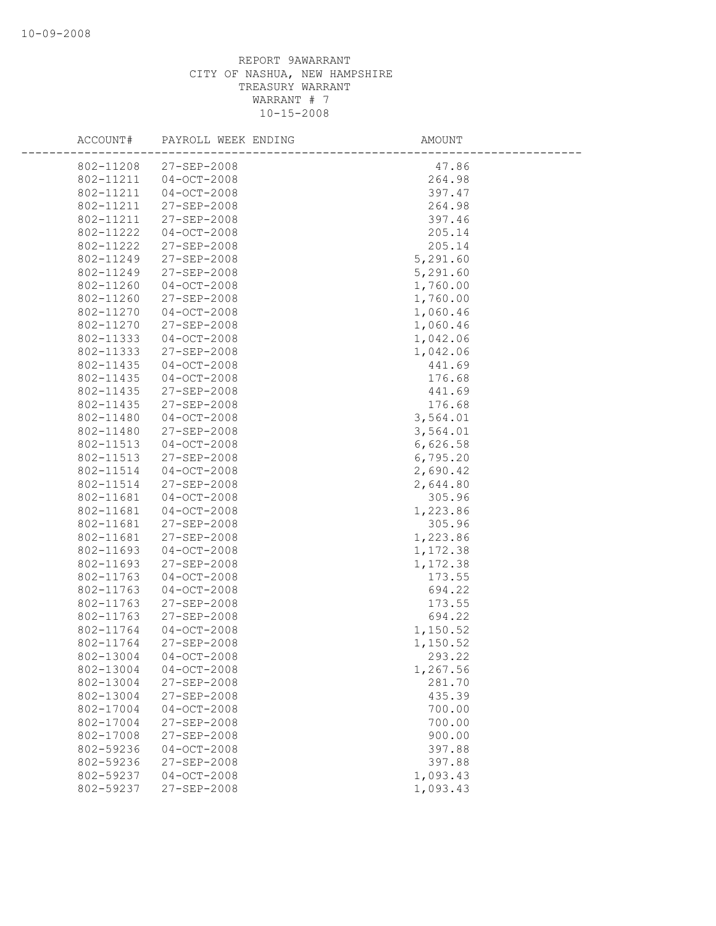## REPORT 9AWARRANT CITY OF NASHUA, NEW HAMPSHIRE TREASURY WARRANT WARRANT # 7 10-15-2008

| ACCOUNT#               | PAYROLL WEEK ENDING              | AMOUNT             |
|------------------------|----------------------------------|--------------------|
| 802-11208              | 27-SEP-2008                      | 47.86              |
| 802-11211              | $04 - OCT - 2008$                | 264.98             |
| 802-11211              | $04 - OCT - 2008$                | 397.47             |
| 802-11211              | 27-SEP-2008                      | 264.98             |
| 802-11211              | 27-SEP-2008                      | 397.46             |
| 802-11222              | $04 - OCT - 2008$                | 205.14             |
| 802-11222              | 27-SEP-2008                      | 205.14             |
| 802-11249              | $27 - SEP - 2008$                | 5,291.60           |
| 802-11249              | 27-SEP-2008                      | 5,291.60           |
| 802-11260              | $04 - OCT - 2008$                | 1,760.00           |
| 802-11260              | 27-SEP-2008                      | 1,760.00           |
| 802-11270              | $04 - OCT - 2008$                | 1,060.46           |
| 802-11270              | 27-SEP-2008                      | 1,060.46           |
| 802-11333              | $04 - OCT - 2008$                | 1,042.06           |
| 802-11333              | 27-SEP-2008                      | 1,042.06           |
| 802-11435              | $04 - OCT - 2008$                | 441.69             |
| 802-11435              | $04 - OCT - 2008$                | 176.68             |
| 802-11435              | $27 - SEP - 2008$                | 441.69             |
| 802-11435              | $27 - SEP - 2008$                | 176.68             |
| 802-11480              | $04 - OCT - 2008$                | 3,564.01           |
| 802-11480              | 27-SEP-2008                      | 3,564.01           |
| 802-11513              | $04 - OCT - 2008$                | 6,626.58           |
| 802-11513              | 27-SEP-2008                      | 6,795.20           |
| 802-11514              | $04 - OCT - 2008$                | 2,690.42           |
| 802-11514              | 27-SEP-2008                      | 2,644.80           |
| 802-11681              | $04 - OCT - 2008$                | 305.96             |
| 802-11681              | $04 - OCT - 2008$                | 1,223.86           |
| 802-11681              | 27-SEP-2008                      | 305.96             |
| 802-11681              | 27-SEP-2008                      | 1,223.86           |
| 802-11693              | $04 - OCT - 2008$                | 1,172.38           |
| 802-11693              | 27-SEP-2008                      | 1,172.38           |
| 802-11763              | $04 - OCT - 2008$                | 173.55             |
| 802-11763              | $04 - OCT - 2008$                | 694.22             |
| 802-11763              | 27-SEP-2008                      | 173.55             |
| 802-11763<br>802-11764 | 27-SEP-2008                      | 694.22             |
|                        | $04 - OCT - 2008$                | 1,150.52           |
| 802-11764              | 27-SEP-2008                      | 1,150.52           |
| 802-13004              | $04 - OCT - 2008$                | 293.22             |
| 802-13004<br>802-13004 | $04 - OCT - 2008$<br>27-SEP-2008 | 1,267.56<br>281.70 |
| 802-13004              | 27-SEP-2008                      | 435.39             |
| 802-17004              | $04 - OCT - 2008$                | 700.00             |
| 802-17004              | 27-SEP-2008                      | 700.00             |
| 802-17008              | 27-SEP-2008                      | 900.00             |
| 802-59236              | $04 - OCT - 2008$                | 397.88             |
| 802-59236              | 27-SEP-2008                      | 397.88             |
| 802-59237              | $04 - OCT - 2008$                | 1,093.43           |
| 802-59237              | 27-SEP-2008                      | 1,093.43           |
|                        |                                  |                    |